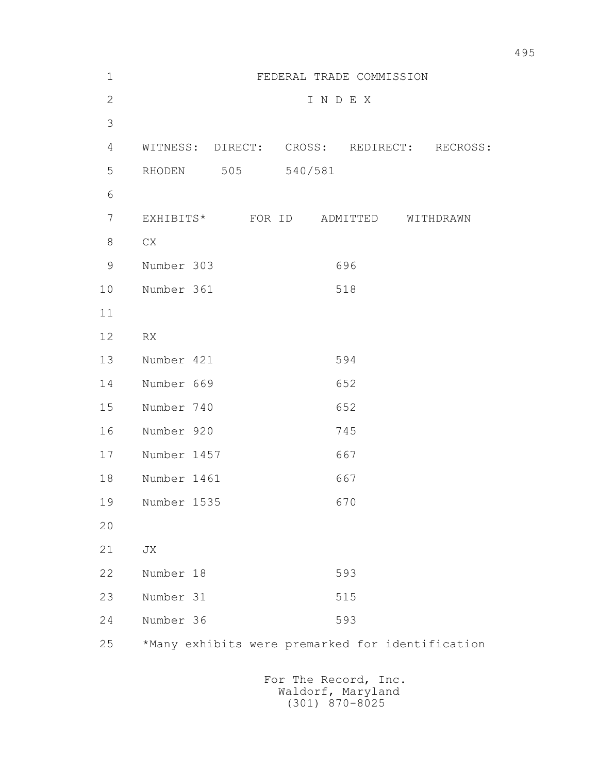| $\mathbf 1$  |                                                  | FEDERAL TRADE COMMISSION |                                           |           |
|--------------|--------------------------------------------------|--------------------------|-------------------------------------------|-----------|
| $\mathbf{2}$ |                                                  |                          | INDEX                                     |           |
| 3            |                                                  |                          |                                           |           |
| 4            | WITNESS: DIRECT: CROSS: REDIRECT: RECROSS:       |                          |                                           |           |
| 5            | RHODEN<br>505                                    | 540/581                  |                                           |           |
| 6            |                                                  |                          |                                           |           |
| 7            | EXHIBITS* FOR ID                                 |                          | ADMITTED                                  | WITHDRAWN |
| 8            | CX                                               |                          |                                           |           |
| $\mathsf 9$  | Number 303                                       |                          | 696                                       |           |
| 10           | Number 361                                       |                          | 518                                       |           |
| 11           |                                                  |                          |                                           |           |
| 12           | RX                                               |                          |                                           |           |
| 13           | Number 421                                       |                          | 594                                       |           |
| 14           | Number 669                                       |                          | 652                                       |           |
| 15           | Number 740                                       |                          | 652                                       |           |
| 16           | Number 920                                       |                          | 745                                       |           |
| 17           | Number 1457                                      |                          | 667                                       |           |
| 18           | Number 1461                                      |                          | 667                                       |           |
| 19           | Number 1535                                      |                          | 670                                       |           |
| 20           |                                                  |                          |                                           |           |
| 21           | JX                                               |                          |                                           |           |
| 22           | Number 18                                        |                          | 593                                       |           |
| 23           | Number 31                                        |                          | 515                                       |           |
| 24           | Number 36                                        |                          | 593                                       |           |
| 25           | *Many exhibits were premarked for identification |                          |                                           |           |
|              |                                                  |                          | For The Record, Inc.<br>Waldorf, Maryland |           |

(301) 870-8025

495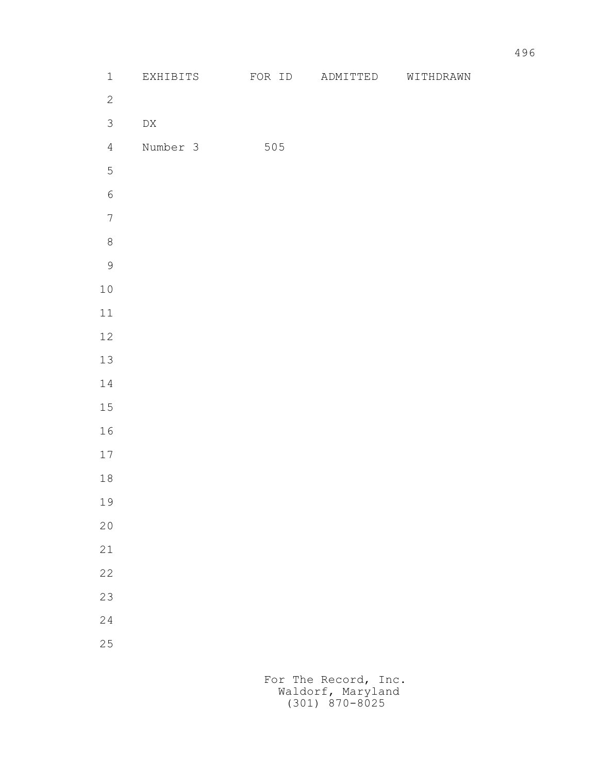| $\mathbbm{1}$    | EXHIBITS         | FOR ID | ADMITTED | WITHDRAWN |
|------------------|------------------|--------|----------|-----------|
| $\mathbf{2}$     |                  |        |          |           |
| $\mathfrak{Z}$   | ${\rm D}{\rm X}$ |        |          |           |
| $\overline{4}$   | Number 3         | 505    |          |           |
| $\mathsf S$      |                  |        |          |           |
| $\epsilon$       |                  |        |          |           |
| $\boldsymbol{7}$ |                  |        |          |           |
| $\,8\,$          |                  |        |          |           |
| $\mathsf 9$      |                  |        |          |           |
| $1\,0$           |                  |        |          |           |
| $11\,$           |                  |        |          |           |
| $12\,$           |                  |        |          |           |
| 13               |                  |        |          |           |
| $1\,4$           |                  |        |          |           |
| 15               |                  |        |          |           |
| 16               |                  |        |          |           |
| $17\,$           |                  |        |          |           |
| $1\,8$           |                  |        |          |           |
| 19               |                  |        |          |           |
| $20$             |                  |        |          |           |
| 21               |                  |        |          |           |
| 22               |                  |        |          |           |
| 23               |                  |        |          |           |
| 24               |                  |        |          |           |
| 25               |                  |        |          |           |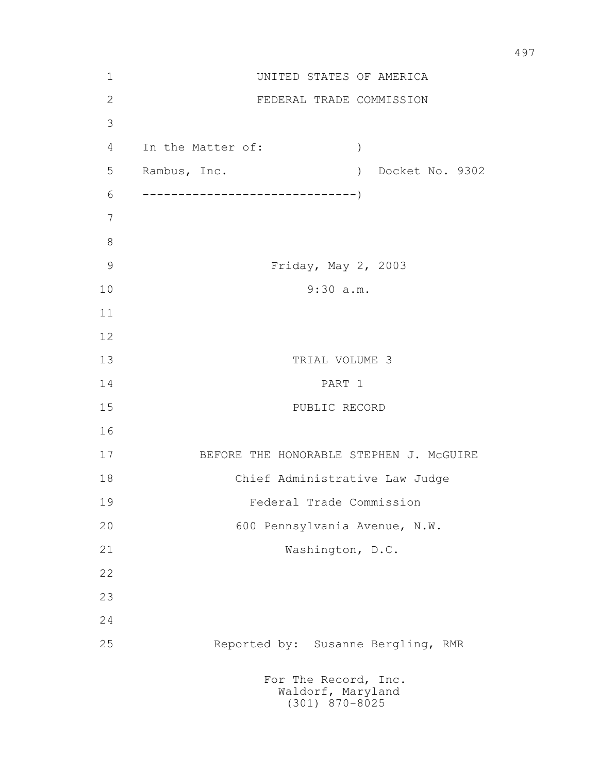| $1\,$          |                   | UNITED STATES OF AMERICA                                          |
|----------------|-------------------|-------------------------------------------------------------------|
| $\overline{2}$ |                   | FEDERAL TRADE COMMISSION                                          |
| 3              |                   |                                                                   |
| $\overline{4}$ | In the Matter of: | $\mathcal{C}$                                                     |
| 5              | Rambus, Inc.      | Docket No. 9302<br>$\rightarrow$                                  |
| 6              |                   |                                                                   |
| 7              |                   |                                                                   |
| $8\,$          |                   |                                                                   |
| $\mathcal{G}$  |                   | Friday, May 2, 2003                                               |
| 10             |                   | 9:30 a.m.                                                         |
| 11             |                   |                                                                   |
| 12             |                   |                                                                   |
| 13             |                   | TRIAL VOLUME 3                                                    |
| 14             |                   | PART 1                                                            |
| 15             |                   | PUBLIC RECORD                                                     |
| 16             |                   |                                                                   |
| 17             |                   | BEFORE THE HONORABLE STEPHEN J. MCGUIRE                           |
| 18             |                   | Chief Administrative Law Judge                                    |
| 19             |                   | Federal Trade Commission                                          |
| 20             |                   | 600 Pennsylvania Avenue, N.W.                                     |
| 21             |                   | Washington, D.C.                                                  |
| 22             |                   |                                                                   |
| 23             |                   |                                                                   |
| 24             |                   |                                                                   |
| 25             |                   | Reported by: Susanne Bergling, RMR                                |
|                |                   | For The Record, Inc.<br>Waldorf, Maryland<br>$(301)$ $870 - 8025$ |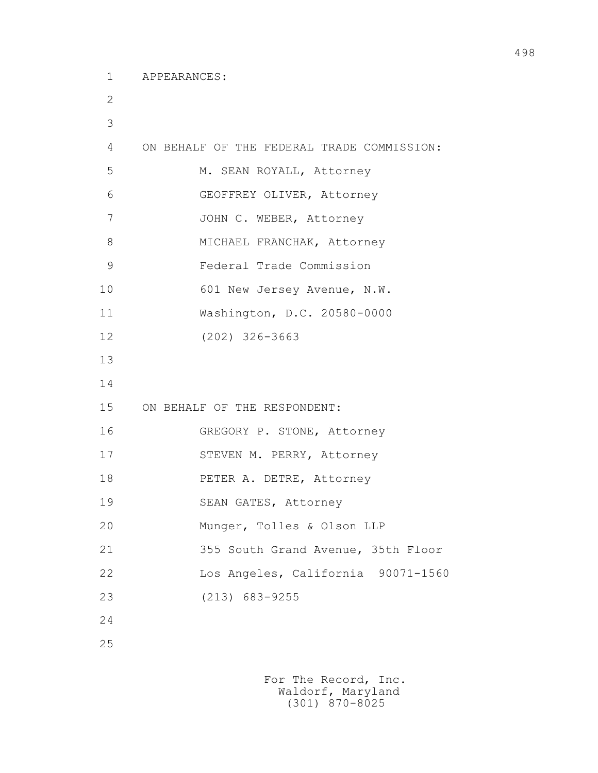```
 2
3
       4 ON BEHALF OF THE FEDERAL TRADE COMMISSION: 
       5 M. SEAN ROYALL, Attorney
       6 GEOFFREY OLIVER, Attorney
      7 JOHN C. WEBER, Attorney
      8 MICHAEL FRANCHAK, Attorney
       9 Federal Trade Commission
     10 601 New Jersey Avenue, N.W.
      11 Washington, D.C. 20580-0000
      12 (202) 326-3663
      13
      14
      15 ON BEHALF OF THE RESPONDENT:
      16 GREGORY P. STONE, Attorney
     17 STEVEN M. PERRY, Attorney
      18 PETER A. DETRE, Attorney
      19 SEAN GATES, Attorney
      20 Munger, Tolles & Olson LLP
      21 355 South Grand Avenue, 35th Floor
      22 Los Angeles, California 90071-1560
      23 (213) 683-9255
      24
      25
```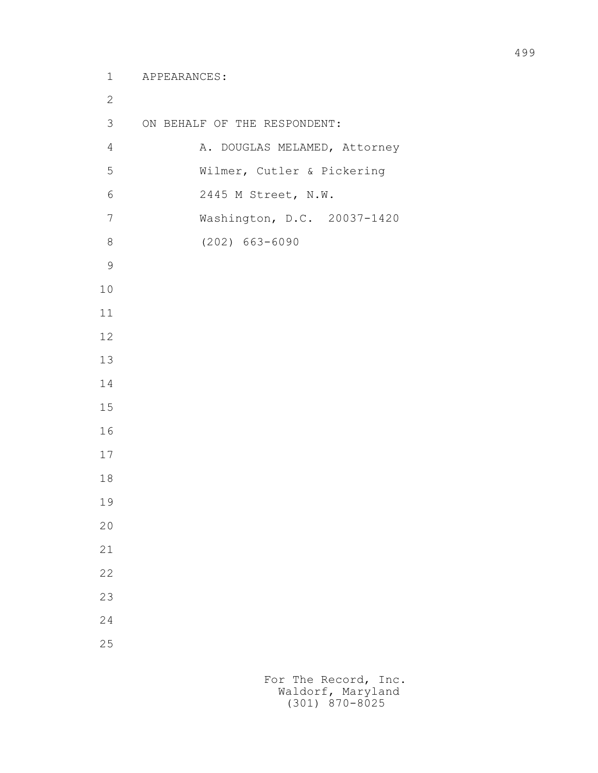```
 1 APPEARANCES:
2
        3 ON BEHALF OF THE RESPONDENT:
       4 A. DOUGLAS MELAMED, Attorney
        5 Wilmer, Cutler & Pickering
        6 2445 M Street, N.W.
        7 Washington, D.C. 20037-1420
        8 (202) 663-6090
9
       10
       11
       12
       13
       14
       15
       16
       17
       18
       19
       20
       21
       22
       23
       24
       25
```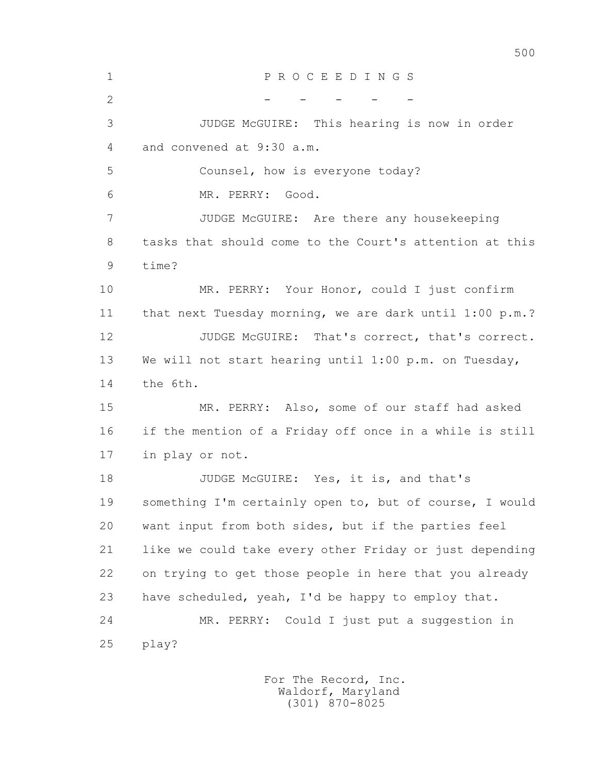| $\mathbf 1$  | PROCEEDINGS                                             |
|--------------|---------------------------------------------------------|
| $\mathbf{2}$ |                                                         |
| 3            | JUDGE McGUIRE: This hearing is now in order             |
| 4            | and convened at 9:30 a.m.                               |
| 5            | Counsel, how is everyone today?                         |
| 6            | MR. PERRY: Good.                                        |
| 7            | JUDGE McGUIRE: Are there any housekeeping               |
| 8            | tasks that should come to the Court's attention at this |
| 9            | time?                                                   |
| 10           | MR. PERRY: Your Honor, could I just confirm             |
| 11           | that next Tuesday morning, we are dark until 1:00 p.m.? |
| 12           | JUDGE McGUIRE: That's correct, that's correct.          |
| 13           | We will not start hearing until 1:00 p.m. on Tuesday,   |
| 14           | the 6th.                                                |
| 15           | MR. PERRY: Also, some of our staff had asked            |
| 16           | if the mention of a Friday off once in a while is still |
| 17           | in play or not.                                         |
| 18           | JUDGE McGUIRE: Yes, it is, and that's                   |
| 19           | something I'm certainly open to, but of course, I would |
| 20           | want input from both sides, but if the parties feel     |
| 21           | like we could take every other Friday or just depending |
| 22           | on trying to get those people in here that you already  |
| 23           | have scheduled, yeah, I'd be happy to employ that.      |
| 24           | MR. PERRY: Could I just put a suggestion in             |
| 25           | play?                                                   |
|              |                                                         |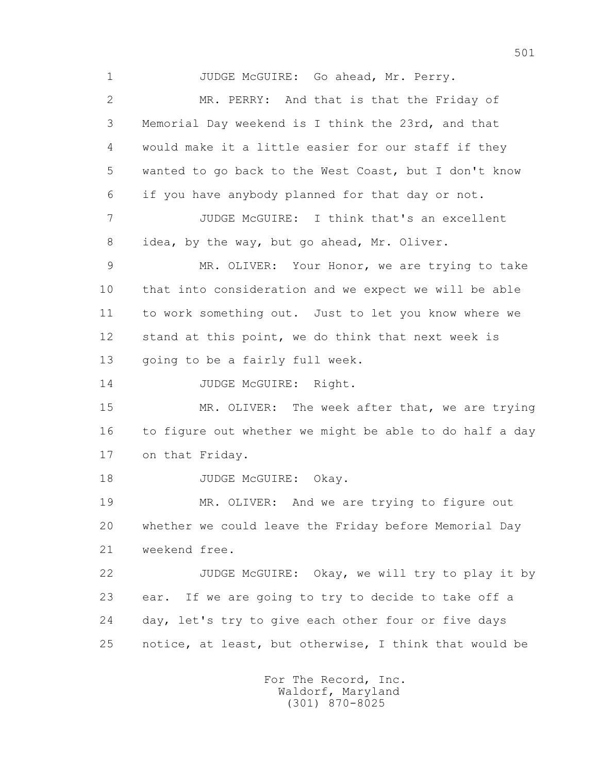1 JUDGE McGUIRE: Go ahead, Mr. Perry. 2 MR. PERRY: And that is that the Friday of 3 Memorial Day weekend is I think the 23rd, and that 4 would make it a little easier for our staff if they 5 wanted to go back to the West Coast, but I don't know 6 if you have anybody planned for that day or not. 7 JUDGE McGUIRE: I think that's an excellent 8 idea, by the way, but go ahead, Mr. Oliver. 9 MR. OLIVER: Your Honor, we are trying to take 10 that into consideration and we expect we will be able 11 to work something out. Just to let you know where we 12 stand at this point, we do think that next week is 13 going to be a fairly full week. 14 JUDGE McGUIRE: Right. 15 MR. OLIVER: The week after that, we are trying 16 to figure out whether we might be able to do half a day 17 on that Friday. 18 JUDGE McGUIRE: Okay. 19 MR. OLIVER: And we are trying to figure out 20 whether we could leave the Friday before Memorial Day 21 weekend free. 22 JUDGE McGUIRE: Okay, we will try to play it by 23 ear. If we are going to try to decide to take off a 24 day, let's try to give each other four or five days 25 notice, at least, but otherwise, I think that would be

> For The Record, Inc. Waldorf, Maryland (301) 870-8025

501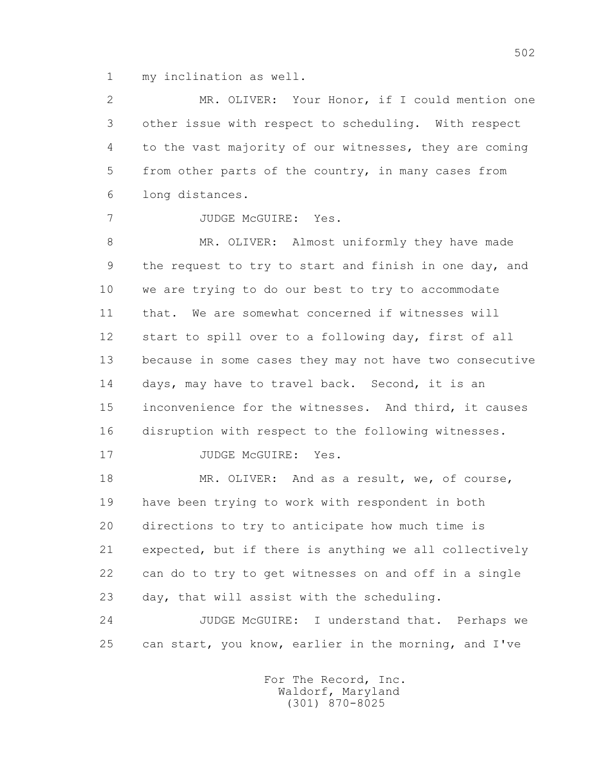1 my inclination as well.

 2 MR. OLIVER: Your Honor, if I could mention one 3 other issue with respect to scheduling. With respect 4 to the vast majority of our witnesses, they are coming 5 from other parts of the country, in many cases from 6 long distances.

7 JUDGE McGUIRE: Yes.

8 MR. OLIVER: Almost uniformly they have made 9 the request to try to start and finish in one day, and 10 we are trying to do our best to try to accommodate 11 that. We are somewhat concerned if witnesses will 12 start to spill over to a following day, first of all 13 because in some cases they may not have two consecutive 14 days, may have to travel back. Second, it is an 15 inconvenience for the witnesses. And third, it causes 16 disruption with respect to the following witnesses.

17 JUDGE McGUIRE: Yes.

18 MR. OLIVER: And as a result, we, of course, 19 have been trying to work with respondent in both 20 directions to try to anticipate how much time is 21 expected, but if there is anything we all collectively 22 can do to try to get witnesses on and off in a single 23 day, that will assist with the scheduling.

 24 JUDGE McGUIRE: I understand that. Perhaps we 25 can start, you know, earlier in the morning, and I've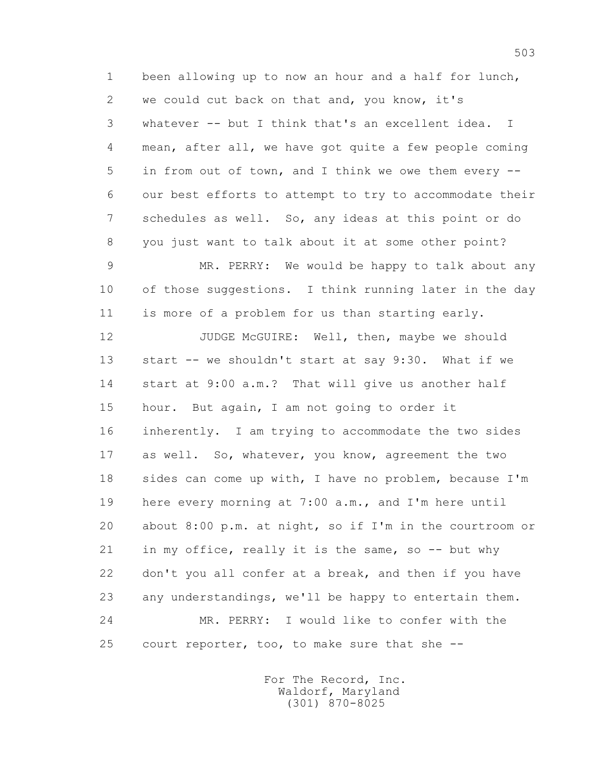1 been allowing up to now an hour and a half for lunch, 2 we could cut back on that and, you know, it's 3 whatever -- but I think that's an excellent idea. I 4 mean, after all, we have got quite a few people coming 5 in from out of town, and I think we owe them every -- 6 our best efforts to attempt to try to accommodate their 7 schedules as well. So, any ideas at this point or do 8 you just want to talk about it at some other point?

 9 MR. PERRY: We would be happy to talk about any 10 of those suggestions. I think running later in the day 11 is more of a problem for us than starting early.

12 JUDGE McGUIRE: Well, then, maybe we should 13 start -- we shouldn't start at say 9:30. What if we 14 start at 9:00 a.m.? That will give us another half 15 hour. But again, I am not going to order it 16 inherently. I am trying to accommodate the two sides 17 as well. So, whatever, you know, agreement the two 18 sides can come up with, I have no problem, because I'm 19 here every morning at 7:00 a.m., and I'm here until 20 about 8:00 p.m. at night, so if I'm in the courtroom or 21 in my office, really it is the same, so -- but why 22 don't you all confer at a break, and then if you have 23 any understandings, we'll be happy to entertain them. 24 MR. PERRY: I would like to confer with the 25 court reporter, too, to make sure that she --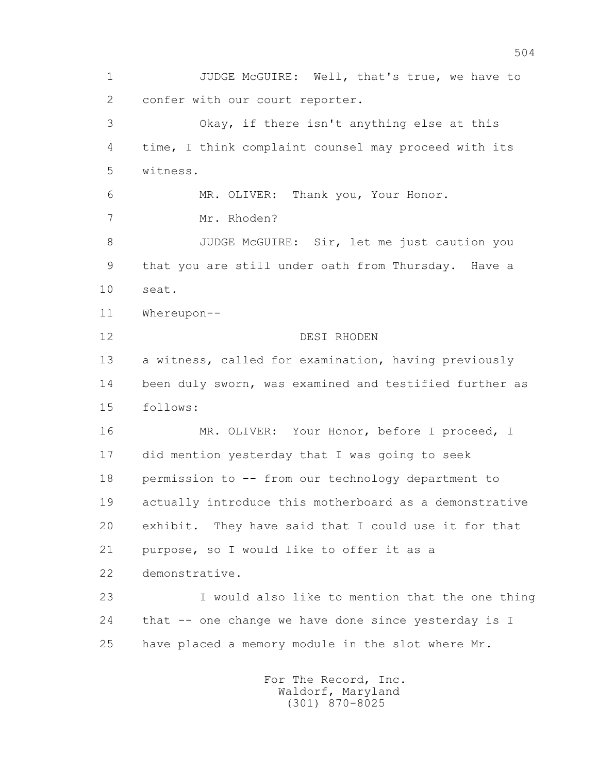1 JUDGE McGUIRE: Well, that's true, we have to 2 confer with our court reporter. 3 Okay, if there isn't anything else at this 4 time, I think complaint counsel may proceed with its 5 witness. 6 MR. OLIVER: Thank you, Your Honor. 7 Mr. Rhoden? 8 JUDGE McGUIRE: Sir, let me just caution you 9 that you are still under oath from Thursday. Have a 10 seat. 11 Whereupon-- 12 DESI RHODEN 13 a witness, called for examination, having previously 14 been duly sworn, was examined and testified further as 15 follows: 16 MR. OLIVER: Your Honor, before I proceed, I 17 did mention yesterday that I was going to seek 18 permission to -- from our technology department to 19 actually introduce this motherboard as a demonstrative 20 exhibit. They have said that I could use it for that 21 purpose, so I would like to offer it as a 22 demonstrative. 23 I would also like to mention that the one thing 24 that -- one change we have done since yesterday is I 25 have placed a memory module in the slot where Mr.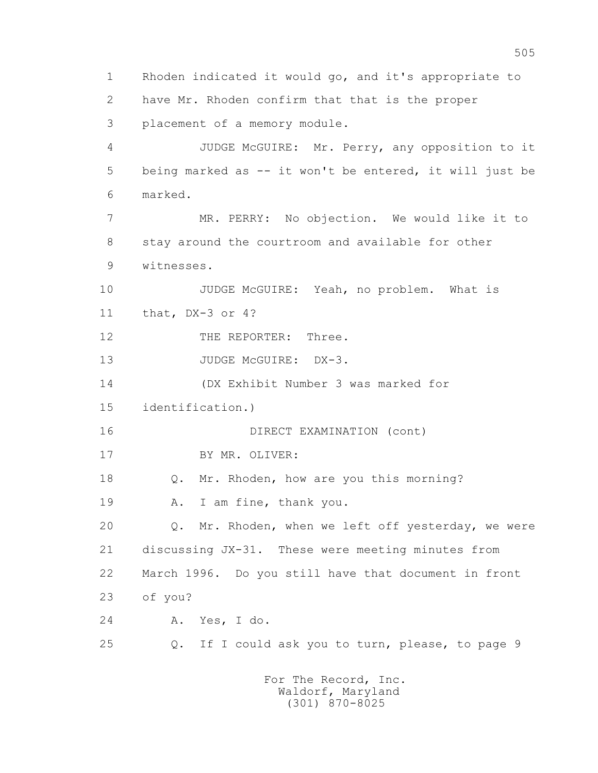1 Rhoden indicated it would go, and it's appropriate to 2 have Mr. Rhoden confirm that that is the proper 3 placement of a memory module. 4 JUDGE McGUIRE: Mr. Perry, any opposition to it 5 being marked as -- it won't be entered, it will just be 6 marked. 7 MR. PERRY: No objection. We would like it to 8 stay around the courtroom and available for other 9 witnesses. 10 JUDGE McGUIRE: Yeah, no problem. What is 11 that, DX-3 or 4? 12 THE REPORTER: Three. 13 JUDGE McGUIRE: DX-3. 14 (DX Exhibit Number 3 was marked for 15 identification.) 16 DIRECT EXAMINATION (cont) 17 BY MR. OLIVER: 18 Q. Mr. Rhoden, how are you this morning? 19 A. I am fine, thank you. 20 Q. Mr. Rhoden, when we left off yesterday, we were 21 discussing JX-31. These were meeting minutes from 22 March 1996. Do you still have that document in front 23 of you? 24 A. Yes, I do. 25 Q. If I could ask you to turn, please, to page 9 For The Record, Inc.

 Waldorf, Maryland (301) 870-8025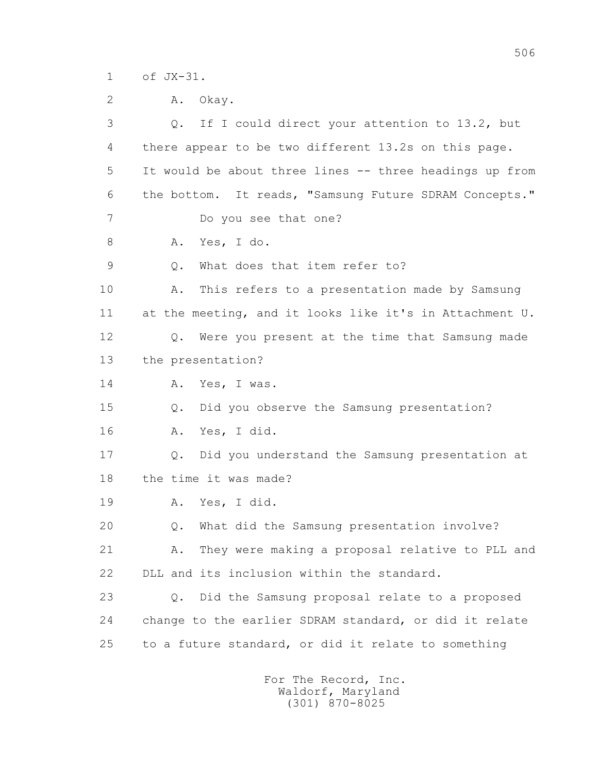1 of JX-31.

| $\mathbf{2}$ | Okay.<br>Α.                                             |
|--------------|---------------------------------------------------------|
| 3            | If I could direct your attention to 13.2, but<br>Q.     |
| 4            | there appear to be two different 13.2s on this page.    |
| 5            | It would be about three lines -- three headings up from |
| 6            | the bottom. It reads, "Samsung Future SDRAM Concepts."  |
| 7            | Do you see that one?                                    |
| 8            | Yes, I do.<br>Α.                                        |
| 9            | What does that item refer to?<br>Q.                     |
| 10           | This refers to a presentation made by Samsung<br>Α.     |
| 11           | at the meeting, and it looks like it's in Attachment U. |
| 12           | Q. Were you present at the time that Samsung made       |
| 13           | the presentation?                                       |
| 14           | Yes, I was.<br>Α.                                       |
| 15           | Did you observe the Samsung presentation?<br>Q.         |
| 16           | Yes, I did.<br>Α.                                       |
| 17           | Q. Did you understand the Samsung presentation at       |
| 18           | the time it was made?                                   |
| 19           | Yes, I did.<br>Α.                                       |
| 20           | What did the Samsung presentation involve?<br>Q.        |
| 21           | They were making a proposal relative to PLL and<br>Α.   |
| 22           | DLL and its inclusion within the standard.              |
| 23           | Did the Samsung proposal relate to a proposed<br>Q.     |
| 24           | change to the earlier SDRAM standard, or did it relate  |
| 25           | to a future standard, or did it relate to something     |
|              |                                                         |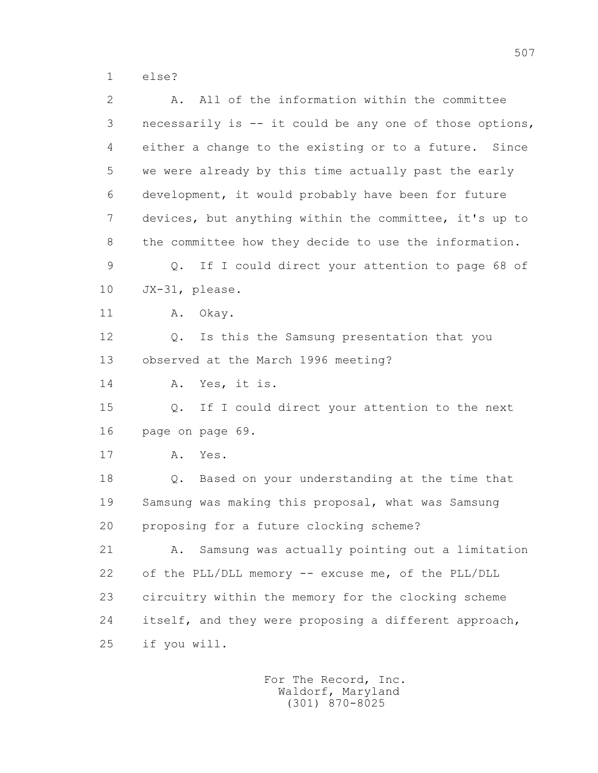1 else?

 2 A. All of the information within the committee 3 necessarily is -- it could be any one of those options, 4 either a change to the existing or to a future. Since 5 we were already by this time actually past the early 6 development, it would probably have been for future 7 devices, but anything within the committee, it's up to 8 the committee how they decide to use the information. 9 Q. If I could direct your attention to page 68 of 10 JX-31, please. 11 A. Okav. 12 Q. Is this the Samsung presentation that you 13 observed at the March 1996 meeting? 14 A. Yes, it is. 15 Q. If I could direct your attention to the next 16 page on page 69. 17 A. Yes. 18 Q. Based on your understanding at the time that 19 Samsung was making this proposal, what was Samsung 20 proposing for a future clocking scheme? 21 A. Samsung was actually pointing out a limitation 22 of the PLL/DLL memory -- excuse me, of the PLL/DLL 23 circuitry within the memory for the clocking scheme 24 itself, and they were proposing a different approach, 25 if you will.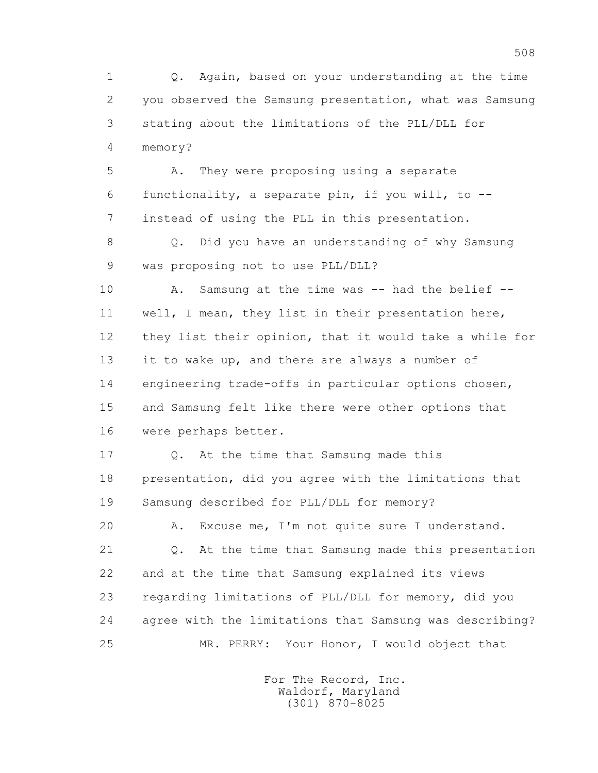1 Q. Again, based on your understanding at the time 2 you observed the Samsung presentation, what was Samsung 3 stating about the limitations of the PLL/DLL for 4 memory?

 5 A. They were proposing using a separate 6 functionality, a separate pin, if you will, to -- 7 instead of using the PLL in this presentation.

 8 Q. Did you have an understanding of why Samsung 9 was proposing not to use PLL/DLL?

 10 A. Samsung at the time was -- had the belief -- 11 well, I mean, they list in their presentation here, 12 they list their opinion, that it would take a while for 13 it to wake up, and there are always a number of 14 engineering trade-offs in particular options chosen, 15 and Samsung felt like there were other options that 16 were perhaps better.

 17 Q. At the time that Samsung made this 18 presentation, did you agree with the limitations that 19 Samsung described for PLL/DLL for memory?

 20 A. Excuse me, I'm not quite sure I understand. 21 Q. At the time that Samsung made this presentation 22 and at the time that Samsung explained its views 23 regarding limitations of PLL/DLL for memory, did you 24 agree with the limitations that Samsung was describing? 25 MR. PERRY: Your Honor, I would object that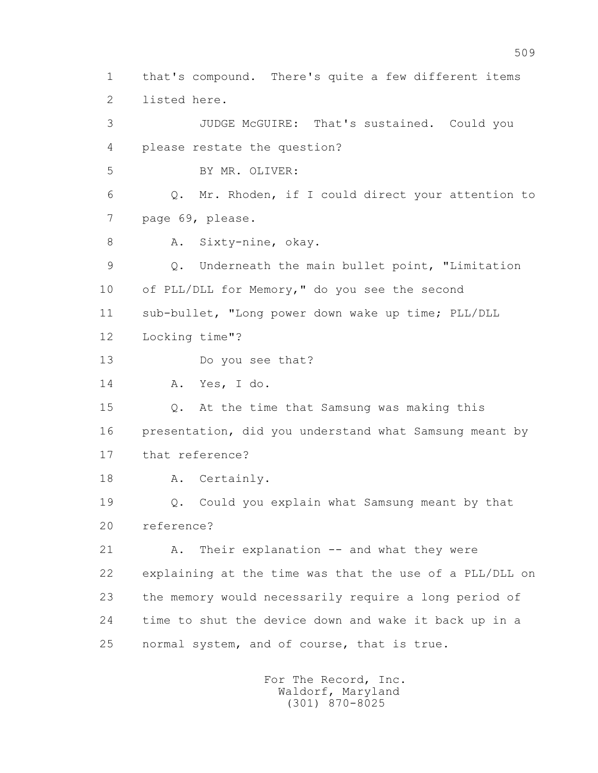1 that's compound. There's quite a few different items 2 listed here. 3 JUDGE McGUIRE: That's sustained. Could you 4 please restate the question? 5 BY MR. OLIVER: 6 Q. Mr. Rhoden, if I could direct your attention to 7 page 69, please. 8 A. Sixty-nine, okay. 9 Q. Underneath the main bullet point, "Limitation 10 of PLL/DLL for Memory," do you see the second 11 sub-bullet, "Long power down wake up time; PLL/DLL 12 Locking time"? 13 Do you see that? 14 A. Yes, I do. 15 Q. At the time that Samsung was making this 16 presentation, did you understand what Samsung meant by 17 that reference? 18 A. Certainly. 19 Q. Could you explain what Samsung meant by that 20 reference? 21 A. Their explanation -- and what they were 22 explaining at the time was that the use of a PLL/DLL on 23 the memory would necessarily require a long period of 24 time to shut the device down and wake it back up in a 25 normal system, and of course, that is true.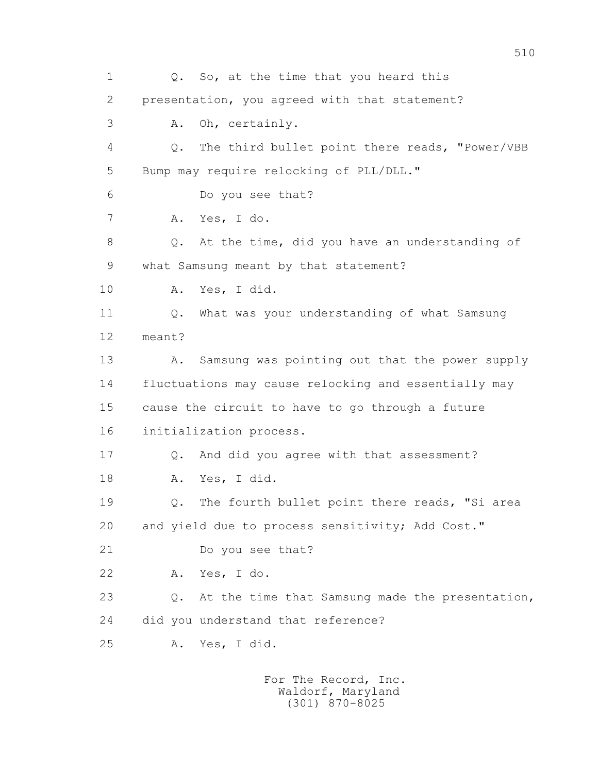1 Q. So, at the time that you heard this 2 presentation, you agreed with that statement? 3 A. Oh, certainly. 4 Q. The third bullet point there reads, "Power/VBB 5 Bump may require relocking of PLL/DLL." 6 Do you see that? 7 A. Yes, I do. 8 Q. At the time, did you have an understanding of 9 what Samsung meant by that statement? 10 A. Yes, I did. 11 0. What was your understanding of what Samsung 12 meant? 13 A. Samsung was pointing out that the power supply 14 fluctuations may cause relocking and essentially may 15 cause the circuit to have to go through a future 16 initialization process. 17 Q. And did you agree with that assessment? 18 A. Yes, I did. 19 Q. The fourth bullet point there reads, "Si area 20 and yield due to process sensitivity; Add Cost." 21 Do you see that? 22 A. Yes, I do. 23 Q. At the time that Samsung made the presentation, 24 did you understand that reference? 25 A. Yes, I did.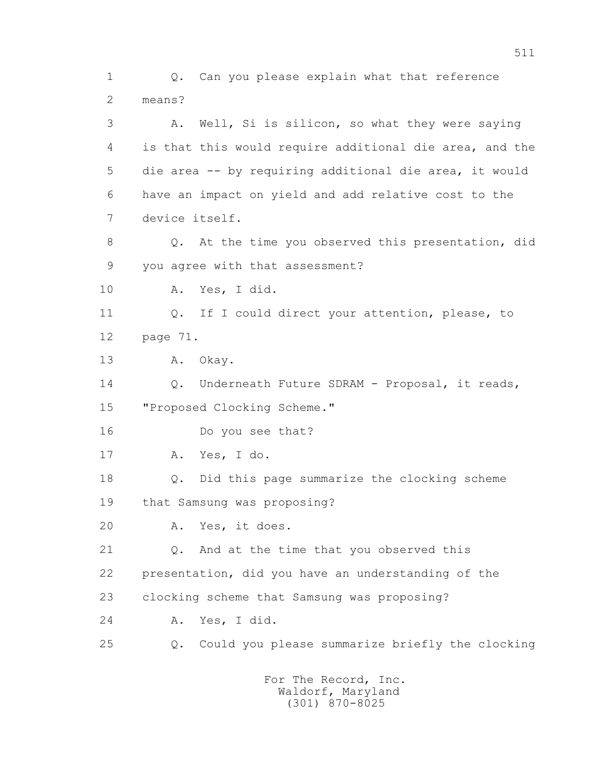1 Q. Can you please explain what that reference 2 means? 3 A. Well, Si is silicon, so what they were saying 4 is that this would require additional die area, and the 5 die area -- by requiring additional die area, it would 6 have an impact on yield and add relative cost to the 7 device itself. 8 Q. At the time you observed this presentation, did 9 you agree with that assessment? 10 A. Yes, I did. 11 Q. If I could direct your attention, please, to 12 page 71. 13 A. Okay. 14 Q. Underneath Future SDRAM - Proposal, it reads, 15 "Proposed Clocking Scheme." 16 Do you see that? 17 A. Yes, I do. 18 Q. Did this page summarize the clocking scheme 19 that Samsung was proposing? 20 A. Yes, it does. 21 Q. And at the time that you observed this 22 presentation, did you have an understanding of the 23 clocking scheme that Samsung was proposing? 24 A. Yes, I did. 25 Q. Could you please summarize briefly the clocking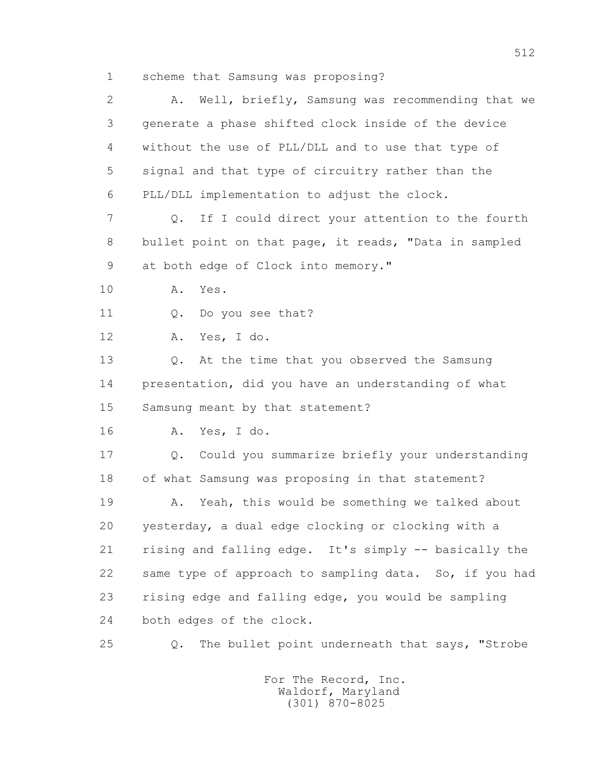1 scheme that Samsung was proposing?

| 2  | Well, briefly, Samsung was recommending that we<br>Α.           |
|----|-----------------------------------------------------------------|
| 3  | generate a phase shifted clock inside of the device             |
| 4  | without the use of PLL/DLL and to use that type of              |
| 5  | signal and that type of circuitry rather than the               |
| 6  | PLL/DLL implementation to adjust the clock.                     |
| 7  | If I could direct your attention to the fourth<br>$Q_{\bullet}$ |
| 8  | bullet point on that page, it reads, "Data in sampled           |
| 9  | at both edge of Clock into memory."                             |
| 10 | Yes.<br>Α.                                                      |
| 11 | Do you see that?<br>Q.                                          |
| 12 | Yes, I do.<br>Α.                                                |
| 13 | At the time that you observed the Samsung<br>$Q$ .              |
| 14 | presentation, did you have an understanding of what             |
| 15 | Samsung meant by that statement?                                |
| 16 | Yes, I do.<br>Α.                                                |
| 17 | Could you summarize briefly your understanding<br>Q.            |
| 18 | of what Samsung was proposing in that statement?                |
| 19 | Yeah, this would be something we talked about<br>Α.             |
| 20 | yesterday, a dual edge clocking or clocking with a              |
| 21 | rising and falling edge. It's simply -- basically the           |
| 22 | same type of approach to sampling data. So, if you had          |
| 23 | rising edge and falling edge, you would be sampling             |
| 24 | both edges of the clock.                                        |
| 25 | The bullet point underneath that says, "Strobe<br>$Q$ .         |
|    |                                                                 |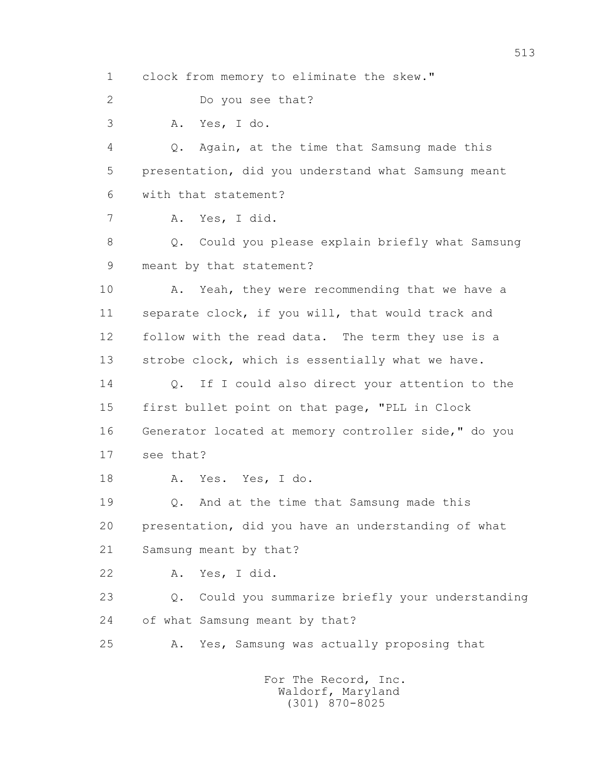1 clock from memory to eliminate the skew."

2 Do you see that?

3 A. Yes, I do.

 4 Q. Again, at the time that Samsung made this 5 presentation, did you understand what Samsung meant 6 with that statement?

7 A. Yes, I did.

 8 Q. Could you please explain briefly what Samsung 9 meant by that statement?

10 A. Yeah, they were recommending that we have a 11 separate clock, if you will, that would track and 12 follow with the read data. The term they use is a 13 strobe clock, which is essentially what we have.

14 0. If I could also direct your attention to the 15 first bullet point on that page, "PLL in Clock 16 Generator located at memory controller side," do you 17 see that?

18 A. Yes. Yes, I do.

19 0. And at the time that Samsung made this 20 presentation, did you have an understanding of what 21 Samsung meant by that?

22 A. Yes, I did.

 23 Q. Could you summarize briefly your understanding 24 of what Samsung meant by that?

25 A. Yes, Samsung was actually proposing that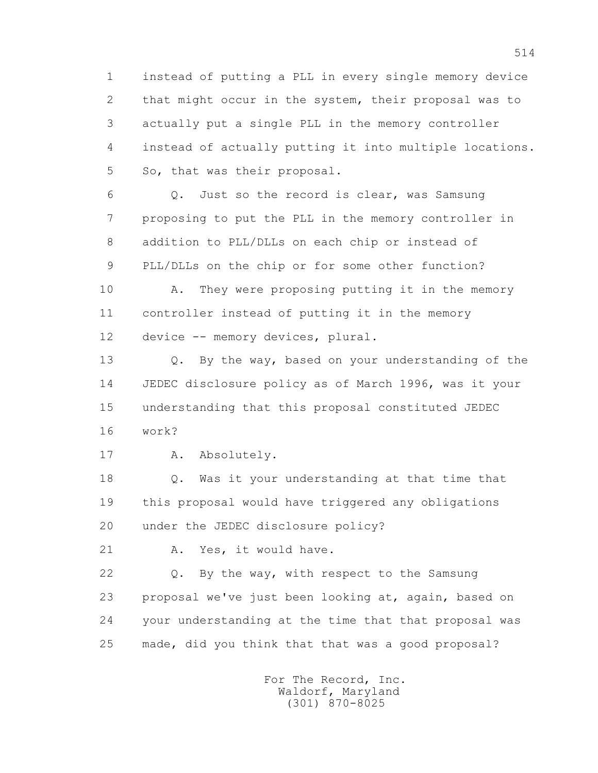1 instead of putting a PLL in every single memory device 2 that might occur in the system, their proposal was to 3 actually put a single PLL in the memory controller 4 instead of actually putting it into multiple locations. 5 So, that was their proposal.

 6 Q. Just so the record is clear, was Samsung 7 proposing to put the PLL in the memory controller in 8 addition to PLL/DLLs on each chip or instead of 9 PLL/DLLs on the chip or for some other function?

 10 A. They were proposing putting it in the memory 11 controller instead of putting it in the memory 12 device -- memory devices, plural.

 13 Q. By the way, based on your understanding of the 14 JEDEC disclosure policy as of March 1996, was it your 15 understanding that this proposal constituted JEDEC 16 work?

17 A. Absolutely.

 18 Q. Was it your understanding at that time that 19 this proposal would have triggered any obligations 20 under the JEDEC disclosure policy?

21 A. Yes, it would have.

 22 Q. By the way, with respect to the Samsung 23 proposal we've just been looking at, again, based on 24 your understanding at the time that that proposal was 25 made, did you think that that was a good proposal?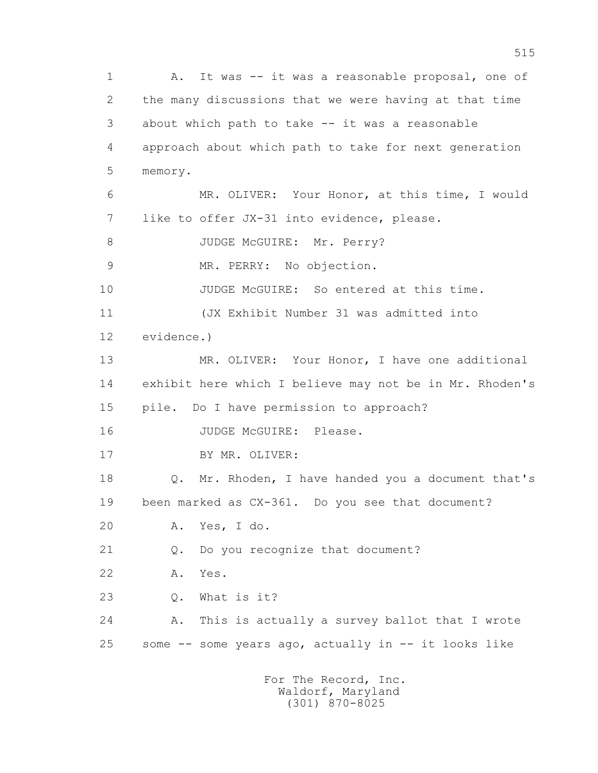1 A. It was -- it was a reasonable proposal, one of 2 the many discussions that we were having at that time 3 about which path to take -- it was a reasonable 4 approach about which path to take for next generation 5 memory. 6 MR. OLIVER: Your Honor, at this time, I would 7 like to offer JX-31 into evidence, please. 8 JUDGE McGUIRE: Mr. Perry? 9 MR. PERRY: No objection. 10 JUDGE McGUIRE: So entered at this time. 11 (JX Exhibit Number 31 was admitted into 12 evidence.) 13 MR. OLIVER: Your Honor, I have one additional 14 exhibit here which I believe may not be in Mr. Rhoden's 15 pile. Do I have permission to approach? 16 JUDGE McGUIRE: Please. 17 BY MR. OLIVER: 18 Q. Mr. Rhoden, I have handed you a document that's 19 been marked as CX-361. Do you see that document? 20 A. Yes, I do. 21 Q. Do you recognize that document? 22 A. Yes. 23 Q. What is it? 24 A. This is actually a survey ballot that I wrote 25 some -- some years ago, actually in -- it looks like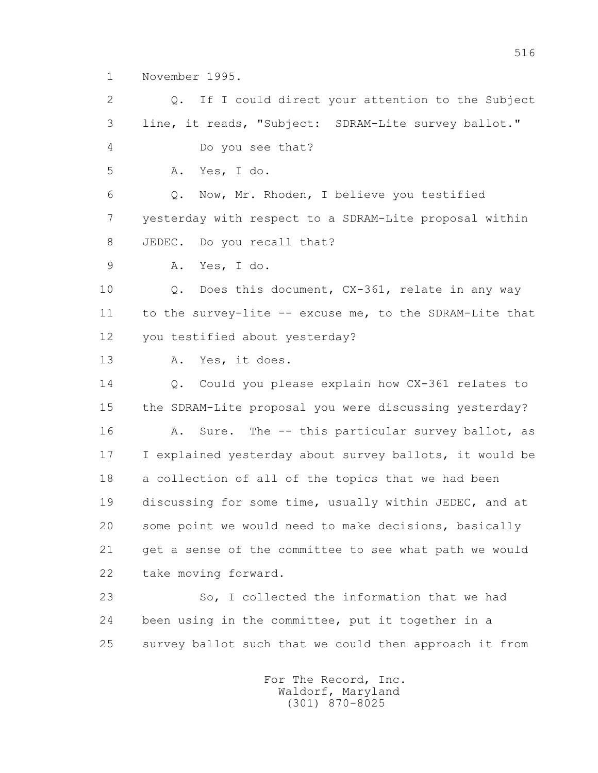1 November 1995.

 2 Q. If I could direct your attention to the Subject 3 line, it reads, "Subject: SDRAM-Lite survey ballot." 4 Do you see that? 5 A. Yes, I do. 6 Q. Now, Mr. Rhoden, I believe you testified 7 yesterday with respect to a SDRAM-Lite proposal within 8 JEDEC. Do you recall that? 9 A. Yes, I do. 10 Q. Does this document, CX-361, relate in any way 11 to the survey-lite -- excuse me, to the SDRAM-Lite that 12 you testified about yesterday? 13 A. Yes, it does. 14 Q. Could you please explain how CX-361 relates to 15 the SDRAM-Lite proposal you were discussing yesterday? 16 A. Sure. The -- this particular survey ballot, as 17 I explained yesterday about survey ballots, it would be 18 a collection of all of the topics that we had been 19 discussing for some time, usually within JEDEC, and at 20 some point we would need to make decisions, basically 21 get a sense of the committee to see what path we would 22 take moving forward. 23 So, I collected the information that we had 24 been using in the committee, put it together in a 25 survey ballot such that we could then approach it from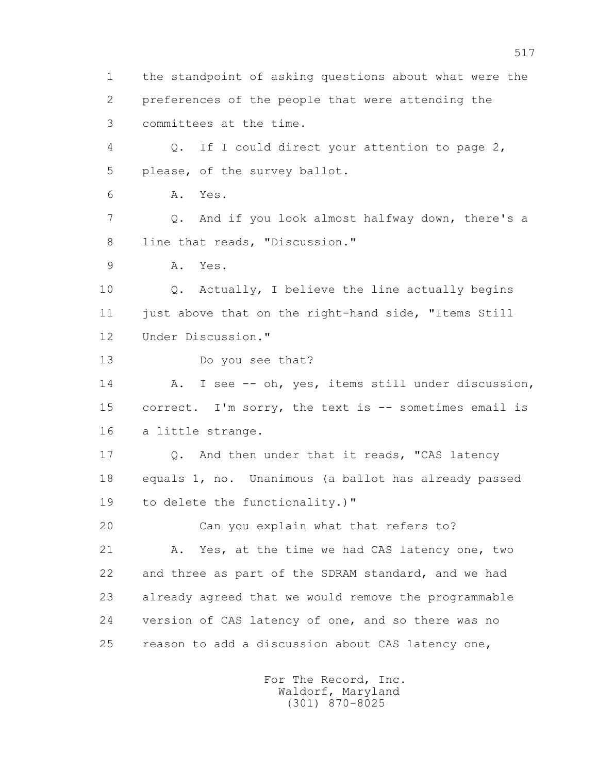1 the standpoint of asking questions about what were the 2 preferences of the people that were attending the 3 committees at the time. 4 Q. If I could direct your attention to page 2, 5 please, of the survey ballot. 6 A. Yes. 7 Q. And if you look almost halfway down, there's a 8 line that reads, "Discussion." 9 A. Yes. 10 Q. Actually, I believe the line actually begins 11 just above that on the right-hand side, "Items Still 12 Under Discussion." 13 Do you see that? 14 A. I see -- oh, yes, items still under discussion, 15 correct. I'm sorry, the text is -- sometimes email is 16 a little strange. 17 Q. And then under that it reads, "CAS latency 18 equals 1, no. Unanimous (a ballot has already passed 19 to delete the functionality.)" 20 Can you explain what that refers to? 21 A. Yes, at the time we had CAS latency one, two 22 and three as part of the SDRAM standard, and we had 23 already agreed that we would remove the programmable 24 version of CAS latency of one, and so there was no 25 reason to add a discussion about CAS latency one,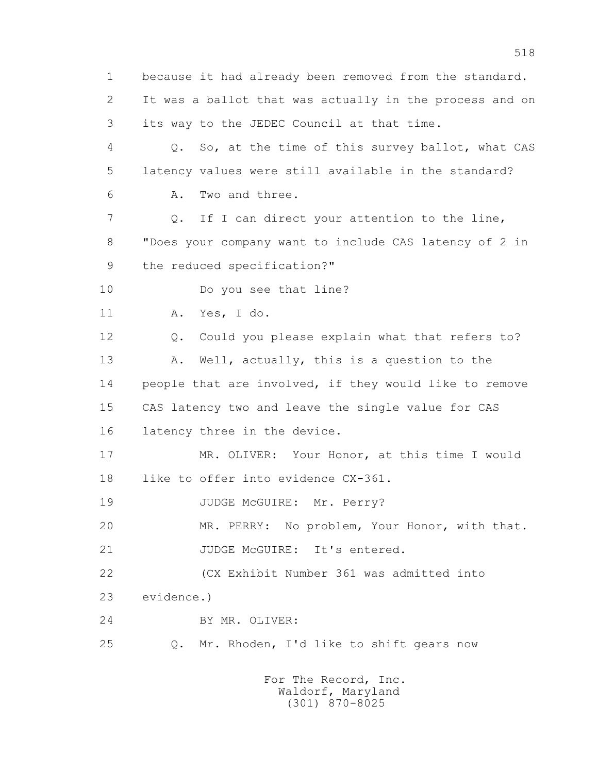1 because it had already been removed from the standard. 2 It was a ballot that was actually in the process and on 3 its way to the JEDEC Council at that time. 4 Q. So, at the time of this survey ballot, what CAS 5 latency values were still available in the standard? 6 A. Two and three. 7 Q. If I can direct your attention to the line, 8 "Does your company want to include CAS latency of 2 in 9 the reduced specification?" 10 Do you see that line? 11 A. Yes, I do. 12 Q. Could you please explain what that refers to? 13 A. Well, actually, this is a question to the 14 people that are involved, if they would like to remove 15 CAS latency two and leave the single value for CAS 16 latency three in the device. 17 MR. OLIVER: Your Honor, at this time I would 18 like to offer into evidence CX-361. 19 JUDGE McGUIRE: Mr. Perry? 20 MR. PERRY: No problem, Your Honor, with that. 21 JUDGE McGUIRE: It's entered. 22 (CX Exhibit Number 361 was admitted into 23 evidence.) 24 BY MR. OLIVER: 25 Q. Mr. Rhoden, I'd like to shift gears now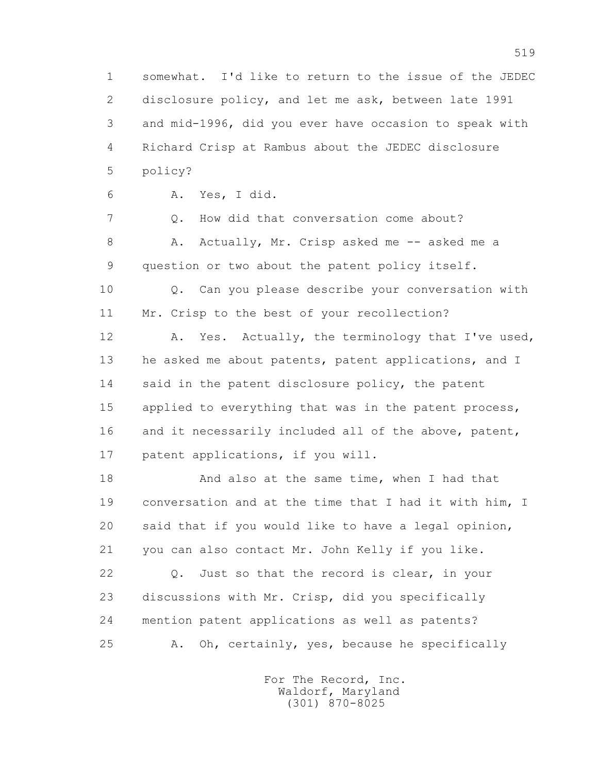1 somewhat. I'd like to return to the issue of the JEDEC 2 disclosure policy, and let me ask, between late 1991 3 and mid-1996, did you ever have occasion to speak with 4 Richard Crisp at Rambus about the JEDEC disclosure 5 policy?

6 A. Yes, I did.

 7 Q. How did that conversation come about? 8 A. Actually, Mr. Crisp asked me -- asked me a 9 question or two about the patent policy itself.

 10 Q. Can you please describe your conversation with 11 Mr. Crisp to the best of your recollection?

 12 A. Yes. Actually, the terminology that I've used, 13 he asked me about patents, patent applications, and I 14 said in the patent disclosure policy, the patent 15 applied to everything that was in the patent process, 16 and it necessarily included all of the above, patent, 17 patent applications, if you will.

18 And also at the same time, when I had that 19 conversation and at the time that I had it with him, I 20 said that if you would like to have a legal opinion, 21 you can also contact Mr. John Kelly if you like.

 22 Q. Just so that the record is clear, in your 23 discussions with Mr. Crisp, did you specifically 24 mention patent applications as well as patents? 25 A. Oh, certainly, yes, because he specifically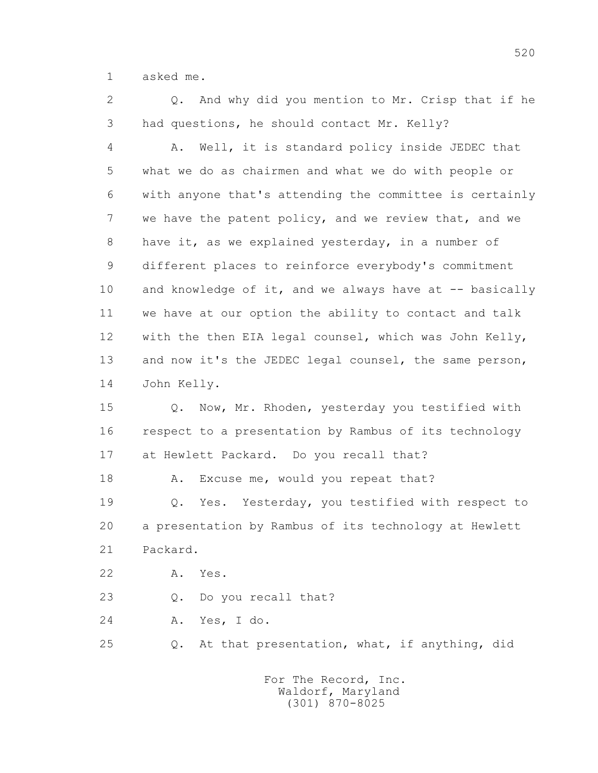1 asked me.

2 0. And why did you mention to Mr. Crisp that if he 3 had questions, he should contact Mr. Kelly?

 4 A. Well, it is standard policy inside JEDEC that 5 what we do as chairmen and what we do with people or 6 with anyone that's attending the committee is certainly 7 we have the patent policy, and we review that, and we 8 have it, as we explained yesterday, in a number of 9 different places to reinforce everybody's commitment 10 and knowledge of it, and we always have at -- basically 11 we have at our option the ability to contact and talk 12 with the then EIA legal counsel, which was John Kelly, 13 and now it's the JEDEC legal counsel, the same person, 14 John Kelly.

 15 Q. Now, Mr. Rhoden, yesterday you testified with 16 respect to a presentation by Rambus of its technology 17 at Hewlett Packard. Do you recall that?

18 A. Excuse me, would you repeat that?

 19 Q. Yes. Yesterday, you testified with respect to 20 a presentation by Rambus of its technology at Hewlett 21 Packard.

22 A. Yes.

23 Q. Do you recall that?

24 A. Yes, I do.

25 Q. At that presentation, what, if anything, did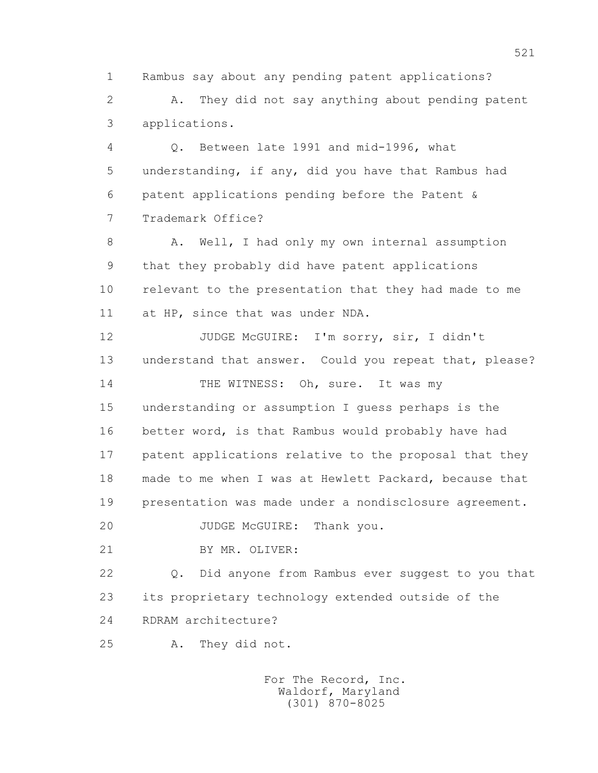1 Rambus say about any pending patent applications?

 2 A. They did not say anything about pending patent 3 applications.

 4 Q. Between late 1991 and mid-1996, what 5 understanding, if any, did you have that Rambus had 6 patent applications pending before the Patent & 7 Trademark Office?

8 A. Well, I had only my own internal assumption 9 that they probably did have patent applications 10 relevant to the presentation that they had made to me 11 at HP, since that was under NDA.

 12 JUDGE McGUIRE: I'm sorry, sir, I didn't 13 understand that answer. Could you repeat that, please? 14 THE WITNESS: Oh, sure. It was my 15 understanding or assumption I guess perhaps is the 16 better word, is that Rambus would probably have had 17 patent applications relative to the proposal that they 18 made to me when I was at Hewlett Packard, because that 19 presentation was made under a nondisclosure agreement.

20 JUDGE McGUIRE: Thank you.

21 BY MR. OLIVER:

 22 Q. Did anyone from Rambus ever suggest to you that 23 its proprietary technology extended outside of the 24 RDRAM architecture?

25 A. They did not.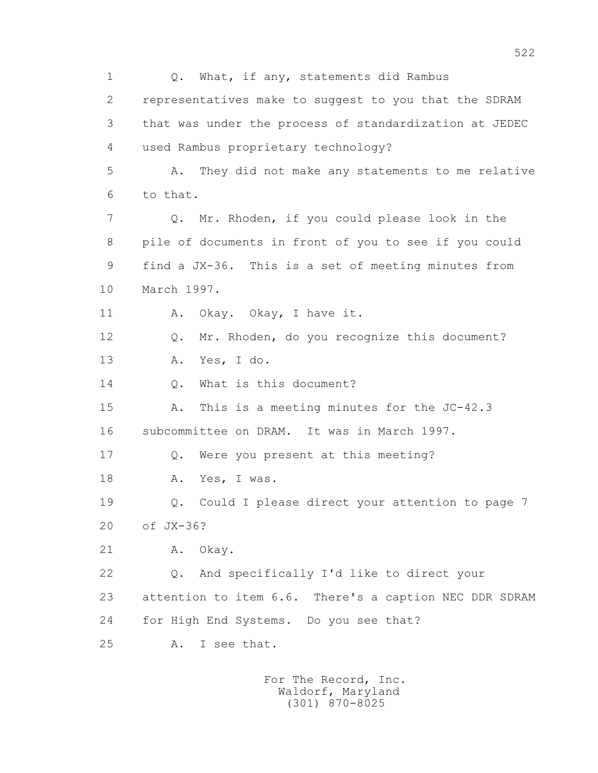1 Q. What, if any, statements did Rambus 2 representatives make to suggest to you that the SDRAM 3 that was under the process of standardization at JEDEC 4 used Rambus proprietary technology? 5 A. They did not make any statements to me relative 6 to that. 7 Q. Mr. Rhoden, if you could please look in the 8 pile of documents in front of you to see if you could 9 find a JX-36. This is a set of meeting minutes from 10 March 1997. 11 A. Okay. Okay, I have it. 12 Q. Mr. Rhoden, do you recognize this document? 13 A. Yes, I do. 14 0. What is this document? 15 A. This is a meeting minutes for the JC-42.3 16 subcommittee on DRAM. It was in March 1997. 17 Q. Were you present at this meeting? 18 A. Yes, I was. 19 Q. Could I please direct your attention to page 7 20 of JX-36? 21 A. Okay. 22 Q. And specifically I'd like to direct your 23 attention to item 6.6. There's a caption NEC DDR SDRAM 24 for High End Systems. Do you see that? 25 A. I see that.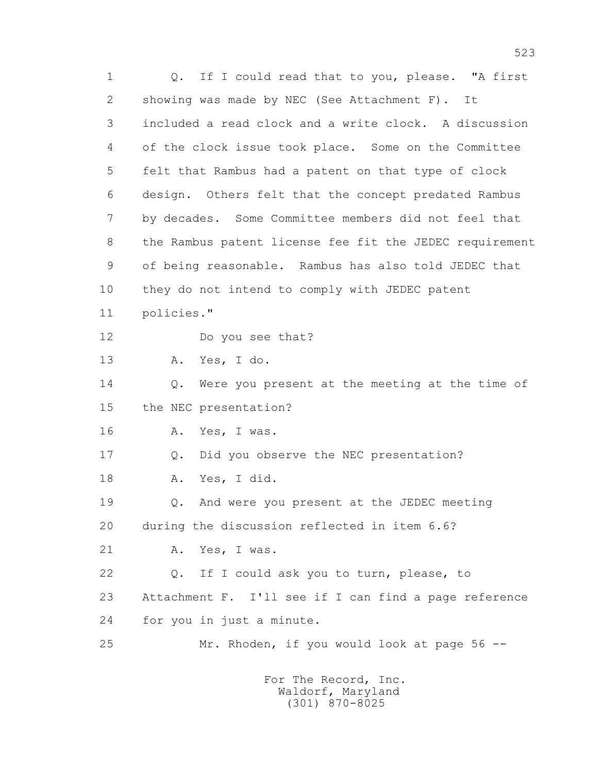1 Q. If I could read that to you, please. "A first 2 showing was made by NEC (See Attachment F). It 3 included a read clock and a write clock. A discussion 4 of the clock issue took place. Some on the Committee 5 felt that Rambus had a patent on that type of clock 6 design. Others felt that the concept predated Rambus 7 by decades. Some Committee members did not feel that 8 the Rambus patent license fee fit the JEDEC requirement 9 of being reasonable. Rambus has also told JEDEC that 10 they do not intend to comply with JEDEC patent 11 policies." 12 Do you see that? 13 A. Yes, I do. 14 Q. Were you present at the meeting at the time of 15 the NEC presentation? 16 A. Yes, I was. 17 Q. Did you observe the NEC presentation? 18 A. Yes, I did. 19 Q. And were you present at the JEDEC meeting 20 during the discussion reflected in item 6.6? 21 A. Yes, I was. 22 Q. If I could ask you to turn, please, to 23 Attachment F. I'll see if I can find a page reference 24 for you in just a minute. 25 Mr. Rhoden, if you would look at page 56 --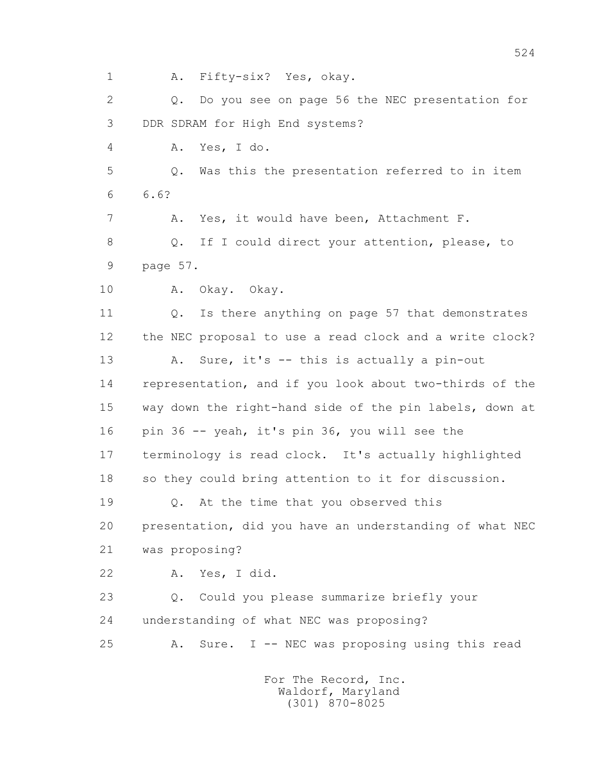1 A. Fifty-six? Yes, okay. 2 Q. Do you see on page 56 the NEC presentation for 3 DDR SDRAM for High End systems? 4 A. Yes, I do. 5 Q. Was this the presentation referred to in item 6 6.6? 7 A. Yes, it would have been, Attachment F. 8 Q. If I could direct your attention, please, to 9 page 57. 10 A. Okay. Okay. 11 Q. Is there anything on page 57 that demonstrates 12 the NEC proposal to use a read clock and a write clock? 13 A. Sure, it's -- this is actually a pin-out 14 representation, and if you look about two-thirds of the 15 way down the right-hand side of the pin labels, down at 16 pin 36 -- yeah, it's pin 36, you will see the 17 terminology is read clock. It's actually highlighted 18 so they could bring attention to it for discussion. 19 Q. At the time that you observed this 20 presentation, did you have an understanding of what NEC 21 was proposing? 22 A. Yes, I did. 23 Q. Could you please summarize briefly your 24 understanding of what NEC was proposing? 25 A. Sure. I -- NEC was proposing using this read For The Record, Inc.

 Waldorf, Maryland (301) 870-8025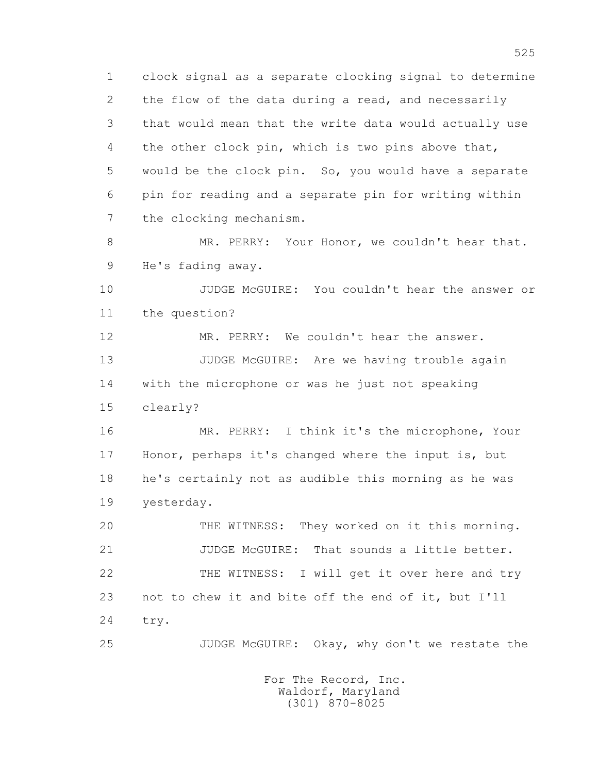1 clock signal as a separate clocking signal to determine 2 the flow of the data during a read, and necessarily 3 that would mean that the write data would actually use 4 the other clock pin, which is two pins above that, 5 would be the clock pin. So, you would have a separate 6 pin for reading and a separate pin for writing within 7 the clocking mechanism. 8 MR. PERRY: Your Honor, we couldn't hear that.

9 He's fading away.

 10 JUDGE McGUIRE: You couldn't hear the answer or 11 the question?

 12 MR. PERRY: We couldn't hear the answer. 13 JUDGE McGUIRE: Are we having trouble again 14 with the microphone or was he just not speaking 15 clearly?

 16 MR. PERRY: I think it's the microphone, Your 17 Honor, perhaps it's changed where the input is, but 18 he's certainly not as audible this morning as he was 19 yesterday.

 20 THE WITNESS: They worked on it this morning. 21 **JUDGE MCGUIRE:** That sounds a little better. 22 THE WITNESS: I will get it over here and try 23 not to chew it and bite off the end of it, but I'll 24 try.

25 JUDGE McGUIRE: Okay, why don't we restate the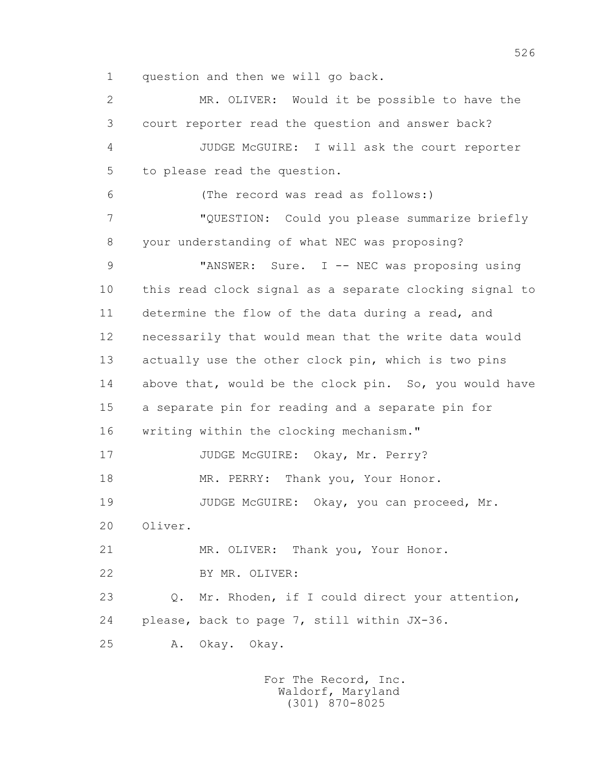1 question and then we will go back.

 2 MR. OLIVER: Would it be possible to have the 3 court reporter read the question and answer back? 4 JUDGE McGUIRE: I will ask the court reporter 5 to please read the question. 6 (The record was read as follows:) 7 "QUESTION: Could you please summarize briefly 8 your understanding of what NEC was proposing? 9 "ANSWER: Sure. I -- NEC was proposing using 10 this read clock signal as a separate clocking signal to 11 determine the flow of the data during a read, and 12 necessarily that would mean that the write data would 13 actually use the other clock pin, which is two pins 14 above that, would be the clock pin. So, you would have 15 a separate pin for reading and a separate pin for 16 writing within the clocking mechanism." 17 JUDGE McGUIRE: Okay, Mr. Perry? 18 MR. PERRY: Thank you, Your Honor. 19 JUDGE McGUIRE: Okay, you can proceed, Mr. 20 Oliver. 21 MR. OLIVER: Thank you, Your Honor. 22 BY MR. OLIVER: 23 Q. Mr. Rhoden, if I could direct your attention, 24 please, back to page 7, still within JX-36. 25 A. Okay. Okay.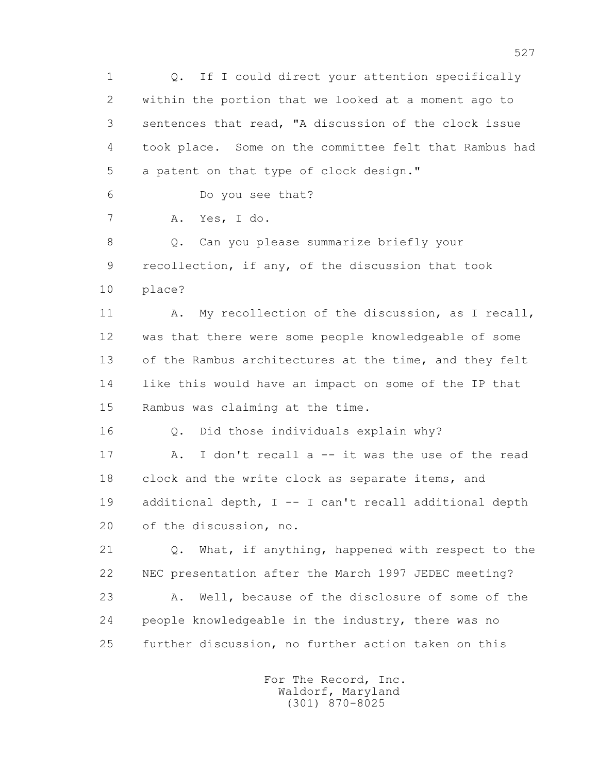1 Q. If I could direct your attention specifically 2 within the portion that we looked at a moment ago to 3 sentences that read, "A discussion of the clock issue 4 took place. Some on the committee felt that Rambus had 5 a patent on that type of clock design." 6 Do you see that? 7 A. Yes, I do. 8 Q. Can you please summarize briefly your 9 recollection, if any, of the discussion that took 10 place? 11 A. My recollection of the discussion, as I recall, 12 was that there were some people knowledgeable of some 13 of the Rambus architectures at the time, and they felt 14 like this would have an impact on some of the IP that 15 Rambus was claiming at the time. 16 Q. Did those individuals explain why? 17 A. I don't recall a -- it was the use of the read 18 clock and the write clock as separate items, and 19 additional depth, I -- I can't recall additional depth 20 of the discussion, no. 21 Q. What, if anything, happened with respect to the 22 NEC presentation after the March 1997 JEDEC meeting? 23 A. Well, because of the disclosure of some of the 24 people knowledgeable in the industry, there was no 25 further discussion, no further action taken on this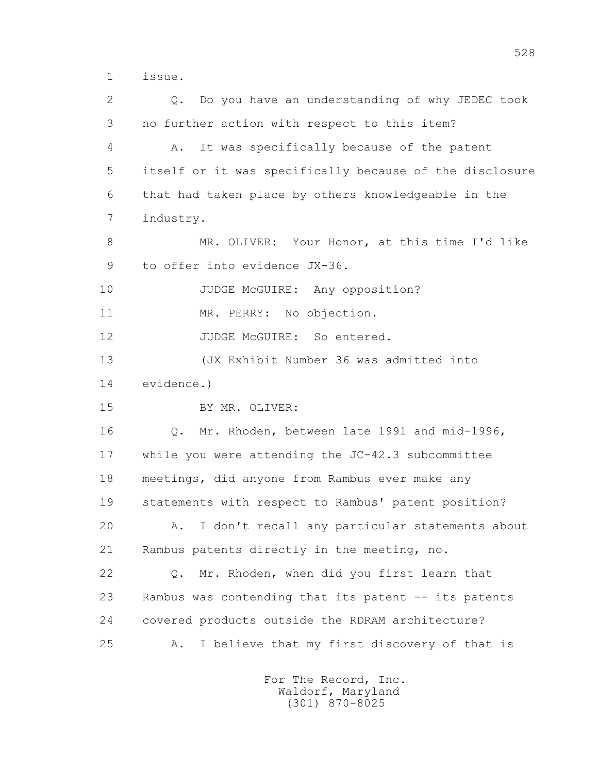1 issue.

 2 Q. Do you have an understanding of why JEDEC took 3 no further action with respect to this item? 4 A. It was specifically because of the patent 5 itself or it was specifically because of the disclosure 6 that had taken place by others knowledgeable in the 7 industry. 8 MR. OLIVER: Your Honor, at this time I'd like 9 to offer into evidence JX-36. 10 JUDGE McGUIRE: Any opposition? 11 MR. PERRY: No objection. 12 JUDGE McGUIRE: So entered. 13 (JX Exhibit Number 36 was admitted into 14 evidence.) 15 BY MR. OLIVER: 16 Q. Mr. Rhoden, between late 1991 and mid-1996, 17 while you were attending the JC-42.3 subcommittee 18 meetings, did anyone from Rambus ever make any 19 statements with respect to Rambus' patent position? 20 A. I don't recall any particular statements about 21 Rambus patents directly in the meeting, no. 22 Q. Mr. Rhoden, when did you first learn that 23 Rambus was contending that its patent -- its patents 24 covered products outside the RDRAM architecture? 25 A. I believe that my first discovery of that is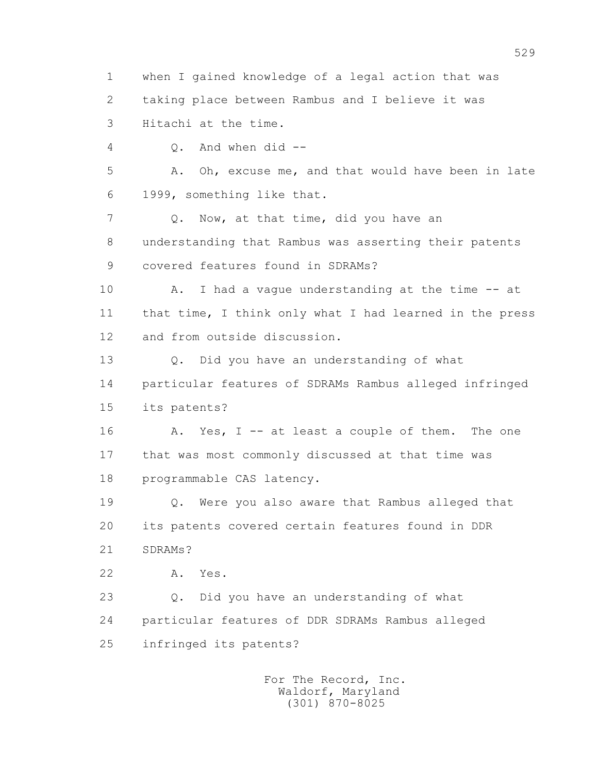1 when I gained knowledge of a legal action that was 2 taking place between Rambus and I believe it was 3 Hitachi at the time. 4 Q. And when did -- 5 A. Oh, excuse me, and that would have been in late 6 1999, something like that. 7 Q. Now, at that time, did you have an 8 understanding that Rambus was asserting their patents 9 covered features found in SDRAMs? 10 A. I had a vague understanding at the time -- at 11 that time, I think only what I had learned in the press 12 and from outside discussion. 13 Q. Did you have an understanding of what 14 particular features of SDRAMs Rambus alleged infringed 15 its patents? 16 A. Yes, I -- at least a couple of them. The one 17 that was most commonly discussed at that time was 18 programmable CAS latency. 19 Q. Were you also aware that Rambus alleged that 20 its patents covered certain features found in DDR 21 SDRAMs? 22 A. Yes. 23 Q. Did you have an understanding of what 24 particular features of DDR SDRAMs Rambus alleged 25 infringed its patents? For The Record, Inc.

 Waldorf, Maryland (301) 870-8025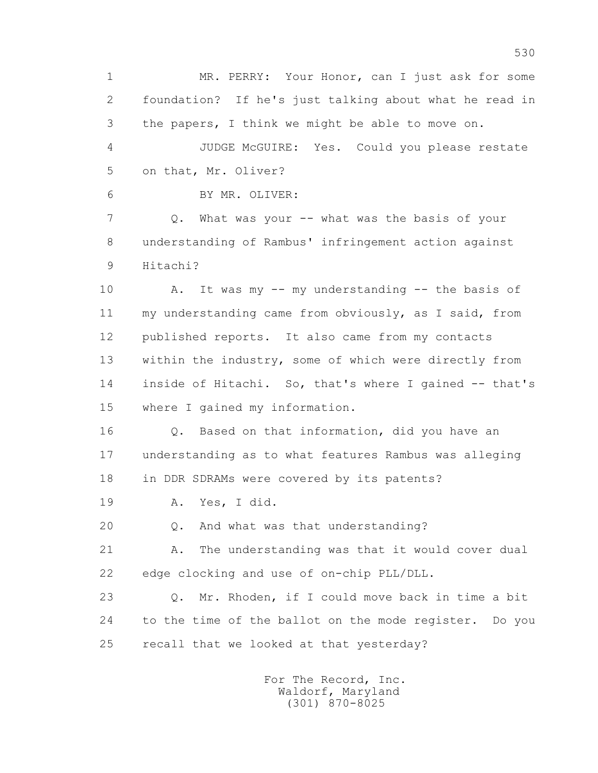1 MR. PERRY: Your Honor, can I just ask for some 2 foundation? If he's just talking about what he read in 3 the papers, I think we might be able to move on. 4 JUDGE McGUIRE: Yes. Could you please restate 5 on that, Mr. Oliver? 6 BY MR. OLIVER: 7 Q. What was your -- what was the basis of your 8 understanding of Rambus' infringement action against 9 Hitachi? 10 A. It was my -- my understanding -- the basis of 11 my understanding came from obviously, as I said, from 12 published reports. It also came from my contacts 13 within the industry, some of which were directly from 14 inside of Hitachi. So, that's where I gained -- that's 15 where I gained my information. 16 Q. Based on that information, did you have an 17 understanding as to what features Rambus was alleging 18 in DDR SDRAMs were covered by its patents? 19 A. Yes, I did. 20 Q. And what was that understanding? 21 A. The understanding was that it would cover dual 22 edge clocking and use of on-chip PLL/DLL. 23 Q. Mr. Rhoden, if I could move back in time a bit 24 to the time of the ballot on the mode register. Do you 25 recall that we looked at that yesterday? For The Record, Inc. Waldorf, Maryland

(301) 870-8025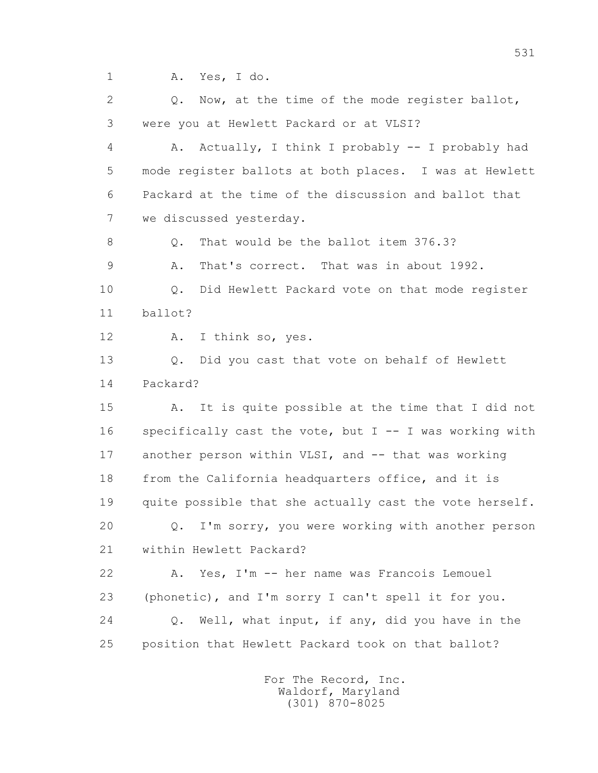1 A. Yes, I do.

2 0. Now, at the time of the mode register ballot, 3 were you at Hewlett Packard or at VLSI?

 4 A. Actually, I think I probably -- I probably had 5 mode register ballots at both places. I was at Hewlett 6 Packard at the time of the discussion and ballot that 7 we discussed yesterday.

8 Q. That would be the ballot item 376.3?

9 A. That's correct. That was in about 1992.

 10 Q. Did Hewlett Packard vote on that mode register 11 ballot?

12 A. I think so, yes.

 13 Q. Did you cast that vote on behalf of Hewlett 14 Packard?

 15 A. It is quite possible at the time that I did not 16 specifically cast the vote, but I -- I was working with 17 another person within VLSI, and -- that was working 18 from the California headquarters office, and it is 19 quite possible that she actually cast the vote herself. 20 Q. I'm sorry, you were working with another person 21 within Hewlett Packard? 22 A. Yes, I'm -- her name was Francois Lemouel

 23 (phonetic), and I'm sorry I can't spell it for you. 24 Q. Well, what input, if any, did you have in the 25 position that Hewlett Packard took on that ballot?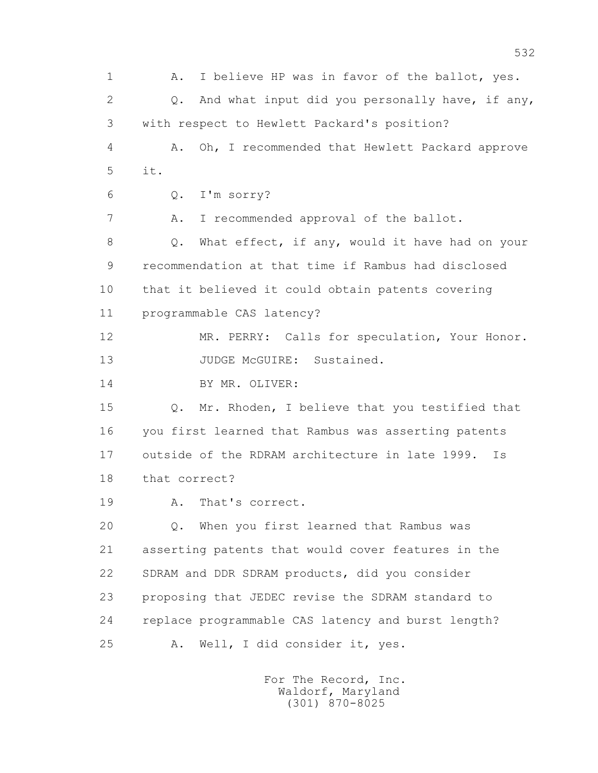1 A. I believe HP was in favor of the ballot, yes. 2 Q. And what input did you personally have, if any, 3 with respect to Hewlett Packard's position? 4 A. Oh, I recommended that Hewlett Packard approve 5 it. 6 Q. I'm sorry? 7 A. I recommended approval of the ballot. 8 Q. What effect, if any, would it have had on your 9 recommendation at that time if Rambus had disclosed 10 that it believed it could obtain patents covering 11 programmable CAS latency? 12 MR. PERRY: Calls for speculation, Your Honor. 13 JUDGE McGUIRE: Sustained. 14 BY MR. OLIVER: 15 Q. Mr. Rhoden, I believe that you testified that 16 you first learned that Rambus was asserting patents 17 outside of the RDRAM architecture in late 1999. Is 18 that correct? 19 A. That's correct. 20 Q. When you first learned that Rambus was 21 asserting patents that would cover features in the 22 SDRAM and DDR SDRAM products, did you consider 23 proposing that JEDEC revise the SDRAM standard to 24 replace programmable CAS latency and burst length? 25 A. Well, I did consider it, yes.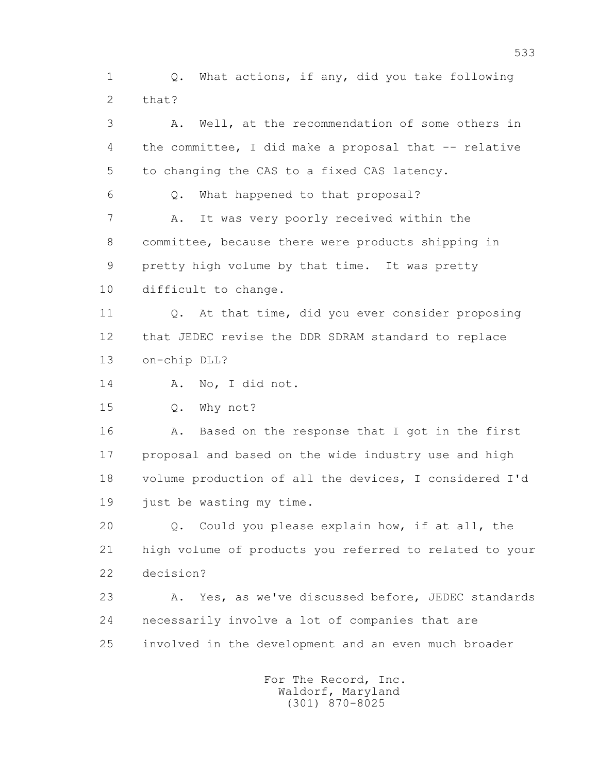1 Q. What actions, if any, did you take following 2 that?

 3 A. Well, at the recommendation of some others in 4 the committee, I did make a proposal that -- relative 5 to changing the CAS to a fixed CAS latency.

6 Q. What happened to that proposal?

 7 A. It was very poorly received within the 8 committee, because there were products shipping in 9 pretty high volume by that time. It was pretty 10 difficult to change.

 11 Q. At that time, did you ever consider proposing 12 that JEDEC revise the DDR SDRAM standard to replace 13 on-chip DLL?

14 A. No, I did not.

15 Q. Why not?

16 A. Based on the response that I got in the first 17 proposal and based on the wide industry use and high 18 volume production of all the devices, I considered I'd 19 just be wasting my time.

 20 Q. Could you please explain how, if at all, the 21 high volume of products you referred to related to your 22 decision?

 23 A. Yes, as we've discussed before, JEDEC standards 24 necessarily involve a lot of companies that are 25 involved in the development and an even much broader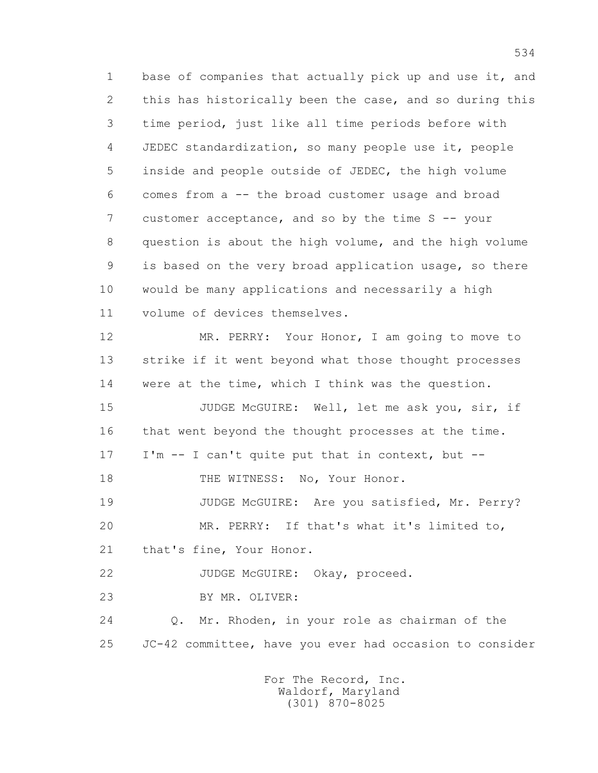1 base of companies that actually pick up and use it, and 2 this has historically been the case, and so during this 3 time period, just like all time periods before with 4 JEDEC standardization, so many people use it, people 5 inside and people outside of JEDEC, the high volume 6 comes from a -- the broad customer usage and broad 7 customer acceptance, and so by the time S -- your 8 question is about the high volume, and the high volume 9 is based on the very broad application usage, so there 10 would be many applications and necessarily a high 11 volume of devices themselves. 12 MR. PERRY: Your Honor, I am going to move to 13 strike if it went beyond what those thought processes 14 were at the time, which I think was the question. 15 JUDGE McGUIRE: Well, let me ask you, sir, if 16 that went beyond the thought processes at the time. 17 I'm -- I can't quite put that in context, but -- 18 THE WITNESS: No, Your Honor. 19 JUDGE McGUIRE: Are you satisfied, Mr. Perry? 20 MR. PERRY: If that's what it's limited to, 21 that's fine, Your Honor. 22 JUDGE McGUIRE: Okay, proceed. 23 BY MR. OLIVER: 24 Q. Mr. Rhoden, in your role as chairman of the 25 JC-42 committee, have you ever had occasion to consider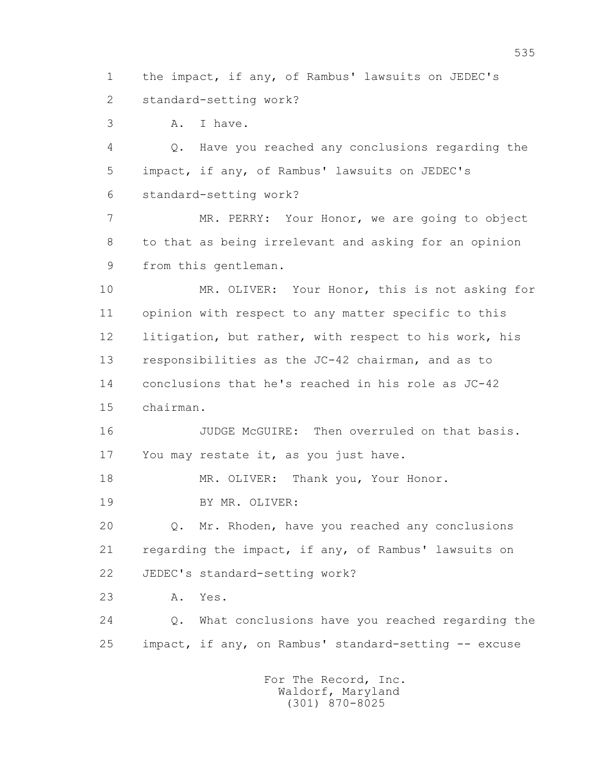1 the impact, if any, of Rambus' lawsuits on JEDEC's 2 standard-setting work?

3 A. I have.

 4 Q. Have you reached any conclusions regarding the 5 impact, if any, of Rambus' lawsuits on JEDEC's 6 standard-setting work?

 7 MR. PERRY: Your Honor, we are going to object 8 to that as being irrelevant and asking for an opinion 9 from this gentleman.

 10 MR. OLIVER: Your Honor, this is not asking for 11 opinion with respect to any matter specific to this 12 litigation, but rather, with respect to his work, his 13 responsibilities as the JC-42 chairman, and as to 14 conclusions that he's reached in his role as JC-42 15 chairman.

 16 JUDGE McGUIRE: Then overruled on that basis. 17 You may restate it, as you just have.

18 MR. OLIVER: Thank you, Your Honor.

19 BY MR. OLIVER:

 20 Q. Mr. Rhoden, have you reached any conclusions 21 regarding the impact, if any, of Rambus' lawsuits on 22 JEDEC's standard-setting work?

23 A. Yes.

 24 Q. What conclusions have you reached regarding the 25 impact, if any, on Rambus' standard-setting -- excuse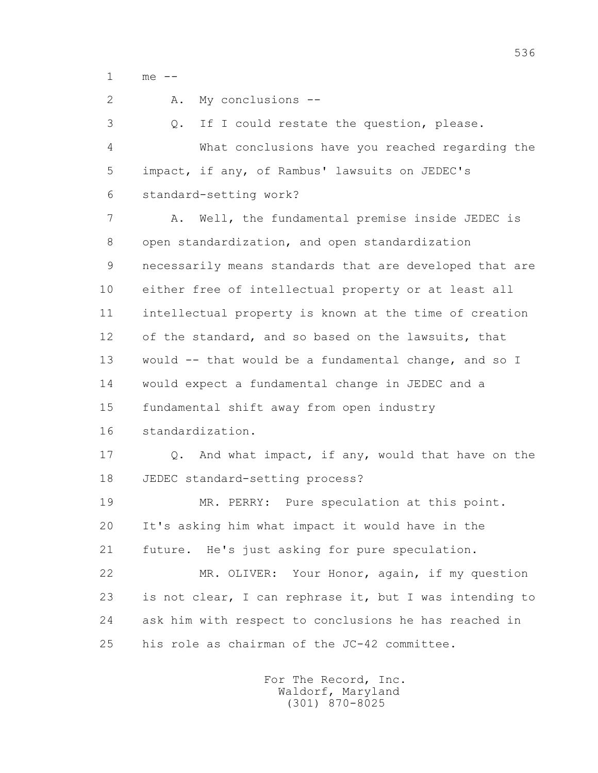1 me --

 2 A. My conclusions -- 3 Q. If I could restate the question, please. 4 What conclusions have you reached regarding the 5 impact, if any, of Rambus' lawsuits on JEDEC's 6 standard-setting work? 7 A. Well, the fundamental premise inside JEDEC is 8 open standardization, and open standardization 9 necessarily means standards that are developed that are 10 either free of intellectual property or at least all 11 intellectual property is known at the time of creation 12 of the standard, and so based on the lawsuits, that 13 would -- that would be a fundamental change, and so I 14 would expect a fundamental change in JEDEC and a 15 fundamental shift away from open industry 16 standardization. 17 Q. And what impact, if any, would that have on the 18 JEDEC standard-setting process? 19 MR. PERRY: Pure speculation at this point. 20 It's asking him what impact it would have in the 21 future. He's just asking for pure speculation. 22 MR. OLIVER: Your Honor, again, if my question 23 is not clear, I can rephrase it, but I was intending to 24 ask him with respect to conclusions he has reached in 25 his role as chairman of the JC-42 committee.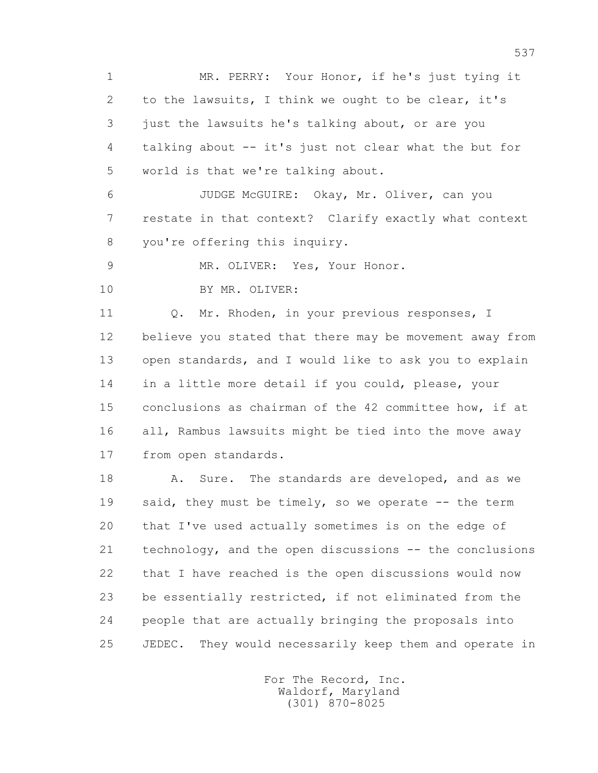1 MR. PERRY: Your Honor, if he's just tying it 2 to the lawsuits, I think we ought to be clear, it's 3 just the lawsuits he's talking about, or are you 4 talking about -- it's just not clear what the but for 5 world is that we're talking about.

 6 JUDGE McGUIRE: Okay, Mr. Oliver, can you 7 restate in that context? Clarify exactly what context 8 you're offering this inquiry.

9 MR. OLIVER: Yes, Your Honor.

10 BY MR. OLIVER:

11 0. Mr. Rhoden, in your previous responses, I 12 believe you stated that there may be movement away from 13 open standards, and I would like to ask you to explain 14 in a little more detail if you could, please, your 15 conclusions as chairman of the 42 committee how, if at 16 all, Rambus lawsuits might be tied into the move away 17 from open standards.

18 A. Sure. The standards are developed, and as we 19 said, they must be timely, so we operate -- the term 20 that I've used actually sometimes is on the edge of 21 technology, and the open discussions -- the conclusions 22 that I have reached is the open discussions would now 23 be essentially restricted, if not eliminated from the 24 people that are actually bringing the proposals into 25 JEDEC. They would necessarily keep them and operate in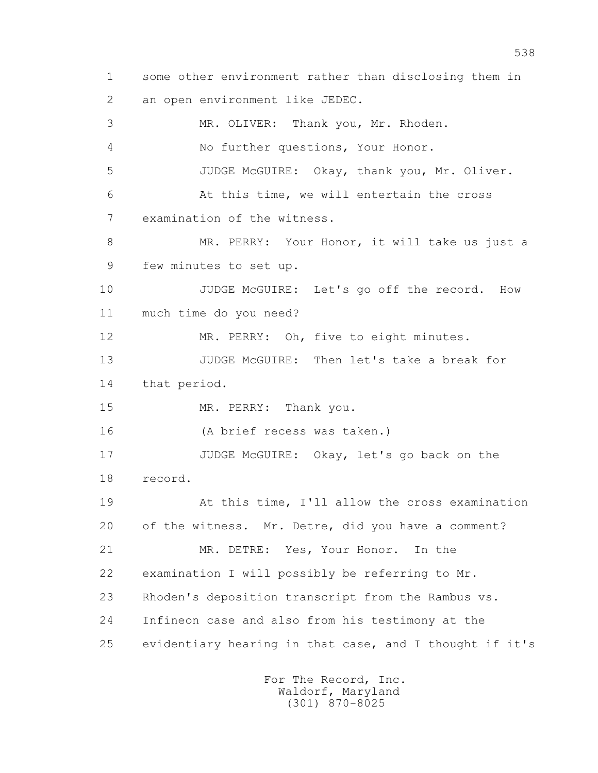1 some other environment rather than disclosing them in 2 an open environment like JEDEC. 3 MR. OLIVER: Thank you, Mr. Rhoden. 4 No further questions, Your Honor. 5 JUDGE McGUIRE: Okay, thank you, Mr. Oliver. 6 At this time, we will entertain the cross 7 examination of the witness. 8 MR. PERRY: Your Honor, it will take us just a 9 few minutes to set up. 10 JUDGE McGUIRE: Let's go off the record. How 11 much time do you need? 12 MR. PERRY: Oh, five to eight minutes. 13 JUDGE McGUIRE: Then let's take a break for 14 that period. 15 MR. PERRY: Thank you. 16 (A brief recess was taken.) 17 JUDGE McGUIRE: Okay, let's go back on the 18 record. 19 At this time, I'll allow the cross examination 20 of the witness. Mr. Detre, did you have a comment? 21 MR. DETRE: Yes, Your Honor. In the 22 examination I will possibly be referring to Mr. 23 Rhoden's deposition transcript from the Rambus vs. 24 Infineon case and also from his testimony at the 25 evidentiary hearing in that case, and I thought if it's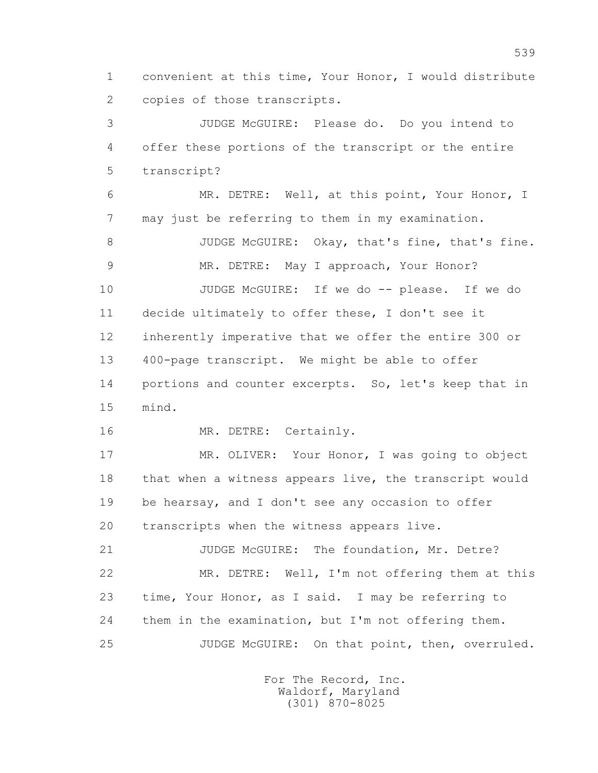1 convenient at this time, Your Honor, I would distribute 2 copies of those transcripts.

 3 JUDGE McGUIRE: Please do. Do you intend to 4 offer these portions of the transcript or the entire 5 transcript?

 6 MR. DETRE: Well, at this point, Your Honor, I 7 may just be referring to them in my examination.

8 JUDGE McGUIRE: Okay, that's fine, that's fine. 9 MR. DETRE: May I approach, Your Honor?

 10 JUDGE McGUIRE: If we do -- please. If we do 11 decide ultimately to offer these, I don't see it 12 inherently imperative that we offer the entire 300 or 13 400-page transcript. We might be able to offer 14 portions and counter excerpts. So, let's keep that in 15 mind.

16 MR. DETRE: Certainly.

 17 MR. OLIVER: Your Honor, I was going to object 18 that when a witness appears live, the transcript would 19 be hearsay, and I don't see any occasion to offer 20 transcripts when the witness appears live.

 21 JUDGE McGUIRE: The foundation, Mr. Detre? 22 MR. DETRE: Well, I'm not offering them at this 23 time, Your Honor, as I said. I may be referring to 24 them in the examination, but I'm not offering them. 25 JUDGE McGUIRE: On that point, then, overruled.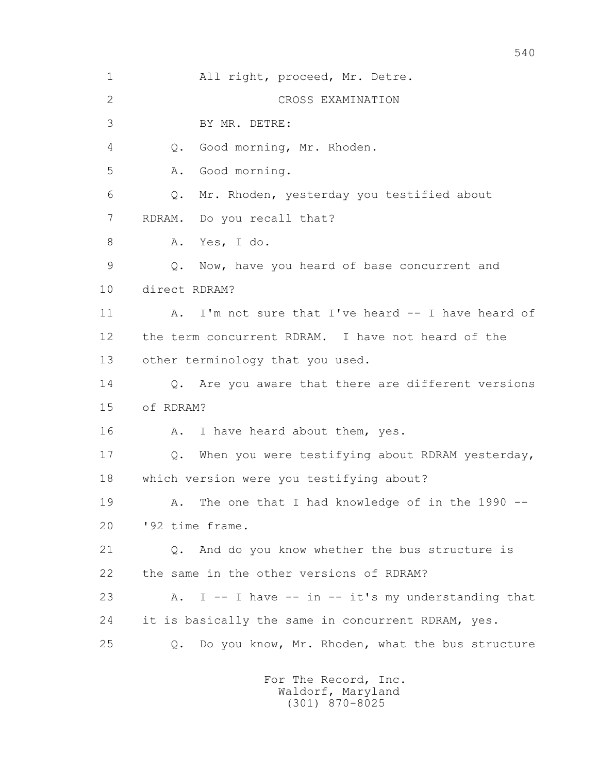| $\mathbf 1$  | All right, proceed, Mr. Detre.                           |
|--------------|----------------------------------------------------------|
| $\mathbf{2}$ | CROSS EXAMINATION                                        |
| 3            | BY MR. DETRE:                                            |
| 4            | Good morning, Mr. Rhoden.<br>Q.                          |
| 5            | Good morning.<br>Α.                                      |
| 6            | Mr. Rhoden, yesterday you testified about<br>Q.          |
| 7            | RDRAM.<br>Do you recall that?                            |
| 8            | Yes, I do.<br>Α.                                         |
| 9            | Now, have you heard of base concurrent and<br>Q.         |
| 10           | direct RDRAM?                                            |
| 11           | I'm not sure that I've heard -- I have heard of<br>Α.    |
| 12           | the term concurrent RDRAM. I have not heard of the       |
| 13           | other terminology that you used.                         |
| 14           | Q. Are you aware that there are different versions       |
| 15           | of RDRAM?                                                |
| 16           | I have heard about them, yes.<br>Α.                      |
| 17           | When you were testifying about RDRAM yesterday,<br>$Q$ . |
| 18           | which version were you testifying about?                 |
| 19           | A. The one that I had knowledge of in the 1990 --        |
| 20           | '92 time frame.                                          |
| 21           | Q. And do you know whether the bus structure is          |
| 22           | the same in the other versions of RDRAM?                 |
| 23           | A. I -- I have -- in -- it's my understanding that       |
| 24           | it is basically the same in concurrent RDRAM, yes.       |
| 25           | Do you know, Mr. Rhoden, what the bus structure<br>Q.    |
|              |                                                          |

 For The Record, Inc. Waldorf, Maryland (301) 870-8025

540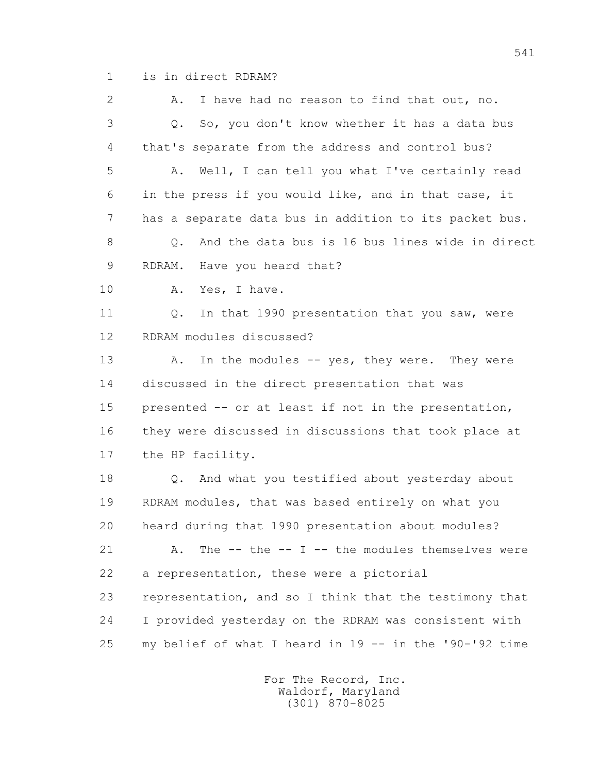1 is in direct RDRAM?

 2 A. I have had no reason to find that out, no. 3 Q. So, you don't know whether it has a data bus 4 that's separate from the address and control bus? 5 A. Well, I can tell you what I've certainly read 6 in the press if you would like, and in that case, it 7 has a separate data bus in addition to its packet bus. 8 0. And the data bus is 16 bus lines wide in direct 9 RDRAM. Have you heard that? 10 A. Yes, I have. 11 0. In that 1990 presentation that you saw, were 12 RDRAM modules discussed? 13 A. In the modules -- yes, they were. They were 14 discussed in the direct presentation that was 15 presented -- or at least if not in the presentation, 16 they were discussed in discussions that took place at 17 the HP facility. 18 Q. And what you testified about yesterday about 19 RDRAM modules, that was based entirely on what you 20 heard during that 1990 presentation about modules? 21 A. The -- the -- I -- the modules themselves were 22 a representation, these were a pictorial 23 representation, and so I think that the testimony that 24 I provided yesterday on the RDRAM was consistent with 25 my belief of what I heard in 19 -- in the '90-'92 time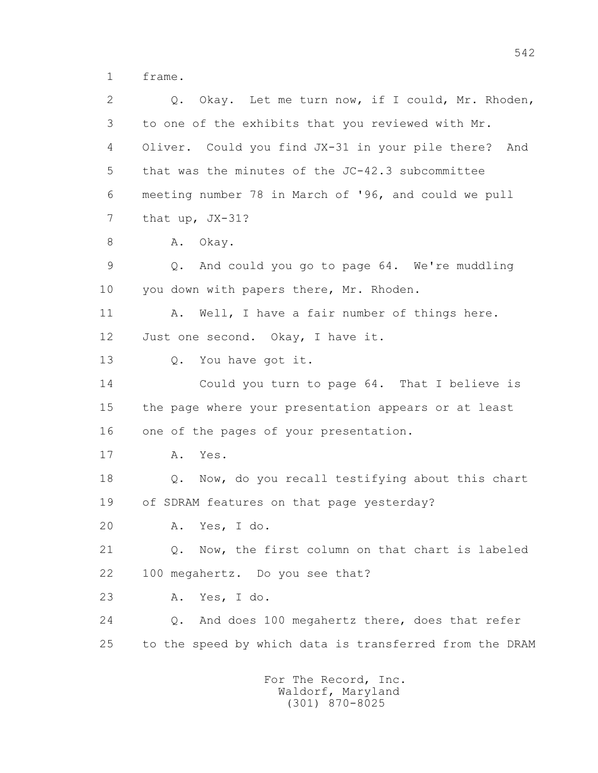1 frame.

 2 Q. Okay. Let me turn now, if I could, Mr. Rhoden, 3 to one of the exhibits that you reviewed with Mr. 4 Oliver. Could you find JX-31 in your pile there? And 5 that was the minutes of the JC-42.3 subcommittee 6 meeting number 78 in March of '96, and could we pull 7 that up, JX-31? 8 A. Okay. 9 Q. And could you go to page 64. We're muddling 10 you down with papers there, Mr. Rhoden. 11 A. Well, I have a fair number of things here. 12 Just one second. Okay, I have it. 13 Q. You have got it. 14 Could you turn to page 64. That I believe is 15 the page where your presentation appears or at least 16 one of the pages of your presentation. 17 A. Yes. 18 Q. Now, do you recall testifying about this chart 19 of SDRAM features on that page yesterday? 20 A. Yes, I do. 21 Q. Now, the first column on that chart is labeled 22 100 megahertz. Do you see that? 23 A. Yes, I do. 24 Q. And does 100 megahertz there, does that refer 25 to the speed by which data is transferred from the DRAM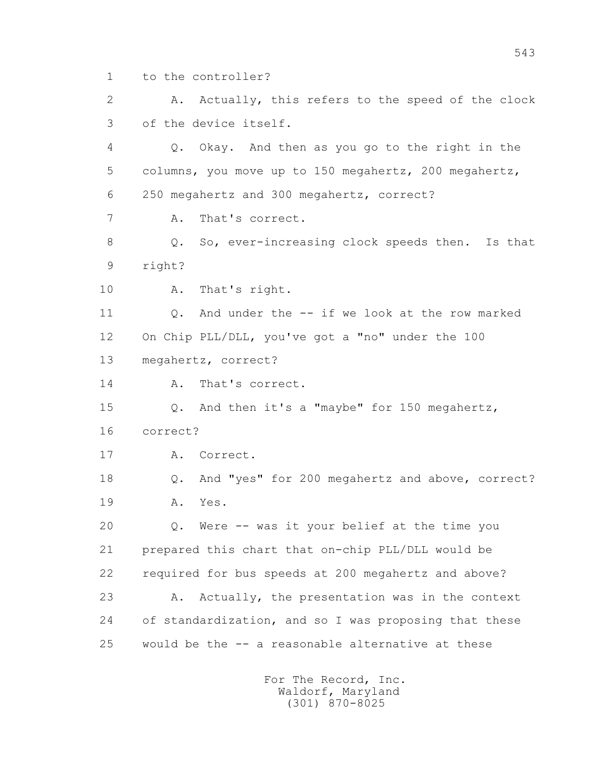1 to the controller?

 2 A. Actually, this refers to the speed of the clock 3 of the device itself.

 4 Q. Okay. And then as you go to the right in the 5 columns, you move up to 150 megahertz, 200 megahertz, 6 250 megahertz and 300 megahertz, correct?

7 A. That's correct.

 8 Q. So, ever-increasing clock speeds then. Is that 9 right?

10 A. That's right.

 11 Q. And under the -- if we look at the row marked 12 On Chip PLL/DLL, you've got a "no" under the 100 13 megahertz, correct?

14 A. That's correct.

 15 Q. And then it's a "maybe" for 150 megahertz, 16 correct?

17 A. Correct.

 18 Q. And "yes" for 200 megahertz and above, correct? 19 A. Yes.

 20 Q. Were -- was it your belief at the time you 21 prepared this chart that on-chip PLL/DLL would be 22 required for bus speeds at 200 megahertz and above? 23 A. Actually, the presentation was in the context 24 of standardization, and so I was proposing that these 25 would be the -- a reasonable alternative at these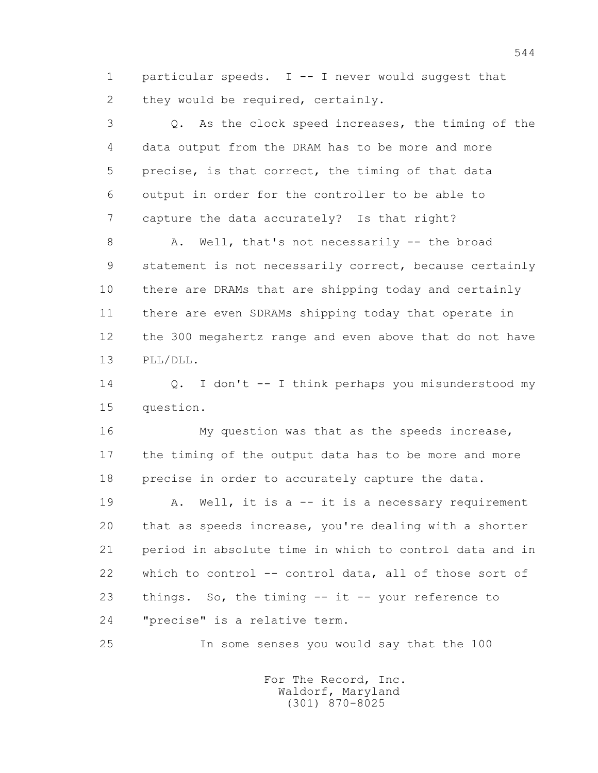1 particular speeds. I -- I never would suggest that 2 they would be required, certainly.

 3 Q. As the clock speed increases, the timing of the 4 data output from the DRAM has to be more and more 5 precise, is that correct, the timing of that data 6 output in order for the controller to be able to 7 capture the data accurately? Is that right?

8 A. Well, that's not necessarily -- the broad 9 statement is not necessarily correct, because certainly 10 there are DRAMs that are shipping today and certainly 11 there are even SDRAMs shipping today that operate in 12 the 300 megahertz range and even above that do not have 13 PLL/DLL.

 14 Q. I don't -- I think perhaps you misunderstood my 15 question.

 16 My question was that as the speeds increase, 17 the timing of the output data has to be more and more 18 precise in order to accurately capture the data.

 19 A. Well, it is a -- it is a necessary requirement 20 that as speeds increase, you're dealing with a shorter 21 period in absolute time in which to control data and in 22 which to control -- control data, all of those sort of 23 things. So, the timing -- it -- your reference to 24 "precise" is a relative term.

25 In some senses you would say that the 100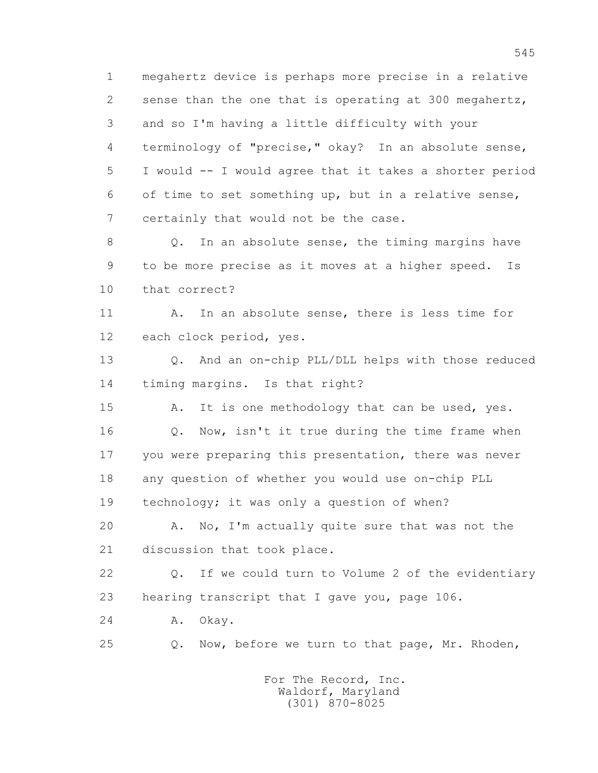1 megahertz device is perhaps more precise in a relative 2 sense than the one that is operating at 300 megahertz, 3 and so I'm having a little difficulty with your 4 terminology of "precise," okay? In an absolute sense, 5 I would -- I would agree that it takes a shorter period 6 of time to set something up, but in a relative sense, 7 certainly that would not be the case.

8 Q. In an absolute sense, the timing margins have 9 to be more precise as it moves at a higher speed. Is 10 that correct?

11 A. In an absolute sense, there is less time for 12 each clock period, yes.

 13 Q. And an on-chip PLL/DLL helps with those reduced 14 timing margins. Is that right?

15 A. It is one methodology that can be used, yes. 16 Q. Now, isn't it true during the time frame when 17 you were preparing this presentation, there was never 18 any question of whether you would use on-chip PLL 19 technology; it was only a question of when?

 20 A. No, I'm actually quite sure that was not the 21 discussion that took place.

 22 Q. If we could turn to Volume 2 of the evidentiary 23 hearing transcript that I gave you, page 106.

24 A. Okay.

25 Q. Now, before we turn to that page, Mr. Rhoden,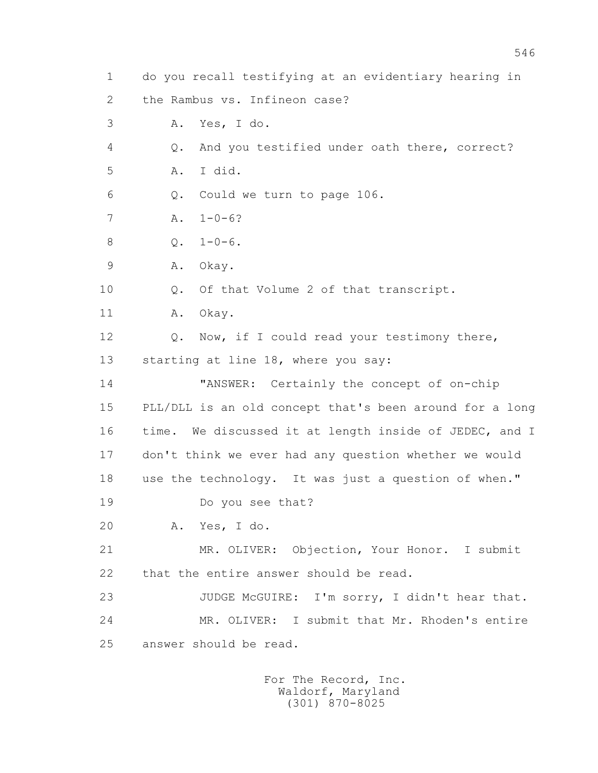1 do you recall testifying at an evidentiary hearing in 2 the Rambus vs. Infineon case? 3 A. Yes, I do. 4 Q. And you testified under oath there, correct? 5 A. I did. 6 Q. Could we turn to page 106. 7 A. 1-0-6? 8 0.  $1-0-6$ . 9 A. Okay. 10 Q. Of that Volume 2 of that transcript. 11 A. Okay. 12 Q. Now, if I could read your testimony there, 13 starting at line 18, where you say: 14 "ANSWER: Certainly the concept of on-chip 15 PLL/DLL is an old concept that's been around for a long 16 time. We discussed it at length inside of JEDEC, and I 17 don't think we ever had any question whether we would 18 use the technology. It was just a question of when." 19 Do you see that? 20 A. Yes, I do. 21 MR. OLIVER: Objection, Your Honor. I submit 22 that the entire answer should be read. 23 JUDGE McGUIRE: I'm sorry, I didn't hear that. 24 MR. OLIVER: I submit that Mr. Rhoden's entire 25 answer should be read.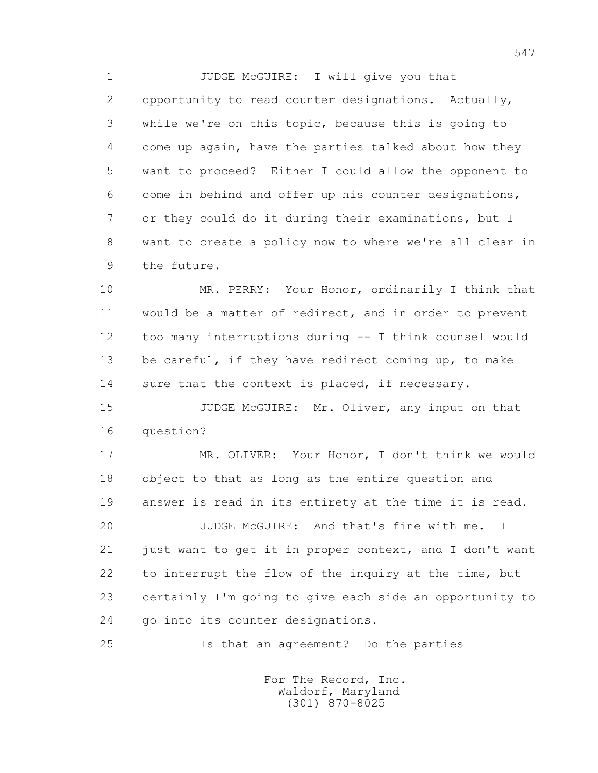1 JUDGE McGUIRE: I will give you that 2 opportunity to read counter designations. Actually, 3 while we're on this topic, because this is going to 4 come up again, have the parties talked about how they 5 want to proceed? Either I could allow the opponent to 6 come in behind and offer up his counter designations, 7 or they could do it during their examinations, but I 8 want to create a policy now to where we're all clear in 9 the future.

 10 MR. PERRY: Your Honor, ordinarily I think that 11 would be a matter of redirect, and in order to prevent 12 too many interruptions during -- I think counsel would 13 be careful, if they have redirect coming up, to make 14 sure that the context is placed, if necessary.

15 JUDGE McGUIRE: Mr. Oliver, any input on that 16 question?

 17 MR. OLIVER: Your Honor, I don't think we would 18 object to that as long as the entire question and 19 answer is read in its entirety at the time it is read.

 20 JUDGE McGUIRE: And that's fine with me. I 21 just want to get it in proper context, and I don't want 22 to interrupt the flow of the inquiry at the time, but 23 certainly I'm going to give each side an opportunity to 24 go into its counter designations.

25 Is that an agreement? Do the parties

 For The Record, Inc. Waldorf, Maryland (301) 870-8025

547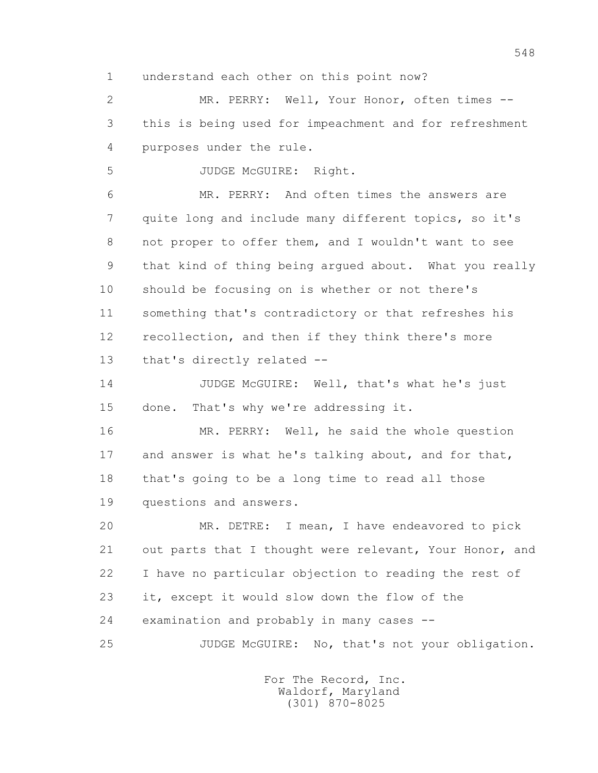1 understand each other on this point now?

 2 MR. PERRY: Well, Your Honor, often times -- 3 this is being used for impeachment and for refreshment 4 purposes under the rule.

5 JUDGE McGUIRE: Right.

 6 MR. PERRY: And often times the answers are 7 quite long and include many different topics, so it's 8 not proper to offer them, and I wouldn't want to see 9 that kind of thing being argued about. What you really 10 should be focusing on is whether or not there's 11 something that's contradictory or that refreshes his 12 recollection, and then if they think there's more 13 that's directly related --

14 JUDGE McGUIRE: Well, that's what he's just 15 done. That's why we're addressing it.

 16 MR. PERRY: Well, he said the whole question 17 and answer is what he's talking about, and for that, 18 that's going to be a long time to read all those 19 questions and answers.

 20 MR. DETRE: I mean, I have endeavored to pick 21 out parts that I thought were relevant, Your Honor, and 22 I have no particular objection to reading the rest of 23 it, except it would slow down the flow of the 24 examination and probably in many cases -- 25 JUDGE McGUIRE: No, that's not your obligation.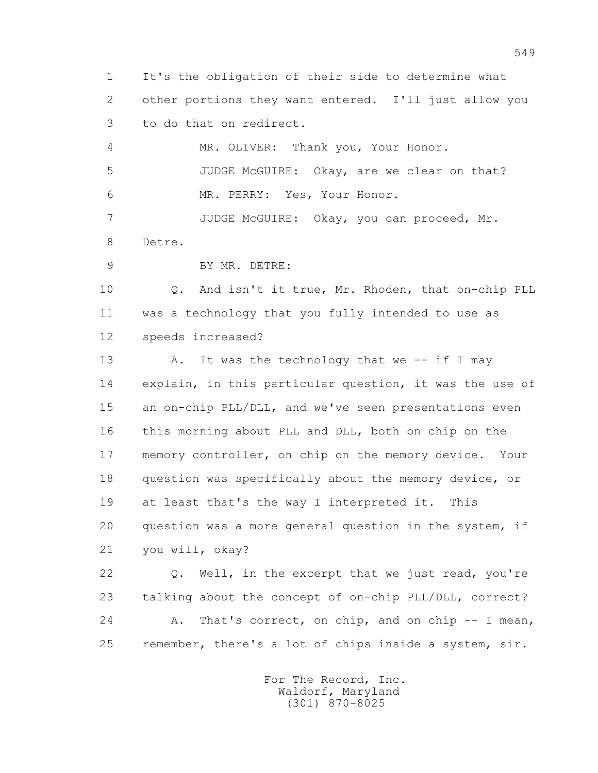1 It's the obligation of their side to determine what 2 other portions they want entered. I'll just allow you 3 to do that on redirect.

 4 MR. OLIVER: Thank you, Your Honor. 5 JUDGE McGUIRE: Okay, are we clear on that? 6 MR. PERRY: Yes, Your Honor.

 7 JUDGE McGUIRE: Okay, you can proceed, Mr. 8 Detre.

9 BY MR. DETRE:

 10 Q. And isn't it true, Mr. Rhoden, that on-chip PLL 11 was a technology that you fully intended to use as 12 speeds increased?

13 A. It was the technology that we -- if I may 14 explain, in this particular question, it was the use of 15 an on-chip PLL/DLL, and we've seen presentations even 16 this morning about PLL and DLL, both on chip on the 17 memory controller, on chip on the memory device. Your 18 question was specifically about the memory device, or 19 at least that's the way I interpreted it. This 20 question was a more general question in the system, if 21 you will, okay?

 22 Q. Well, in the excerpt that we just read, you're 23 talking about the concept of on-chip PLL/DLL, correct? 24 A. That's correct, on chip, and on chip -- I mean, 25 remember, there's a lot of chips inside a system, sir.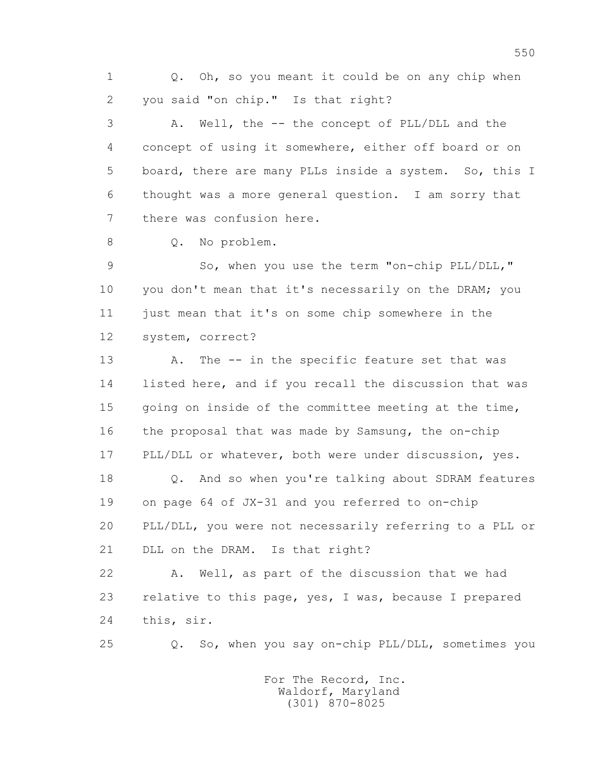1 0. Oh, so you meant it could be on any chip when 2 you said "on chip." Is that right?

 3 A. Well, the -- the concept of PLL/DLL and the 4 concept of using it somewhere, either off board or on 5 board, there are many PLLs inside a system. So, this I 6 thought was a more general question. I am sorry that 7 there was confusion here.

8 0. No problem.

9 So, when you use the term "on-chip PLL/DLL," 10 you don't mean that it's necessarily on the DRAM; you 11 just mean that it's on some chip somewhere in the 12 system, correct?

13 A. The -- in the specific feature set that was 14 listed here, and if you recall the discussion that was 15 going on inside of the committee meeting at the time, 16 the proposal that was made by Samsung, the on-chip 17 PLL/DLL or whatever, both were under discussion, yes. 18 Q. And so when you're talking about SDRAM features

 19 on page 64 of JX-31 and you referred to on-chip 20 PLL/DLL, you were not necessarily referring to a PLL or 21 DLL on the DRAM. Is that right?

 22 A. Well, as part of the discussion that we had 23 relative to this page, yes, I was, because I prepared 24 this, sir.

25 Q. So, when you say on-chip PLL/DLL, sometimes you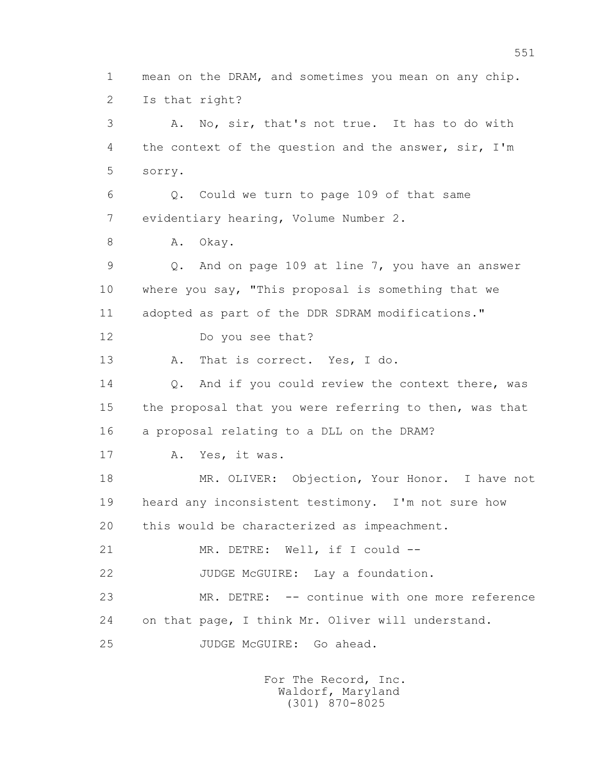1 mean on the DRAM, and sometimes you mean on any chip. 2 Is that right? 3 A. No, sir, that's not true. It has to do with 4 the context of the question and the answer, sir, I'm 5 sorry. 6 Q. Could we turn to page 109 of that same 7 evidentiary hearing, Volume Number 2. 8 A. Okay. 9 Q. And on page 109 at line 7, you have an answer 10 where you say, "This proposal is something that we 11 adopted as part of the DDR SDRAM modifications." 12 Do you see that? 13 A. That is correct. Yes, I do. 14 0. And if you could review the context there, was 15 the proposal that you were referring to then, was that 16 a proposal relating to a DLL on the DRAM? 17 A. Yes, it was. 18 MR. OLIVER: Objection, Your Honor. I have not 19 heard any inconsistent testimony. I'm not sure how 20 this would be characterized as impeachment. 21 MR. DETRE: Well, if I could --22 JUDGE McGUIRE: Lay a foundation. 23 MR. DETRE: -- continue with one more reference 24 on that page, I think Mr. Oliver will understand. 25 JUDGE McGUIRE: Go ahead.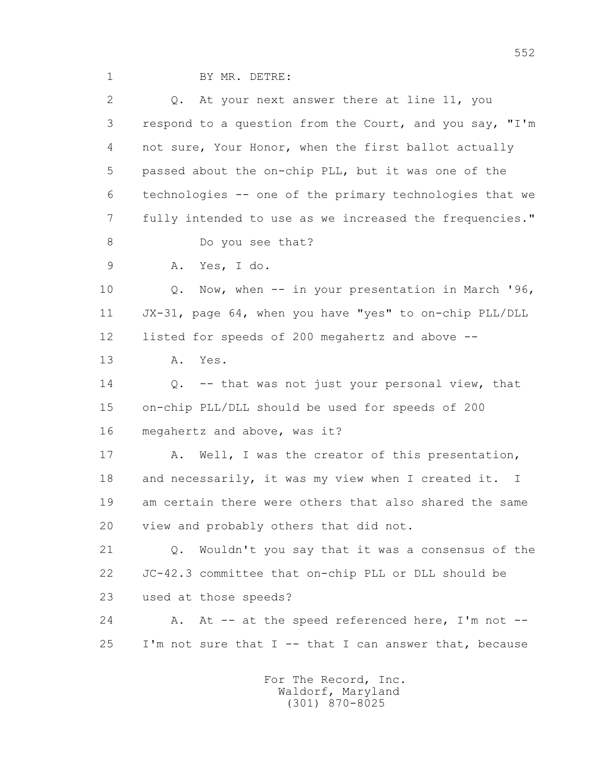1 BY MR. DETRE:

| 2  | Q. At your next answer there at line 11, you                     |
|----|------------------------------------------------------------------|
| 3  | respond to a question from the Court, and you say, "I'm          |
| 4  | not sure, Your Honor, when the first ballot actually             |
| 5  | passed about the on-chip PLL, but it was one of the              |
| 6  | technologies -- one of the primary technologies that we          |
| 7  | fully intended to use as we increased the frequencies."          |
| 8  | Do you see that?                                                 |
| 9  | Yes, I do.<br>Α.                                                 |
| 10 | Now, when -- in your presentation in March '96,<br>Q.            |
| 11 | JX-31, page 64, when you have "yes" to on-chip PLL/DLL           |
| 12 | listed for speeds of 200 megahertz and above --                  |
| 13 | Α.<br>Yes.                                                       |
| 14 | -- that was not just your personal view, that<br>Q.              |
| 15 | on-chip PLL/DLL should be used for speeds of 200                 |
| 16 | megahertz and above, was it?                                     |
| 17 | Well, I was the creator of this presentation,<br>Α.              |
| 18 | and necessarily, it was my view when I created it. I             |
| 19 | am certain there were others that also shared the same           |
| 20 | view and probably others that did not.                           |
| 21 | Wouldn't you say that it was a consensus of the<br>$Q_{\bullet}$ |
| 22 | JC-42.3 committee that on-chip PLL or DLL should be              |
| 23 | used at those speeds?                                            |
| 24 | A. At -- at the speed referenced here, I'm not --                |
| 25 | I'm not sure that I -- that I can answer that, because           |
|    |                                                                  |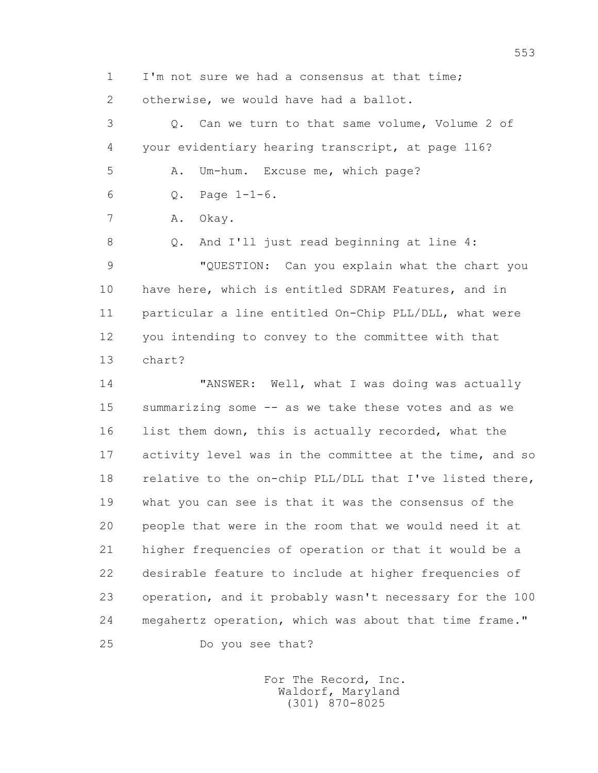1 I'm not sure we had a consensus at that time;

2 otherwise, we would have had a ballot.

 3 Q. Can we turn to that same volume, Volume 2 of 4 your evidentiary hearing transcript, at page 116? 5 A. Um-hum. Excuse me, which page? 6 Q. Page 1-1-6.

7 A. Okay.

 8 Q. And I'll just read beginning at line 4: 9 "QUESTION: Can you explain what the chart you 10 have here, which is entitled SDRAM Features, and in 11 particular a line entitled On-Chip PLL/DLL, what were 12 you intending to convey to the committee with that 13 chart?

 14 "ANSWER: Well, what I was doing was actually 15 summarizing some -- as we take these votes and as we 16 list them down, this is actually recorded, what the 17 activity level was in the committee at the time, and so 18 relative to the on-chip PLL/DLL that I've listed there, 19 what you can see is that it was the consensus of the 20 people that were in the room that we would need it at 21 higher frequencies of operation or that it would be a 22 desirable feature to include at higher frequencies of 23 operation, and it probably wasn't necessary for the 100 24 megahertz operation, which was about that time frame." 25 Do you see that?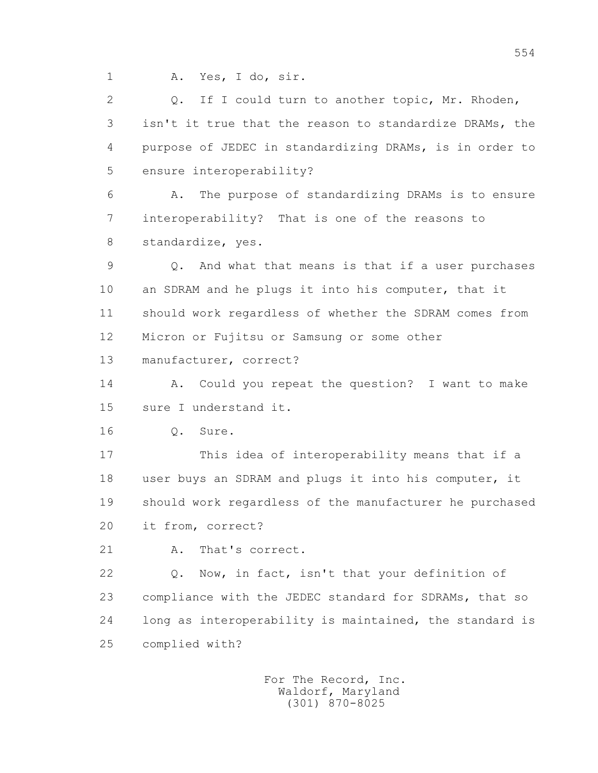1 A. Yes, I do, sir.

 2 Q. If I could turn to another topic, Mr. Rhoden, 3 isn't it true that the reason to standardize DRAMs, the 4 purpose of JEDEC in standardizing DRAMs, is in order to 5 ensure interoperability?

 6 A. The purpose of standardizing DRAMs is to ensure 7 interoperability? That is one of the reasons to 8 standardize, yes.

 9 Q. And what that means is that if a user purchases 10 an SDRAM and he plugs it into his computer, that it 11 should work regardless of whether the SDRAM comes from 12 Micron or Fujitsu or Samsung or some other

13 manufacturer, correct?

 14 A. Could you repeat the question? I want to make 15 sure I understand it.

16 Q. Sure.

 17 This idea of interoperability means that if a 18 user buys an SDRAM and plugs it into his computer, it 19 should work regardless of the manufacturer he purchased 20 it from, correct?

21 A. That's correct.

 22 Q. Now, in fact, isn't that your definition of 23 compliance with the JEDEC standard for SDRAMs, that so 24 long as interoperability is maintained, the standard is 25 complied with?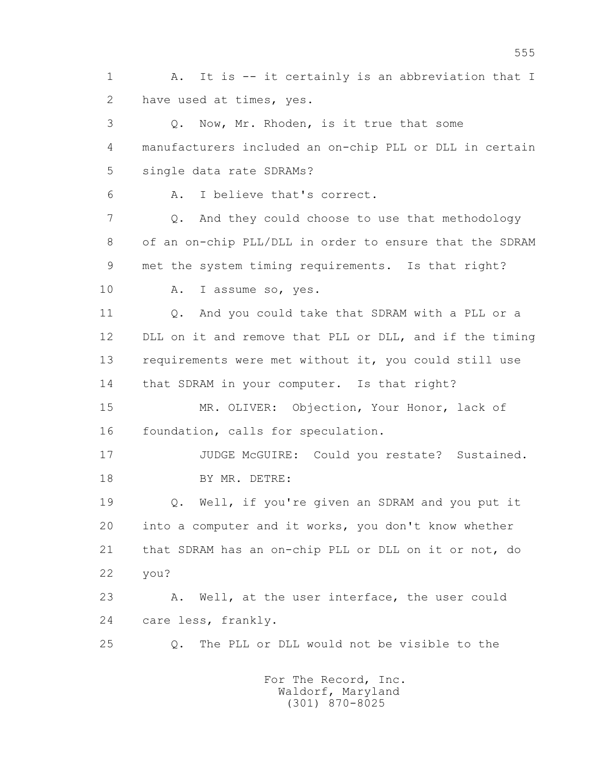1 A. It is -- it certainly is an abbreviation that I 2 have used at times, yes.

 3 Q. Now, Mr. Rhoden, is it true that some 4 manufacturers included an on-chip PLL or DLL in certain 5 single data rate SDRAMs?

6 A. I believe that's correct.

 7 Q. And they could choose to use that methodology 8 of an on-chip PLL/DLL in order to ensure that the SDRAM 9 met the system timing requirements. Is that right?

10 A. I assume so, yes.

11 0. And you could take that SDRAM with a PLL or a 12 DLL on it and remove that PLL or DLL, and if the timing 13 requirements were met without it, you could still use 14 that SDRAM in your computer. Is that right?

 15 MR. OLIVER: Objection, Your Honor, lack of 16 foundation, calls for speculation.

 17 JUDGE McGUIRE: Could you restate? Sustained. 18 BY MR. DETRE:

 19 Q. Well, if you're given an SDRAM and you put it 20 into a computer and it works, you don't know whether 21 that SDRAM has an on-chip PLL or DLL on it or not, do 22 you?

 23 A. Well, at the user interface, the user could 24 care less, frankly.

25 Q. The PLL or DLL would not be visible to the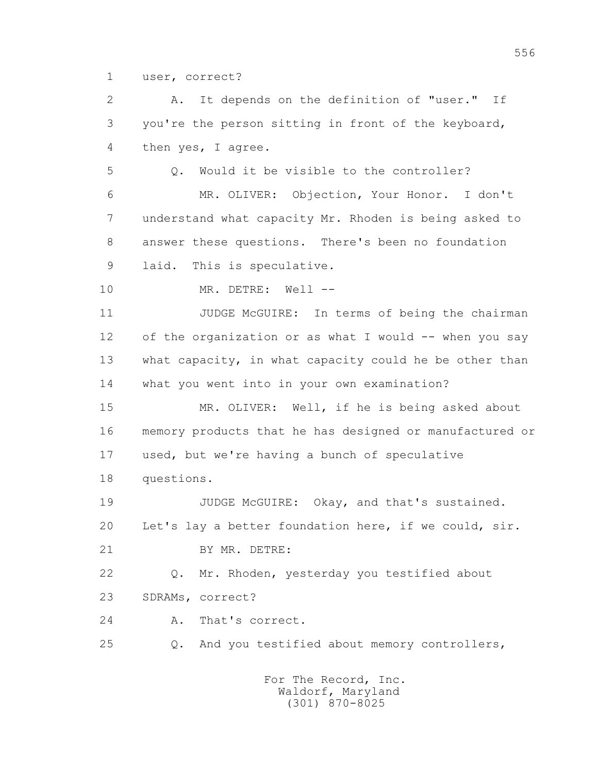1 user, correct?

 2 A. It depends on the definition of "user." If 3 you're the person sitting in front of the keyboard, 4 then yes, I agree.

 5 Q. Would it be visible to the controller? 6 MR. OLIVER: Objection, Your Honor. I don't 7 understand what capacity Mr. Rhoden is being asked to 8 answer these questions. There's been no foundation

9 laid. This is speculative.

10 MR. DETRE: Well --

 11 JUDGE McGUIRE: In terms of being the chairman 12 of the organization or as what I would -- when you say 13 what capacity, in what capacity could he be other than 14 what you went into in your own examination?

 15 MR. OLIVER: Well, if he is being asked about 16 memory products that he has designed or manufactured or 17 used, but we're having a bunch of speculative

18 questions.

19 JUDGE McGUIRE: Okay, and that's sustained. 20 Let's lay a better foundation here, if we could, sir. 21 BY MR. DETRE:

 22 Q. Mr. Rhoden, yesterday you testified about 23 SDRAMs, correct?

24 A. That's correct.

25 Q. And you testified about memory controllers,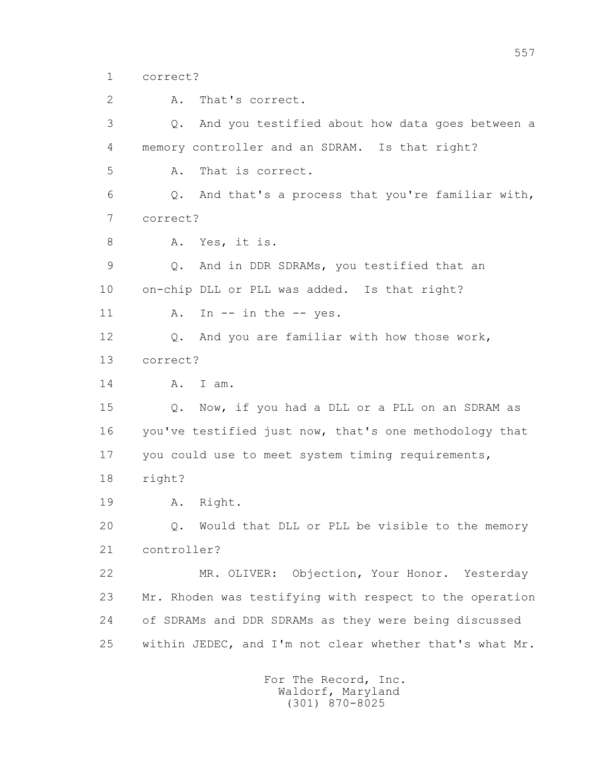1 correct?

2 A. That's correct.

 3 Q. And you testified about how data goes between a 4 memory controller and an SDRAM. Is that right? 5 A. That is correct. 6 Q. And that's a process that you're familiar with, 7 correct? 8 A. Yes, it is. 9 Q. And in DDR SDRAMs, you testified that an 10 on-chip DLL or PLL was added. Is that right? 11 A. In -- in the -- yes. 12 Q. And you are familiar with how those work, 13 correct? 14 A. I am. 15 Q. Now, if you had a DLL or a PLL on an SDRAM as 16 you've testified just now, that's one methodology that 17 you could use to meet system timing requirements, 18 right? 19 A. Right. 20 Q. Would that DLL or PLL be visible to the memory 21 controller? 22 MR. OLIVER: Objection, Your Honor. Yesterday 23 Mr. Rhoden was testifying with respect to the operation 24 of SDRAMs and DDR SDRAMs as they were being discussed 25 within JEDEC, and I'm not clear whether that's what Mr.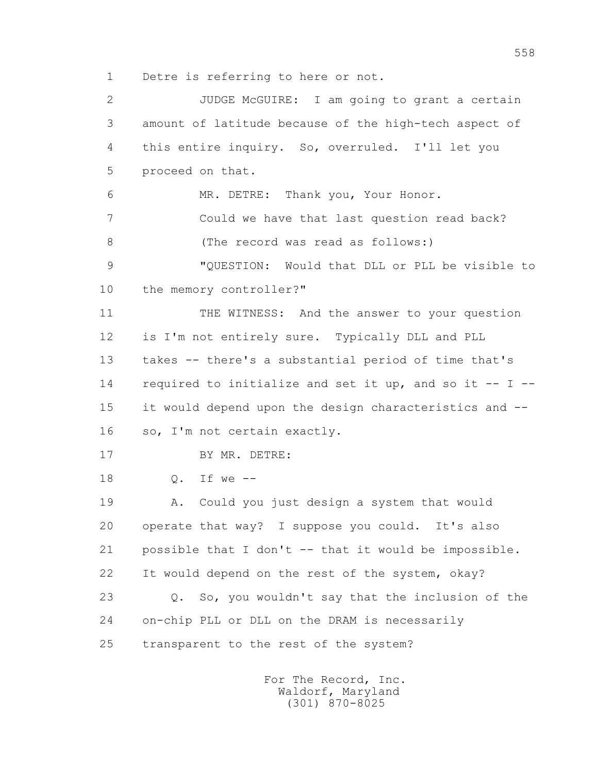1 Detre is referring to here or not.

 2 JUDGE McGUIRE: I am going to grant a certain 3 amount of latitude because of the high-tech aspect of 4 this entire inquiry. So, overruled. I'll let you 5 proceed on that. 6 MR. DETRE: Thank you, Your Honor. 7 Could we have that last question read back? 8 (The record was read as follows:) 9 "QUESTION: Would that DLL or PLL be visible to 10 the memory controller?" 11 THE WITNESS: And the answer to your question 12 is I'm not entirely sure. Typically DLL and PLL 13 takes -- there's a substantial period of time that's 14 required to initialize and set it up, and so it -- I -- 15 it would depend upon the design characteristics and -- 16 so, I'm not certain exactly. 17 BY MR. DETRE: 18 Q. If we -- 19 A. Could you just design a system that would 20 operate that way? I suppose you could. It's also 21 possible that I don't -- that it would be impossible. 22 It would depend on the rest of the system, okay? 23 Q. So, you wouldn't say that the inclusion of the 24 on-chip PLL or DLL on the DRAM is necessarily 25 transparent to the rest of the system?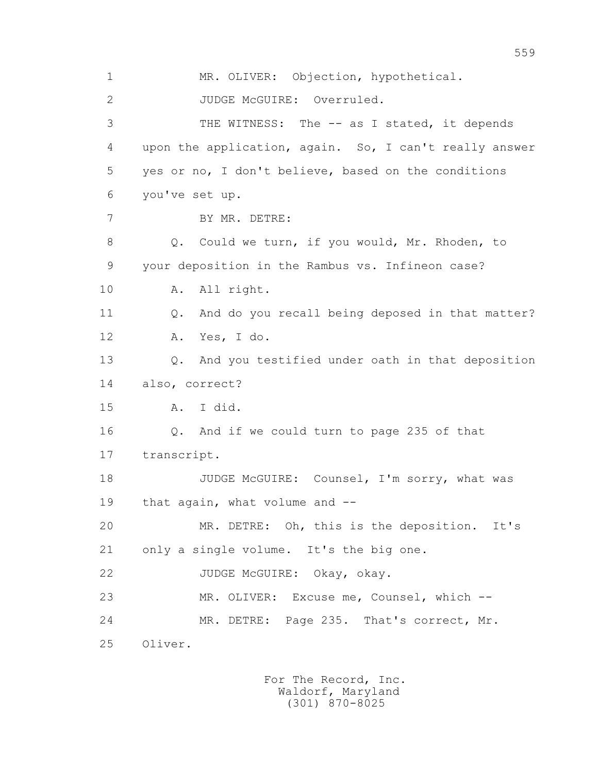1 MR. OLIVER: Objection, hypothetical. 2 JUDGE McGUIRE: Overruled. 3 THE WITNESS: The -- as I stated, it depends 4 upon the application, again. So, I can't really answer 5 yes or no, I don't believe, based on the conditions 6 you've set up. 7 BY MR. DETRE: 8 Q. Could we turn, if you would, Mr. Rhoden, to 9 your deposition in the Rambus vs. Infineon case? 10 A. All right. 11 Q. And do you recall being deposed in that matter? 12 A. Yes, I do. 13 Q. And you testified under oath in that deposition 14 also, correct? 15 A. I did. 16 Q. And if we could turn to page 235 of that 17 transcript. 18 JUDGE McGUIRE: Counsel, I'm sorry, what was 19 that again, what volume and -- 20 MR. DETRE: Oh, this is the deposition. It's 21 only a single volume. It's the big one. 22 JUDGE McGUIRE: Okay, okay. 23 MR. OLIVER: Excuse me, Counsel, which -- 24 MR. DETRE: Page 235. That's correct, Mr. 25 Oliver.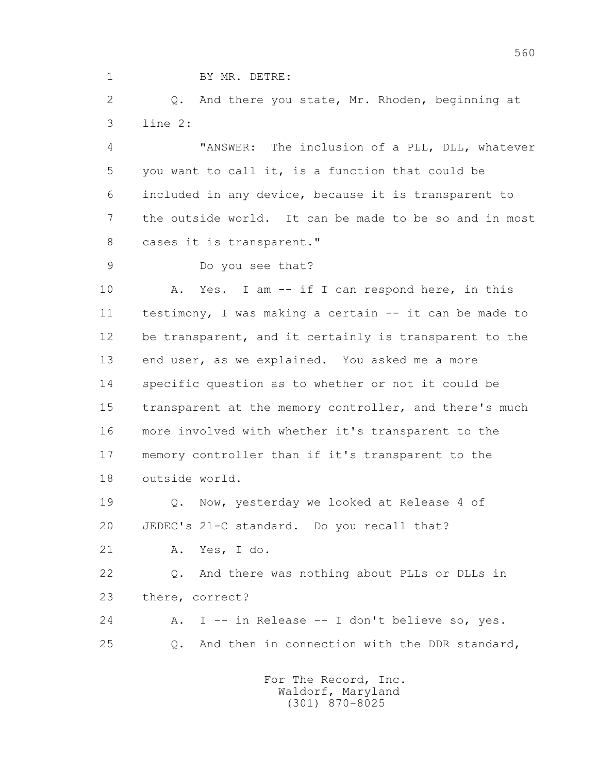1 BY MR. DETRE:

2 0. And there you state, Mr. Rhoden, beginning at 3 line 2:

 4 "ANSWER: The inclusion of a PLL, DLL, whatever 5 you want to call it, is a function that could be 6 included in any device, because it is transparent to 7 the outside world. It can be made to be so and in most 8 cases it is transparent."

9 Do you see that?

10 A. Yes. I am -- if I can respond here, in this 11 testimony, I was making a certain -- it can be made to 12 be transparent, and it certainly is transparent to the 13 end user, as we explained. You asked me a more 14 specific question as to whether or not it could be 15 transparent at the memory controller, and there's much 16 more involved with whether it's transparent to the 17 memory controller than if it's transparent to the 18 outside world.

 19 Q. Now, yesterday we looked at Release 4 of 20 JEDEC's 21-C standard. Do you recall that?

21 A. Yes, I do.

 22 Q. And there was nothing about PLLs or DLLs in 23 there, correct?

 24 A. I -- in Release -- I don't believe so, yes. 25 Q. And then in connection with the DDR standard,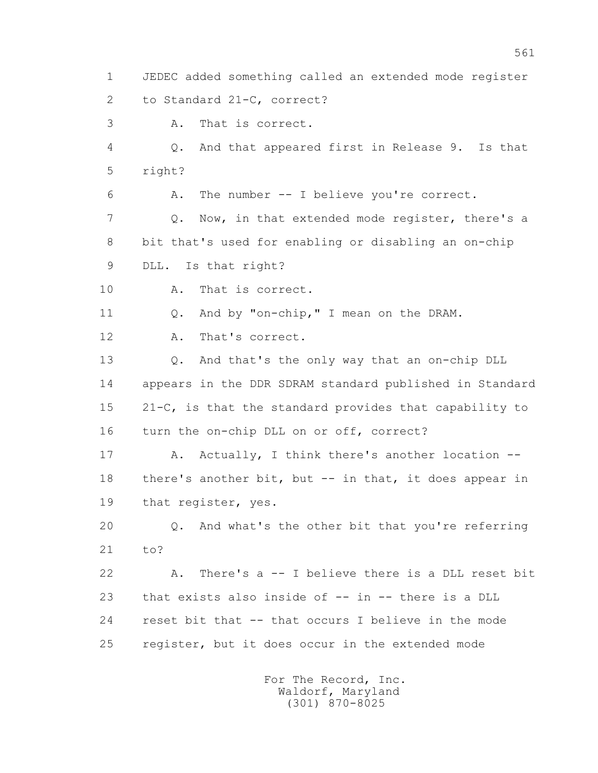1 JEDEC added something called an extended mode register 2 to Standard 21-C, correct?

3 A. That is correct.

 4 Q. And that appeared first in Release 9. Is that 5 right?

6 A. The number -- I believe you're correct.

 7 Q. Now, in that extended mode register, there's a 8 bit that's used for enabling or disabling an on-chip

9 DLL. Is that right?

10 A. That is correct.

11 Q. And by "on-chip," I mean on the DRAM.

12 A. That's correct.

 13 Q. And that's the only way that an on-chip DLL 14 appears in the DDR SDRAM standard published in Standard 15 21-C, is that the standard provides that capability to 16 turn the on-chip DLL on or off, correct?

17 A. Actually, I think there's another location -- 18 there's another bit, but -- in that, it does appear in 19 that register, yes.

 20 Q. And what's the other bit that you're referring 21 to?

 22 A. There's a -- I believe there is a DLL reset bit 23 that exists also inside of -- in -- there is a DLL 24 reset bit that -- that occurs I believe in the mode 25 register, but it does occur in the extended mode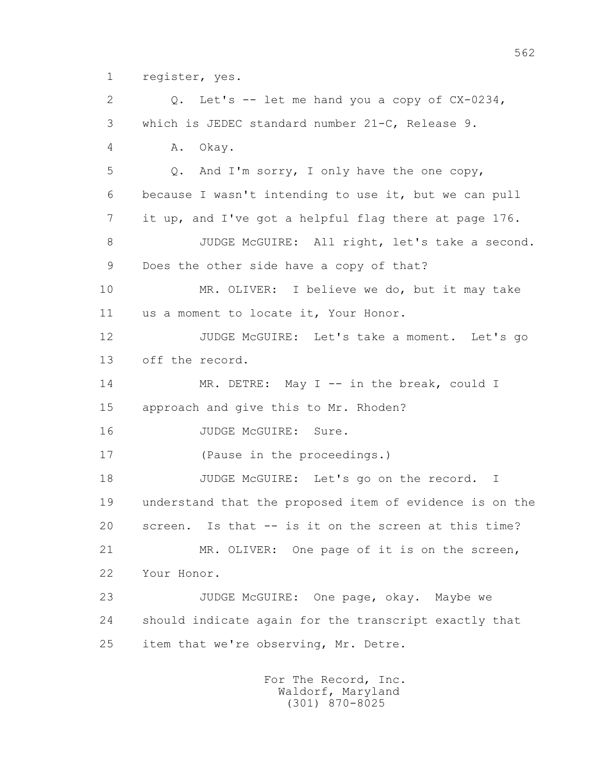1 register, yes.

 2 Q. Let's -- let me hand you a copy of CX-0234, 3 which is JEDEC standard number 21-C, Release 9. 4 A. Okay. 5 Q. And I'm sorry, I only have the one copy, 6 because I wasn't intending to use it, but we can pull 7 it up, and I've got a helpful flag there at page 176. 8 JUDGE McGUIRE: All right, let's take a second. 9 Does the other side have a copy of that? 10 MR. OLIVER: I believe we do, but it may take 11 us a moment to locate it, Your Honor. 12 JUDGE McGUIRE: Let's take a moment. Let's go 13 off the record. 14 MR. DETRE: May I -- in the break, could I 15 approach and give this to Mr. Rhoden? 16 JUDGE McGUIRE: Sure. 17 (Pause in the proceedings.) 18 JUDGE McGUIRE: Let's go on the record. I 19 understand that the proposed item of evidence is on the 20 screen. Is that -- is it on the screen at this time? 21 MR. OLIVER: One page of it is on the screen, 22 Your Honor. 23 JUDGE McGUIRE: One page, okay. Maybe we 24 should indicate again for the transcript exactly that 25 item that we're observing, Mr. Detre.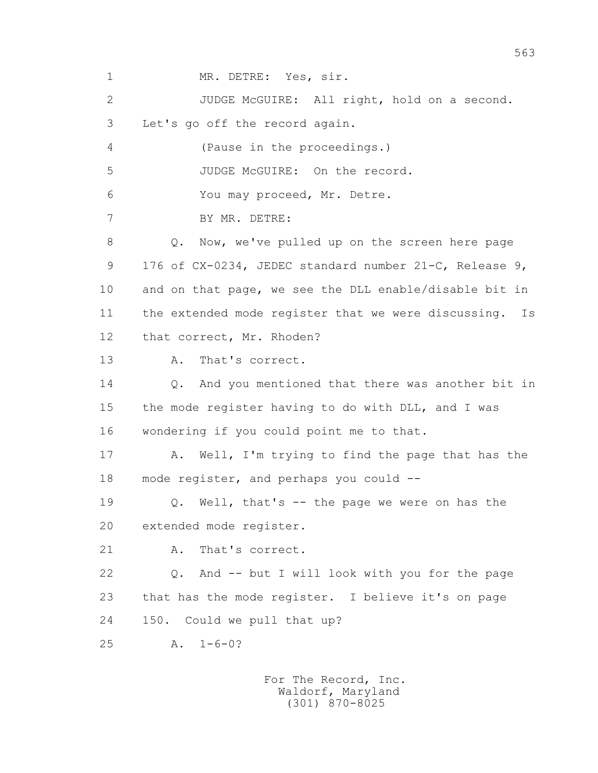1 MR. DETRE: Yes, sir. 2 JUDGE McGUIRE: All right, hold on a second. 3 Let's go off the record again. 4 (Pause in the proceedings.) 5 JUDGE McGUIRE: On the record. 6 You may proceed, Mr. Detre. 7 BY MR. DETRE: 8 Q. Now, we've pulled up on the screen here page 9 176 of CX-0234, JEDEC standard number 21-C, Release 9, 10 and on that page, we see the DLL enable/disable bit in 11 the extended mode register that we were discussing. Is 12 that correct, Mr. Rhoden? 13 A. That's correct. 14 0. And you mentioned that there was another bit in 15 the mode register having to do with DLL, and I was 16 wondering if you could point me to that. 17 A. Well, I'm trying to find the page that has the 18 mode register, and perhaps you could -- 19 Q. Well, that's -- the page we were on has the 20 extended mode register. 21 A. That's correct. 22 Q. And -- but I will look with you for the page 23 that has the mode register. I believe it's on page 24 150. Could we pull that up? 25 A. 1-6-0?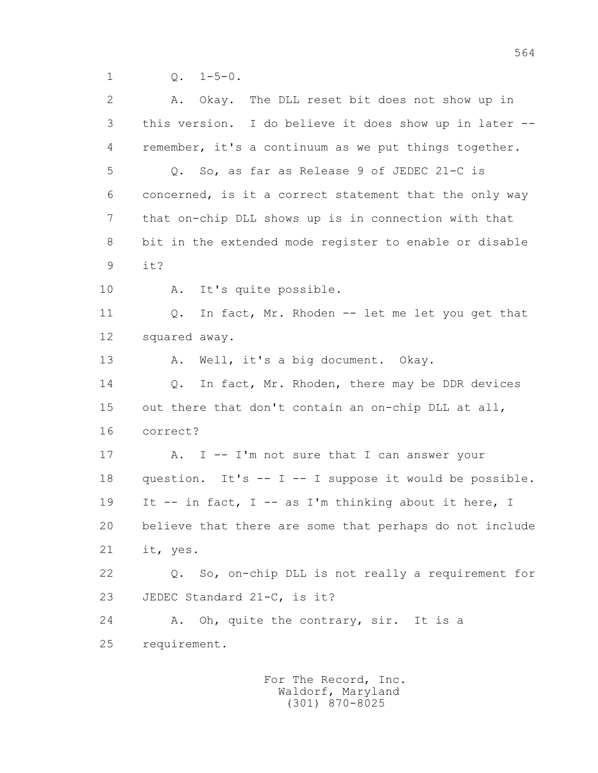| 2  | The DLL reset bit does not show up in<br>A. Okay.       |
|----|---------------------------------------------------------|
| 3  | this version. I do believe it does show up in later --  |
| 4  | remember, it's a continuum as we put things together.   |
| 5  | Q. So, as far as Release 9 of JEDEC 21-C is             |
| 6  | concerned, is it a correct statement that the only way  |
| 7  | that on-chip DLL shows up is in connection with that    |
| 8  | bit in the extended mode register to enable or disable  |
| 9  | it?                                                     |
| 10 | It's quite possible.<br>Α.                              |
| 11 | In fact, Mr. Rhoden -- let me let you get that<br>Q.    |
| 12 | squared away.                                           |
| 13 | Well, it's a big document. Okay.<br>Α.                  |
| 14 | In fact, Mr. Rhoden, there may be DDR devices<br>$Q$ .  |
| 15 | out there that don't contain an on-chip DLL at all,     |
| 16 | correct?                                                |
| 17 | I -- I'm not sure that I can answer your<br>Α.          |
| 18 | question. It's -- I -- I suppose it would be possible.  |
| 19 | It -- in fact, I -- as I'm thinking about it here, I    |
| 20 | believe that there are some that perhaps do not include |
| 21 | it, yes.                                                |
| 22 | Q. So, on-chip DLL is not really a requirement for      |
| 23 | JEDEC Standard 21-C, is it?                             |
| 24 | Oh, quite the contrary, sir. It is a<br>Α.              |
| 25 | requirement.                                            |
|    |                                                         |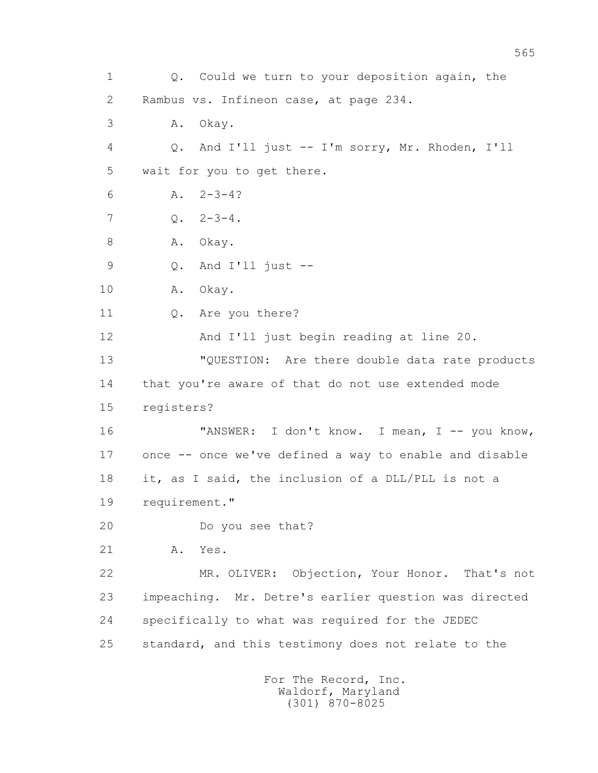1 Q. Could we turn to your deposition again, the 2 Rambus vs. Infineon case, at page 234. 3 A. Okay. 4 Q. And I'll just -- I'm sorry, Mr. Rhoden, I'll 5 wait for you to get there. 6  $A. 2-3-4?$  $7 \tO. \t2-3-4.$ 8 A. Okay. 9 Q. And I'll just -- 10 A. Okay. 11 0. Are you there? 12 And I'll just begin reading at line 20. 13 "QUESTION: Are there double data rate products 14 that you're aware of that do not use extended mode 15 registers? 16 "ANSWER: I don't know. I mean, I -- you know, 17 once -- once we've defined a way to enable and disable 18 it, as I said, the inclusion of a DLL/PLL is not a 19 requirement." 20 Do you see that? 21 A. Yes. 22 MR. OLIVER: Objection, Your Honor. That's not 23 impeaching. Mr. Detre's earlier question was directed 24 specifically to what was required for the JEDEC 25 standard, and this testimony does not relate to the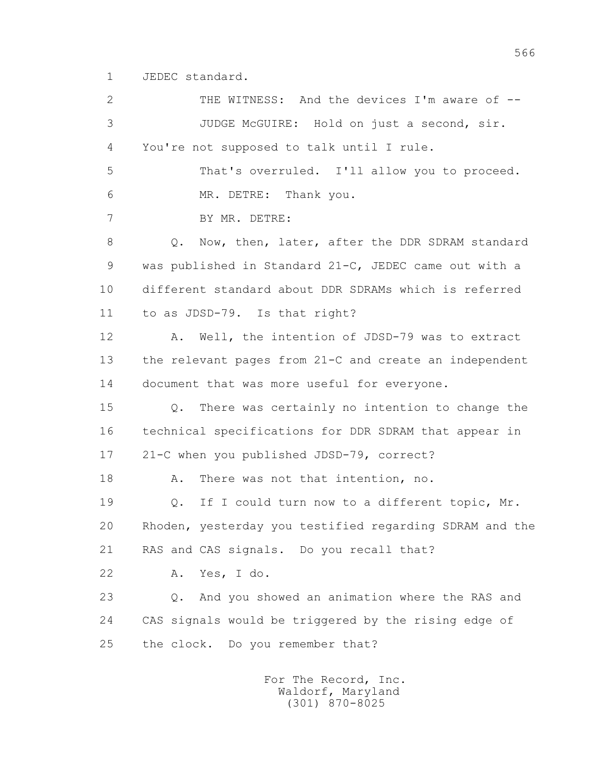1 JEDEC standard.

 2 THE WITNESS: And the devices I'm aware of -- 3 JUDGE McGUIRE: Hold on just a second, sir. 4 You're not supposed to talk until I rule. 5 That's overruled. I'll allow you to proceed. 6 MR. DETRE: Thank you. 7 BY MR. DETRE: 8 Q. Now, then, later, after the DDR SDRAM standard 9 was published in Standard 21-C, JEDEC came out with a 10 different standard about DDR SDRAMs which is referred 11 to as JDSD-79. Is that right? 12 A. Well, the intention of JDSD-79 was to extract 13 the relevant pages from 21-C and create an independent 14 document that was more useful for everyone. 15 Q. There was certainly no intention to change the 16 technical specifications for DDR SDRAM that appear in 17 21-C when you published JDSD-79, correct? 18 A. There was not that intention, no. 19 Q. If I could turn now to a different topic, Mr. 20 Rhoden, yesterday you testified regarding SDRAM and the 21 RAS and CAS signals. Do you recall that? 22 A. Yes, I do. 23 Q. And you showed an animation where the RAS and 24 CAS signals would be triggered by the rising edge of 25 the clock. Do you remember that?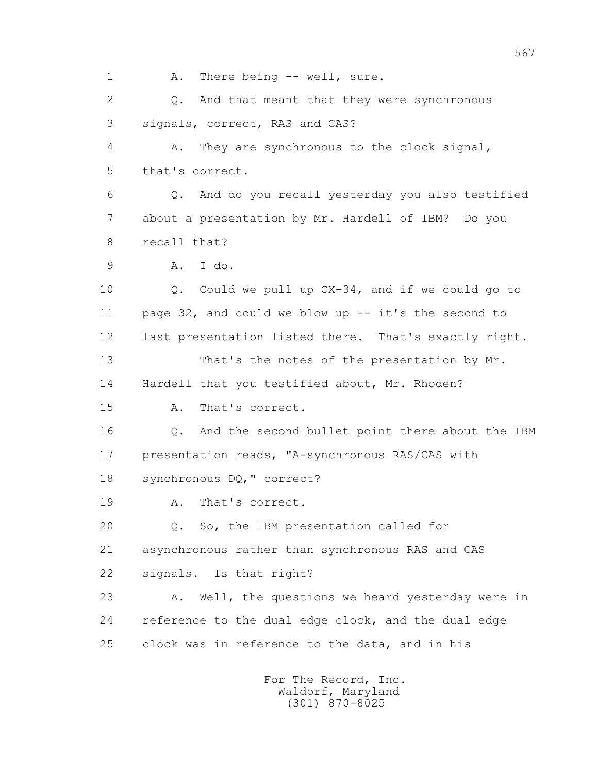1 A. There being -- well, sure. 2 Q. And that meant that they were synchronous 3 signals, correct, RAS and CAS? 4 A. They are synchronous to the clock signal, 5 that's correct. 6 Q. And do you recall yesterday you also testified 7 about a presentation by Mr. Hardell of IBM? Do you 8 recall that? 9 A. I do. 10 Q. Could we pull up CX-34, and if we could go to 11 page 32, and could we blow up -- it's the second to 12 last presentation listed there. That's exactly right. 13 That's the notes of the presentation by Mr. 14 Hardell that you testified about, Mr. Rhoden? 15 A. That's correct. 16 Q. And the second bullet point there about the IBM 17 presentation reads, "A-synchronous RAS/CAS with 18 synchronous DQ," correct? 19 A. That's correct. 20 Q. So, the IBM presentation called for 21 asynchronous rather than synchronous RAS and CAS 22 signals. Is that right? 23 A. Well, the questions we heard yesterday were in 24 reference to the dual edge clock, and the dual edge 25 clock was in reference to the data, and in his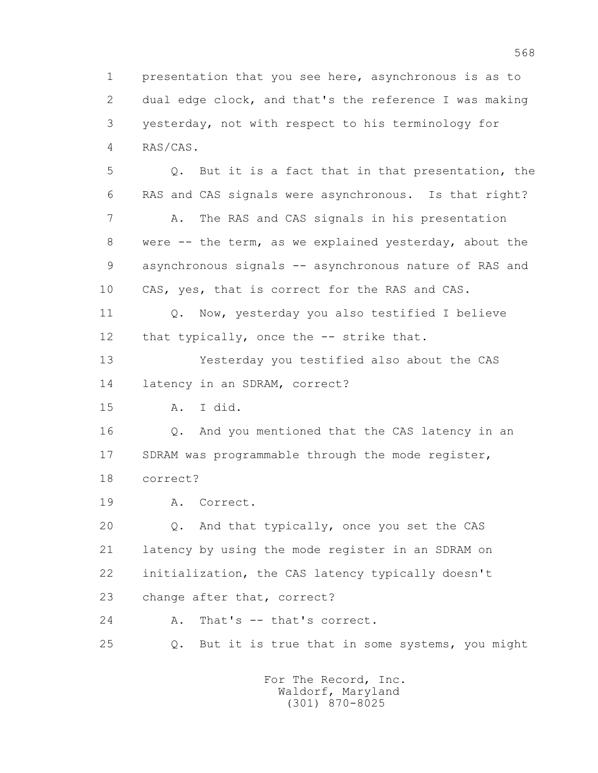1 presentation that you see here, asynchronous is as to 2 dual edge clock, and that's the reference I was making 3 yesterday, not with respect to his terminology for 4 RAS/CAS.

 5 Q. But it is a fact that in that presentation, the 6 RAS and CAS signals were asynchronous. Is that right? 7 A. The RAS and CAS signals in his presentation 8 were -- the term, as we explained yesterday, about the 9 asynchronous signals -- asynchronous nature of RAS and 10 CAS, yes, that is correct for the RAS and CAS.

11 O. Now, yesterday you also testified I believe 12 that typically, once the -- strike that.

 13 Yesterday you testified also about the CAS 14 latency in an SDRAM, correct?

15 A. I did.

 16 Q. And you mentioned that the CAS latency in an 17 SDRAM was programmable through the mode register, 18 correct?

19 A. Correct.

 20 Q. And that typically, once you set the CAS 21 latency by using the mode register in an SDRAM on 22 initialization, the CAS latency typically doesn't 23 change after that, correct?

24 A. That's -- that's correct.

25 Q. But it is true that in some systems, you might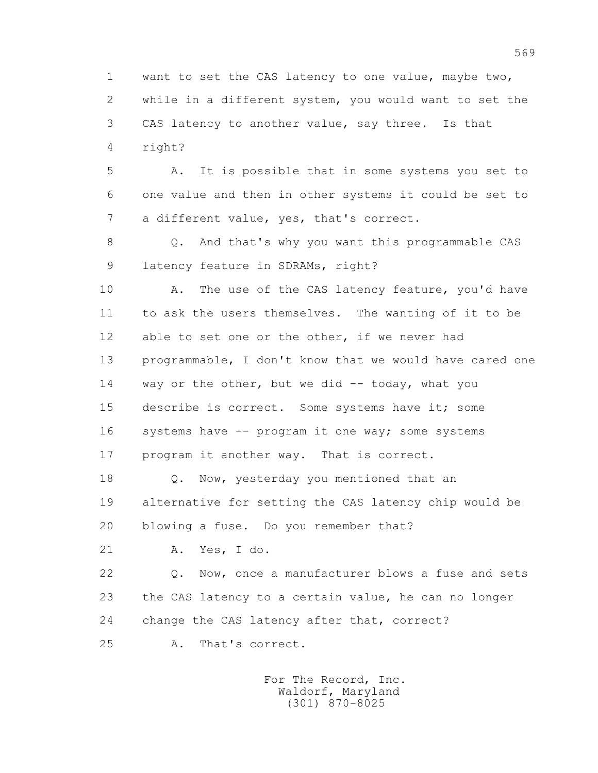1 want to set the CAS latency to one value, maybe two, 2 while in a different system, you would want to set the 3 CAS latency to another value, say three. Is that 4 right?

 5 A. It is possible that in some systems you set to 6 one value and then in other systems it could be set to 7 a different value, yes, that's correct.

 8 Q. And that's why you want this programmable CAS 9 latency feature in SDRAMs, right?

10 A. The use of the CAS latency feature, you'd have 11 to ask the users themselves. The wanting of it to be 12 able to set one or the other, if we never had 13 programmable, I don't know that we would have cared one 14 way or the other, but we did -- today, what you 15 describe is correct. Some systems have it; some 16 systems have -- program it one way; some systems 17 program it another way. That is correct.

 18 Q. Now, yesterday you mentioned that an 19 alternative for setting the CAS latency chip would be 20 blowing a fuse. Do you remember that?

21 A. Yes, I do.

 22 Q. Now, once a manufacturer blows a fuse and sets 23 the CAS latency to a certain value, he can no longer 24 change the CAS latency after that, correct?

25 A. That's correct.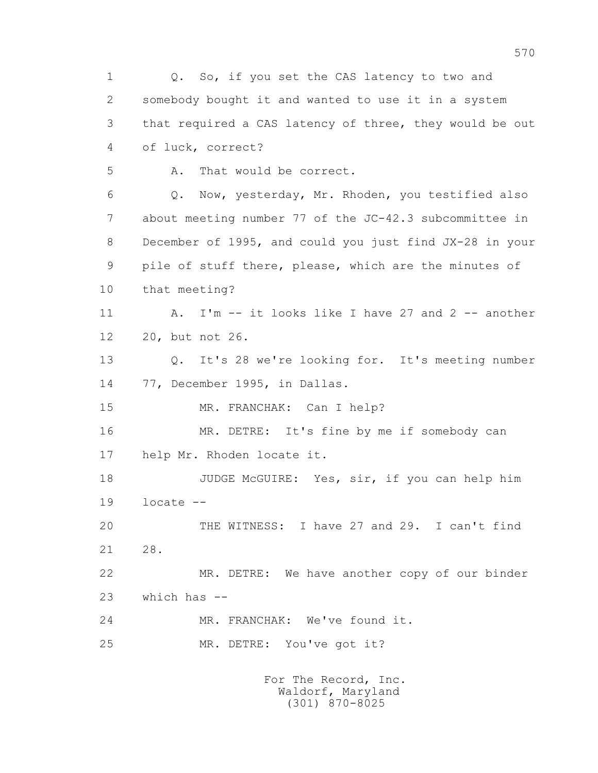1 0. So, if you set the CAS latency to two and 2 somebody bought it and wanted to use it in a system 3 that required a CAS latency of three, they would be out 4 of luck, correct? 5 A. That would be correct. 6 Q. Now, yesterday, Mr. Rhoden, you testified also 7 about meeting number 77 of the JC-42.3 subcommittee in 8 December of 1995, and could you just find JX-28 in your 9 pile of stuff there, please, which are the minutes of 10 that meeting? 11 A. I'm -- it looks like I have 27 and 2 -- another 12 20, but not 26. 13 Q. It's 28 we're looking for. It's meeting number 14 77, December 1995, in Dallas. 15 MR. FRANCHAK: Can I help? 16 MR. DETRE: It's fine by me if somebody can 17 help Mr. Rhoden locate it. 18 JUDGE McGUIRE: Yes, sir, if you can help him 19 locate -- 20 THE WITNESS: I have 27 and 29. I can't find 21 28. 22 MR. DETRE: We have another copy of our binder 23 which has -- 24 MR. FRANCHAK: We've found it. 25 MR. DETRE: You've got it?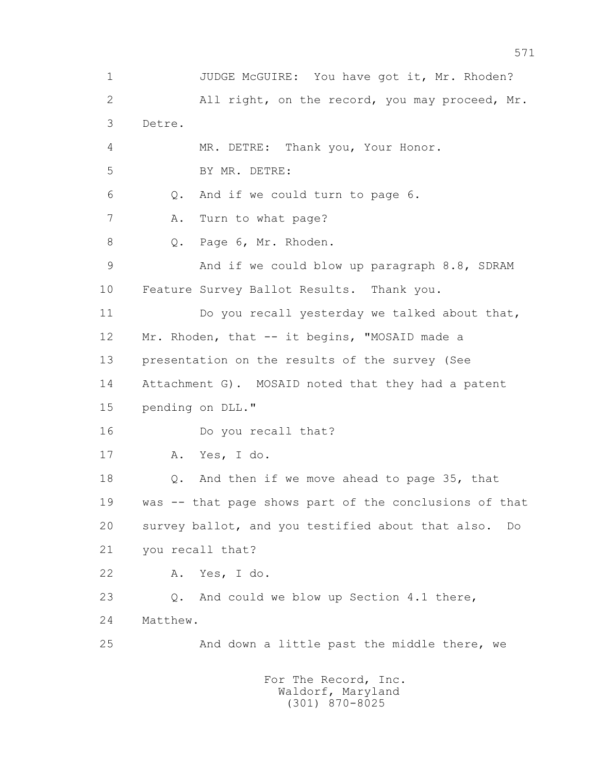1 JUDGE McGUIRE: You have got it, Mr. Rhoden? 2 All right, on the record, you may proceed, Mr. 3 Detre. 4 MR. DETRE: Thank you, Your Honor. 5 BY MR. DETRE: 6 Q. And if we could turn to page 6. 7 A. Turn to what page? 8 Q. Page 6, Mr. Rhoden. 9 And if we could blow up paragraph 8.8, SDRAM 10 Feature Survey Ballot Results. Thank you. 11 Do you recall yesterday we talked about that, 12 Mr. Rhoden, that -- it begins, "MOSAID made a 13 presentation on the results of the survey (See 14 Attachment G). MOSAID noted that they had a patent 15 pending on DLL." 16 Do you recall that? 17 A. Yes, I do. 18 Q. And then if we move ahead to page 35, that 19 was -- that page shows part of the conclusions of that 20 survey ballot, and you testified about that also. Do 21 you recall that? 22 A. Yes, I do. 23 Q. And could we blow up Section 4.1 there, 24 Matthew. 25 And down a little past the middle there, we For The Record, Inc. Waldorf, Maryland (301) 870-8025

571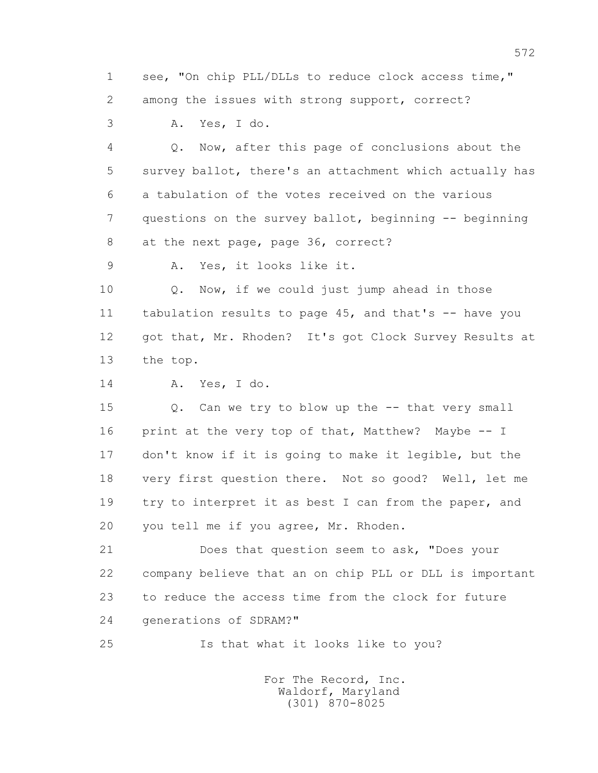1 see, "On chip PLL/DLLs to reduce clock access time," 2 among the issues with strong support, correct?

3 A. Yes, I do.

 4 Q. Now, after this page of conclusions about the 5 survey ballot, there's an attachment which actually has 6 a tabulation of the votes received on the various 7 questions on the survey ballot, beginning -- beginning 8 at the next page, page 36, correct?

9 A. Yes, it looks like it.

 10 Q. Now, if we could just jump ahead in those 11 tabulation results to page 45, and that's -- have you 12 got that, Mr. Rhoden? It's got Clock Survey Results at 13 the top.

14 A. Yes, I do.

 15 Q. Can we try to blow up the -- that very small 16 print at the very top of that, Matthew? Maybe -- I 17 don't know if it is going to make it legible, but the 18 very first question there. Not so good? Well, let me 19 try to interpret it as best I can from the paper, and 20 you tell me if you agree, Mr. Rhoden.

 21 Does that question seem to ask, "Does your 22 company believe that an on chip PLL or DLL is important 23 to reduce the access time from the clock for future 24 generations of SDRAM?"

25 Is that what it looks like to you?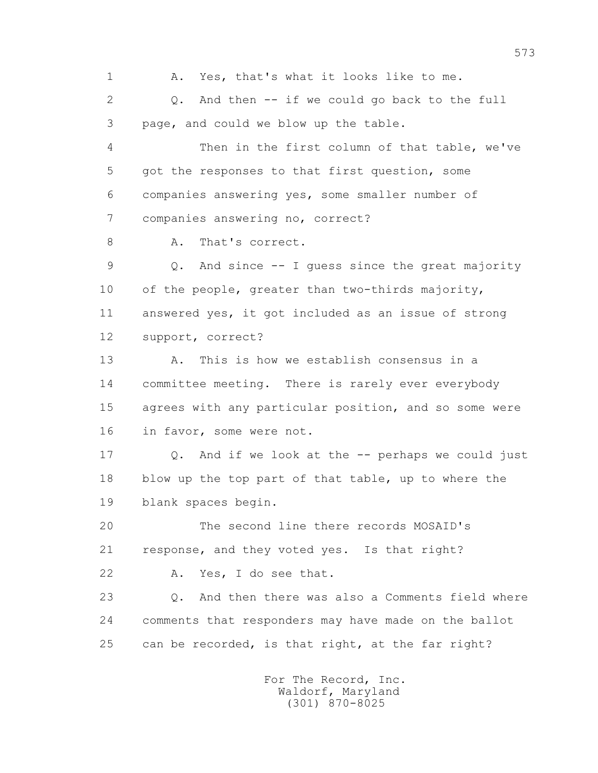1 A. Yes, that's what it looks like to me. 2 Q. And then -- if we could go back to the full 3 page, and could we blow up the table. 4 Then in the first column of that table, we've 5 got the responses to that first question, some 6 companies answering yes, some smaller number of 7 companies answering no, correct? 8 A. That's correct. 9 Q. And since -- I guess since the great majority 10 of the people, greater than two-thirds majority, 11 answered yes, it got included as an issue of strong 12 support, correct? 13 A. This is how we establish consensus in a 14 committee meeting. There is rarely ever everybody 15 agrees with any particular position, and so some were 16 in favor, some were not. 17 Q. And if we look at the -- perhaps we could just 18 blow up the top part of that table, up to where the 19 blank spaces begin. 20 The second line there records MOSAID's 21 response, and they voted yes. Is that right? 22 A. Yes, I do see that. 23 Q. And then there was also a Comments field where 24 comments that responders may have made on the ballot 25 can be recorded, is that right, at the far right?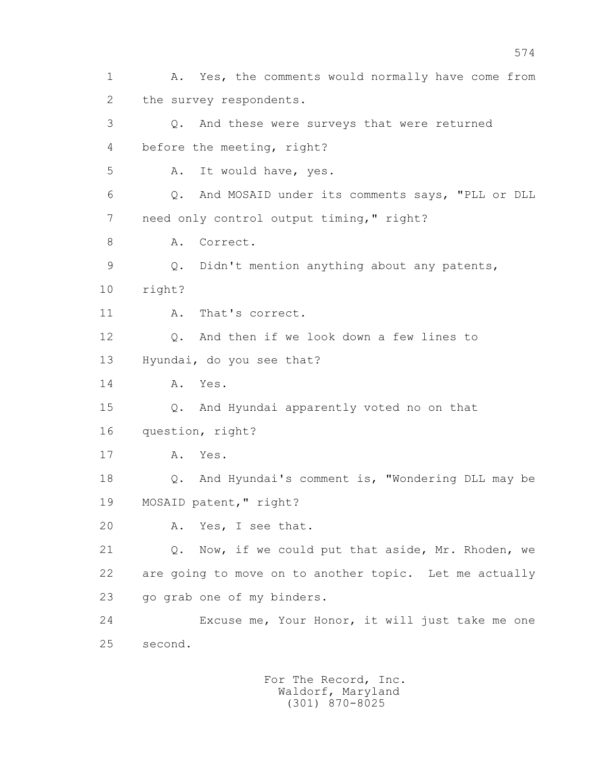1 A. Yes, the comments would normally have come from 2 the survey respondents. 3 Q. And these were surveys that were returned 4 before the meeting, right? 5 A. It would have, yes. 6 Q. And MOSAID under its comments says, "PLL or DLL 7 need only control output timing," right? 8 A. Correct. 9 Q. Didn't mention anything about any patents, 10 right? 11 A. That's correct. 12 Q. And then if we look down a few lines to 13 Hyundai, do you see that? 14 A. Yes. 15 Q. And Hyundai apparently voted no on that 16 question, right? 17 A. Yes. 18 Q. And Hyundai's comment is, "Wondering DLL may be 19 MOSAID patent," right? 20 A. Yes, I see that. 21 Q. Now, if we could put that aside, Mr. Rhoden, we 22 are going to move on to another topic. Let me actually 23 go grab one of my binders. 24 Excuse me, Your Honor, it will just take me one 25 second.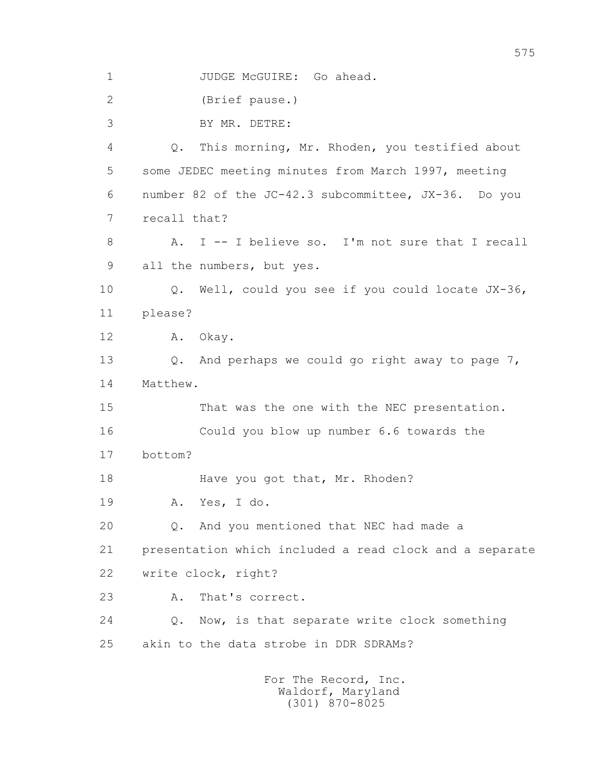1 JUDGE McGUIRE: Go ahead. 2 (Brief pause.) 3 BY MR. DETRE: 4 Q. This morning, Mr. Rhoden, you testified about 5 some JEDEC meeting minutes from March 1997, meeting 6 number 82 of the JC-42.3 subcommittee, JX-36. Do you 7 recall that? 8 A. I -- I believe so. I'm not sure that I recall 9 all the numbers, but yes. 10 Q. Well, could you see if you could locate JX-36, 11 please? 12 A. Okay. 13 Q. And perhaps we could go right away to page 7, 14 Matthew. 15 That was the one with the NEC presentation. 16 Could you blow up number 6.6 towards the 17 bottom? 18 Have you got that, Mr. Rhoden? 19 A. Yes, I do. 20 Q. And you mentioned that NEC had made a 21 presentation which included a read clock and a separate 22 write clock, right? 23 A. That's correct. 24 Q. Now, is that separate write clock something 25 akin to the data strobe in DDR SDRAMs?

 For The Record, Inc. Waldorf, Maryland (301) 870-8025

575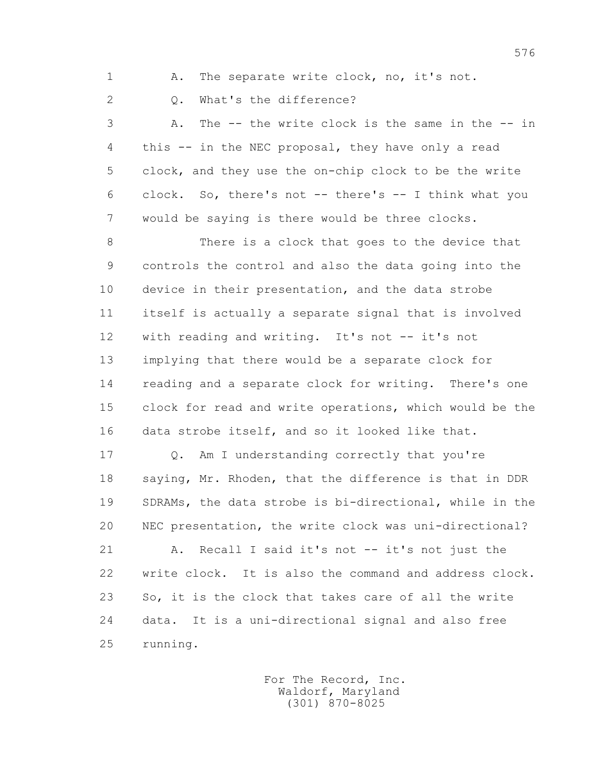1 A. The separate write clock, no, it's not.

2 0. What's the difference?

 3 A. The -- the write clock is the same in the -- in 4 this -- in the NEC proposal, they have only a read 5 clock, and they use the on-chip clock to be the write 6 clock. So, there's not -- there's -- I think what you 7 would be saying is there would be three clocks.

 8 There is a clock that goes to the device that 9 controls the control and also the data going into the 10 device in their presentation, and the data strobe 11 itself is actually a separate signal that is involved 12 with reading and writing. It's not -- it's not 13 implying that there would be a separate clock for 14 reading and a separate clock for writing. There's one 15 clock for read and write operations, which would be the 16 data strobe itself, and so it looked like that.

17 Q. Am I understanding correctly that you're 18 saying, Mr. Rhoden, that the difference is that in DDR 19 SDRAMs, the data strobe is bi-directional, while in the 20 NEC presentation, the write clock was uni-directional?

 21 A. Recall I said it's not -- it's not just the 22 write clock. It is also the command and address clock. 23 So, it is the clock that takes care of all the write 24 data. It is a uni-directional signal and also free 25 running.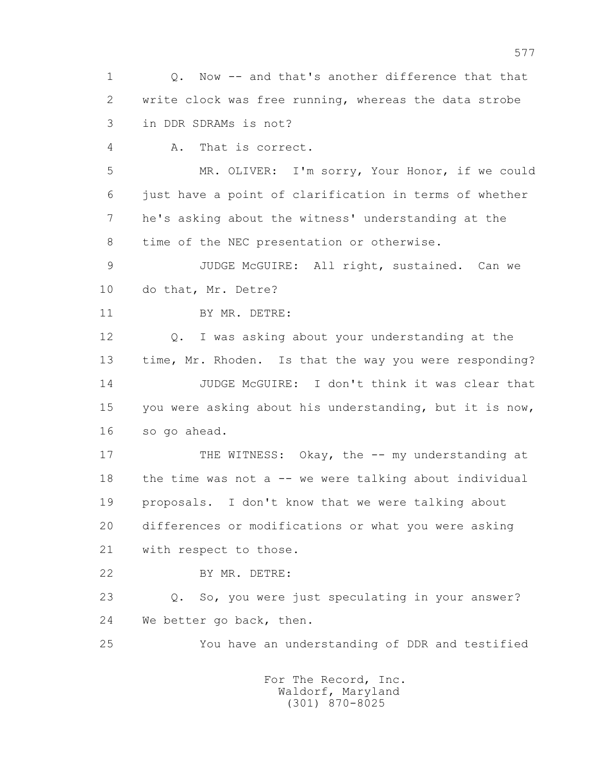1 Q. Now -- and that's another difference that that 2 write clock was free running, whereas the data strobe 3 in DDR SDRAMs is not?

4 A. That is correct.

 5 MR. OLIVER: I'm sorry, Your Honor, if we could 6 just have a point of clarification in terms of whether 7 he's asking about the witness' understanding at the 8 time of the NEC presentation or otherwise.

 9 JUDGE McGUIRE: All right, sustained. Can we 10 do that, Mr. Detre?

11 BY MR. DETRE:

 12 Q. I was asking about your understanding at the 13 time, Mr. Rhoden. Is that the way you were responding? 14 JUDGE McGUIRE: I don't think it was clear that 15 you were asking about his understanding, but it is now, 16 so go ahead.

17 THE WITNESS: Okay, the -- my understanding at 18 the time was not a -- we were talking about individual 19 proposals. I don't know that we were talking about 20 differences or modifications or what you were asking 21 with respect to those.

22 BY MR. DETRE:

 23 Q. So, you were just speculating in your answer? 24 We better go back, then.

25 You have an understanding of DDR and testified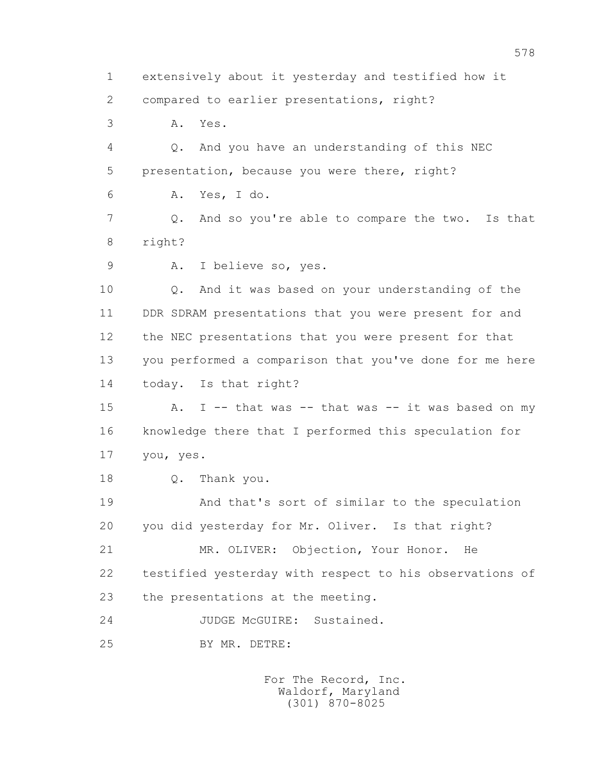1 extensively about it yesterday and testified how it 2 compared to earlier presentations, right? 3 A. Yes. 4 Q. And you have an understanding of this NEC 5 presentation, because you were there, right? 6 A. Yes, I do. 7 Q. And so you're able to compare the two. Is that 8 right? 9 A. I believe so, yes. 10 Q. And it was based on your understanding of the 11 DDR SDRAM presentations that you were present for and 12 the NEC presentations that you were present for that 13 you performed a comparison that you've done for me here 14 today. Is that right? 15 A. I -- that was -- that was -- it was based on my 16 knowledge there that I performed this speculation for 17 you, yes. 18 Q. Thank you. 19 And that's sort of similar to the speculation 20 you did yesterday for Mr. Oliver. Is that right? 21 MR. OLIVER: Objection, Your Honor. He 22 testified yesterday with respect to his observations of 23 the presentations at the meeting. 24 JUDGE McGUIRE: Sustained. 25 BY MR. DETRE: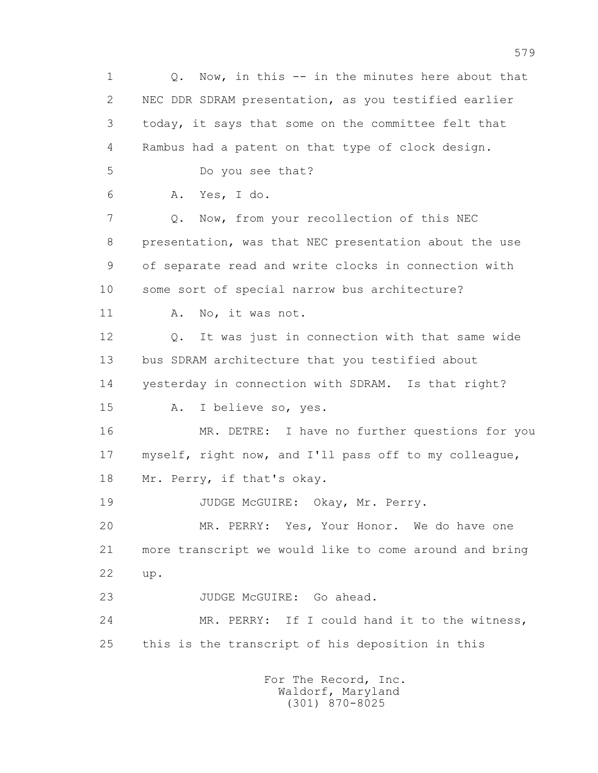1 Q. Now, in this -- in the minutes here about that 2 NEC DDR SDRAM presentation, as you testified earlier 3 today, it says that some on the committee felt that 4 Rambus had a patent on that type of clock design. 5 Do you see that? 6 A. Yes, I do. 7 Q. Now, from your recollection of this NEC 8 presentation, was that NEC presentation about the use 9 of separate read and write clocks in connection with 10 some sort of special narrow bus architecture? 11 A. No, it was not. 12 Q. It was just in connection with that same wide 13 bus SDRAM architecture that you testified about 14 yesterday in connection with SDRAM. Is that right? 15 A. I believe so, yes. 16 MR. DETRE: I have no further questions for you 17 myself, right now, and I'll pass off to my colleague, 18 Mr. Perry, if that's okay. 19 JUDGE McGUIRE: Okay, Mr. Perry. 20 MR. PERRY: Yes, Your Honor. We do have one 21 more transcript we would like to come around and bring 22 up. 23 JUDGE McGUIRE: Go ahead. 24 MR. PERRY: If I could hand it to the witness, 25 this is the transcript of his deposition in this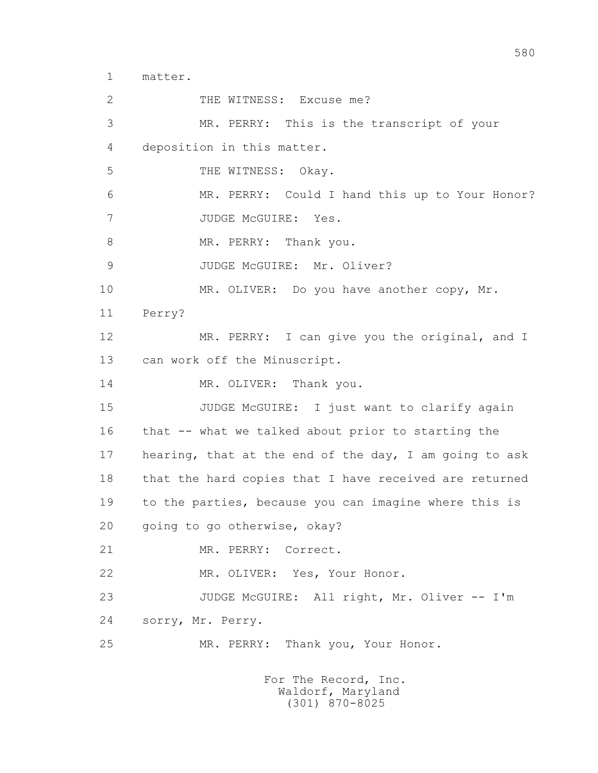1 matter.

2 THE WITNESS: Excuse me? 3 MR. PERRY: This is the transcript of your 4 deposition in this matter. 5 THE WITNESS: Okay. 6 MR. PERRY: Could I hand this up to Your Honor? 7 JUDGE McGUIRE: Yes. 8 MR. PERRY: Thank you. 9 JUDGE McGUIRE: Mr. Oliver? 10 MR. OLIVER: Do you have another copy, Mr. 11 Perry? 12 MR. PERRY: I can give you the original, and I 13 can work off the Minuscript. 14 MR. OLIVER: Thank you. 15 JUDGE McGUIRE: I just want to clarify again 16 that -- what we talked about prior to starting the 17 hearing, that at the end of the day, I am going to ask 18 that the hard copies that I have received are returned 19 to the parties, because you can imagine where this is 20 going to go otherwise, okay? 21 MR. PERRY: Correct. 22 MR. OLIVER: Yes, Your Honor. 23 JUDGE McGUIRE: All right, Mr. Oliver -- I'm 24 sorry, Mr. Perry. 25 MR. PERRY: Thank you, Your Honor. For The Record, Inc.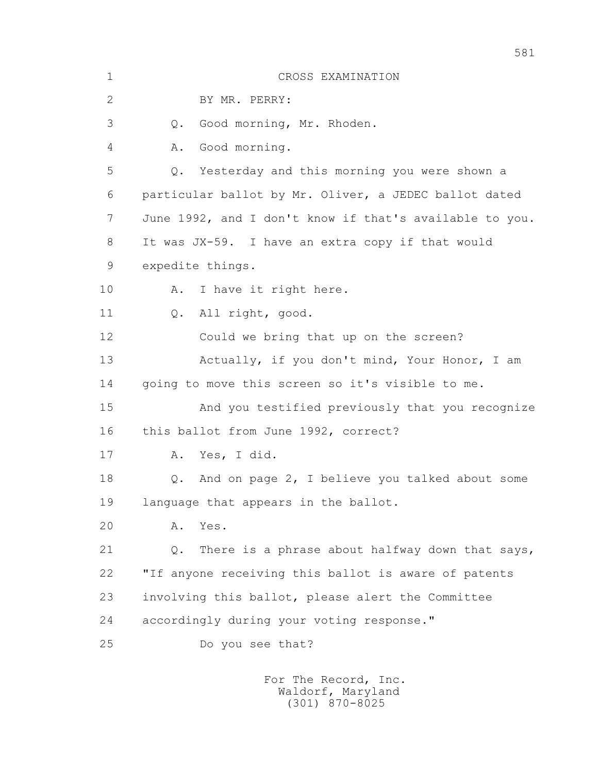| $1\,$        | CROSS EXAMINATION                                       |
|--------------|---------------------------------------------------------|
| $\mathbf{2}$ | BY MR. PERRY:                                           |
| 3            | Good morning, Mr. Rhoden.<br>Q.                         |
| 4            | Good morning.<br>Α.                                     |
| 5            | Yesterday and this morning you were shown a<br>Q.       |
| 6            | particular ballot by Mr. Oliver, a JEDEC ballot dated   |
| 7            | June 1992, and I don't know if that's available to you. |
| 8            | It was JX-59. I have an extra copy if that would        |
| 9            | expedite things.                                        |
| 10           | I have it right here.<br>Α.                             |
| 11           | All right, good.<br>Q.                                  |
| 12           | Could we bring that up on the screen?                   |
| 13           | Actually, if you don't mind, Your Honor, I am           |
| 14           | going to move this screen so it's visible to me.        |
| 15           | And you testified previously that you recognize         |
| 16           | this ballot from June 1992, correct?                    |
| 17           | Yes, I did.<br>Α.                                       |
| 18           | And on page 2, I believe you talked about some<br>Q.    |
| 19           | language that appears in the ballot.                    |
| 20           | Α.<br>Yes.                                              |
| 21           | There is a phrase about halfway down that says,<br>Q.   |
| 22           | "If anyone receiving this ballot is aware of patents    |
| 23           | involving this ballot, please alert the Committee       |
| 24           | accordingly during your voting response."               |
| 25           | Do you see that?                                        |
|              | For The Record, Inc.                                    |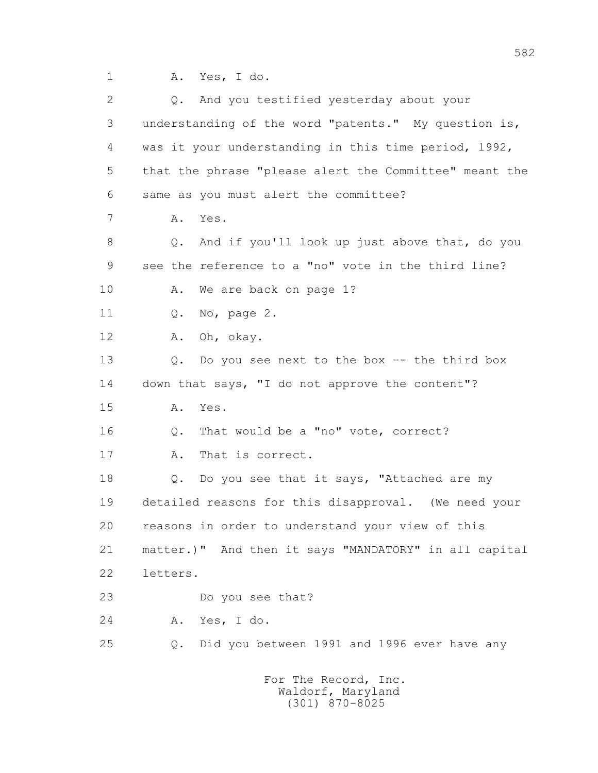1 A. Yes, I do.

| $\overline{2}$ | And you testified yesterday about your<br>Q.           |
|----------------|--------------------------------------------------------|
| 3              | understanding of the word "patents." My question is,   |
| 4              | was it your understanding in this time period, 1992,   |
| 5              | that the phrase "please alert the Committee" meant the |
| 6              | same as you must alert the committee?                  |
| 7              | Yes.<br>Α.                                             |
| 8              | And if you'll look up just above that, do you<br>Q.    |
| 9              | see the reference to a "no" vote in the third line?    |
| 10             | We are back on page 1?<br>Α.                           |
| 11             | No, page 2.<br>Q.                                      |
| 12             | Oh, okay.<br>Α.                                        |
| 13             | Do you see next to the box -- the third box<br>Q.      |
| 14             | down that says, "I do not approve the content"?        |
| 15             | Α.<br>Yes.                                             |
| 16             | That would be a "no" vote, correct?<br>$Q$ .           |
| 17             | That is correct.<br>Α.                                 |
| 18             | Do you see that it says, "Attached are my<br>Q.        |
| 19             | detailed reasons for this disapproval. (We need your   |
| 20             | reasons in order to understand your view of this       |
| 21             | matter.)" And then it says "MANDATORY" in all capital  |
| 22             | letters.                                               |
| 23             | Do you see that?                                       |
| 24             | A. Yes, I do.                                          |
| 25             | Did you between 1991 and 1996 ever have any<br>Q.      |
|                | For The Record, Inc.                                   |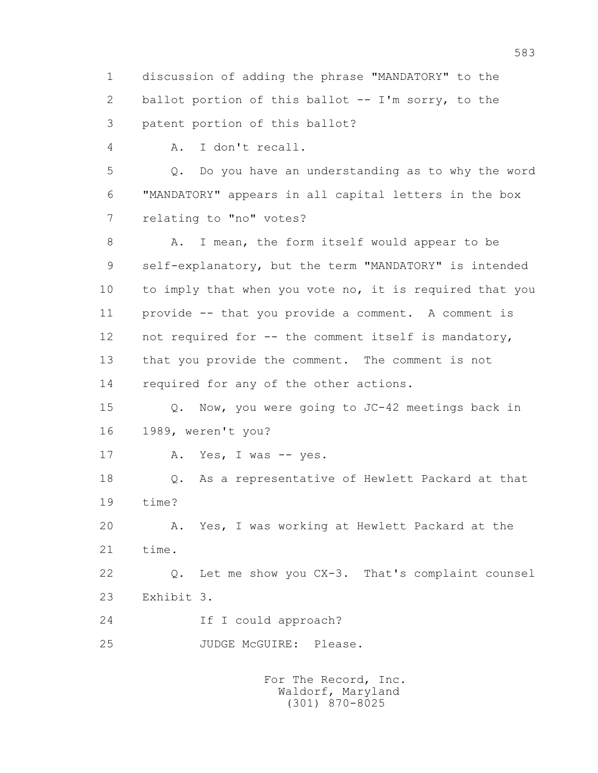1 discussion of adding the phrase "MANDATORY" to the 2 ballot portion of this ballot -- I'm sorry, to the 3 patent portion of this ballot?

4 A. I don't recall.

 5 Q. Do you have an understanding as to why the word 6 "MANDATORY" appears in all capital letters in the box 7 relating to "no" votes?

 8 A. I mean, the form itself would appear to be 9 self-explanatory, but the term "MANDATORY" is intended 10 to imply that when you vote no, it is required that you 11 provide -- that you provide a comment. A comment is 12 not required for -- the comment itself is mandatory, 13 that you provide the comment. The comment is not 14 required for any of the other actions.

 15 Q. Now, you were going to JC-42 meetings back in 16 1989, weren't you?

17 A. Yes, I was -- yes.

 18 Q. As a representative of Hewlett Packard at that 19 time?

 20 A. Yes, I was working at Hewlett Packard at the 21 time.

 22 Q. Let me show you CX-3. That's complaint counsel 23 Exhibit 3.

24 If I could approach?

25 JUDGE McGUIRE: Please.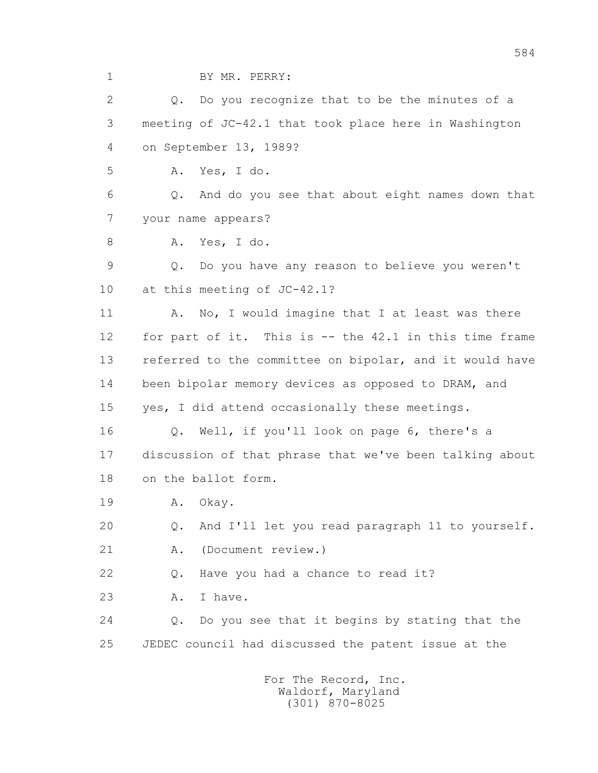1 BY MR. PERRY:

2 0. Do you recognize that to be the minutes of a 3 meeting of JC-42.1 that took place here in Washington 4 on September 13, 1989?

5 A. Yes, I do.

 6 Q. And do you see that about eight names down that 7 your name appears?

8 A. Yes, I do.

 9 Q. Do you have any reason to believe you weren't 10 at this meeting of JC-42.1?

11 A. No, I would imagine that I at least was there 12 for part of it. This is -- the 42.1 in this time frame 13 referred to the committee on bipolar, and it would have 14 been bipolar memory devices as opposed to DRAM, and 15 yes, I did attend occasionally these meetings.

 16 Q. Well, if you'll look on page 6, there's a 17 discussion of that phrase that we've been talking about 18 on the ballot form.

19 A. Okay.

20 Q. And I'll let you read paragraph 11 to yourself.

21 A. (Document review.)

22 Q. Have you had a chance to read it?

23 A. I have.

 24 Q. Do you see that it begins by stating that the 25 JEDEC council had discussed the patent issue at the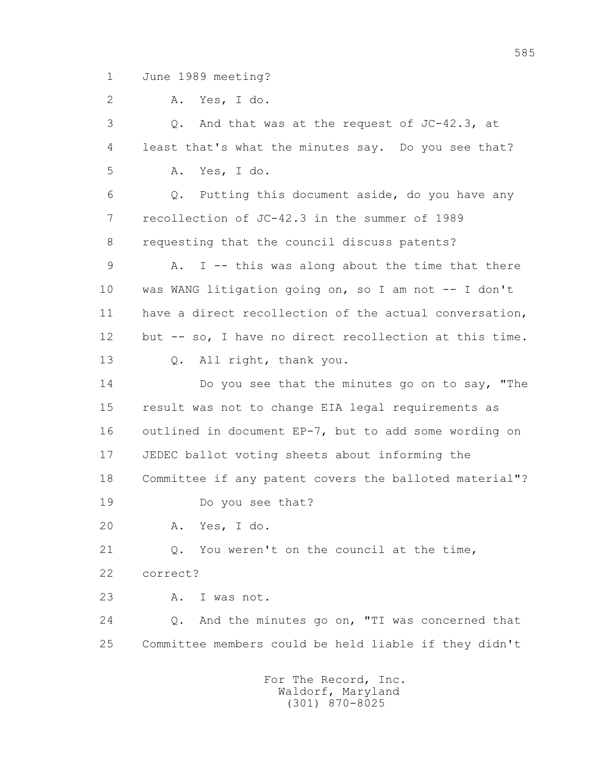1 June 1989 meeting?

2 A. Yes, I do.

 3 Q. And that was at the request of JC-42.3, at 4 least that's what the minutes say. Do you see that? 5 A. Yes, I do. 6 Q. Putting this document aside, do you have any 7 recollection of JC-42.3 in the summer of 1989 8 requesting that the council discuss patents? 9 A. I -- this was along about the time that there 10 was WANG litigation going on, so I am not -- I don't 11 have a direct recollection of the actual conversation, 12 but -- so, I have no direct recollection at this time. 13 Q. All right, thank you. 14 Do you see that the minutes go on to say, "The 15 result was not to change EIA legal requirements as 16 outlined in document EP-7, but to add some wording on 17 JEDEC ballot voting sheets about informing the 18 Committee if any patent covers the balloted material"? 19 Do you see that? 20 A. Yes, I do. 21 Q. You weren't on the council at the time, 22 correct? 23 A. I was not. 24 Q. And the minutes go on, "TI was concerned that 25 Committee members could be held liable if they didn't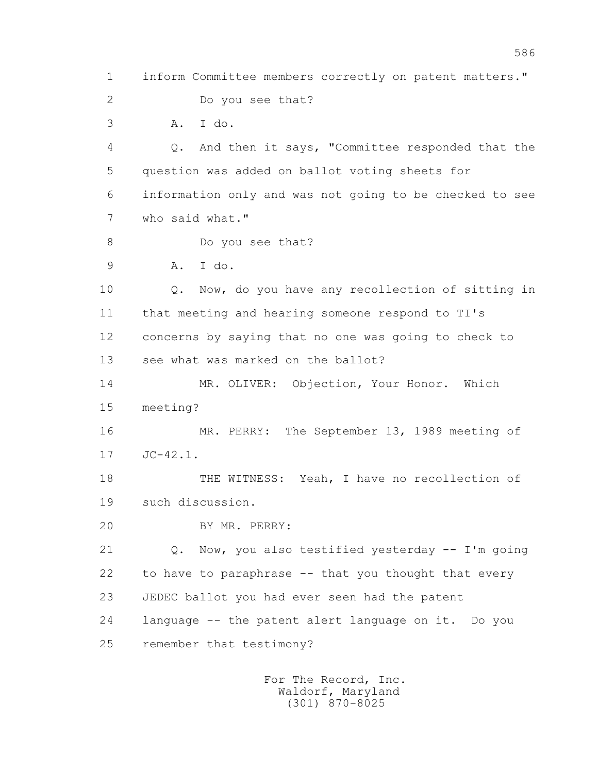1 inform Committee members correctly on patent matters." 2 Do you see that? 3 A. I do. 4 Q. And then it says, "Committee responded that the 5 question was added on ballot voting sheets for 6 information only and was not going to be checked to see 7 who said what." 8 Do you see that? 9 A. I do. 10 Q. Now, do you have any recollection of sitting in 11 that meeting and hearing someone respond to TI's 12 concerns by saying that no one was going to check to 13 see what was marked on the ballot? 14 MR. OLIVER: Objection, Your Honor. Which 15 meeting? 16 MR. PERRY: The September 13, 1989 meeting of 17 JC-42.1. 18 THE WITNESS: Yeah, I have no recollection of 19 such discussion. 20 BY MR. PERRY: 21 Q. Now, you also testified yesterday -- I'm going 22 to have to paraphrase -- that you thought that every 23 JEDEC ballot you had ever seen had the patent 24 language -- the patent alert language on it. Do you 25 remember that testimony?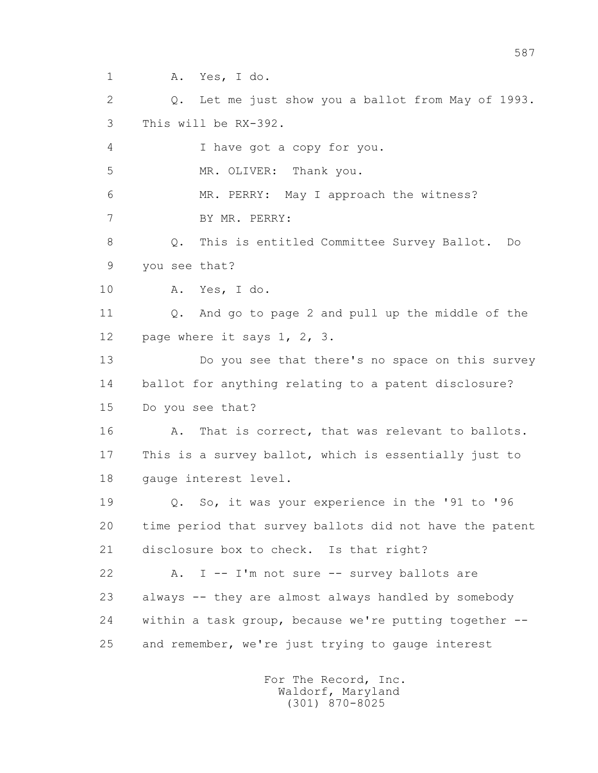1 A. Yes, I do.

 2 Q. Let me just show you a ballot from May of 1993. 3 This will be RX-392.

4 I have got a copy for you.

5 MR. OLIVER: Thank you.

 6 MR. PERRY: May I approach the witness? 7 BY MR. PERRY:

 8 Q. This is entitled Committee Survey Ballot. Do 9 you see that?

10 A. Yes, I do.

 11 Q. And go to page 2 and pull up the middle of the 12 page where it says 1, 2, 3.

 13 Do you see that there's no space on this survey 14 ballot for anything relating to a patent disclosure? 15 Do you see that?

16 A. That is correct, that was relevant to ballots. 17 This is a survey ballot, which is essentially just to 18 gauge interest level.

 19 Q. So, it was your experience in the '91 to '96 20 time period that survey ballots did not have the patent 21 disclosure box to check. Is that right?

 22 A. I -- I'm not sure -- survey ballots are 23 always -- they are almost always handled by somebody 24 within a task group, because we're putting together -- 25 and remember, we're just trying to gauge interest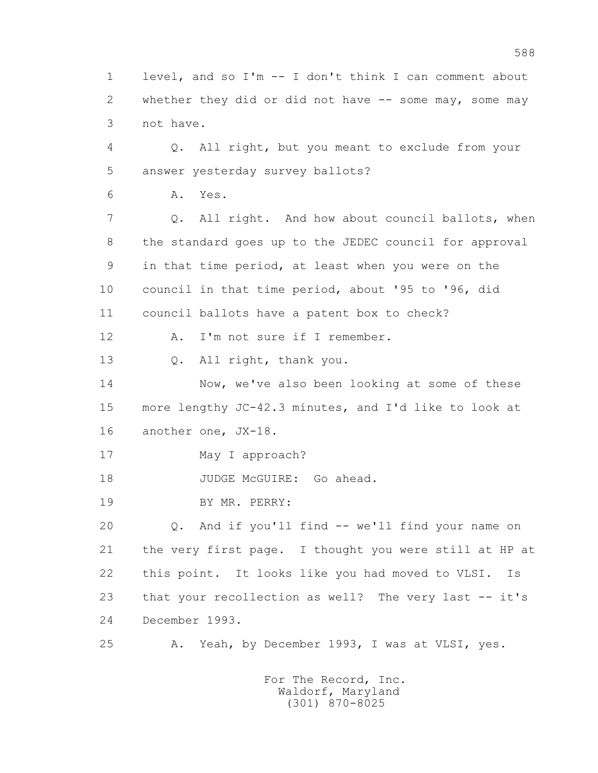1 level, and so I'm -- I don't think I can comment about 2 whether they did or did not have -- some may, some may 3 not have.

 4 Q. All right, but you meant to exclude from your 5 answer yesterday survey ballots?

6 A. Yes.

 7 Q. All right. And how about council ballots, when 8 the standard goes up to the JEDEC council for approval 9 in that time period, at least when you were on the 10 council in that time period, about '95 to '96, did 11 council ballots have a patent box to check?

12 A. I'm not sure if I remember.

13 Q. All right, thank you.

 14 Now, we've also been looking at some of these 15 more lengthy JC-42.3 minutes, and I'd like to look at 16 another one, JX-18.

17 May I approach?

18 JUDGE McGUIRE: Go ahead.

19 BY MR. PERRY:

 20 Q. And if you'll find -- we'll find your name on 21 the very first page. I thought you were still at HP at 22 this point. It looks like you had moved to VLSI. Is 23 that your recollection as well? The very last -- it's 24 December 1993.

25 A. Yeah, by December 1993, I was at VLSI, yes.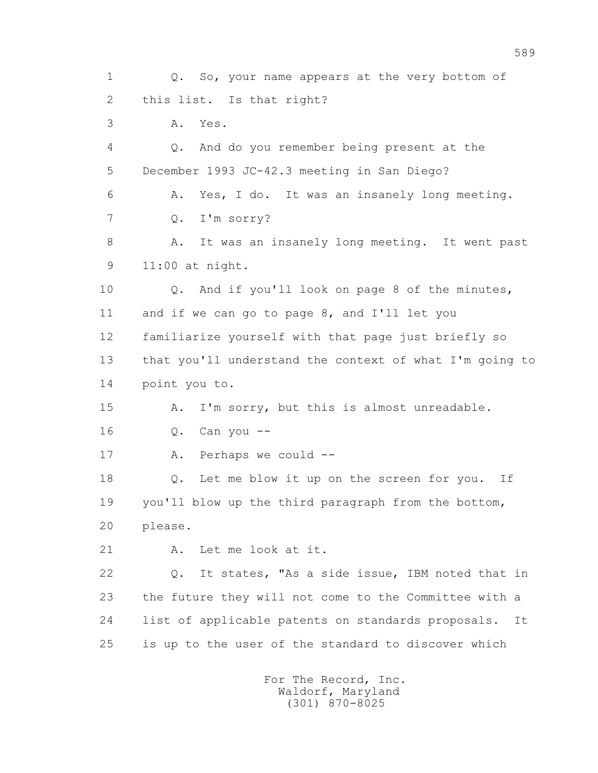1 Q. So, your name appears at the very bottom of 2 this list. Is that right? 3 A. Yes. 4 Q. And do you remember being present at the 5 December 1993 JC-42.3 meeting in San Diego? 6 A. Yes, I do. It was an insanely long meeting. 7 Q. I'm sorry? 8 A. It was an insanely long meeting. It went past 9 11:00 at night. 10 Q. And if you'll look on page 8 of the minutes, 11 and if we can go to page 8, and I'll let you 12 familiarize yourself with that page just briefly so 13 that you'll understand the context of what I'm going to 14 point you to. 15 A. I'm sorry, but this is almost unreadable. 16 Q. Can you -- 17 A. Perhaps we could -- 18 Q. Let me blow it up on the screen for you. If 19 you'll blow up the third paragraph from the bottom, 20 please. 21 A. Let me look at it. 22 Q. It states, "As a side issue, IBM noted that in 23 the future they will not come to the Committee with a 24 list of applicable patents on standards proposals. It 25 is up to the user of the standard to discover which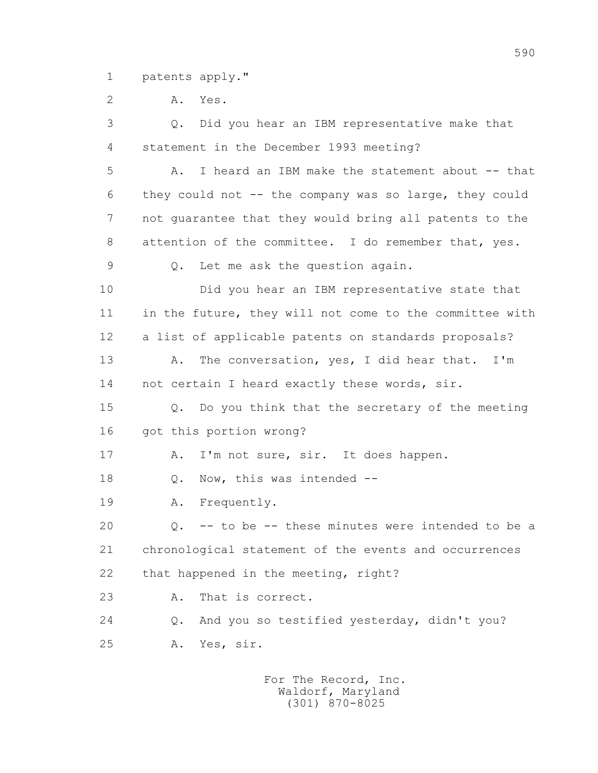1 patents apply."

2 A. Yes.

 3 Q. Did you hear an IBM representative make that 4 statement in the December 1993 meeting? 5 A. I heard an IBM make the statement about -- that 6 they could not -- the company was so large, they could 7 not guarantee that they would bring all patents to the 8 attention of the committee. I do remember that, yes. 9 Q. Let me ask the question again. 10 Did you hear an IBM representative state that 11 in the future, they will not come to the committee with 12 a list of applicable patents on standards proposals? 13 A. The conversation, yes, I did hear that. I'm 14 not certain I heard exactly these words, sir. 15 Q. Do you think that the secretary of the meeting 16 got this portion wrong? 17 A. I'm not sure, sir. It does happen. 18 Q. Now, this was intended -- 19 A. Frequently. 20 Q. -- to be -- these minutes were intended to be a 21 chronological statement of the events and occurrences 22 that happened in the meeting, right? 23 A. That is correct. 24 Q. And you so testified yesterday, didn't you? 25 A. Yes, sir.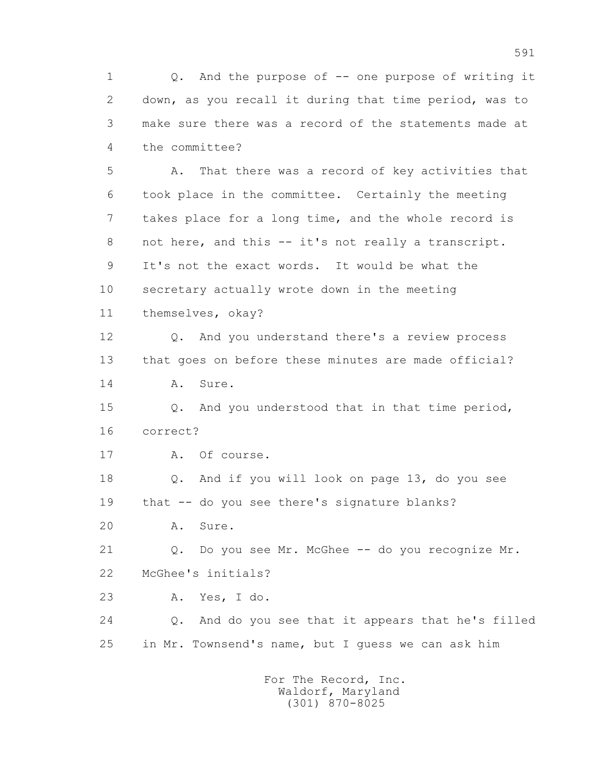1 Q. And the purpose of -- one purpose of writing it 2 down, as you recall it during that time period, was to 3 make sure there was a record of the statements made at 4 the committee?

 5 A. That there was a record of key activities that 6 took place in the committee. Certainly the meeting 7 takes place for a long time, and the whole record is 8 not here, and this -- it's not really a transcript. 9 It's not the exact words. It would be what the 10 secretary actually wrote down in the meeting 11 themselves, okay?

 12 Q. And you understand there's a review process 13 that goes on before these minutes are made official? 14 A. Sure.

 15 Q. And you understood that in that time period, 16 correct?

17 A. Of course.

 18 Q. And if you will look on page 13, do you see 19 that -- do you see there's signature blanks?

20 A. Sure.

21 Q. Do you see Mr. McGhee -- do you recognize Mr. 22 McGhee's initials?

23 A. Yes, I do.

 24 Q. And do you see that it appears that he's filled 25 in Mr. Townsend's name, but I guess we can ask him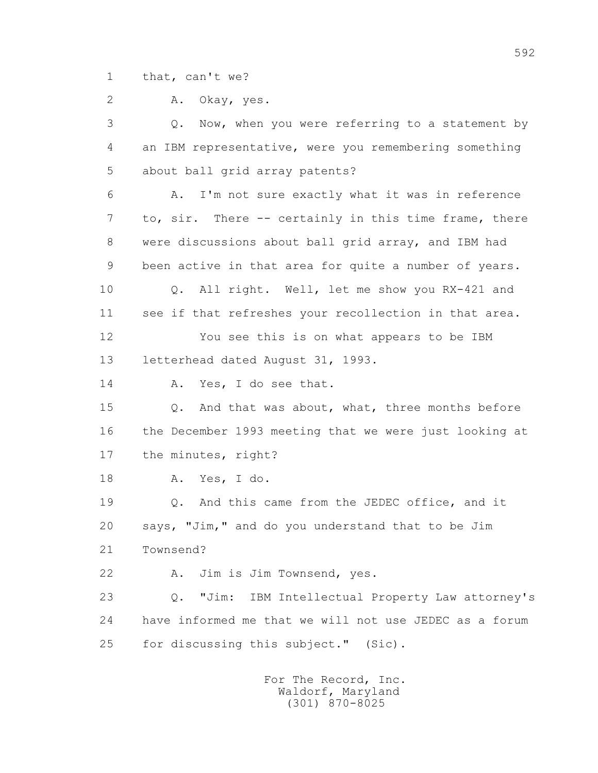1 that, can't we?

2 A. Okay, yes.

 3 Q. Now, when you were referring to a statement by 4 an IBM representative, were you remembering something 5 about ball grid array patents? 6 A. I'm not sure exactly what it was in reference 7 to, sir. There -- certainly in this time frame, there 8 were discussions about ball grid array, and IBM had 9 been active in that area for quite a number of years. 10 Q. All right. Well, let me show you RX-421 and 11 see if that refreshes your recollection in that area. 12 You see this is on what appears to be IBM 13 letterhead dated August 31, 1993. 14 A. Yes, I do see that. 15 Q. And that was about, what, three months before 16 the December 1993 meeting that we were just looking at 17 the minutes, right? 18 A. Yes, I do. 19 Q. And this came from the JEDEC office, and it 20 says, "Jim," and do you understand that to be Jim 21 Townsend? 22 A. Jim is Jim Townsend, yes. 23 Q. "Jim: IBM Intellectual Property Law attorney's 24 have informed me that we will not use JEDEC as a forum 25 for discussing this subject." (Sic).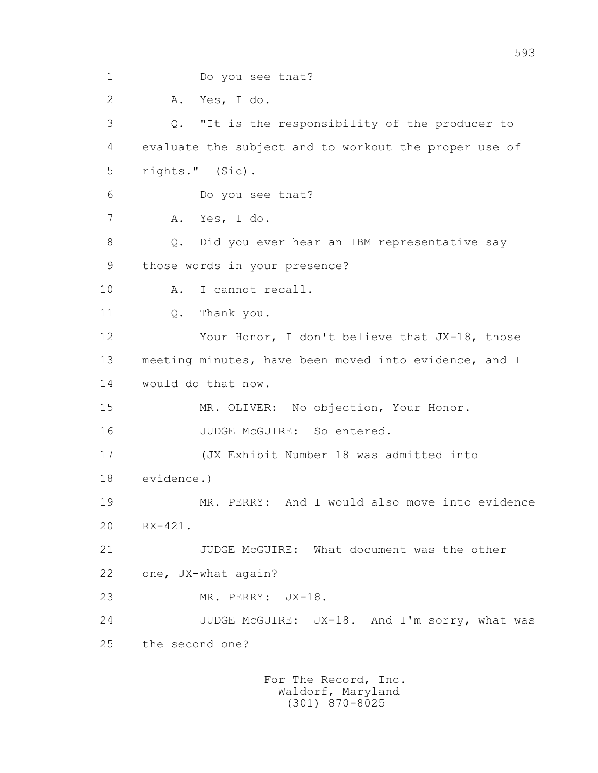1 Do you see that? 2 A. Yes, I do. 3 Q. "It is the responsibility of the producer to 4 evaluate the subject and to workout the proper use of 5 rights." (Sic). 6 Do you see that? 7 A. Yes, I do. 8 Q. Did you ever hear an IBM representative say 9 those words in your presence? 10 A. I cannot recall. 11 0. Thank you. 12 Your Honor, I don't believe that JX-18, those 13 meeting minutes, have been moved into evidence, and I 14 would do that now. 15 MR. OLIVER: No objection, Your Honor. 16 JUDGE McGUIRE: So entered. 17 (JX Exhibit Number 18 was admitted into 18 evidence.) 19 MR. PERRY: And I would also move into evidence 20 RX-421. 21 JUDGE McGUIRE: What document was the other 22 one, JX-what again? 23 MR. PERRY: JX-18. 24 JUDGE McGUIRE: JX-18. And I'm sorry, what was 25 the second one?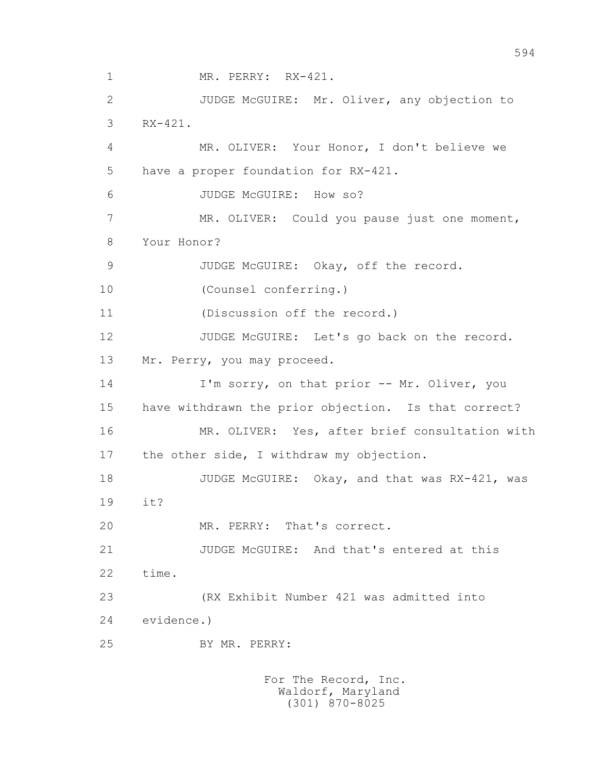1 MR. PERRY: RX-421. 2 JUDGE McGUIRE: Mr. Oliver, any objection to 3 RX-421. 4 MR. OLIVER: Your Honor, I don't believe we 5 have a proper foundation for RX-421. 6 JUDGE McGUIRE: How so? 7 MR. OLIVER: Could you pause just one moment, 8 Your Honor? 9 JUDGE McGUIRE: Okay, off the record. 10 (Counsel conferring.) 11 (Discussion off the record.) 12 JUDGE McGUIRE: Let's go back on the record. 13 Mr. Perry, you may proceed. 14 I'm sorry, on that prior -- Mr. Oliver, you 15 have withdrawn the prior objection. Is that correct? 16 MR. OLIVER: Yes, after brief consultation with 17 the other side, I withdraw my objection. 18 JUDGE McGUIRE: Okay, and that was RX-421, was 19 it? 20 MR. PERRY: That's correct. 21 JUDGE McGUIRE: And that's entered at this 22 time. 23 (RX Exhibit Number 421 was admitted into 24 evidence.) 25 BY MR. PERRY: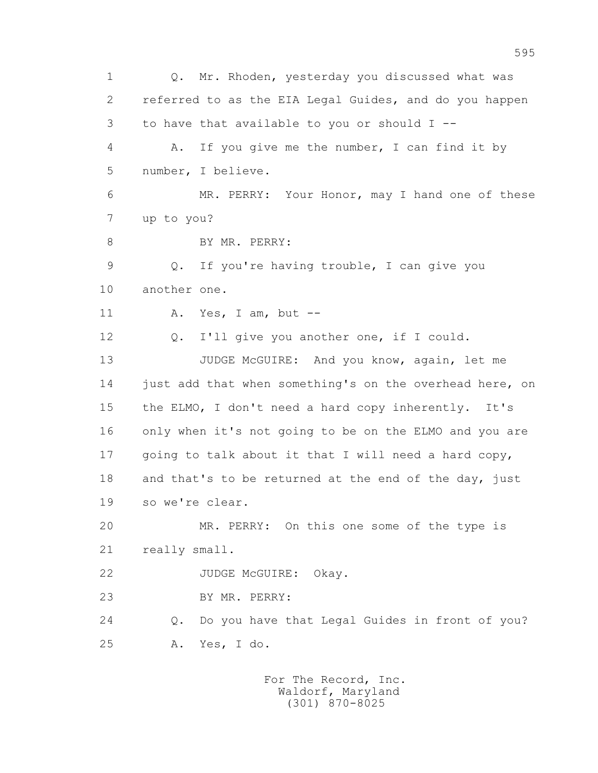1 Q. Mr. Rhoden, yesterday you discussed what was 2 referred to as the EIA Legal Guides, and do you happen 3 to have that available to you or should I -- 4 A. If you give me the number, I can find it by 5 number, I believe. 6 MR. PERRY: Your Honor, may I hand one of these 7 up to you? 8 BY MR. PERRY: 9 Q. If you're having trouble, I can give you 10 another one. 11 A. Yes, I am, but -- 12 Q. I'll give you another one, if I could. 13 JUDGE McGUIRE: And you know, again, let me 14 just add that when something's on the overhead here, on 15 the ELMO, I don't need a hard copy inherently. It's 16 only when it's not going to be on the ELMO and you are 17 going to talk about it that I will need a hard copy, 18 and that's to be returned at the end of the day, just 19 so we're clear. 20 MR. PERRY: On this one some of the type is 21 really small. 22 JUDGE McGUIRE: Okay. 23 BY MR. PERRY: 24 Q. Do you have that Legal Guides in front of you? 25 A. Yes, I do.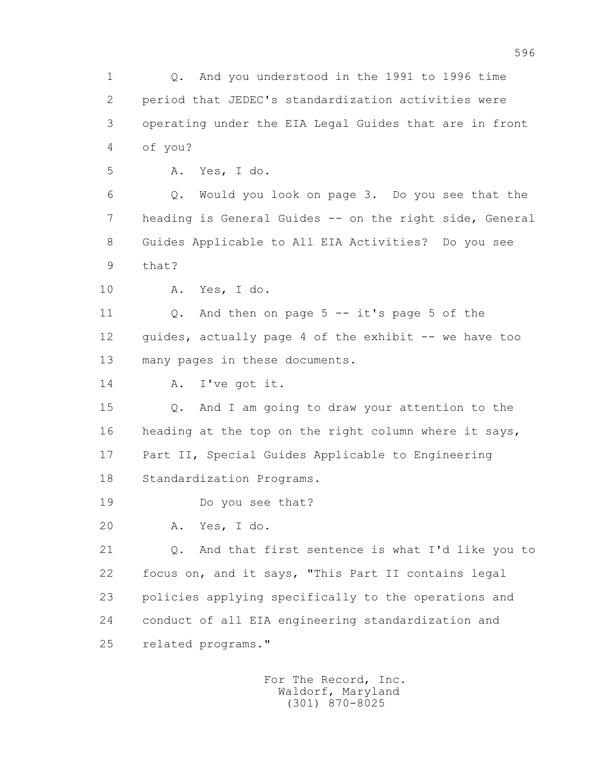1 Q. And you understood in the 1991 to 1996 time 2 period that JEDEC's standardization activities were 3 operating under the EIA Legal Guides that are in front 4 of you?

5 A. Yes, I do.

 6 Q. Would you look on page 3. Do you see that the 7 heading is General Guides -- on the right side, General 8 Guides Applicable to All EIA Activities? Do you see 9 that?

10 A. Yes, I do.

 11 Q. And then on page 5 -- it's page 5 of the 12 guides, actually page 4 of the exhibit -- we have too 13 many pages in these documents.

14 A. I've got it.

 15 Q. And I am going to draw your attention to the 16 heading at the top on the right column where it says, 17 Part II, Special Guides Applicable to Engineering 18 Standardization Programs.

19 Do you see that?

20 A. Yes, I do.

 21 Q. And that first sentence is what I'd like you to 22 focus on, and it says, "This Part II contains legal 23 policies applying specifically to the operations and 24 conduct of all EIA engineering standardization and 25 related programs."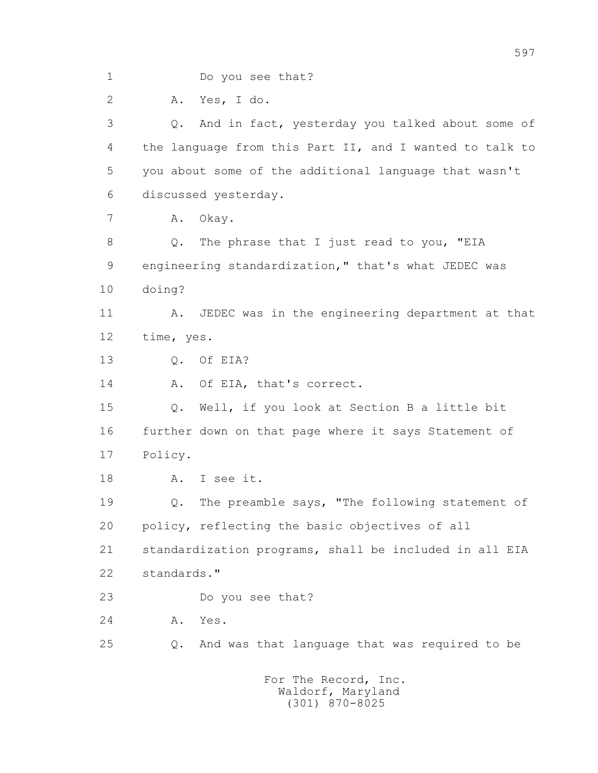1 Do you see that? 2 A. Yes, I do. 3 Q. And in fact, yesterday you talked about some of 4 the language from this Part II, and I wanted to talk to 5 you about some of the additional language that wasn't 6 discussed yesterday. 7 A. Okay. 8 Q. The phrase that I just read to you, "EIA 9 engineering standardization," that's what JEDEC was 10 doing? 11 A. JEDEC was in the engineering department at that 12 time, yes. 13 Q. Of EIA? 14 A. Of EIA, that's correct. 15 Q. Well, if you look at Section B a little bit 16 further down on that page where it says Statement of 17 Policy. 18 A. I see it. 19 Q. The preamble says, "The following statement of 20 policy, reflecting the basic objectives of all 21 standardization programs, shall be included in all EIA 22 standards." 23 Do you see that? 24 A. Yes. 25 Q. And was that language that was required to be For The Record, Inc.

597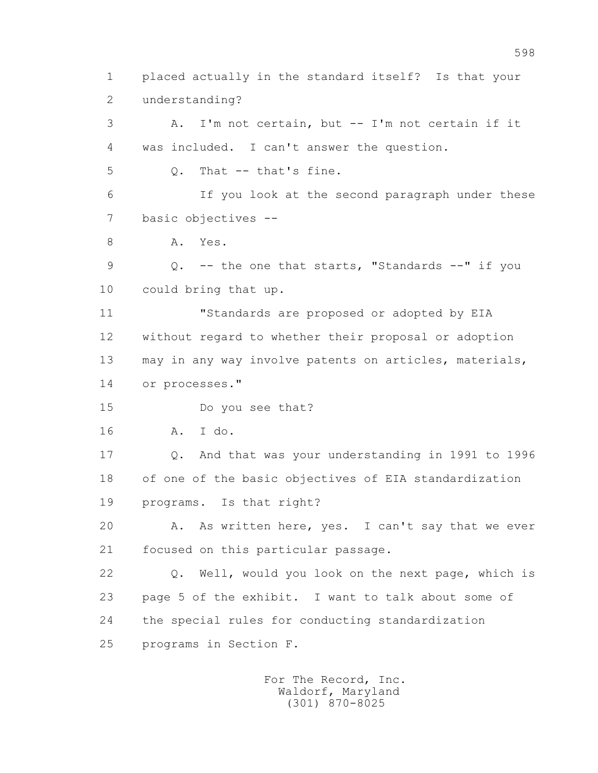1 placed actually in the standard itself? Is that your 2 understanding? 3 A. I'm not certain, but -- I'm not certain if it 4 was included. I can't answer the question. 5 Q. That -- that's fine. 6 If you look at the second paragraph under these 7 basic objectives -- 8 A. Yes. 9 Q. -- the one that starts, "Standards --" if you 10 could bring that up. 11 "Standards are proposed or adopted by EIA 12 without regard to whether their proposal or adoption 13 may in any way involve patents on articles, materials, 14 or processes." 15 Do you see that? 16 A. I do. 17 Q. And that was your understanding in 1991 to 1996 18 of one of the basic objectives of EIA standardization 19 programs. Is that right? 20 A. As written here, yes. I can't say that we ever 21 focused on this particular passage. 22 Q. Well, would you look on the next page, which is 23 page 5 of the exhibit. I want to talk about some of 24 the special rules for conducting standardization 25 programs in Section F.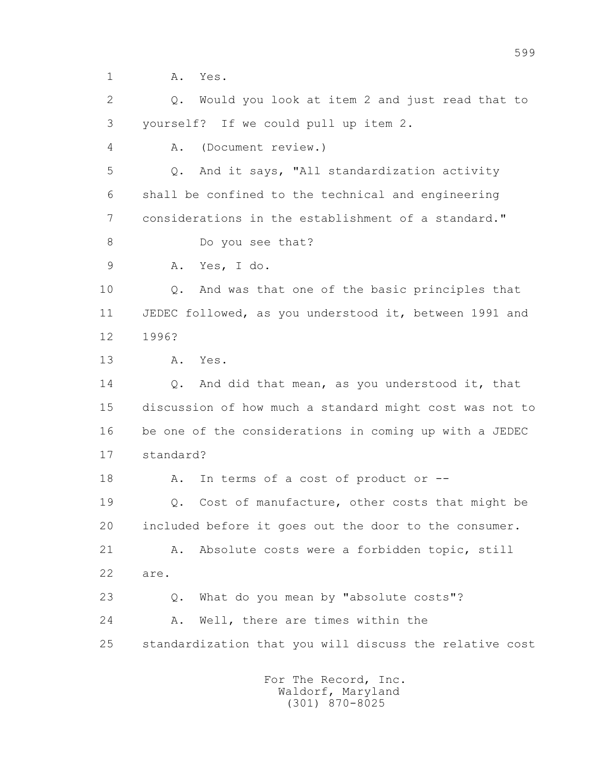1 A. Yes.

 2 Q. Would you look at item 2 and just read that to 3 yourself? If we could pull up item 2.

4 A. (Document review.)

 5 Q. And it says, "All standardization activity 6 shall be confined to the technical and engineering 7 considerations in the establishment of a standard."

8 Do you see that?

9 A. Yes, I do.

 10 Q. And was that one of the basic principles that 11 JEDEC followed, as you understood it, between 1991 and 12 1996?

13 A. Yes.

 14 Q. And did that mean, as you understood it, that 15 discussion of how much a standard might cost was not to 16 be one of the considerations in coming up with a JEDEC 17 standard?

18 A. In terms of a cost of product or --

 19 Q. Cost of manufacture, other costs that might be 20 included before it goes out the door to the consumer.

21 A. Absolute costs were a forbidden topic, still 22 are.

 23 Q. What do you mean by "absolute costs"? 24 A. Well, there are times within the 25 standardization that you will discuss the relative cost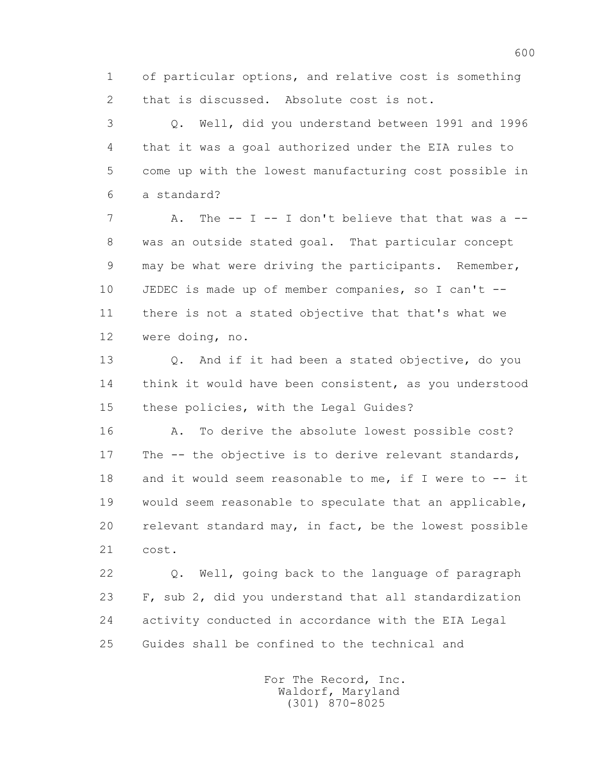1 of particular options, and relative cost is something 2 that is discussed. Absolute cost is not.

 3 Q. Well, did you understand between 1991 and 1996 4 that it was a goal authorized under the EIA rules to 5 come up with the lowest manufacturing cost possible in 6 a standard?

7 A. The -- I -- I don't believe that that was a -- 8 was an outside stated goal. That particular concept 9 may be what were driving the participants. Remember, 10 JEDEC is made up of member companies, so I can't -- 11 there is not a stated objective that that's what we 12 were doing, no.

 13 Q. And if it had been a stated objective, do you 14 think it would have been consistent, as you understood 15 these policies, with the Legal Guides?

16 A. To derive the absolute lowest possible cost? 17 The -- the objective is to derive relevant standards, 18 and it would seem reasonable to me, if I were to -- it 19 would seem reasonable to speculate that an applicable, 20 relevant standard may, in fact, be the lowest possible 21 cost.

 22 Q. Well, going back to the language of paragraph 23 F, sub 2, did you understand that all standardization 24 activity conducted in accordance with the EIA Legal 25 Guides shall be confined to the technical and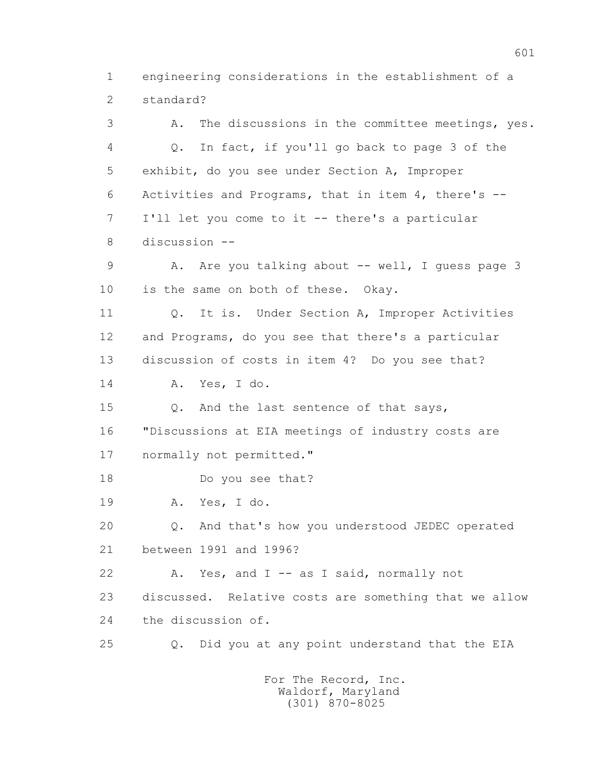1 engineering considerations in the establishment of a 2 standard?

 3 A. The discussions in the committee meetings, yes. 4 Q. In fact, if you'll go back to page 3 of the 5 exhibit, do you see under Section A, Improper 6 Activities and Programs, that in item 4, there's -- 7 I'll let you come to it -- there's a particular 8 discussion -- 9 A. Are you talking about -- well, I guess page 3 10 is the same on both of these. Okay. 11 Q. It is. Under Section A, Improper Activities 12 and Programs, do you see that there's a particular 13 discussion of costs in item 4? Do you see that? 14 A. Yes, I do. 15 Q. And the last sentence of that says, 16 "Discussions at EIA meetings of industry costs are 17 normally not permitted." 18 Do you see that? 19 A. Yes, I do. 20 Q. And that's how you understood JEDEC operated 21 between 1991 and 1996? 22 A. Yes, and I -- as I said, normally not 23 discussed. Relative costs are something that we allow 24 the discussion of. 25 Q. Did you at any point understand that the EIA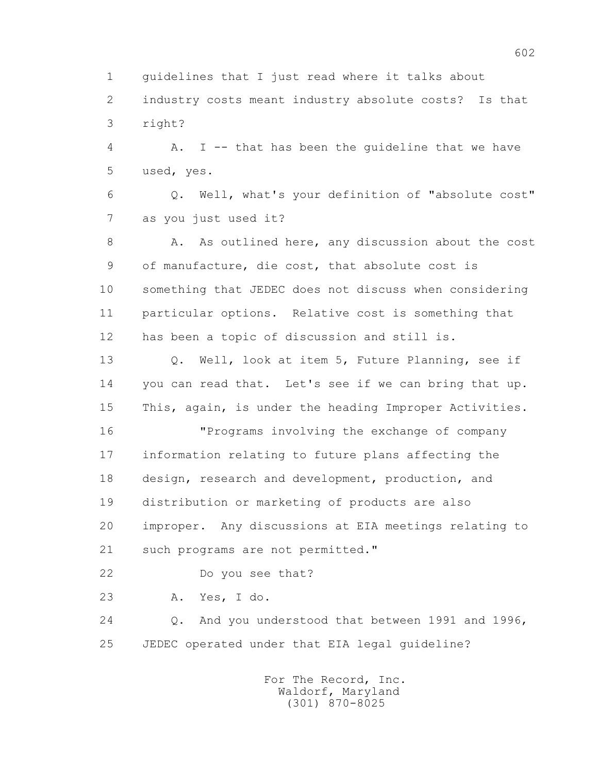1 guidelines that I just read where it talks about

 2 industry costs meant industry absolute costs? Is that 3 right?

 4 A. I -- that has been the guideline that we have 5 used, yes.

 6 Q. Well, what's your definition of "absolute cost" 7 as you just used it?

8 A. As outlined here, any discussion about the cost 9 of manufacture, die cost, that absolute cost is 10 something that JEDEC does not discuss when considering 11 particular options. Relative cost is something that 12 has been a topic of discussion and still is.

 13 Q. Well, look at item 5, Future Planning, see if 14 you can read that. Let's see if we can bring that up. 15 This, again, is under the heading Improper Activities.

 16 "Programs involving the exchange of company 17 information relating to future plans affecting the 18 design, research and development, production, and 19 distribution or marketing of products are also 20 improper. Any discussions at EIA meetings relating to 21 such programs are not permitted."

22 Do you see that?

23 A. Yes, I do.

 24 Q. And you understood that between 1991 and 1996, 25 JEDEC operated under that EIA legal guideline?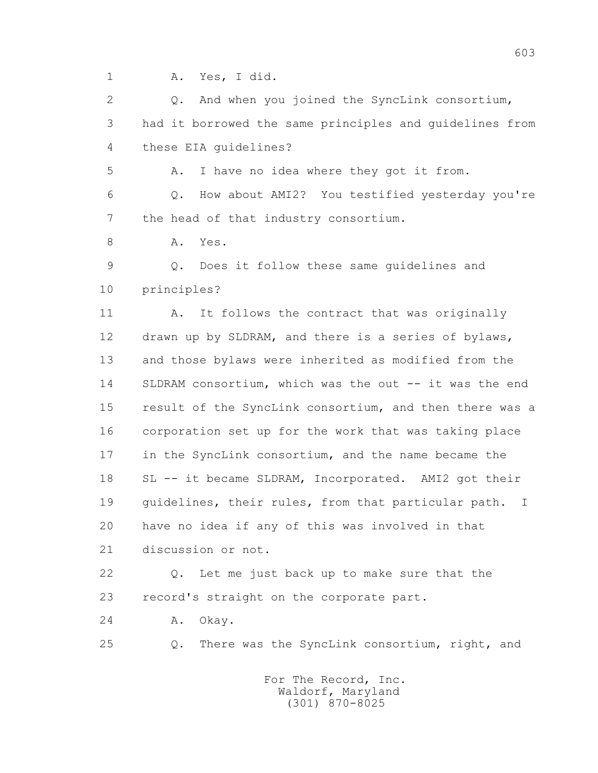1 A. Yes, I did.

 2 Q. And when you joined the SyncLink consortium, 3 had it borrowed the same principles and guidelines from 4 these EIA guidelines?

5 A. I have no idea where they got it from.

 6 Q. How about AMI2? You testified yesterday you're 7 the head of that industry consortium.

8 A. Yes.

 9 Q. Does it follow these same guidelines and 10 principles?

11 A. It follows the contract that was originally 12 drawn up by SLDRAM, and there is a series of bylaws, 13 and those bylaws were inherited as modified from the 14 SLDRAM consortium, which was the out -- it was the end 15 result of the SyncLink consortium, and then there was a 16 corporation set up for the work that was taking place 17 in the SyncLink consortium, and the name became the 18 SL -- it became SLDRAM, Incorporated. AMI2 got their 19 guidelines, their rules, from that particular path. I 20 have no idea if any of this was involved in that 21 discussion or not.

 22 Q. Let me just back up to make sure that the 23 record's straight on the corporate part.

24 A. Okay.

25 Q. There was the SyncLink consortium, right, and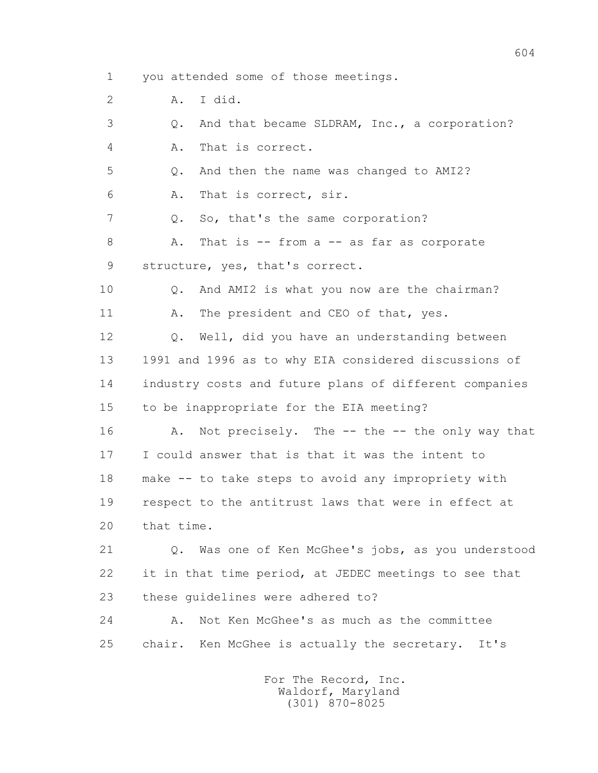1 you attended some of those meetings.

2 A. I did.

 3 Q. And that became SLDRAM, Inc., a corporation? 4 A. That is correct. 5 Q. And then the name was changed to AMI2? 6 A. That is correct, sir. 7 Q. So, that's the same corporation? 8 A. That is -- from a -- as far as corporate 9 structure, yes, that's correct. 10 Q. And AMI2 is what you now are the chairman? 11 A. The president and CEO of that, yes. 12 Q. Well, did you have an understanding between 13 1991 and 1996 as to why EIA considered discussions of 14 industry costs and future plans of different companies 15 to be inappropriate for the EIA meeting? 16 A. Not precisely. The -- the -- the only way that 17 I could answer that is that it was the intent to 18 make -- to take steps to avoid any impropriety with 19 respect to the antitrust laws that were in effect at 20 that time. 21 Q. Was one of Ken McGhee's jobs, as you understood 22 it in that time period, at JEDEC meetings to see that 23 these guidelines were adhered to? 24 A. Not Ken McGhee's as much as the committee

> For The Record, Inc. Waldorf, Maryland (301) 870-8025

25 chair. Ken McGhee is actually the secretary. It's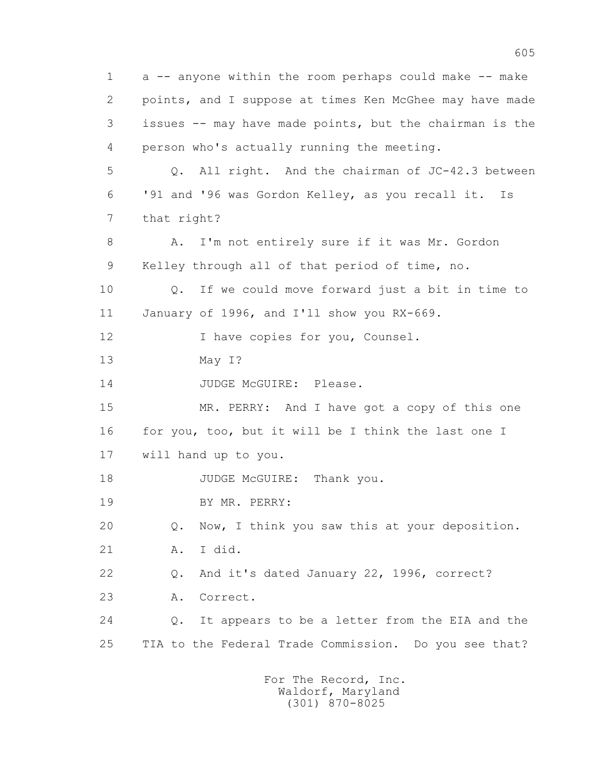1 a -- anyone within the room perhaps could make -- make 2 points, and I suppose at times Ken McGhee may have made 3 issues -- may have made points, but the chairman is the 4 person who's actually running the meeting. 5 Q. All right. And the chairman of JC-42.3 between 6 '91 and '96 was Gordon Kelley, as you recall it. Is 7 that right? 8 A. I'm not entirely sure if it was Mr. Gordon 9 Kelley through all of that period of time, no. 10 Q. If we could move forward just a bit in time to 11 January of 1996, and I'll show you RX-669. 12 I have copies for you, Counsel. 13 May I? 14 JUDGE McGUIRE: Please. 15 MR. PERRY: And I have got a copy of this one 16 for you, too, but it will be I think the last one I 17 will hand up to you. 18 JUDGE McGUIRE: Thank you. 19 BY MR. PERRY: 20 Q. Now, I think you saw this at your deposition. 21 A. I did. 22 Q. And it's dated January 22, 1996, correct? 23 A. Correct. 24 Q. It appears to be a letter from the EIA and the 25 TIA to the Federal Trade Commission. Do you see that?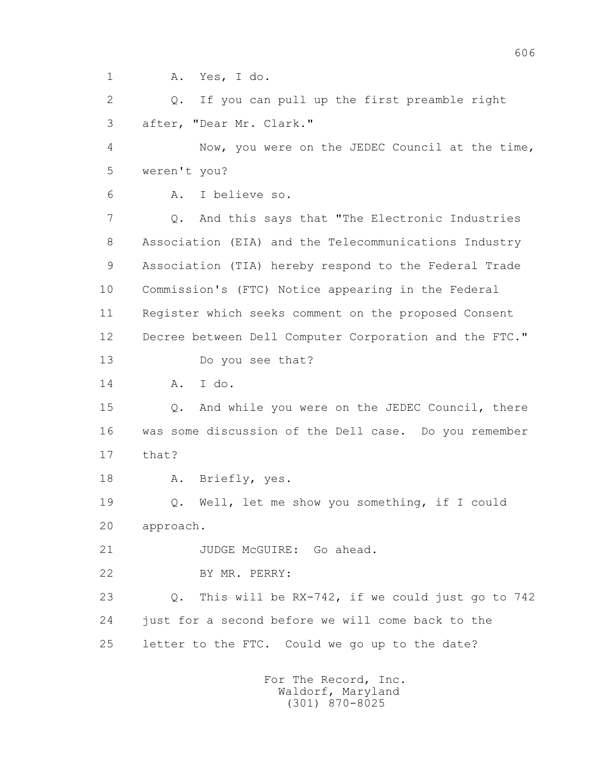1 A. Yes, I do.

 2 Q. If you can pull up the first preamble right 3 after, "Dear Mr. Clark."

 4 Now, you were on the JEDEC Council at the time, 5 weren't you?

6 A. I believe so.

 7 Q. And this says that "The Electronic Industries 8 Association (EIA) and the Telecommunications Industry 9 Association (TIA) hereby respond to the Federal Trade 10 Commission's (FTC) Notice appearing in the Federal 11 Register which seeks comment on the proposed Consent 12 Decree between Dell Computer Corporation and the FTC." 13 Do you see that?

14 A. I do.

 15 Q. And while you were on the JEDEC Council, there 16 was some discussion of the Dell case. Do you remember 17 that?

18 A. Briefly, yes.

 19 Q. Well, let me show you something, if I could 20 approach.

21 JUDGE McGUIRE: Go ahead.

22 BY MR. PERRY:

 23 Q. This will be RX-742, if we could just go to 742 24 just for a second before we will come back to the 25 letter to the FTC. Could we go up to the date?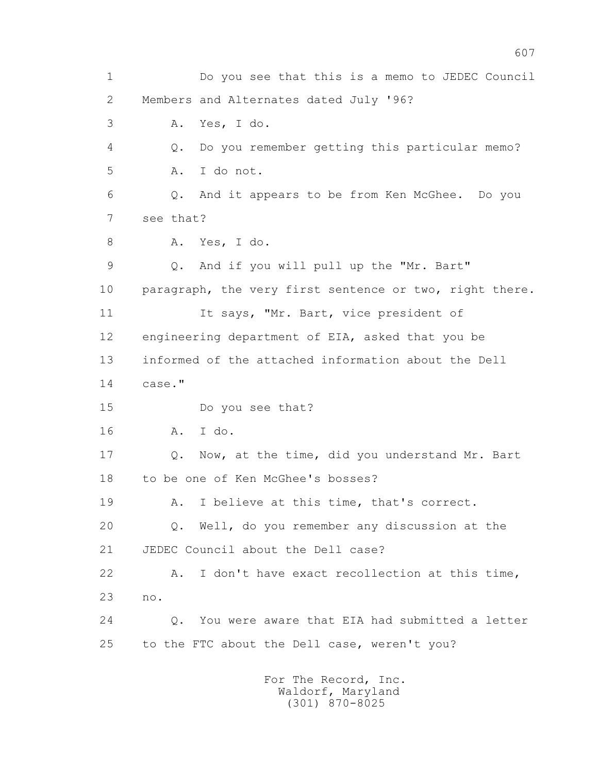1 Do you see that this is a memo to JEDEC Council 2 Members and Alternates dated July '96? 3 A. Yes, I do. 4 Q. Do you remember getting this particular memo? 5 A. I do not. 6 Q. And it appears to be from Ken McGhee. Do you 7 see that? 8 A. Yes, I do. 9 Q. And if you will pull up the "Mr. Bart" 10 paragraph, the very first sentence or two, right there. 11 It says, "Mr. Bart, vice president of 12 engineering department of EIA, asked that you be 13 informed of the attached information about the Dell 14 case." 15 Do you see that? 16 A. I do. 17 Q. Now, at the time, did you understand Mr. Bart 18 to be one of Ken McGhee's bosses? 19 A. I believe at this time, that's correct. 20 Q. Well, do you remember any discussion at the 21 JEDEC Council about the Dell case? 22 A. I don't have exact recollection at this time, 23 no. 24 Q. You were aware that EIA had submitted a letter 25 to the FTC about the Dell case, weren't you?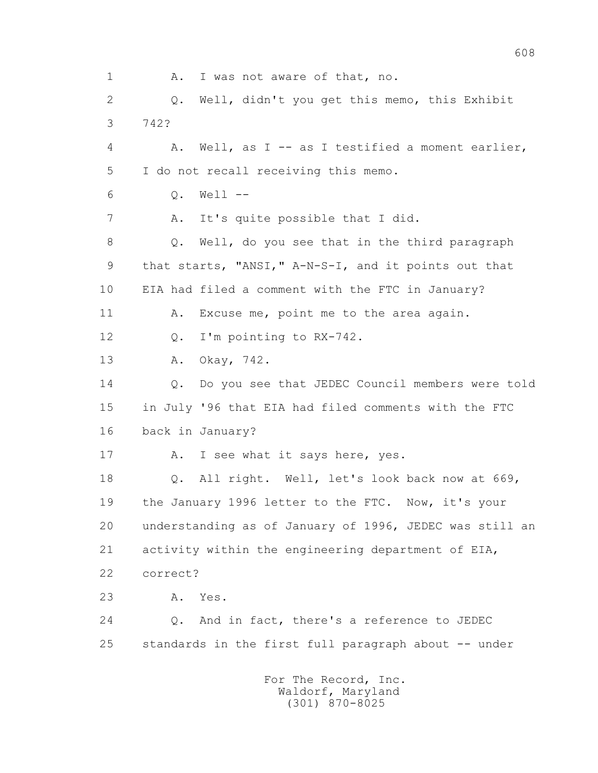1 A. I was not aware of that, no. 2 Q. Well, didn't you get this memo, this Exhibit 3 742? 4 A. Well, as I -- as I testified a moment earlier, 5 I do not recall receiving this memo. 6 Q. Well -- 7 A. It's quite possible that I did. 8 Q. Well, do you see that in the third paragraph 9 that starts, "ANSI," A-N-S-I, and it points out that 10 EIA had filed a comment with the FTC in January? 11 A. Excuse me, point me to the area again. 12 Q. I'm pointing to RX-742. 13 A. Okay, 742. 14 0. Do you see that JEDEC Council members were told 15 in July '96 that EIA had filed comments with the FTC 16 back in January? 17 A. I see what it says here, yes. 18 Q. All right. Well, let's look back now at 669, 19 the January 1996 letter to the FTC. Now, it's your 20 understanding as of January of 1996, JEDEC was still an 21 activity within the engineering department of EIA, 22 correct? 23 A. Yes. 24 Q. And in fact, there's a reference to JEDEC 25 standards in the first full paragraph about -- under For The Record, Inc. Waldorf, Maryland (301) 870-8025

608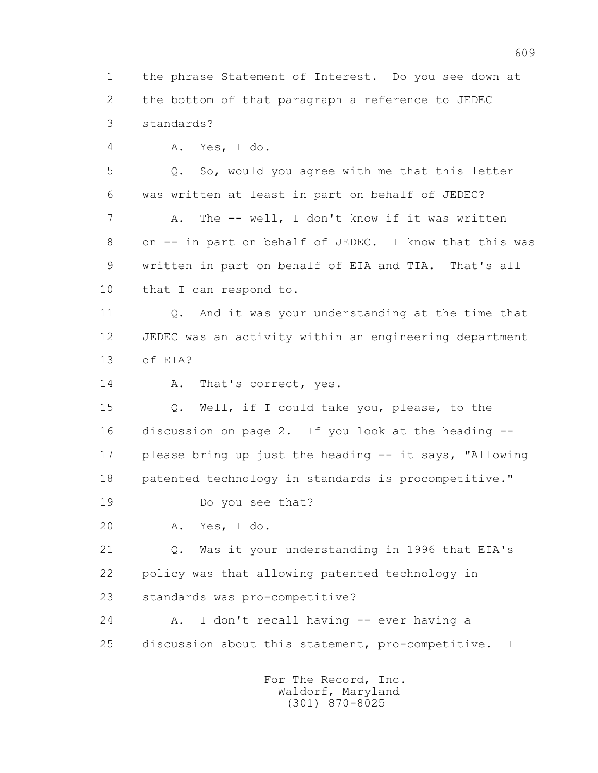1 the phrase Statement of Interest. Do you see down at 2 the bottom of that paragraph a reference to JEDEC 3 standards?

4 A. Yes, I do.

 5 Q. So, would you agree with me that this letter 6 was written at least in part on behalf of JEDEC? 7 A. The -- well, I don't know if it was written 8 on -- in part on behalf of JEDEC. I know that this was 9 written in part on behalf of EIA and TIA. That's all 10 that I can respond to.

 11 Q. And it was your understanding at the time that 12 JEDEC was an activity within an engineering department 13 of EIA?

14 A. That's correct, yes.

 15 Q. Well, if I could take you, please, to the 16 discussion on page 2. If you look at the heading -- 17 please bring up just the heading -- it says, "Allowing 18 patented technology in standards is procompetitive."

19 Do you see that?

20 A. Yes, I do.

 21 Q. Was it your understanding in 1996 that EIA's 22 policy was that allowing patented technology in 23 standards was pro-competitive?

 24 A. I don't recall having -- ever having a 25 discussion about this statement, pro-competitive. I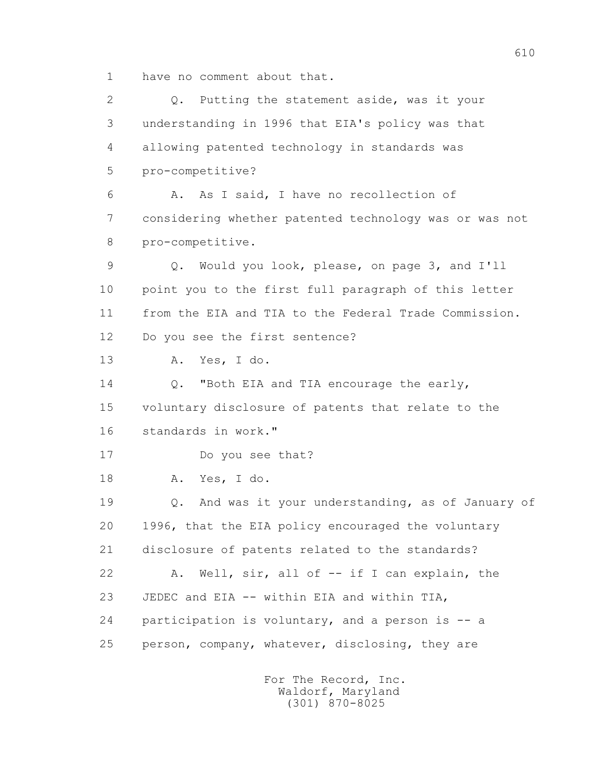1 have no comment about that.

2 0. Putting the statement aside, was it your 3 understanding in 1996 that EIA's policy was that 4 allowing patented technology in standards was 5 pro-competitive? 6 A. As I said, I have no recollection of 7 considering whether patented technology was or was not 8 pro-competitive. 9 Q. Would you look, please, on page 3, and I'll 10 point you to the first full paragraph of this letter 11 from the EIA and TIA to the Federal Trade Commission. 12 Do you see the first sentence? 13 A. Yes, I do. 14 O. "Both EIA and TIA encourage the early, 15 voluntary disclosure of patents that relate to the 16 standards in work." 17 Do you see that? 18 A. Yes, I do. 19 Q. And was it your understanding, as of January of 20 1996, that the EIA policy encouraged the voluntary 21 disclosure of patents related to the standards? 22 A. Well, sir, all of -- if I can explain, the 23 JEDEC and EIA -- within EIA and within TIA, 24 participation is voluntary, and a person is -- a 25 person, company, whatever, disclosing, they are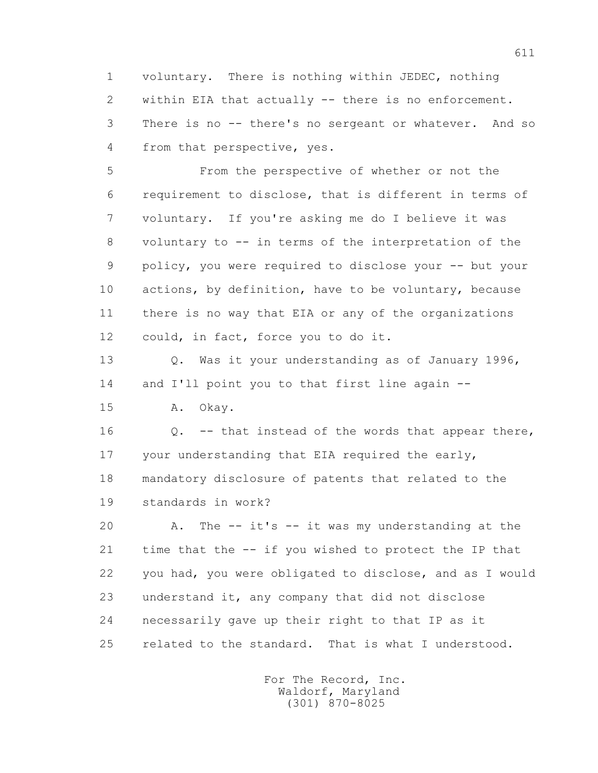1 voluntary. There is nothing within JEDEC, nothing 2 within EIA that actually -- there is no enforcement. 3 There is no -- there's no sergeant or whatever. And so 4 from that perspective, yes.

 5 From the perspective of whether or not the 6 requirement to disclose, that is different in terms of 7 voluntary. If you're asking me do I believe it was 8 voluntary to -- in terms of the interpretation of the 9 policy, you were required to disclose your -- but your 10 actions, by definition, have to be voluntary, because 11 there is no way that EIA or any of the organizations 12 could, in fact, force you to do it.

 13 Q. Was it your understanding as of January 1996, 14 and I'll point you to that first line again --

15 A. Okay.

 16 Q. -- that instead of the words that appear there, 17 your understanding that EIA required the early, 18 mandatory disclosure of patents that related to the 19 standards in work?

 20 A. The -- it's -- it was my understanding at the 21 time that the -- if you wished to protect the IP that 22 you had, you were obligated to disclose, and as I would 23 understand it, any company that did not disclose 24 necessarily gave up their right to that IP as it 25 related to the standard. That is what I understood.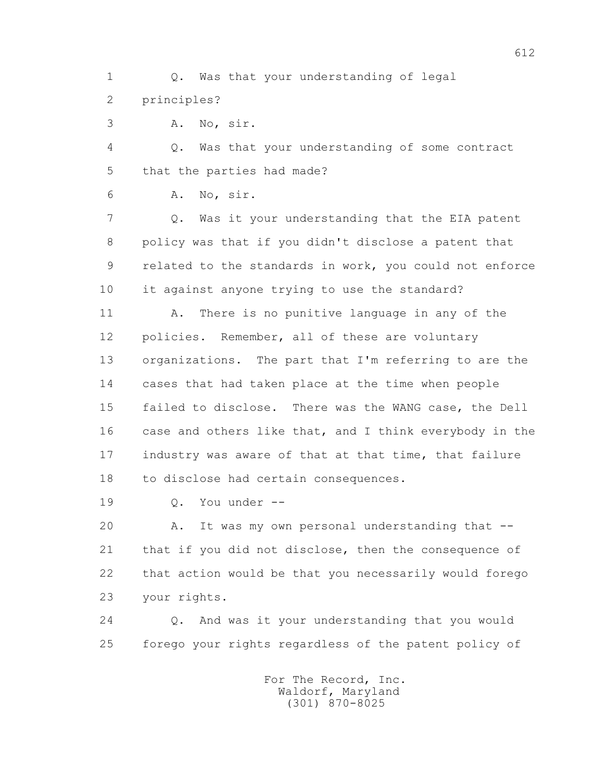1 Q. Was that your understanding of legal 2 principles?

3 A. No, sir.

 4 Q. Was that your understanding of some contract 5 that the parties had made?

6 A. No, sir.

 7 Q. Was it your understanding that the EIA patent 8 policy was that if you didn't disclose a patent that 9 related to the standards in work, you could not enforce 10 it against anyone trying to use the standard?

 11 A. There is no punitive language in any of the 12 policies. Remember, all of these are voluntary 13 organizations. The part that I'm referring to are the 14 cases that had taken place at the time when people 15 failed to disclose. There was the WANG case, the Dell 16 case and others like that, and I think everybody in the 17 industry was aware of that at that time, that failure 18 to disclose had certain consequences.

19 Q. You under --

20 A. It was my own personal understanding that -- 21 that if you did not disclose, then the consequence of 22 that action would be that you necessarily would forego 23 your rights.

 24 Q. And was it your understanding that you would 25 forego your rights regardless of the patent policy of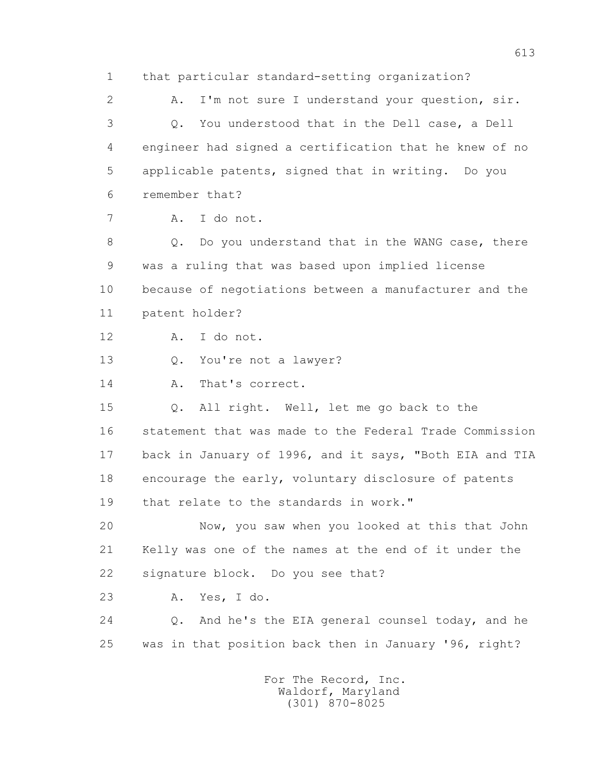1 that particular standard-setting organization? 2 A. I'm not sure I understand your question, sir. 3 Q. You understood that in the Dell case, a Dell 4 engineer had signed a certification that he knew of no 5 applicable patents, signed that in writing. Do you 6 remember that? 7 A. I do not. 8 Q. Do you understand that in the WANG case, there 9 was a ruling that was based upon implied license 10 because of negotiations between a manufacturer and the 11 patent holder? 12 A. I do not. 13 Q. You're not a lawyer? 14 A. That's correct. 15 Q. All right. Well, let me go back to the 16 statement that was made to the Federal Trade Commission 17 back in January of 1996, and it says, "Both EIA and TIA 18 encourage the early, voluntary disclosure of patents 19 that relate to the standards in work." 20 Now, you saw when you looked at this that John 21 Kelly was one of the names at the end of it under the 22 signature block. Do you see that? 23 A. Yes, I do. 24 Q. And he's the EIA general counsel today, and he 25 was in that position back then in January '96, right?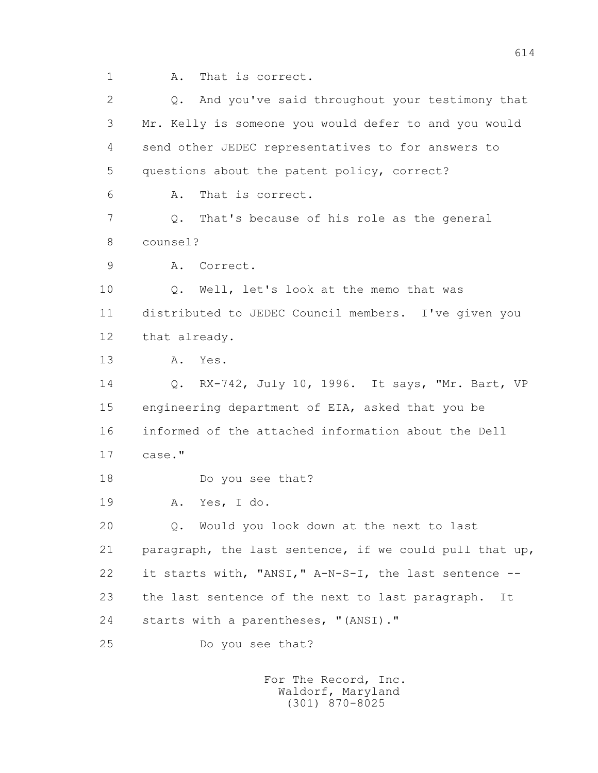1 A. That is correct.

 2 Q. And you've said throughout your testimony that 3 Mr. Kelly is someone you would defer to and you would 4 send other JEDEC representatives to for answers to 5 questions about the patent policy, correct? 6 A. That is correct. 7 Q. That's because of his role as the general 8 counsel? 9 A. Correct. 10 Q. Well, let's look at the memo that was 11 distributed to JEDEC Council members. I've given you 12 that already. 13 A. Yes. 14 Q. RX-742, July 10, 1996. It says, "Mr. Bart, VP 15 engineering department of EIA, asked that you be 16 informed of the attached information about the Dell 17 case." 18 Do you see that? 19 A. Yes, I do. 20 Q. Would you look down at the next to last 21 paragraph, the last sentence, if we could pull that up, 22 it starts with, "ANSI," A-N-S-I, the last sentence -- 23 the last sentence of the next to last paragraph. It 24 starts with a parentheses, "(ANSI)." 25 Do you see that?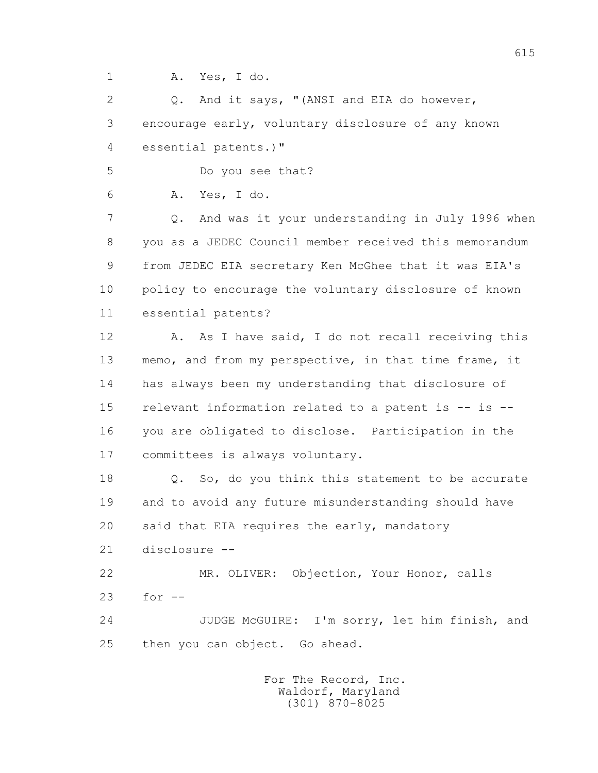1 A. Yes, I do.

 2 Q. And it says, "(ANSI and EIA do however, 3 encourage early, voluntary disclosure of any known 4 essential patents.)"

5 Do you see that?

6 A. Yes, I do.

 7 Q. And was it your understanding in July 1996 when 8 you as a JEDEC Council member received this memorandum 9 from JEDEC EIA secretary Ken McGhee that it was EIA's 10 policy to encourage the voluntary disclosure of known 11 essential patents?

 12 A. As I have said, I do not recall receiving this 13 memo, and from my perspective, in that time frame, it 14 has always been my understanding that disclosure of 15 relevant information related to a patent is -- is -- 16 you are obligated to disclose. Participation in the 17 committees is always voluntary.

 18 Q. So, do you think this statement to be accurate 19 and to avoid any future misunderstanding should have 20 said that EIA requires the early, mandatory

21 disclosure --

 22 MR. OLIVER: Objection, Your Honor, calls 23 for --

 24 JUDGE McGUIRE: I'm sorry, let him finish, and 25 then you can object. Go ahead.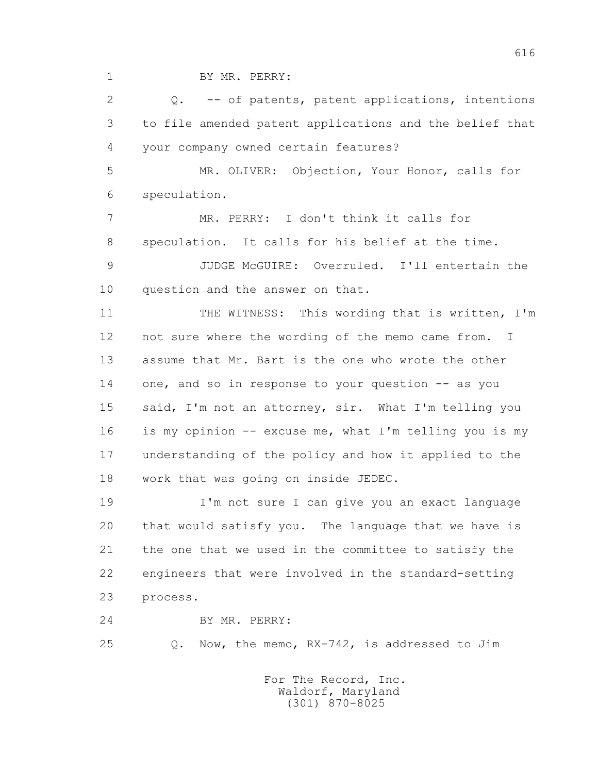1 BY MR. PERRY:

 2 Q. -- of patents, patent applications, intentions 3 to file amended patent applications and the belief that 4 your company owned certain features?

 5 MR. OLIVER: Objection, Your Honor, calls for 6 speculation.

 7 MR. PERRY: I don't think it calls for 8 speculation. It calls for his belief at the time.

 9 JUDGE McGUIRE: Overruled. I'll entertain the 10 question and the answer on that.

 11 THE WITNESS: This wording that is written, I'm 12 not sure where the wording of the memo came from. I 13 assume that Mr. Bart is the one who wrote the other 14 one, and so in response to your question -- as you 15 said, I'm not an attorney, sir. What I'm telling you 16 is my opinion -- excuse me, what I'm telling you is my 17 understanding of the policy and how it applied to the 18 work that was going on inside JEDEC.

 19 I'm not sure I can give you an exact language 20 that would satisfy you. The language that we have is 21 the one that we used in the committee to satisfy the 22 engineers that were involved in the standard-setting 23 process.

24 BY MR. PERRY:

25 Q. Now, the memo, RX-742, is addressed to Jim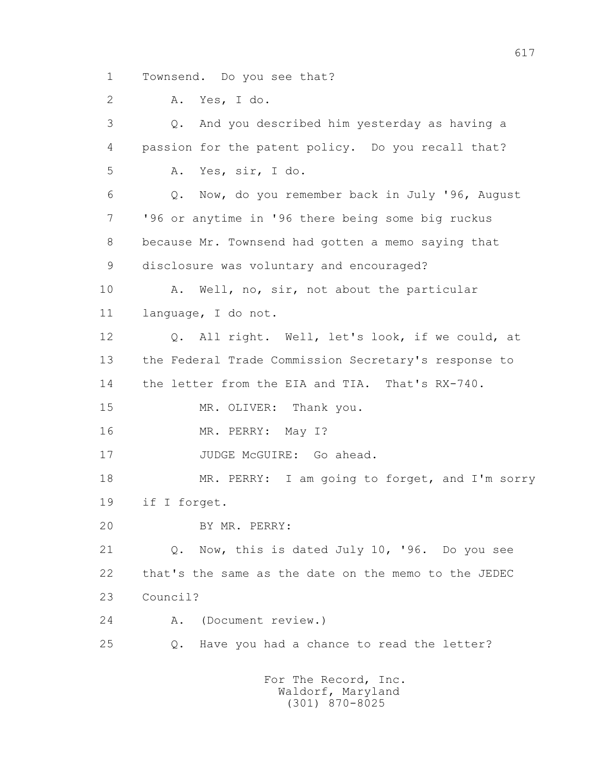1 Townsend. Do you see that?

2 A. Yes, I do.

 3 Q. And you described him yesterday as having a 4 passion for the patent policy. Do you recall that? 5 A. Yes, sir, I do. 6 Q. Now, do you remember back in July '96, August 7 '96 or anytime in '96 there being some big ruckus 8 because Mr. Townsend had gotten a memo saying that 9 disclosure was voluntary and encouraged? 10 A. Well, no, sir, not about the particular 11 language, I do not. 12 Q. All right. Well, let's look, if we could, at 13 the Federal Trade Commission Secretary's response to 14 the letter from the EIA and TIA. That's RX-740. 15 MR. OLIVER: Thank you. 16 MR. PERRY: May I? 17 JUDGE McGUIRE: Go ahead. 18 MR. PERRY: I am going to forget, and I'm sorry 19 if I forget. 20 BY MR. PERRY: 21 Q. Now, this is dated July 10, '96. Do you see 22 that's the same as the date on the memo to the JEDEC 23 Council? 24 A. (Document review.) 25 Q. Have you had a chance to read the letter?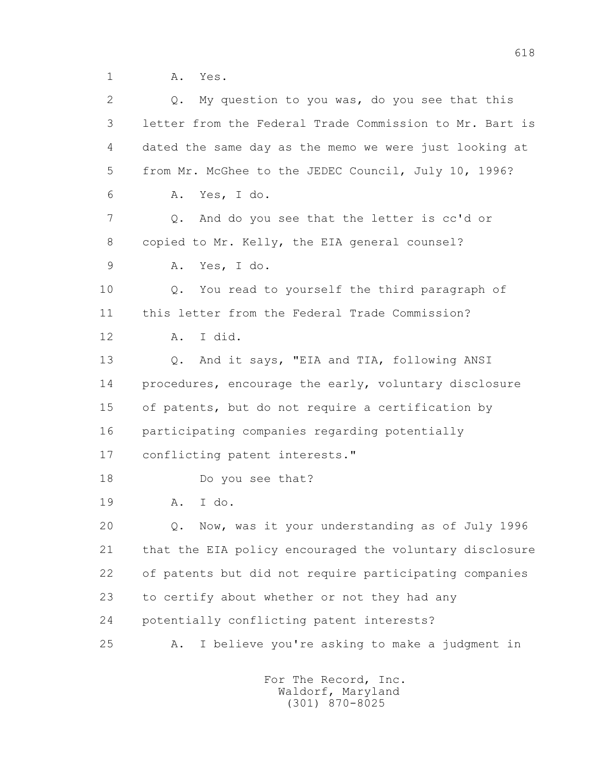1 A. Yes.

| 2  | My question to you was, do you see that this<br>$Q_{\bullet}$ |
|----|---------------------------------------------------------------|
| 3  | letter from the Federal Trade Commission to Mr. Bart is       |
| 4  | dated the same day as the memo we were just looking at        |
| 5  | from Mr. McGhee to the JEDEC Council, July 10, 1996?          |
| 6  | Yes, I do.<br>Α.                                              |
| 7  | And do you see that the letter is cc'd or<br>Q.               |
| 8  | copied to Mr. Kelly, the EIA general counsel?                 |
| 9  | Yes, I do.<br>Α.                                              |
| 10 | You read to yourself the third paragraph of<br>Q.             |
| 11 | this letter from the Federal Trade Commission?                |
| 12 | I did.<br>Α.                                                  |
| 13 | And it says, "EIA and TIA, following ANSI<br>Q.               |
| 14 | procedures, encourage the early, voluntary disclosure         |
| 15 | of patents, but do not require a certification by             |
| 16 | participating companies regarding potentially                 |
| 17 | conflicting patent interests."                                |
| 18 | Do you see that?                                              |
| 19 | I do.<br>Α.                                                   |
| 20 | Now, was it your understanding as of July 1996<br>Q.          |
| 21 | that the EIA policy encouraged the voluntary disclosure       |
| 22 | of patents but did not require participating companies        |
| 23 | to certify about whether or not they had any                  |
| 24 | potentially conflicting patent interests?                     |
| 25 | I believe you're asking to make a judgment in<br>Α.           |
|    |                                                               |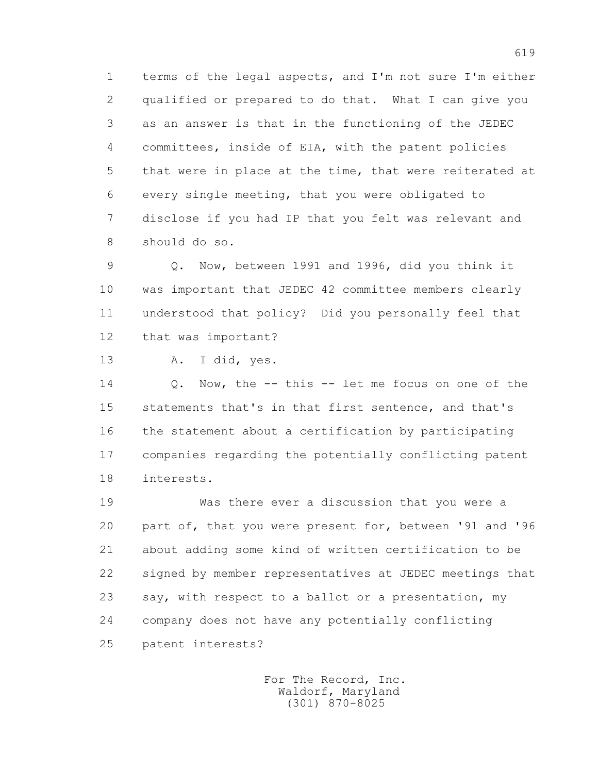1 terms of the legal aspects, and I'm not sure I'm either 2 qualified or prepared to do that. What I can give you 3 as an answer is that in the functioning of the JEDEC 4 committees, inside of EIA, with the patent policies 5 that were in place at the time, that were reiterated at 6 every single meeting, that you were obligated to 7 disclose if you had IP that you felt was relevant and 8 should do so.

 9 Q. Now, between 1991 and 1996, did you think it 10 was important that JEDEC 42 committee members clearly 11 understood that policy? Did you personally feel that 12 that was important?

13 A. I did, yes.

 14 Q. Now, the -- this -- let me focus on one of the 15 statements that's in that first sentence, and that's 16 the statement about a certification by participating 17 companies regarding the potentially conflicting patent 18 interests.

 19 Was there ever a discussion that you were a 20 part of, that you were present for, between '91 and '96 21 about adding some kind of written certification to be 22 signed by member representatives at JEDEC meetings that 23 say, with respect to a ballot or a presentation, my 24 company does not have any potentially conflicting 25 patent interests?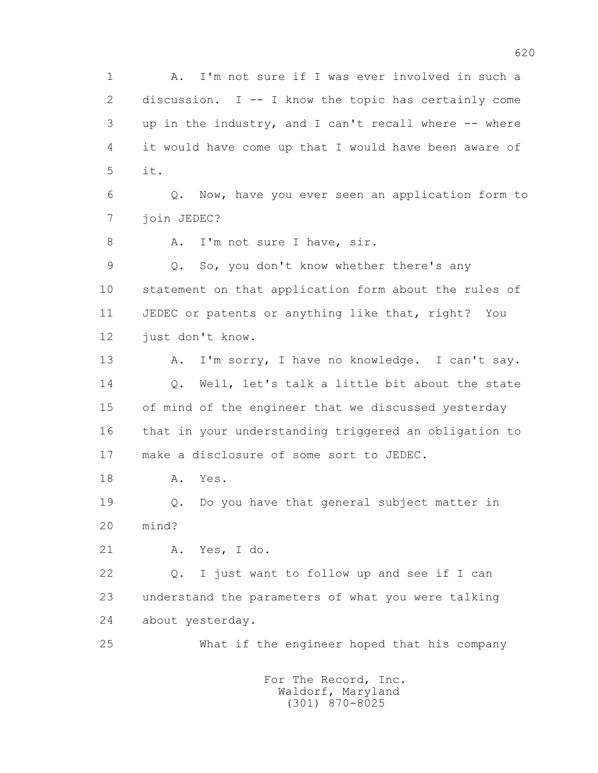1 A. I'm not sure if I was ever involved in such a 2 discussion. I -- I know the topic has certainly come 3 up in the industry, and I can't recall where -- where 4 it would have come up that I would have been aware of 5 it. 6 Q. Now, have you ever seen an application form to 7 join JEDEC? 8 A. I'm not sure I have, sir. 9 Q. So, you don't know whether there's any 10 statement on that application form about the rules of 11 JEDEC or patents or anything like that, right? You 12 just don't know. 13 A. I'm sorry, I have no knowledge. I can't say. 14 0. Well, let's talk a little bit about the state 15 of mind of the engineer that we discussed yesterday 16 that in your understanding triggered an obligation to 17 make a disclosure of some sort to JEDEC. 18 A. Yes. 19 Q. Do you have that general subject matter in 20 mind? 21 A. Yes, I do. 22 Q. I just want to follow up and see if I can 23 understand the parameters of what you were talking 24 about yesterday. 25 What if the engineer hoped that his company For The Record, Inc.

 Waldorf, Maryland (301) 870-8025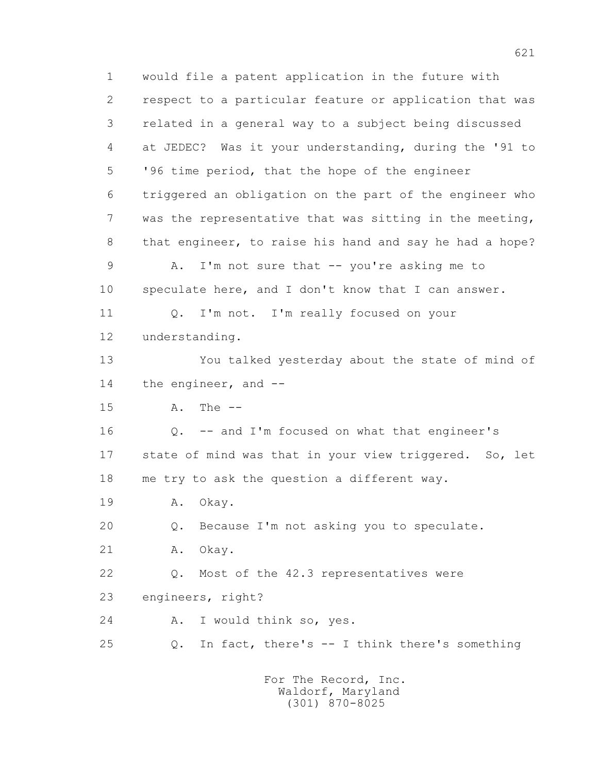1 would file a patent application in the future with 2 respect to a particular feature or application that was 3 related in a general way to a subject being discussed 4 at JEDEC? Was it your understanding, during the '91 to 5 '96 time period, that the hope of the engineer 6 triggered an obligation on the part of the engineer who 7 was the representative that was sitting in the meeting, 8 that engineer, to raise his hand and say he had a hope? 9 A. I'm not sure that -- you're asking me to 10 speculate here, and I don't know that I can answer. 11 0. I'm not. I'm really focused on your 12 understanding. 13 You talked yesterday about the state of mind of 14 the engineer, and -- 15 A. The -- 16 Q. -- and I'm focused on what that engineer's 17 state of mind was that in your view triggered. So, let 18 me try to ask the question a different way. 19 A. Okay. 20 Q. Because I'm not asking you to speculate. 21 A. Okay. 22 Q. Most of the 42.3 representatives were 23 engineers, right? 24 A. I would think so, yes. 25 Q. In fact, there's -- I think there's something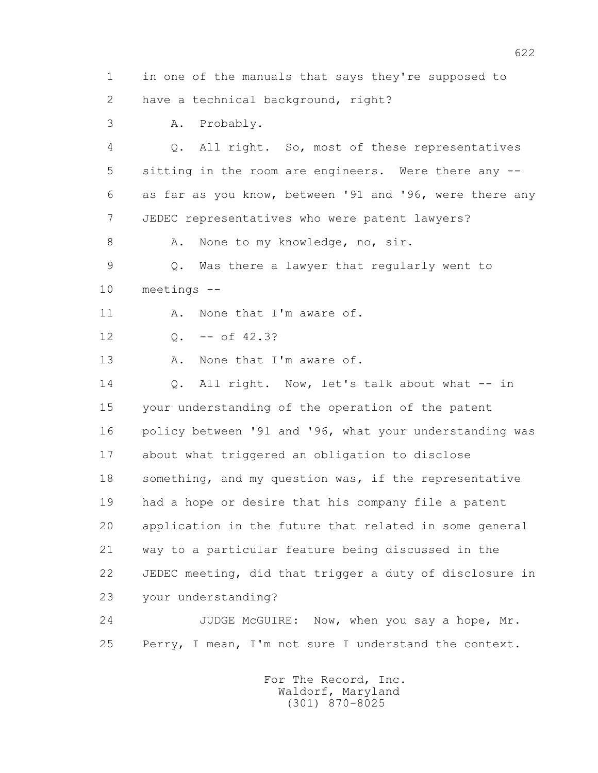1 in one of the manuals that says they're supposed to 2 have a technical background, right? 3 A. Probably. 4 Q. All right. So, most of these representatives 5 sitting in the room are engineers. Were there any -- 6 as far as you know, between '91 and '96, were there any 7 JEDEC representatives who were patent lawyers? 8 A. None to my knowledge, no, sir. 9 Q. Was there a lawyer that regularly went to 10 meetings -- 11 A. None that I'm aware of. 12 Q. -- of 42.3? 13 A. None that I'm aware of. 14 0. All right. Now, let's talk about what -- in 15 your understanding of the operation of the patent 16 policy between '91 and '96, what your understanding was 17 about what triggered an obligation to disclose 18 something, and my question was, if the representative 19 had a hope or desire that his company file a patent 20 application in the future that related in some general 21 way to a particular feature being discussed in the 22 JEDEC meeting, did that trigger a duty of disclosure in 23 your understanding? 24 JUDGE McGUIRE: Now, when you say a hope, Mr. 25 Perry, I mean, I'm not sure I understand the context. For The Record, Inc.

 Waldorf, Maryland (301) 870-8025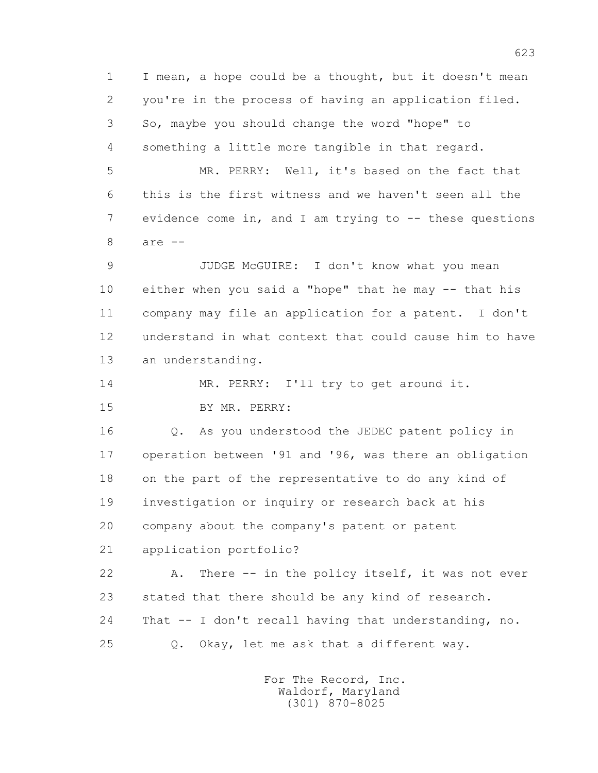1 I mean, a hope could be a thought, but it doesn't mean 2 you're in the process of having an application filed. 3 So, maybe you should change the word "hope" to 4 something a little more tangible in that regard.

 5 MR. PERRY: Well, it's based on the fact that 6 this is the first witness and we haven't seen all the 7 evidence come in, and I am trying to -- these questions 8 are --

 9 JUDGE McGUIRE: I don't know what you mean 10 either when you said a "hope" that he may -- that his 11 company may file an application for a patent. I don't 12 understand in what context that could cause him to have 13 an understanding.

14 MR. PERRY: I'll try to get around it.

15 BY MR. PERRY:

 16 Q. As you understood the JEDEC patent policy in 17 operation between '91 and '96, was there an obligation 18 on the part of the representative to do any kind of 19 investigation or inquiry or research back at his 20 company about the company's patent or patent 21 application portfolio?

22 A. There -- in the policy itself, it was not ever 23 stated that there should be any kind of research. 24 That -- I don't recall having that understanding, no. 25 Q. Okay, let me ask that a different way.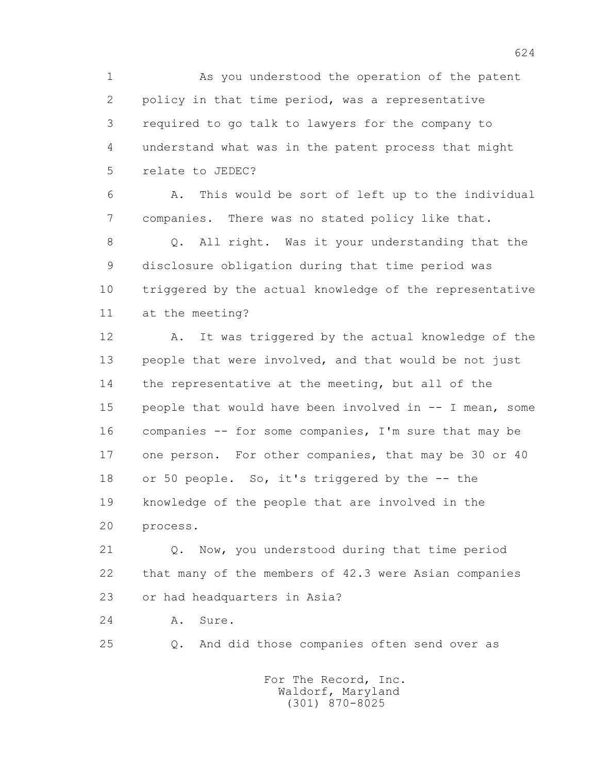1 As you understood the operation of the patent 2 policy in that time period, was a representative 3 required to go talk to lawyers for the company to 4 understand what was in the patent process that might 5 relate to JEDEC?

 6 A. This would be sort of left up to the individual 7 companies. There was no stated policy like that.

 8 Q. All right. Was it your understanding that the 9 disclosure obligation during that time period was 10 triggered by the actual knowledge of the representative 11 at the meeting?

 12 A. It was triggered by the actual knowledge of the 13 people that were involved, and that would be not just 14 the representative at the meeting, but all of the 15 people that would have been involved in -- I mean, some 16 companies -- for some companies, I'm sure that may be 17 one person. For other companies, that may be 30 or 40 18 or 50 people. So, it's triggered by the -- the 19 knowledge of the people that are involved in the 20 process.

 21 Q. Now, you understood during that time period 22 that many of the members of 42.3 were Asian companies 23 or had headquarters in Asia?

24 A. Sure.

25 Q. And did those companies often send over as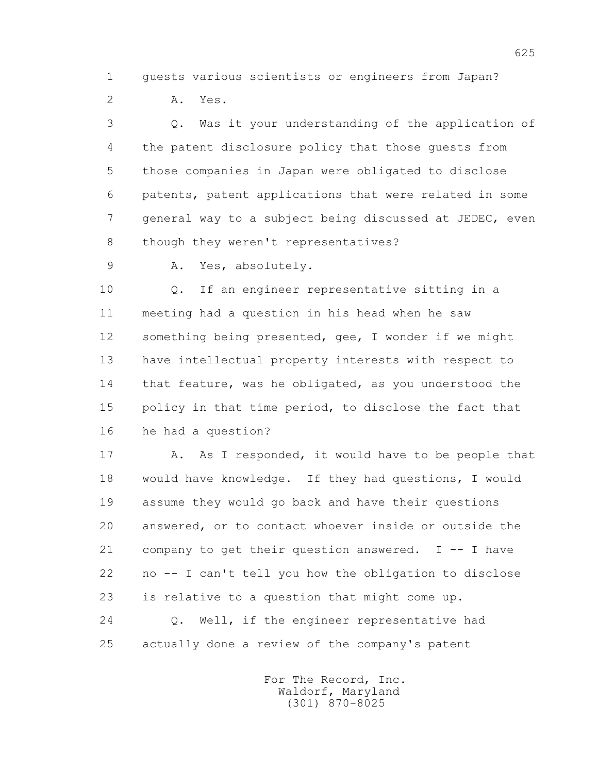1 guests various scientists or engineers from Japan?

2 A. Yes.

 3 Q. Was it your understanding of the application of 4 the patent disclosure policy that those guests from 5 those companies in Japan were obligated to disclose 6 patents, patent applications that were related in some 7 general way to a subject being discussed at JEDEC, even 8 though they weren't representatives?

9 A. Yes, absolutely.

 10 Q. If an engineer representative sitting in a 11 meeting had a question in his head when he saw 12 something being presented, gee, I wonder if we might 13 have intellectual property interests with respect to 14 that feature, was he obligated, as you understood the 15 policy in that time period, to disclose the fact that 16 he had a question?

17 A. As I responded, it would have to be people that 18 would have knowledge. If they had questions, I would 19 assume they would go back and have their questions 20 answered, or to contact whoever inside or outside the 21 company to get their question answered. I -- I have 22 no -- I can't tell you how the obligation to disclose 23 is relative to a question that might come up. 24 Q. Well, if the engineer representative had 25 actually done a review of the company's patent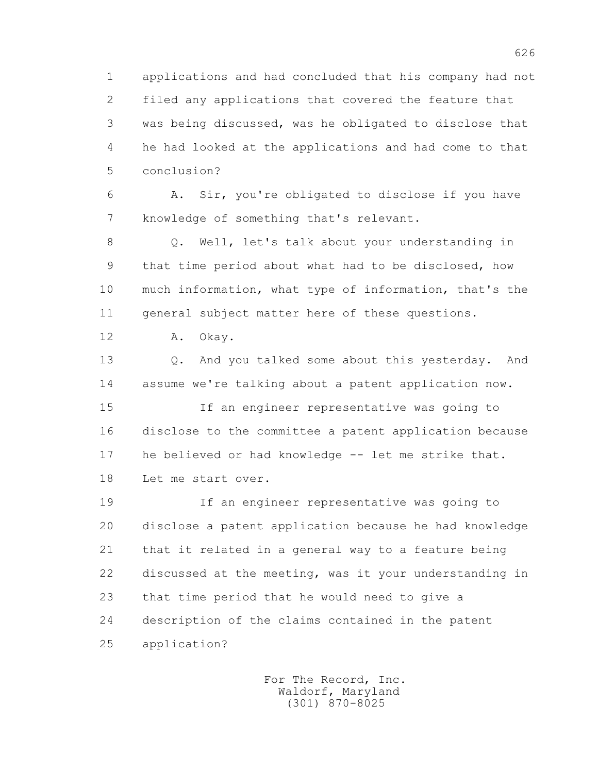1 applications and had concluded that his company had not 2 filed any applications that covered the feature that 3 was being discussed, was he obligated to disclose that 4 he had looked at the applications and had come to that 5 conclusion?

 6 A. Sir, you're obligated to disclose if you have 7 knowledge of something that's relevant.

 8 Q. Well, let's talk about your understanding in 9 that time period about what had to be disclosed, how 10 much information, what type of information, that's the 11 general subject matter here of these questions.

12 A. Okay.

 13 Q. And you talked some about this yesterday. And 14 assume we're talking about a patent application now.

 15 If an engineer representative was going to 16 disclose to the committee a patent application because 17 he believed or had knowledge -- let me strike that. 18 Let me start over.

 19 If an engineer representative was going to 20 disclose a patent application because he had knowledge 21 that it related in a general way to a feature being 22 discussed at the meeting, was it your understanding in 23 that time period that he would need to give a 24 description of the claims contained in the patent 25 application?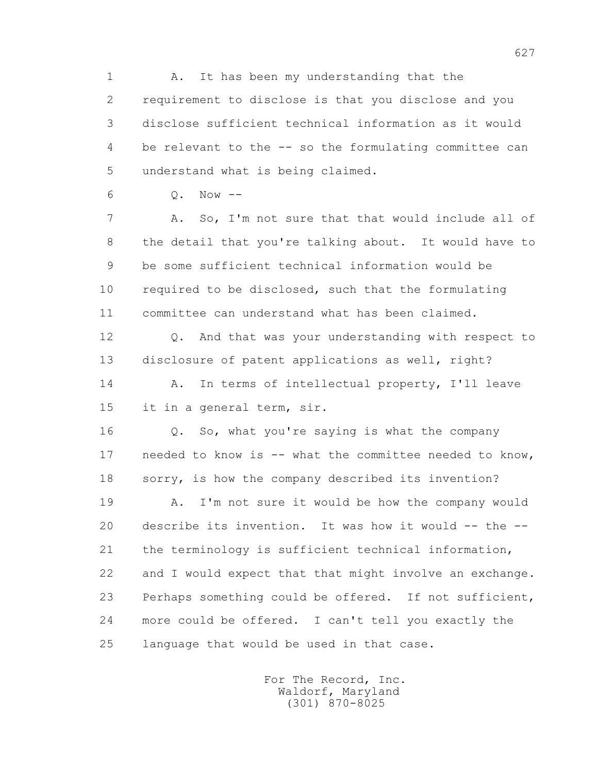1 A. It has been my understanding that the 2 requirement to disclose is that you disclose and you 3 disclose sufficient technical information as it would 4 be relevant to the -- so the formulating committee can 5 understand what is being claimed.

```
 6 Q. Now --
```
 7 A. So, I'm not sure that that would include all of 8 the detail that you're talking about. It would have to 9 be some sufficient technical information would be 10 required to be disclosed, such that the formulating 11 committee can understand what has been claimed.

 12 Q. And that was your understanding with respect to 13 disclosure of patent applications as well, right? 14 A. In terms of intellectual property, I'll leave

15 it in a general term, sir.

 16 Q. So, what you're saying is what the company 17 needed to know is -- what the committee needed to know, 18 sorry, is how the company described its invention?

 19 A. I'm not sure it would be how the company would 20 describe its invention. It was how it would -- the -- 21 the terminology is sufficient technical information, 22 and I would expect that that might involve an exchange. 23 Perhaps something could be offered. If not sufficient, 24 more could be offered. I can't tell you exactly the 25 language that would be used in that case.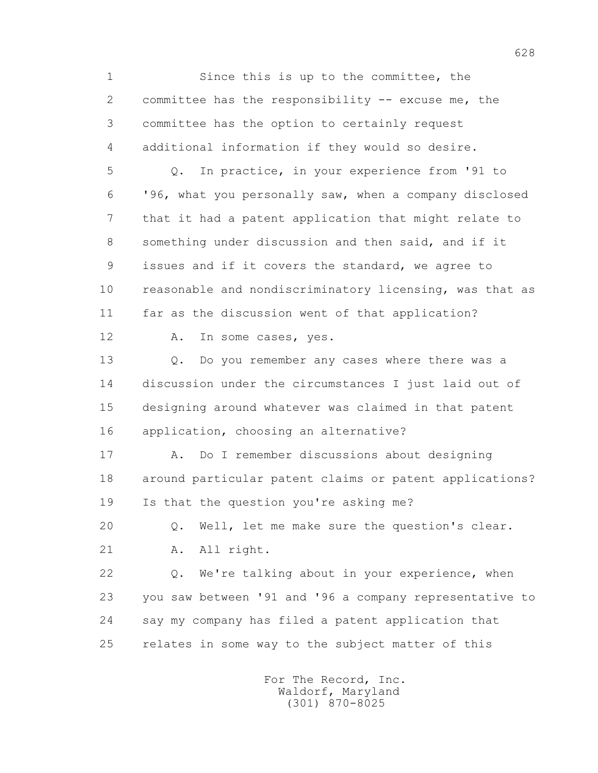1 Since this is up to the committee, the 2 committee has the responsibility -- excuse me, the 3 committee has the option to certainly request 4 additional information if they would so desire. 5 Q. In practice, in your experience from '91 to 6 '96, what you personally saw, when a company disclosed 7 that it had a patent application that might relate to 8 something under discussion and then said, and if it 9 issues and if it covers the standard, we agree to 10 reasonable and nondiscriminatory licensing, was that as 11 far as the discussion went of that application? 12 A. In some cases, yes. 13 0. Do you remember any cases where there was a 14 discussion under the circumstances I just laid out of 15 designing around whatever was claimed in that patent 16 application, choosing an alternative? 17 A. Do I remember discussions about designing 18 around particular patent claims or patent applications? 19 Is that the question you're asking me? 20 Q. Well, let me make sure the question's clear. 21 A. All right. 22 Q. We're talking about in your experience, when 23 you saw between '91 and '96 a company representative to 24 say my company has filed a patent application that 25 relates in some way to the subject matter of this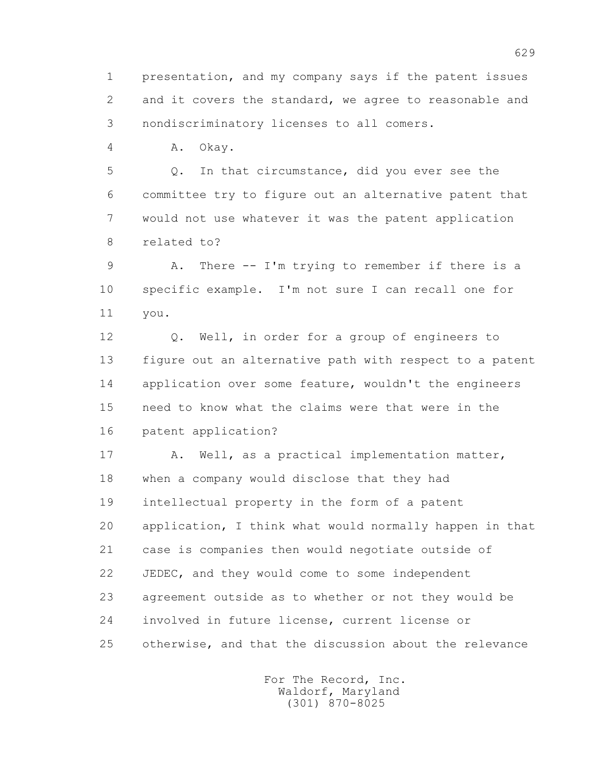1 presentation, and my company says if the patent issues 2 and it covers the standard, we agree to reasonable and 3 nondiscriminatory licenses to all comers.

4 A. Okay.

 5 Q. In that circumstance, did you ever see the 6 committee try to figure out an alternative patent that 7 would not use whatever it was the patent application 8 related to?

 9 A. There -- I'm trying to remember if there is a 10 specific example. I'm not sure I can recall one for 11 you.

 12 Q. Well, in order for a group of engineers to 13 figure out an alternative path with respect to a patent 14 application over some feature, wouldn't the engineers 15 need to know what the claims were that were in the 16 patent application?

17 A. Well, as a practical implementation matter, 18 when a company would disclose that they had 19 intellectual property in the form of a patent 20 application, I think what would normally happen in that 21 case is companies then would negotiate outside of 22 JEDEC, and they would come to some independent 23 agreement outside as to whether or not they would be 24 involved in future license, current license or 25 otherwise, and that the discussion about the relevance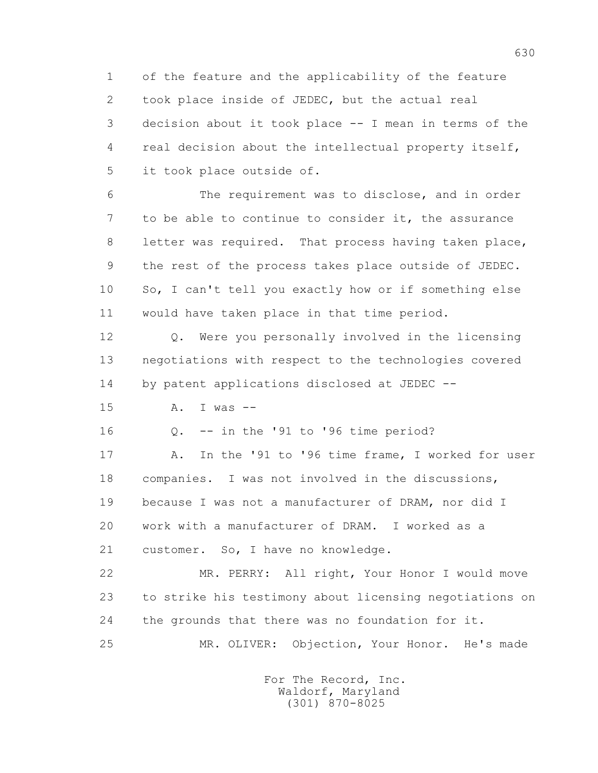1 of the feature and the applicability of the feature 2 took place inside of JEDEC, but the actual real 3 decision about it took place -- I mean in terms of the 4 real decision about the intellectual property itself, 5 it took place outside of.

 6 The requirement was to disclose, and in order 7 to be able to continue to consider it, the assurance 8 letter was required. That process having taken place, 9 the rest of the process takes place outside of JEDEC. 10 So, I can't tell you exactly how or if something else 11 would have taken place in that time period.

 12 Q. Were you personally involved in the licensing 13 negotiations with respect to the technologies covered 14 by patent applications disclosed at JEDEC --

15 A. I was --

16 Q. -- in the '91 to '96 time period?

 17 A. In the '91 to '96 time frame, I worked for user 18 companies. I was not involved in the discussions, 19 because I was not a manufacturer of DRAM, nor did I 20 work with a manufacturer of DRAM. I worked as a 21 customer. So, I have no knowledge.

 22 MR. PERRY: All right, Your Honor I would move 23 to strike his testimony about licensing negotiations on 24 the grounds that there was no foundation for it. 25 MR. OLIVER: Objection, Your Honor. He's made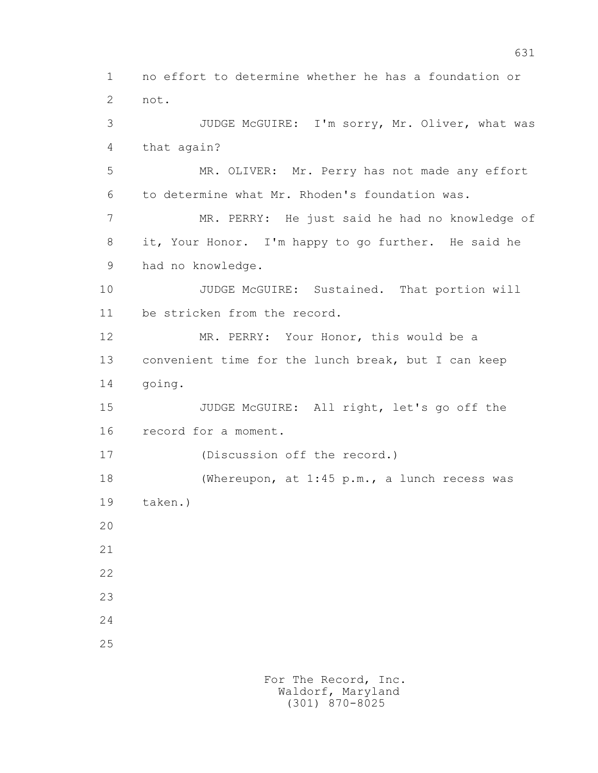1 no effort to determine whether he has a foundation or 2 not. 3 JUDGE McGUIRE: I'm sorry, Mr. Oliver, what was 4 that again? 5 MR. OLIVER: Mr. Perry has not made any effort 6 to determine what Mr. Rhoden's foundation was. 7 MR. PERRY: He just said he had no knowledge of 8 it, Your Honor. I'm happy to go further. He said he 9 had no knowledge. 10 JUDGE McGUIRE: Sustained. That portion will 11 be stricken from the record. 12 MR. PERRY: Your Honor, this would be a 13 convenient time for the lunch break, but I can keep 14 going. 15 JUDGE McGUIRE: All right, let's go off the 16 record for a moment. 17 (Discussion off the record.) 18 (Whereupon, at 1:45 p.m., a lunch recess was 19 taken.) 20 21 22 23 24 25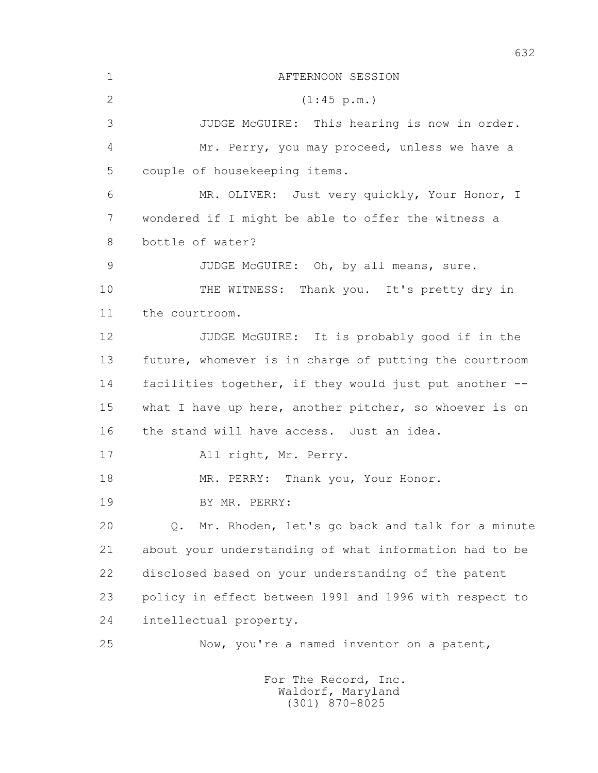1 AFTERNOON SESSION 2 (1:45 p.m.) 3 JUDGE McGUIRE: This hearing is now in order. 4 Mr. Perry, you may proceed, unless we have a 5 couple of housekeeping items. 6 MR. OLIVER: Just very quickly, Your Honor, I 7 wondered if I might be able to offer the witness a 8 bottle of water? 9 JUDGE McGUIRE: Oh, by all means, sure. 10 THE WITNESS: Thank you. It's pretty dry in 11 the courtroom. 12 JUDGE McGUIRE: It is probably good if in the 13 future, whomever is in charge of putting the courtroom 14 facilities together, if they would just put another -- 15 what I have up here, another pitcher, so whoever is on 16 the stand will have access. Just an idea. 17 All right, Mr. Perry. 18 MR. PERRY: Thank you, Your Honor. 19 BY MR. PERRY: 20 Q. Mr. Rhoden, let's go back and talk for a minute 21 about your understanding of what information had to be 22 disclosed based on your understanding of the patent 23 policy in effect between 1991 and 1996 with respect to 24 intellectual property. 25 Now, you're a named inventor on a patent, For The Record, Inc.

 Waldorf, Maryland (301) 870-8025

632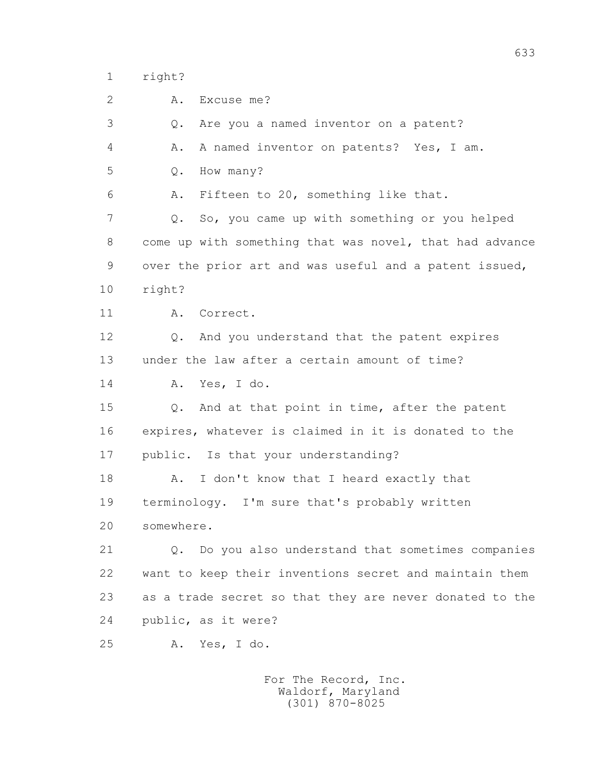1 right?

2 A. Excuse me?

 3 Q. Are you a named inventor on a patent? 4 A. A named inventor on patents? Yes, I am. 5 Q. How many? 6 A. Fifteen to 20, something like that. 7 Q. So, you came up with something or you helped 8 come up with something that was novel, that had advance 9 over the prior art and was useful and a patent issued, 10 right? 11 A. Correct. 12 Q. And you understand that the patent expires 13 under the law after a certain amount of time? 14 A. Yes, I do. 15 Q. And at that point in time, after the patent 16 expires, whatever is claimed in it is donated to the 17 public. Is that your understanding? 18 A. I don't know that I heard exactly that 19 terminology. I'm sure that's probably written 20 somewhere. 21 Q. Do you also understand that sometimes companies 22 want to keep their inventions secret and maintain them 23 as a trade secret so that they are never donated to the 24 public, as it were? 25 A. Yes, I do.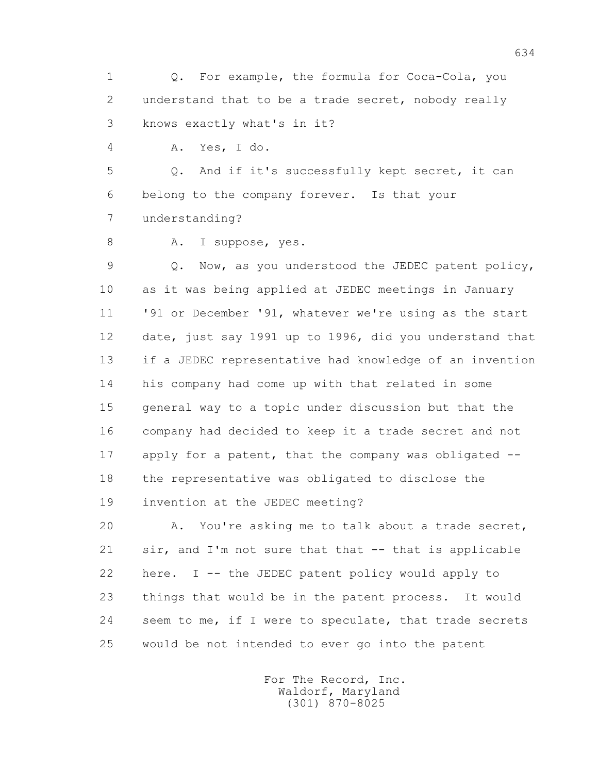1 Q. For example, the formula for Coca-Cola, you 2 understand that to be a trade secret, nobody really 3 knows exactly what's in it?

4 A. Yes, I do.

 5 Q. And if it's successfully kept secret, it can 6 belong to the company forever. Is that your 7 understanding?

8 A. I suppose, yes.

 9 Q. Now, as you understood the JEDEC patent policy, 10 as it was being applied at JEDEC meetings in January 11 '91 or December '91, whatever we're using as the start 12 date, just say 1991 up to 1996, did you understand that 13 if a JEDEC representative had knowledge of an invention 14 his company had come up with that related in some 15 general way to a topic under discussion but that the 16 company had decided to keep it a trade secret and not 17 apply for a patent, that the company was obligated -- 18 the representative was obligated to disclose the 19 invention at the JEDEC meeting?

 20 A. You're asking me to talk about a trade secret, 21 sir, and I'm not sure that that -- that is applicable 22 here. I -- the JEDEC patent policy would apply to 23 things that would be in the patent process. It would 24 seem to me, if I were to speculate, that trade secrets 25 would be not intended to ever go into the patent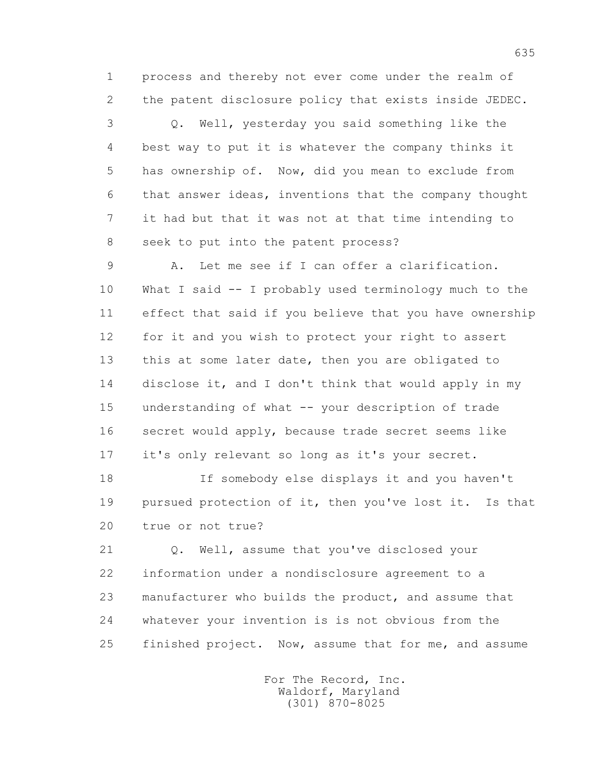1 process and thereby not ever come under the realm of 2 the patent disclosure policy that exists inside JEDEC.

 3 Q. Well, yesterday you said something like the 4 best way to put it is whatever the company thinks it 5 has ownership of. Now, did you mean to exclude from 6 that answer ideas, inventions that the company thought 7 it had but that it was not at that time intending to 8 seek to put into the patent process?

 9 A. Let me see if I can offer a clarification. 10 What I said -- I probably used terminology much to the 11 effect that said if you believe that you have ownership 12 for it and you wish to protect your right to assert 13 this at some later date, then you are obligated to 14 disclose it, and I don't think that would apply in my 15 understanding of what -- your description of trade 16 secret would apply, because trade secret seems like 17 it's only relevant so long as it's your secret.

 18 If somebody else displays it and you haven't 19 pursued protection of it, then you've lost it. Is that 20 true or not true?

 21 Q. Well, assume that you've disclosed your 22 information under a nondisclosure agreement to a 23 manufacturer who builds the product, and assume that 24 whatever your invention is is not obvious from the 25 finished project. Now, assume that for me, and assume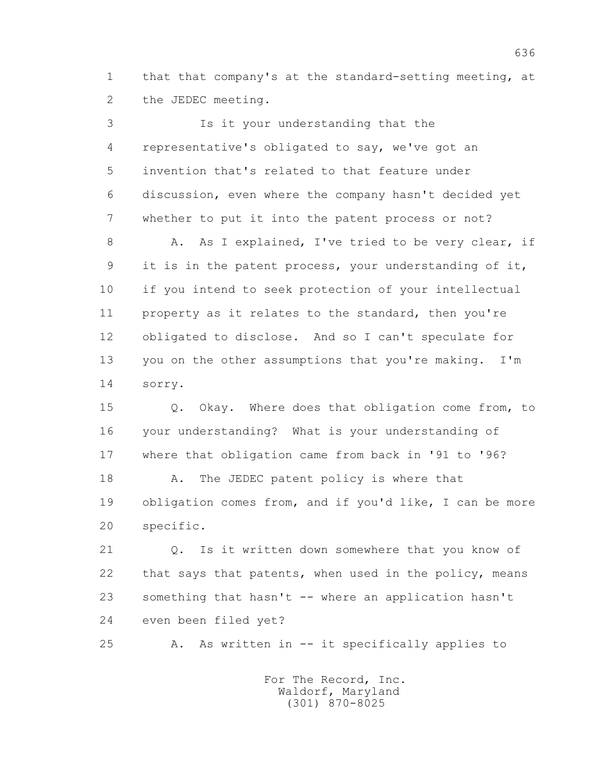1 that that company's at the standard-setting meeting, at 2 the JEDEC meeting.

 3 Is it your understanding that the 4 representative's obligated to say, we've got an 5 invention that's related to that feature under 6 discussion, even where the company hasn't decided yet 7 whether to put it into the patent process or not? 8 A. As I explained, I've tried to be very clear, if 9 it is in the patent process, your understanding of it, 10 if you intend to seek protection of your intellectual 11 property as it relates to the standard, then you're 12 obligated to disclose. And so I can't speculate for 13 you on the other assumptions that you're making. I'm 14 sorry.

 15 Q. Okay. Where does that obligation come from, to 16 your understanding? What is your understanding of 17 where that obligation came from back in '91 to '96?

18 A. The JEDEC patent policy is where that 19 obligation comes from, and if you'd like, I can be more 20 specific.

 21 Q. Is it written down somewhere that you know of 22 that says that patents, when used in the policy, means 23 something that hasn't -- where an application hasn't 24 even been filed yet?

25 A. As written in -- it specifically applies to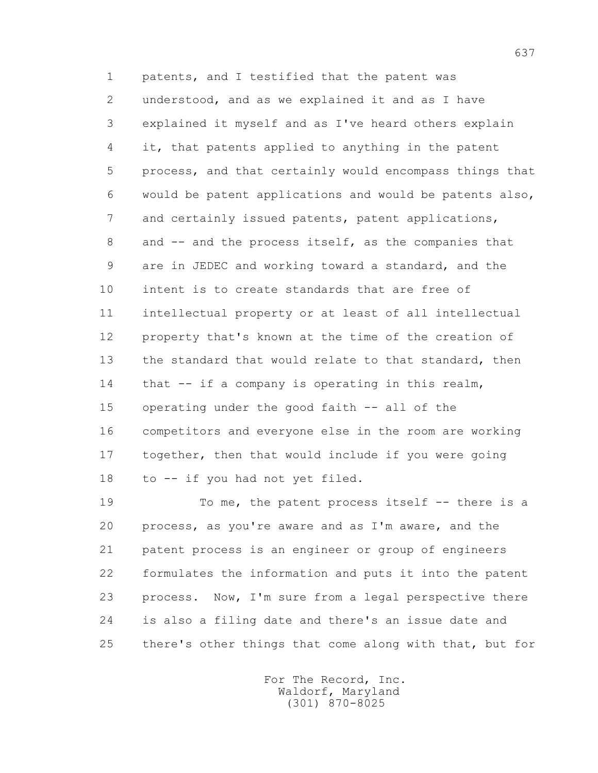1 patents, and I testified that the patent was 2 understood, and as we explained it and as I have 3 explained it myself and as I've heard others explain 4 it, that patents applied to anything in the patent 5 process, and that certainly would encompass things that 6 would be patent applications and would be patents also, 7 and certainly issued patents, patent applications, 8 and -- and the process itself, as the companies that 9 are in JEDEC and working toward a standard, and the 10 intent is to create standards that are free of 11 intellectual property or at least of all intellectual 12 property that's known at the time of the creation of 13 the standard that would relate to that standard, then 14 that -- if a company is operating in this realm, 15 operating under the good faith -- all of the 16 competitors and everyone else in the room are working 17 together, then that would include if you were going 18 to -- if you had not yet filed.

19 To me, the patent process itself -- there is a 20 process, as you're aware and as I'm aware, and the 21 patent process is an engineer or group of engineers 22 formulates the information and puts it into the patent 23 process. Now, I'm sure from a legal perspective there 24 is also a filing date and there's an issue date and 25 there's other things that come along with that, but for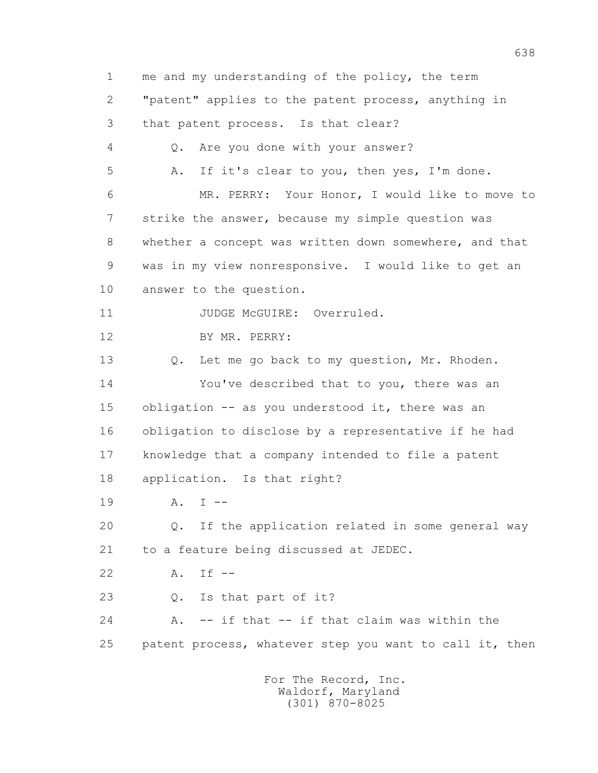1 me and my understanding of the policy, the term 2 "patent" applies to the patent process, anything in 3 that patent process. Is that clear? 4 Q. Are you done with your answer? 5 A. If it's clear to you, then yes, I'm done. 6 MR. PERRY: Your Honor, I would like to move to 7 strike the answer, because my simple question was 8 whether a concept was written down somewhere, and that 9 was in my view nonresponsive. I would like to get an 10 answer to the question. 11 JUDGE McGUIRE: Overruled. 12 BY MR. PERRY: 13 Q. Let me go back to my question, Mr. Rhoden. 14 You've described that to you, there was an 15 obligation -- as you understood it, there was an 16 obligation to disclose by a representative if he had 17 knowledge that a company intended to file a patent 18 application. Is that right? 19 A. I -- 20 Q. If the application related in some general way 21 to a feature being discussed at JEDEC. 22 A. If -- 23 Q. Is that part of it? 24 A. -- if that -- if that claim was within the 25 patent process, whatever step you want to call it, then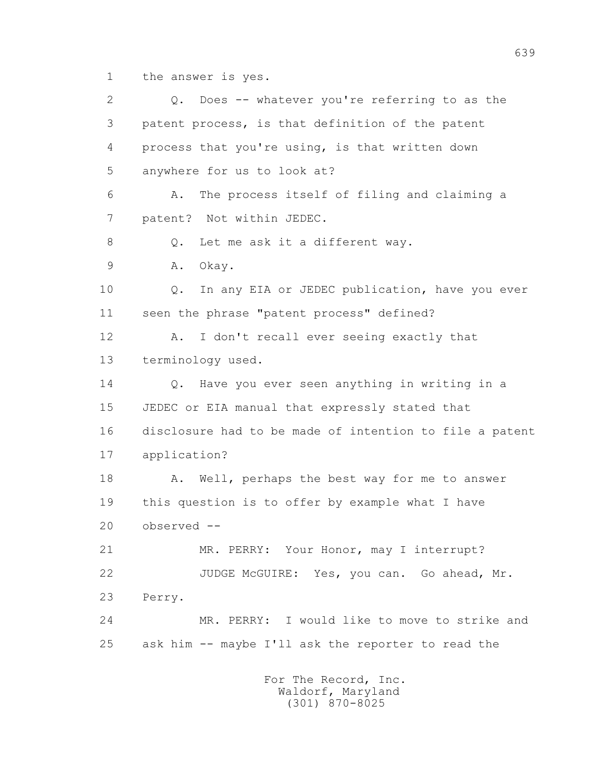1 the answer is yes.

 2 Q. Does -- whatever you're referring to as the 3 patent process, is that definition of the patent 4 process that you're using, is that written down 5 anywhere for us to look at? 6 A. The process itself of filing and claiming a 7 patent? Not within JEDEC. 8 0. Let me ask it a different way. 9 A. Okay. 10 Q. In any EIA or JEDEC publication, have you ever 11 seen the phrase "patent process" defined? 12 A. I don't recall ever seeing exactly that 13 terminology used. 14 Q. Have you ever seen anything in writing in a 15 JEDEC or EIA manual that expressly stated that 16 disclosure had to be made of intention to file a patent 17 application? 18 A. Well, perhaps the best way for me to answer 19 this question is to offer by example what I have 20 observed -- 21 MR. PERRY: Your Honor, may I interrupt? 22 JUDGE McGUIRE: Yes, you can. Go ahead, Mr. 23 Perry. 24 MR. PERRY: I would like to move to strike and 25 ask him -- maybe I'll ask the reporter to read the For The Record, Inc. Waldorf, Maryland (301) 870-8025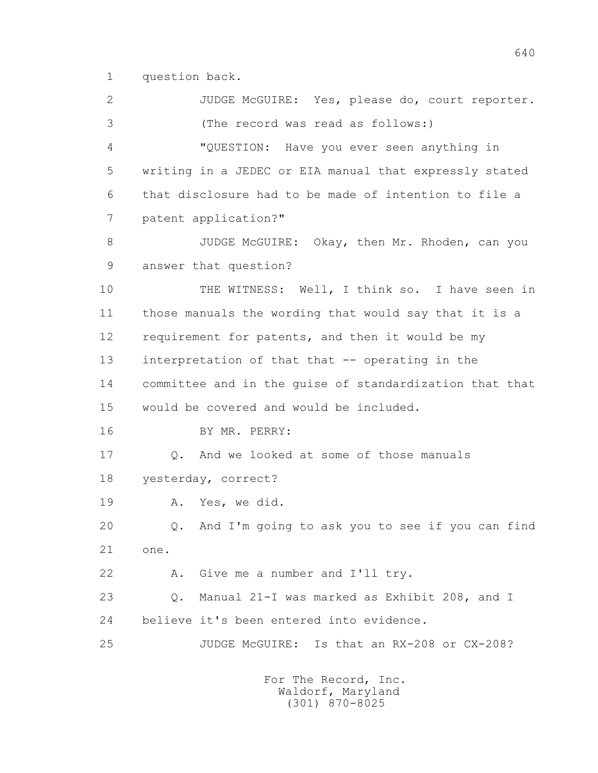1 question back.

 2 JUDGE McGUIRE: Yes, please do, court reporter. 3 (The record was read as follows:) 4 "QUESTION: Have you ever seen anything in 5 writing in a JEDEC or EIA manual that expressly stated 6 that disclosure had to be made of intention to file a 7 patent application?" 8 JUDGE McGUIRE: Okay, then Mr. Rhoden, can you 9 answer that question? 10 THE WITNESS: Well, I think so. I have seen in 11 those manuals the wording that would say that it is a 12 requirement for patents, and then it would be my 13 interpretation of that that -- operating in the 14 committee and in the guise of standardization that that 15 would be covered and would be included. 16 BY MR. PERRY: 17 Q. And we looked at some of those manuals 18 yesterday, correct? 19 A. Yes, we did. 20 Q. And I'm going to ask you to see if you can find 21 one. 22 A. Give me a number and I'll try. 23 Q. Manual 21-I was marked as Exhibit 208, and I 24 believe it's been entered into evidence. 25 JUDGE McGUIRE: Is that an RX-208 or CX-208?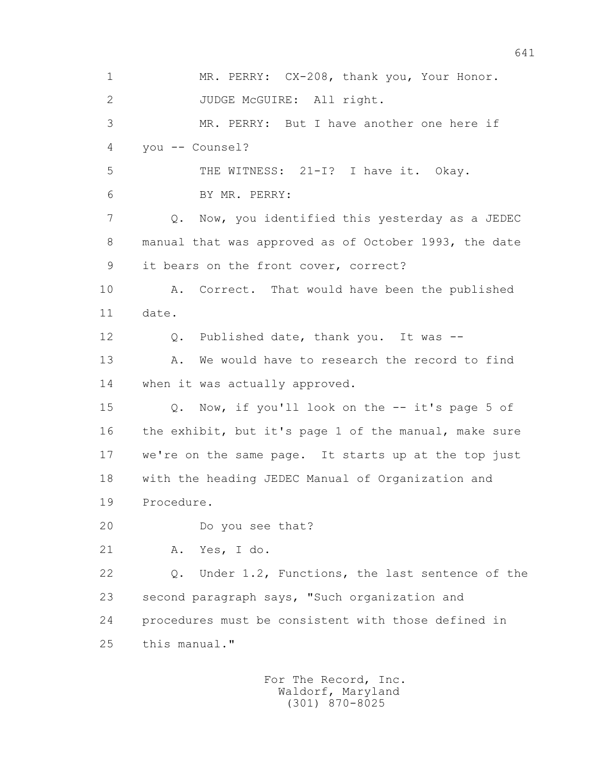1 MR. PERRY: CX-208, thank you, Your Honor. 2 JUDGE McGUIRE: All right. 3 MR. PERRY: But I have another one here if 4 you -- Counsel? 5 THE WITNESS: 21-I? I have it. Okay. 6 BY MR. PERRY: 7 Q. Now, you identified this yesterday as a JEDEC 8 manual that was approved as of October 1993, the date 9 it bears on the front cover, correct? 10 A. Correct. That would have been the published 11 date. 12 Q. Published date, thank you. It was -- 13 A. We would have to research the record to find 14 when it was actually approved. 15 Q. Now, if you'll look on the -- it's page 5 of 16 the exhibit, but it's page 1 of the manual, make sure 17 we're on the same page. It starts up at the top just 18 with the heading JEDEC Manual of Organization and 19 Procedure. 20 Do you see that? 21 A. Yes, I do. 22 Q. Under 1.2, Functions, the last sentence of the 23 second paragraph says, "Such organization and 24 procedures must be consistent with those defined in 25 this manual."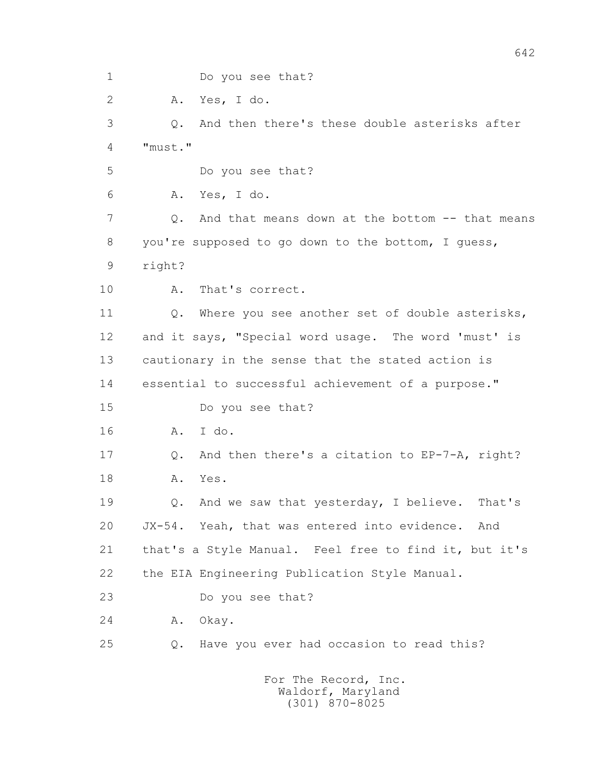642 1 Do you see that? 2 A. Yes, I do. 3 Q. And then there's these double asterisks after 4 "must." 5 Do you see that? 6 A. Yes, I do. 7 0. And that means down at the bottom -- that means 8 you're supposed to go down to the bottom, I guess, 9 right? 10 A. That's correct. 11 Q. Where you see another set of double asterisks, 12 and it says, "Special word usage. The word 'must' is 13 cautionary in the sense that the stated action is 14 essential to successful achievement of a purpose." 15 Do you see that? 16 A. I do. 17 Q. And then there's a citation to EP-7-A, right? 18 A. Yes. 19 Q. And we saw that yesterday, I believe. That's 20 JX-54. Yeah, that was entered into evidence. And 21 that's a Style Manual. Feel free to find it, but it's 22 the EIA Engineering Publication Style Manual. 23 Do you see that? 24 A. Okay. 25 Q. Have you ever had occasion to read this?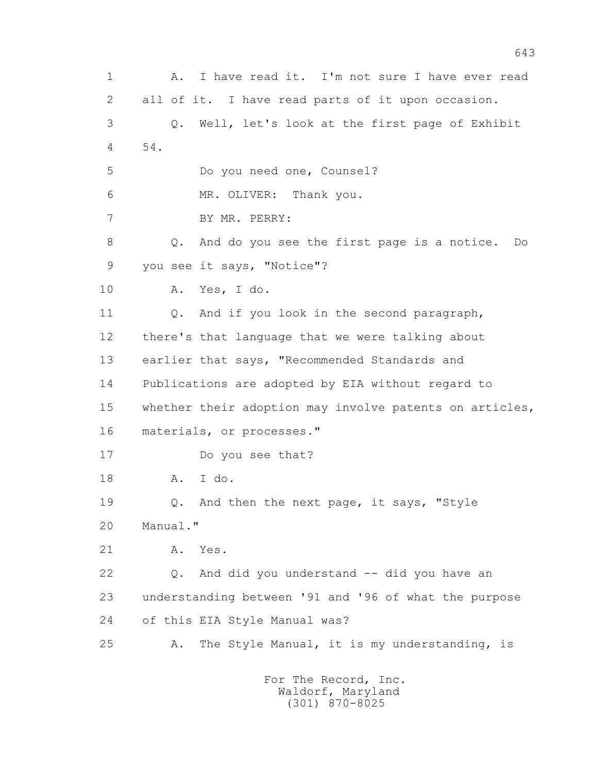1 A. I have read it. I'm not sure I have ever read 2 all of it. I have read parts of it upon occasion. 3 Q. Well, let's look at the first page of Exhibit 4 54. 5 Do you need one, Counsel? 6 MR. OLIVER: Thank you. 7 BY MR. PERRY: 8 Q. And do you see the first page is a notice. Do 9 you see it says, "Notice"? 10 A. Yes, I do. 11 Q. And if you look in the second paragraph, 12 there's that language that we were talking about 13 earlier that says, "Recommended Standards and 14 Publications are adopted by EIA without regard to 15 whether their adoption may involve patents on articles, 16 materials, or processes." 17 Do you see that? 18 A. I do. 19 Q. And then the next page, it says, "Style 20 Manual." 21 A. Yes. 22 Q. And did you understand -- did you have an 23 understanding between '91 and '96 of what the purpose 24 of this EIA Style Manual was? 25 A. The Style Manual, it is my understanding, is For The Record, Inc.

 Waldorf, Maryland (301) 870-8025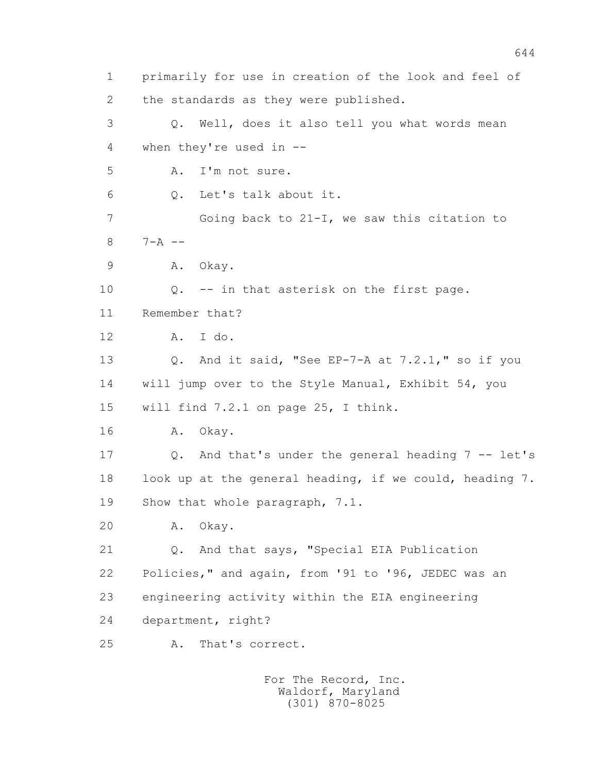1 primarily for use in creation of the look and feel of 2 the standards as they were published. 3 Q. Well, does it also tell you what words mean 4 when they're used in -- 5 A. I'm not sure. 6 Q. Let's talk about it. 7 Going back to 21-I, we saw this citation to  $8 \t 7 - A \t - -$  9 A. Okay. 10 Q. -- in that asterisk on the first page. 11 Remember that? 12 A. I do. 13 Q. And it said, "See EP-7-A at 7.2.1," so if you 14 will jump over to the Style Manual, Exhibit 54, you 15 will find 7.2.1 on page 25, I think. 16 A. Okay. 17 Q. And that's under the general heading 7 -- let's 18 look up at the general heading, if we could, heading 7. 19 Show that whole paragraph, 7.1. 20 A. Okay. 21 Q. And that says, "Special EIA Publication 22 Policies," and again, from '91 to '96, JEDEC was an 23 engineering activity within the EIA engineering 24 department, right? 25 A. That's correct.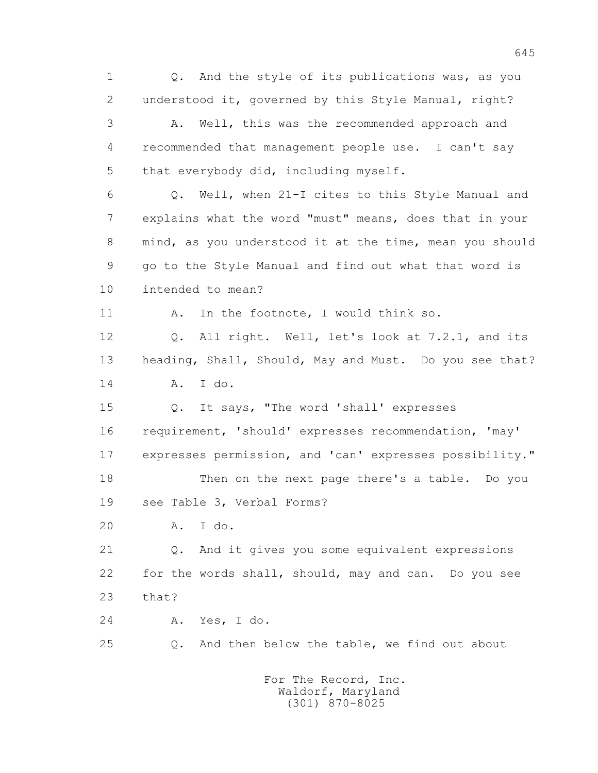1 Q. And the style of its publications was, as you 2 understood it, governed by this Style Manual, right? 3 A. Well, this was the recommended approach and 4 recommended that management people use. I can't say 5 that everybody did, including myself. 6 Q. Well, when 21-I cites to this Style Manual and 7 explains what the word "must" means, does that in your 8 mind, as you understood it at the time, mean you should 9 go to the Style Manual and find out what that word is 10 intended to mean? 11 A. In the footnote, I would think so. 12 Q. All right. Well, let's look at 7.2.1, and its 13 heading, Shall, Should, May and Must. Do you see that? 14 A. I do. 15 Q. It says, "The word 'shall' expresses 16 requirement, 'should' expresses recommendation, 'may' 17 expresses permission, and 'can' expresses possibility." 18 Then on the next page there's a table. Do you 19 see Table 3, Verbal Forms? 20 A. I do. 21 Q. And it gives you some equivalent expressions 22 for the words shall, should, may and can. Do you see 23 that? 24 A. Yes, I do. 25 Q. And then below the table, we find out about For The Record, Inc. Waldorf, Maryland

(301) 870-8025

645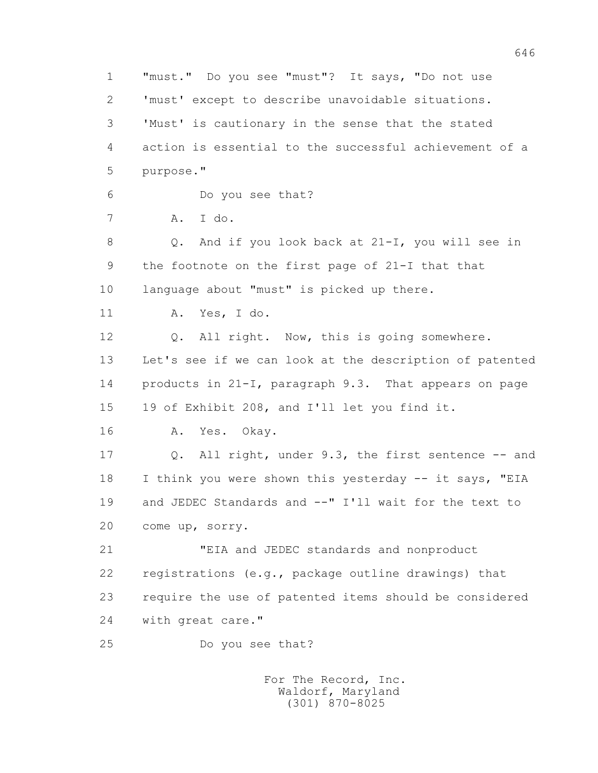1 "must." Do you see "must"? It says, "Do not use 2 'must' except to describe unavoidable situations. 3 'Must' is cautionary in the sense that the stated 4 action is essential to the successful achievement of a 5 purpose." 6 Do you see that? 7 A. I do. 8 Q. And if you look back at 21-I, you will see in 9 the footnote on the first page of 21-I that that 10 language about "must" is picked up there. 11 A. Yes, I do. 12 Q. All right. Now, this is going somewhere. 13 Let's see if we can look at the description of patented 14 products in 21-I, paragraph 9.3. That appears on page 15 19 of Exhibit 208, and I'll let you find it. 16 A. Yes. Okay. 17 Q. All right, under 9.3, the first sentence -- and 18 I think you were shown this yesterday -- it says, "EIA 19 and JEDEC Standards and --" I'll wait for the text to 20 come up, sorry. 21 "EIA and JEDEC standards and nonproduct 22 registrations (e.g., package outline drawings) that 23 require the use of patented items should be considered 24 with great care." 25 Do you see that? For The Record, Inc.

 Waldorf, Maryland (301) 870-8025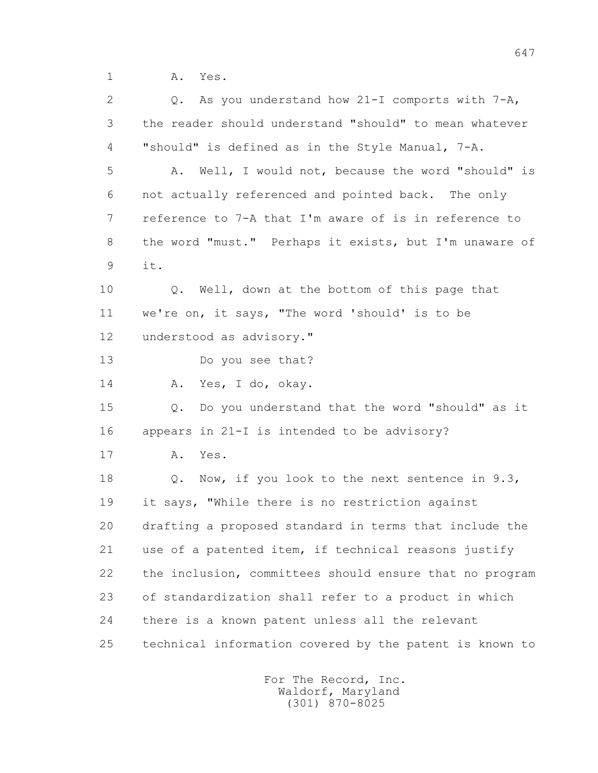1 A. Yes.

 2 Q. As you understand how 21-I comports with 7-A, 3 the reader should understand "should" to mean whatever 4 "should" is defined as in the Style Manual, 7-A. 5 A. Well, I would not, because the word "should" is 6 not actually referenced and pointed back. The only 7 reference to 7-A that I'm aware of is in reference to 8 the word "must." Perhaps it exists, but I'm unaware of 9 it. 10 Q. Well, down at the bottom of this page that 11 we're on, it says, "The word 'should' is to be 12 understood as advisory." 13 Do you see that? 14 A. Yes, I do, okay. 15 Q. Do you understand that the word "should" as it 16 appears in 21-I is intended to be advisory? 17 A. Yes. 18 Q. Now, if you look to the next sentence in 9.3, 19 it says, "While there is no restriction against 20 drafting a proposed standard in terms that include the 21 use of a patented item, if technical reasons justify 22 the inclusion, committees should ensure that no program 23 of standardization shall refer to a product in which 24 there is a known patent unless all the relevant 25 technical information covered by the patent is known to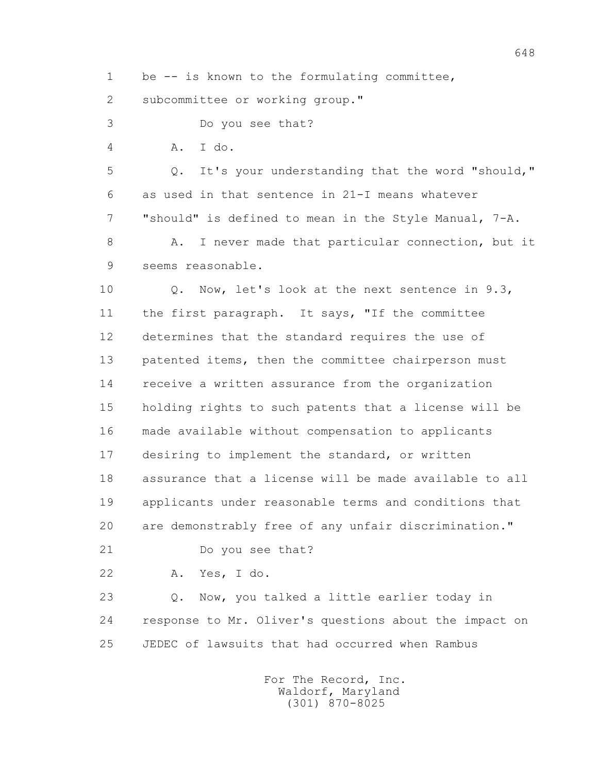1 be -- is known to the formulating committee,

2 subcommittee or working group."

3 Do you see that?

4 A. I do.

 5 Q. It's your understanding that the word "should," 6 as used in that sentence in 21-I means whatever 7 "should" is defined to mean in the Style Manual, 7-A. 8 A. I never made that particular connection, but it

9 seems reasonable.

 10 Q. Now, let's look at the next sentence in 9.3, 11 the first paragraph. It says, "If the committee 12 determines that the standard requires the use of 13 patented items, then the committee chairperson must 14 receive a written assurance from the organization 15 holding rights to such patents that a license will be 16 made available without compensation to applicants 17 desiring to implement the standard, or written 18 assurance that a license will be made available to all 19 applicants under reasonable terms and conditions that 20 are demonstrably free of any unfair discrimination."

21 Do you see that?

22 A. Yes, I do.

 23 Q. Now, you talked a little earlier today in 24 response to Mr. Oliver's questions about the impact on 25 JEDEC of lawsuits that had occurred when Rambus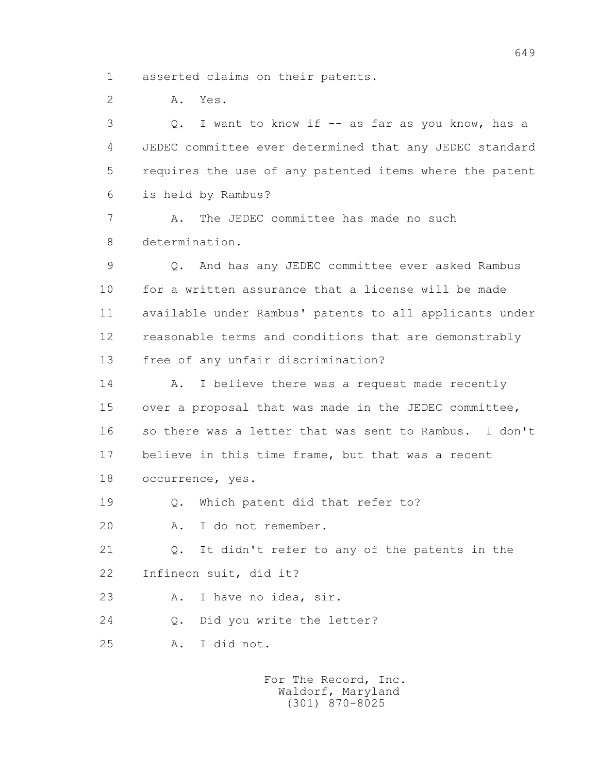1 asserted claims on their patents.

2 A. Yes.

 3 Q. I want to know if -- as far as you know, has a 4 JEDEC committee ever determined that any JEDEC standard 5 requires the use of any patented items where the patent 6 is held by Rambus?

 7 A. The JEDEC committee has made no such 8 determination.

 9 Q. And has any JEDEC committee ever asked Rambus 10 for a written assurance that a license will be made 11 available under Rambus' patents to all applicants under 12 reasonable terms and conditions that are demonstrably 13 free of any unfair discrimination?

14 A. I believe there was a request made recently 15 over a proposal that was made in the JEDEC committee, 16 so there was a letter that was sent to Rambus. I don't 17 believe in this time frame, but that was a recent 18 occurrence, yes.

19 Q. Which patent did that refer to?

20 A. I do not remember.

 21 Q. It didn't refer to any of the patents in the 22 Infineon suit, did it?

23 A. I have no idea, sir.

24 Q. Did you write the letter?

25 A. I did not.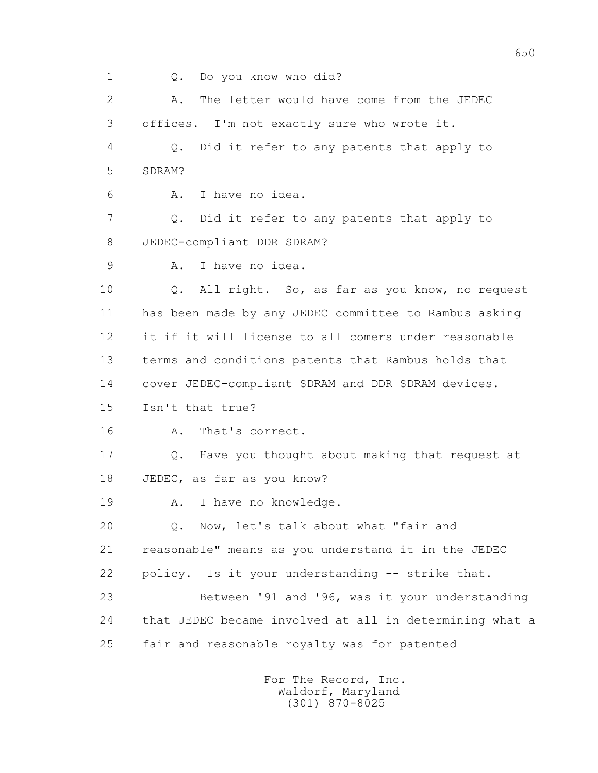1 Q. Do you know who did?

 2 A. The letter would have come from the JEDEC 3 offices. I'm not exactly sure who wrote it. 4 Q. Did it refer to any patents that apply to 5 SDRAM? 6 A. I have no idea. 7 Q. Did it refer to any patents that apply to 8 JEDEC-compliant DDR SDRAM? 9 A. I have no idea. 10 Q. All right. So, as far as you know, no request 11 has been made by any JEDEC committee to Rambus asking 12 it if it will license to all comers under reasonable 13 terms and conditions patents that Rambus holds that 14 cover JEDEC-compliant SDRAM and DDR SDRAM devices. 15 Isn't that true? 16 A. That's correct. 17 Q. Have you thought about making that request at 18 JEDEC, as far as you know? 19 A. I have no knowledge. 20 Q. Now, let's talk about what "fair and 21 reasonable" means as you understand it in the JEDEC 22 policy. Is it your understanding -- strike that. 23 Between '91 and '96, was it your understanding 24 that JEDEC became involved at all in determining what a 25 fair and reasonable royalty was for patented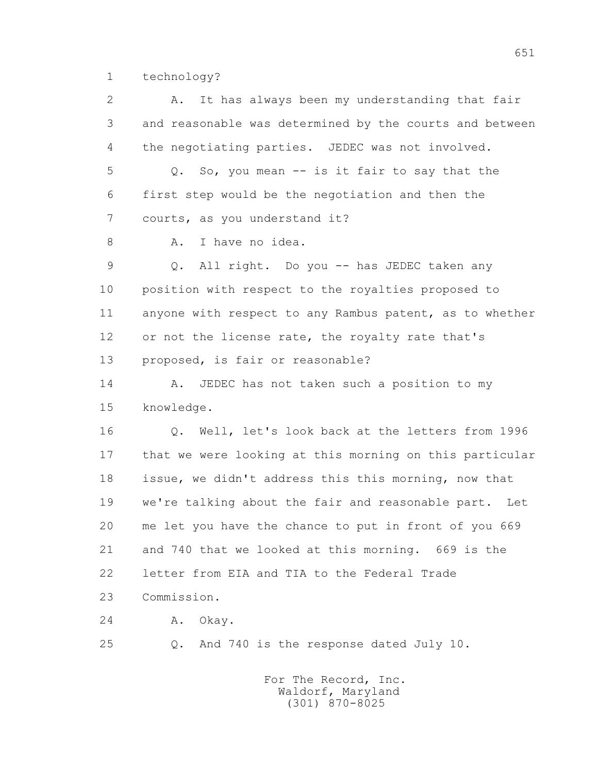1 technology?

 2 A. It has always been my understanding that fair 3 and reasonable was determined by the courts and between 4 the negotiating parties. JEDEC was not involved. 5 Q. So, you mean -- is it fair to say that the 6 first step would be the negotiation and then the 7 courts, as you understand it? 8 A. I have no idea. 9 Q. All right. Do you -- has JEDEC taken any 10 position with respect to the royalties proposed to 11 anyone with respect to any Rambus patent, as to whether 12 or not the license rate, the royalty rate that's 13 proposed, is fair or reasonable? 14 A. JEDEC has not taken such a position to my 15 knowledge. 16 Q. Well, let's look back at the letters from 1996 17 that we were looking at this morning on this particular 18 issue, we didn't address this this morning, now that 19 we're talking about the fair and reasonable part. Let 20 me let you have the chance to put in front of you 669 21 and 740 that we looked at this morning. 669 is the 22 letter from EIA and TIA to the Federal Trade 23 Commission. 24 A. Okay. 25 Q. And 740 is the response dated July 10.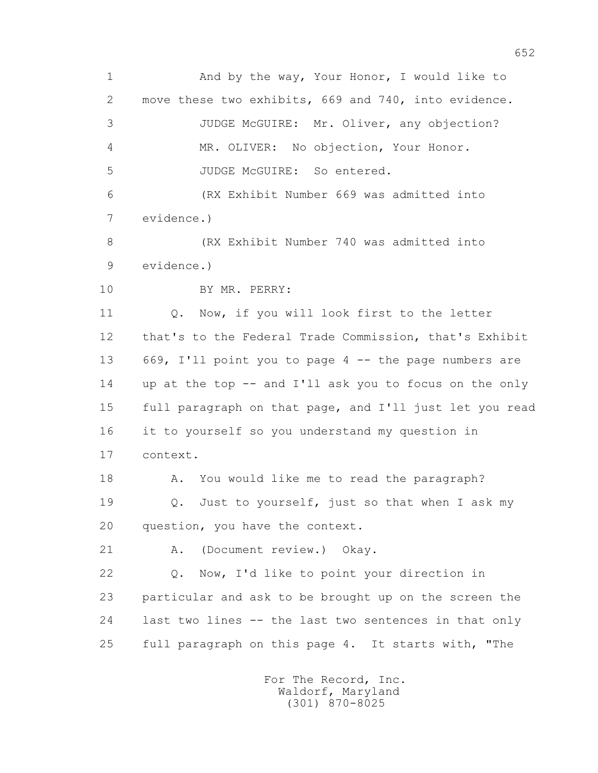1 And by the way, Your Honor, I would like to 2 move these two exhibits, 669 and 740, into evidence. 3 JUDGE McGUIRE: Mr. Oliver, any objection? 4 MR. OLIVER: No objection, Your Honor. 5 JUDGE McGUIRE: So entered. 6 (RX Exhibit Number 669 was admitted into 7 evidence.) 8 (RX Exhibit Number 740 was admitted into 9 evidence.) 10 BY MR. PERRY: 11 0. Now, if you will look first to the letter 12 that's to the Federal Trade Commission, that's Exhibit 13 669, I'll point you to page 4 -- the page numbers are 14 up at the top -- and I'll ask you to focus on the only 15 full paragraph on that page, and I'll just let you read 16 it to yourself so you understand my question in 17 context. 18 A. You would like me to read the paragraph? 19 Q. Just to yourself, just so that when I ask my 20 question, you have the context. 21 A. (Document review.) Okay. 22 Q. Now, I'd like to point your direction in 23 particular and ask to be brought up on the screen the 24 last two lines -- the last two sentences in that only 25 full paragraph on this page 4. It starts with, "The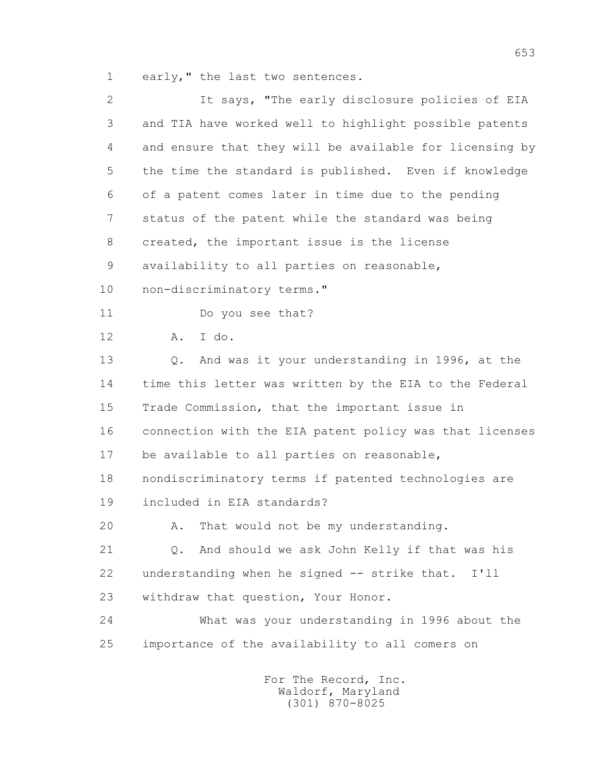1 early," the last two sentences.

| $\mathbf{2}$ | It says, "The early disclosure policies of EIA          |
|--------------|---------------------------------------------------------|
| 3            | and TIA have worked well to highlight possible patents  |
| 4            | and ensure that they will be available for licensing by |
| 5            | the time the standard is published. Even if knowledge   |
| 6            | of a patent comes later in time due to the pending      |
| 7            | status of the patent while the standard was being       |
| 8            | created, the important issue is the license             |
| 9            | availability to all parties on reasonable,              |
| 10           | non-discriminatory terms."                              |
| 11           | Do you see that?                                        |
| 12           | I do.<br>Α.                                             |
| 13           | Q. And was it your understanding in 1996, at the        |
| 14           | time this letter was written by the EIA to the Federal  |
| 15           | Trade Commission, that the important issue in           |
| 16           | connection with the EIA patent policy was that licenses |
| 17           | be available to all parties on reasonable,              |
| 18           | nondiscriminatory terms if patented technologies are    |
| 19           | included in EIA standards?                              |
| 20           | A. That would not be my understanding.                  |
| 21           | And should we ask John Kelly if that was his<br>Q.      |
| 22           | understanding when he signed -- strike that. I'll       |
| 23           | withdraw that question, Your Honor.                     |
| 24           | What was your understanding in 1996 about the           |
| 25           | importance of the availability to all comers on         |
|              |                                                         |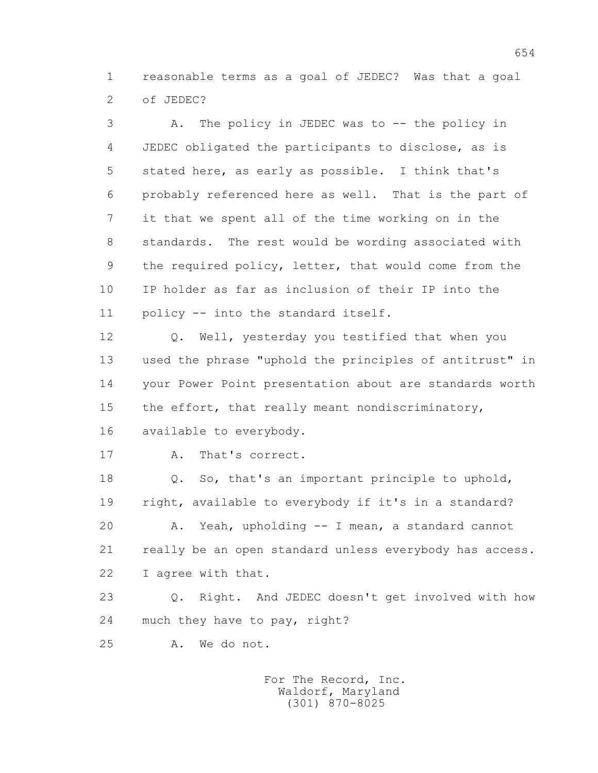1 reasonable terms as a goal of JEDEC? Was that a goal 2 of JEDEC?

 3 A. The policy in JEDEC was to -- the policy in 4 JEDEC obligated the participants to disclose, as is 5 stated here, as early as possible. I think that's 6 probably referenced here as well. That is the part of 7 it that we spent all of the time working on in the 8 standards. The rest would be wording associated with 9 the required policy, letter, that would come from the 10 IP holder as far as inclusion of their IP into the 11 policy -- into the standard itself.

 12 Q. Well, yesterday you testified that when you 13 used the phrase "uphold the principles of antitrust" in 14 your Power Point presentation about are standards worth 15 the effort, that really meant nondiscriminatory, 16 available to everybody.

17 A. That's correct.

 18 Q. So, that's an important principle to uphold, 19 right, available to everybody if it's in a standard? 20 A. Yeah, upholding -- I mean, a standard cannot 21 really be an open standard unless everybody has access. 22 I agree with that.

 23 Q. Right. And JEDEC doesn't get involved with how 24 much they have to pay, right?

25 A. We do not.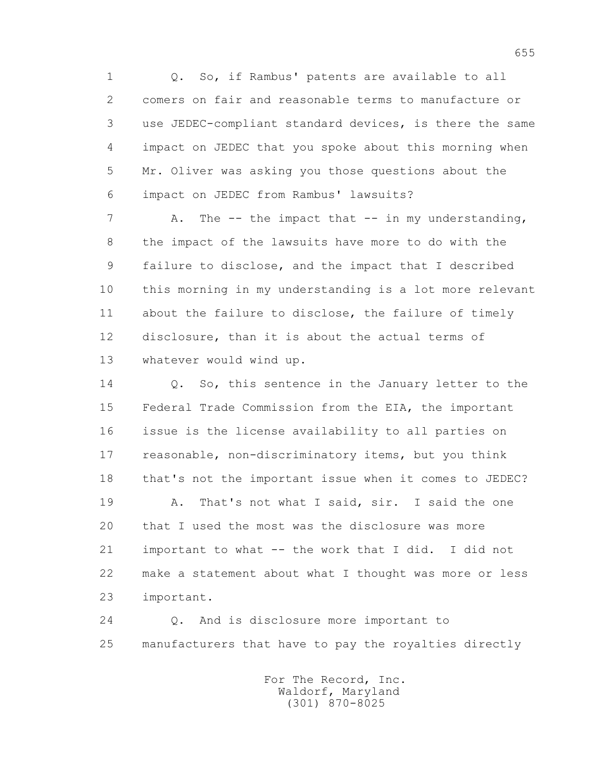1 Q. So, if Rambus' patents are available to all 2 comers on fair and reasonable terms to manufacture or 3 use JEDEC-compliant standard devices, is there the same 4 impact on JEDEC that you spoke about this morning when 5 Mr. Oliver was asking you those questions about the 6 impact on JEDEC from Rambus' lawsuits?

7 A. The -- the impact that -- in my understanding, 8 the impact of the lawsuits have more to do with the 9 failure to disclose, and the impact that I described 10 this morning in my understanding is a lot more relevant 11 about the failure to disclose, the failure of timely 12 disclosure, than it is about the actual terms of 13 whatever would wind up.

14 0. So, this sentence in the January letter to the 15 Federal Trade Commission from the EIA, the important 16 issue is the license availability to all parties on 17 reasonable, non-discriminatory items, but you think 18 that's not the important issue when it comes to JEDEC?

 19 A. That's not what I said, sir. I said the one 20 that I used the most was the disclosure was more 21 important to what -- the work that I did. I did not 22 make a statement about what I thought was more or less 23 important.

 24 Q. And is disclosure more important to 25 manufacturers that have to pay the royalties directly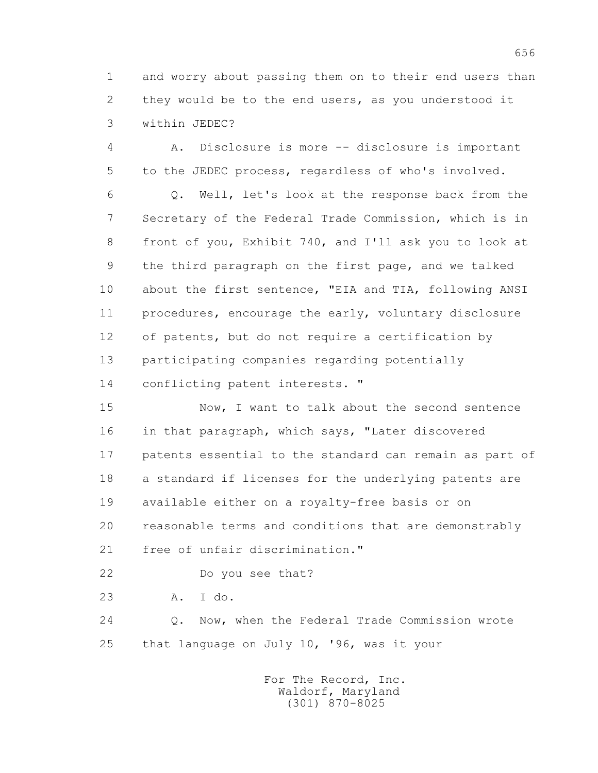1 and worry about passing them on to their end users than 2 they would be to the end users, as you understood it 3 within JEDEC?

 4 A. Disclosure is more -- disclosure is important 5 to the JEDEC process, regardless of who's involved.

 6 Q. Well, let's look at the response back from the 7 Secretary of the Federal Trade Commission, which is in 8 front of you, Exhibit 740, and I'll ask you to look at 9 the third paragraph on the first page, and we talked 10 about the first sentence, "EIA and TIA, following ANSI 11 procedures, encourage the early, voluntary disclosure 12 of patents, but do not require a certification by 13 participating companies regarding potentially 14 conflicting patent interests. "

 15 Now, I want to talk about the second sentence 16 in that paragraph, which says, "Later discovered 17 patents essential to the standard can remain as part of 18 a standard if licenses for the underlying patents are 19 available either on a royalty-free basis or on 20 reasonable terms and conditions that are demonstrably 21 free of unfair discrimination."

22 Do you see that?

23 A. I do.

 24 Q. Now, when the Federal Trade Commission wrote 25 that language on July 10, '96, was it your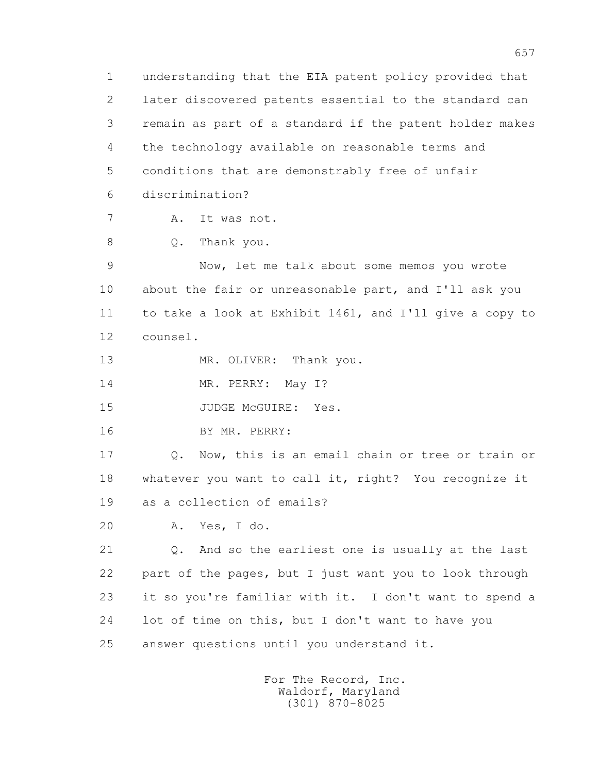1 understanding that the EIA patent policy provided that 2 later discovered patents essential to the standard can 3 remain as part of a standard if the patent holder makes 4 the technology available on reasonable terms and 5 conditions that are demonstrably free of unfair 6 discrimination? 7 A. It was not. 8 O. Thank you. 9 Now, let me talk about some memos you wrote 10 about the fair or unreasonable part, and I'll ask you 11 to take a look at Exhibit 1461, and I'll give a copy to 12 counsel. 13 MR. OLIVER: Thank you. 14 MR. PERRY: May 1? 15 JUDGE McGUIRE: Yes. 16 BY MR. PERRY: 17 Q. Now, this is an email chain or tree or train or 18 whatever you want to call it, right? You recognize it 19 as a collection of emails? 20 A. Yes, I do. 21 Q. And so the earliest one is usually at the last 22 part of the pages, but I just want you to look through 23 it so you're familiar with it. I don't want to spend a 24 lot of time on this, but I don't want to have you 25 answer questions until you understand it.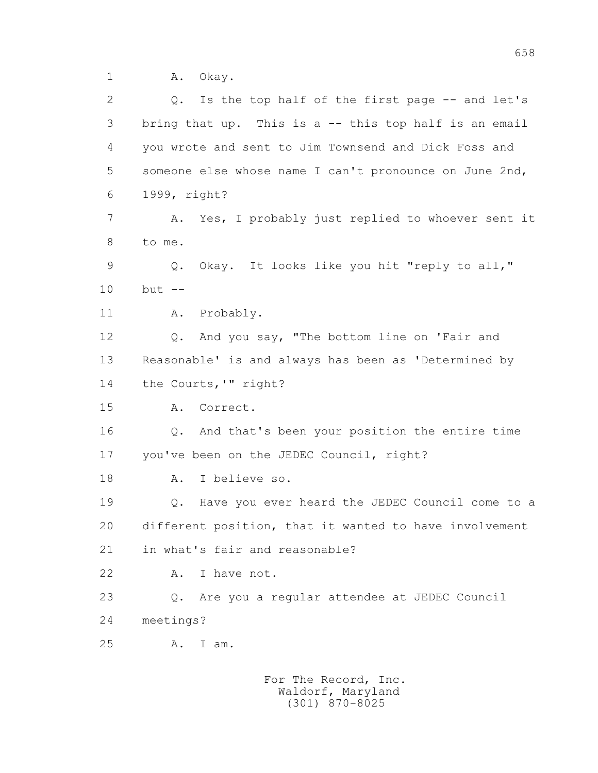1 A. Okay.

| 2  | Q. Is the top half of the first page -- and let's        |
|----|----------------------------------------------------------|
| 3  | bring that up. This is a -- this top half is an email    |
| 4  | you wrote and sent to Jim Townsend and Dick Foss and     |
| 5  | someone else whose name I can't pronounce on June 2nd,   |
| 6  | 1999, right?                                             |
| 7  | Yes, I probably just replied to whoever sent it<br>Α.    |
| 8  | to me.                                                   |
| 9  | Q. Okay. It looks like you hit "reply to all,"           |
| 10 | $but --$                                                 |
| 11 | Probably.<br>Α.                                          |
| 12 | Q. And you say, "The bottom line on 'Fair and            |
| 13 | Reasonable' is and always has been as 'Determined by     |
| 14 | the Courts, '" right?                                    |
| 15 | Correct.<br>Α.                                           |
| 16 | Q. And that's been your position the entire time         |
| 17 | you've been on the JEDEC Council, right?                 |
| 18 | I believe so.<br>A.                                      |
| 19 | Q. Have you ever heard the JEDEC Council come to a       |
| 20 | different position, that it wanted to have involvement   |
| 21 | in what's fair and reasonable?                           |
| 22 | I have not.<br>Α.                                        |
| 23 | Are you a regular attendee at JEDEC Council<br>$\circ$ . |
| 24 | meetings?                                                |
| 25 | Α.<br>I am.                                              |
|    | For The Record, Inc.                                     |
|    |                                                          |

Waldorf, Maryland (301) 870-8025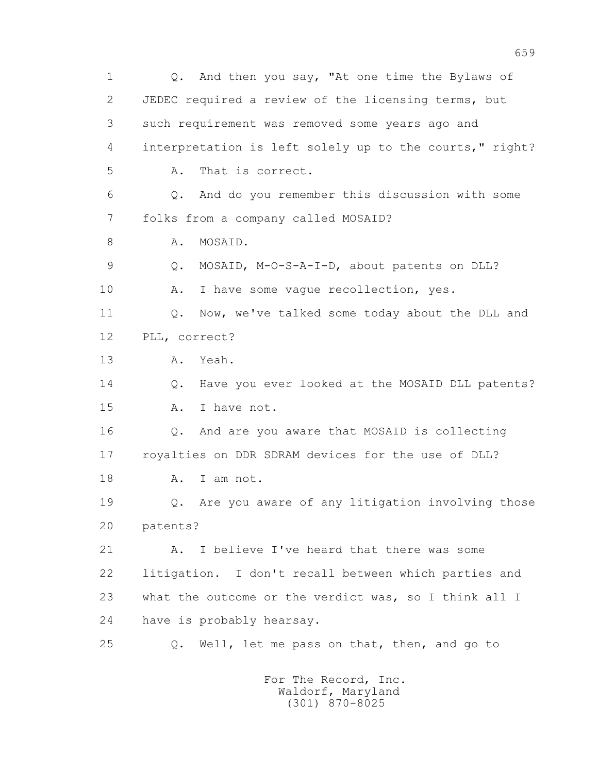1 Q. And then you say, "At one time the Bylaws of 2 JEDEC required a review of the licensing terms, but 3 such requirement was removed some years ago and 4 interpretation is left solely up to the courts," right? 5 A. That is correct. 6 Q. And do you remember this discussion with some 7 folks from a company called MOSAID? 8 A. MOSAID. 9 Q. MOSAID, M-O-S-A-I-D, about patents on DLL? 10 A. I have some vague recollection, yes. 11 Q. Now, we've talked some today about the DLL and 12 PLL, correct? 13 A. Yeah. 14 Q. Have you ever looked at the MOSAID DLL patents? 15 A. I have not. 16 Q. And are you aware that MOSAID is collecting 17 royalties on DDR SDRAM devices for the use of DLL? 18 A. I am not. 19 Q. Are you aware of any litigation involving those 20 patents? 21 A. I believe I've heard that there was some 22 litigation. I don't recall between which parties and 23 what the outcome or the verdict was, so I think all I 24 have is probably hearsay. 25 Q. Well, let me pass on that, then, and go to For The Record, Inc.

 Waldorf, Maryland (301) 870-8025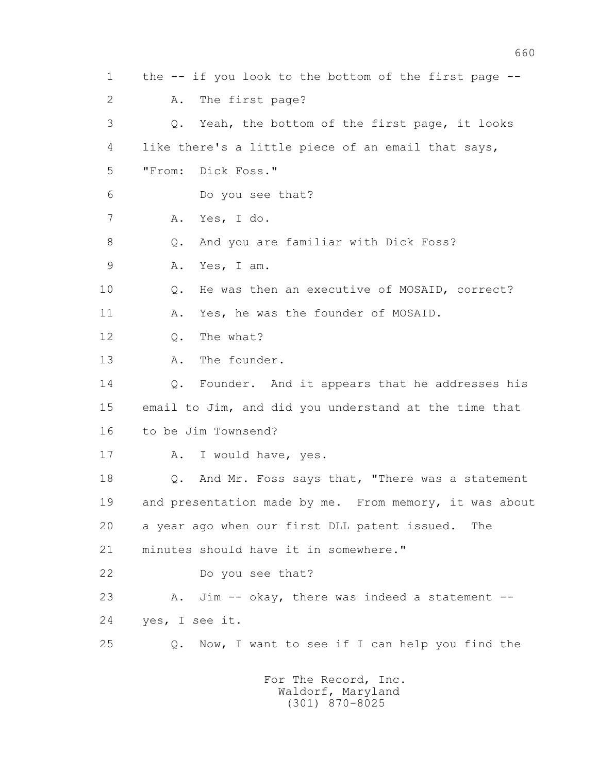1 the -- if you look to the bottom of the first page -- 2 A. The first page? 3 Q. Yeah, the bottom of the first page, it looks 4 like there's a little piece of an email that says, 5 "From: Dick Foss." 6 Do you see that? 7 A. Yes, I do. 8 Q. And you are familiar with Dick Foss? 9 A. Yes, I am. 10 Q. He was then an executive of MOSAID, correct? 11 A. Yes, he was the founder of MOSAID. 12 Q. The what? 13 A. The founder. 14 Q. Founder. And it appears that he addresses his 15 email to Jim, and did you understand at the time that 16 to be Jim Townsend? 17 A. I would have, yes. 18 Q. And Mr. Foss says that, "There was a statement 19 and presentation made by me. From memory, it was about 20 a year ago when our first DLL patent issued. The 21 minutes should have it in somewhere." 22 Do you see that? 23 A. Jim -- okay, there was indeed a statement -- 24 yes, I see it. 25 Q. Now, I want to see if I can help you find the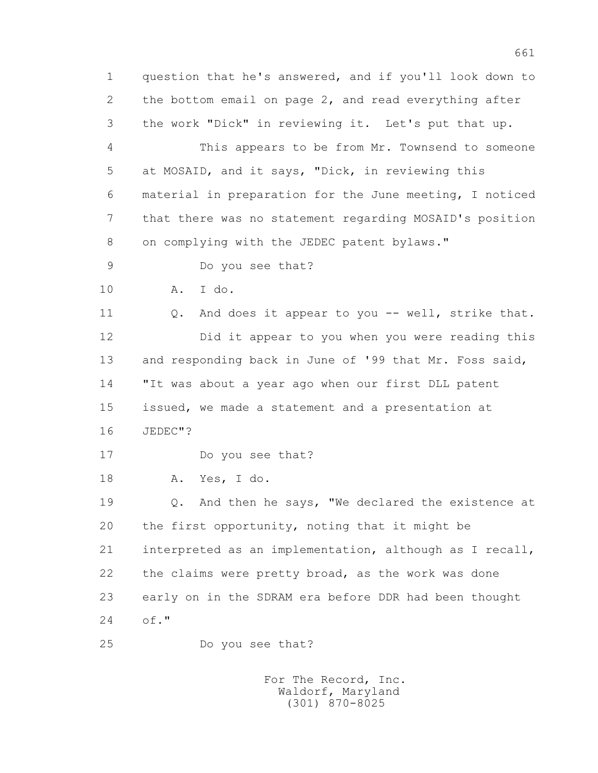1 question that he's answered, and if you'll look down to 2 the bottom email on page 2, and read everything after 3 the work "Dick" in reviewing it. Let's put that up.

 4 This appears to be from Mr. Townsend to someone 5 at MOSAID, and it says, "Dick, in reviewing this 6 material in preparation for the June meeting, I noticed 7 that there was no statement regarding MOSAID's position 8 on complying with the JEDEC patent bylaws."

9 Do you see that?

10 A. I do.

11 0. And does it appear to you -- well, strike that. 12 Did it appear to you when you were reading this 13 and responding back in June of '99 that Mr. Foss said, 14 "It was about a year ago when our first DLL patent 15 issued, we made a statement and a presentation at 16 JEDEC"?

17 Do you see that?

18 A. Yes, I do.

 19 Q. And then he says, "We declared the existence at 20 the first opportunity, noting that it might be 21 interpreted as an implementation, although as I recall, 22 the claims were pretty broad, as the work was done 23 early on in the SDRAM era before DDR had been thought 24 of."

25 Do you see that?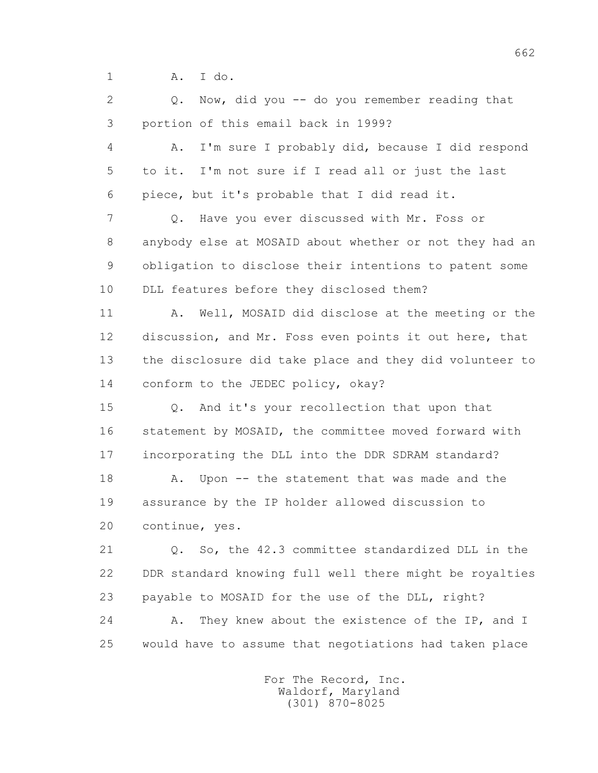1 A. I do.

 2 Q. Now, did you -- do you remember reading that 3 portion of this email back in 1999?

 4 A. I'm sure I probably did, because I did respond 5 to it. I'm not sure if I read all or just the last 6 piece, but it's probable that I did read it.

 7 Q. Have you ever discussed with Mr. Foss or 8 anybody else at MOSAID about whether or not they had an 9 obligation to disclose their intentions to patent some 10 DLL features before they disclosed them?

11 A. Well, MOSAID did disclose at the meeting or the 12 discussion, and Mr. Foss even points it out here, that 13 the disclosure did take place and they did volunteer to 14 conform to the JEDEC policy, okay?

 15 Q. And it's your recollection that upon that 16 statement by MOSAID, the committee moved forward with 17 incorporating the DLL into the DDR SDRAM standard?

18 A. Upon -- the statement that was made and the 19 assurance by the IP holder allowed discussion to 20 continue, yes.

 21 Q. So, the 42.3 committee standardized DLL in the 22 DDR standard knowing full well there might be royalties 23 payable to MOSAID for the use of the DLL, right? 24 A. They knew about the existence of the IP, and I

25 would have to assume that negotiations had taken place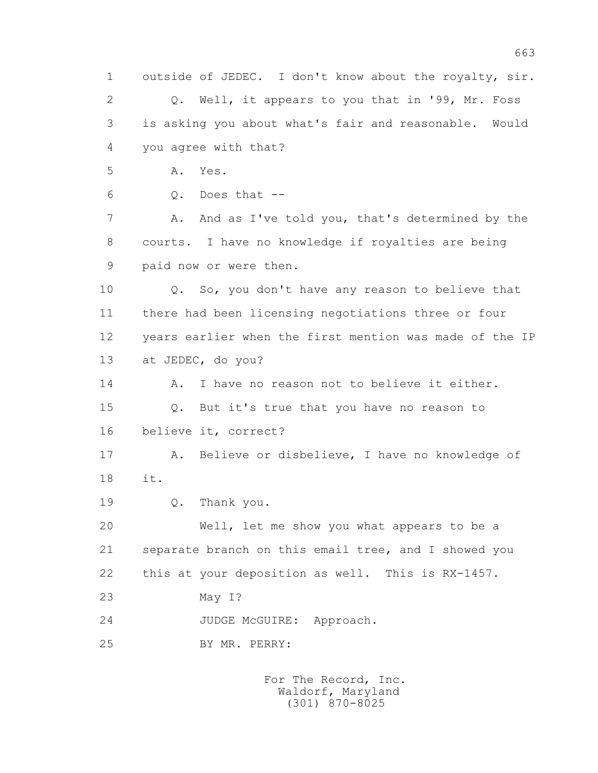1 outside of JEDEC. I don't know about the royalty, sir. 2 Q. Well, it appears to you that in '99, Mr. Foss 3 is asking you about what's fair and reasonable. Would 4 you agree with that? 5 A. Yes.  $6 \qquad \qquad$  0. Does that  $-$  7 A. And as I've told you, that's determined by the 8 courts. I have no knowledge if royalties are being 9 paid now or were then. 10 Q. So, you don't have any reason to believe that 11 there had been licensing negotiations three or four 12 years earlier when the first mention was made of the IP 13 at JEDEC, do you? 14 A. I have no reason not to believe it either. 15 Q. But it's true that you have no reason to 16 believe it, correct? 17 A. Believe or disbelieve, I have no knowledge of 18 it. 19 Q. Thank you. 20 Well, let me show you what appears to be a 21 separate branch on this email tree, and I showed you 22 this at your deposition as well. This is RX-1457. 23 May I? 24 JUDGE McGUIRE: Approach. 25 BY MR. PERRY: For The Record, Inc. Waldorf, Maryland

(301) 870-8025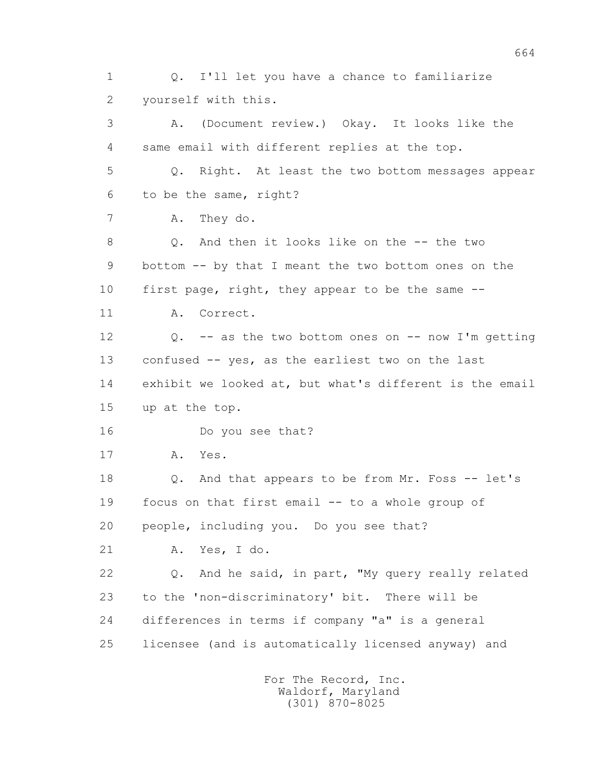2 yourself with this. 3 A. (Document review.) Okay. It looks like the 4 same email with different replies at the top. 5 Q. Right. At least the two bottom messages appear 6 to be the same, right? 7 A. They do. 8 0. And then it looks like on the -- the two 9 bottom -- by that I meant the two bottom ones on the 10 first page, right, they appear to be the same -- 11 A. Correct. 12 Q. -- as the two bottom ones on -- now I'm getting 13 confused -- yes, as the earliest two on the last 14 exhibit we looked at, but what's different is the email 15 up at the top. 16 Do you see that? 17 A. Yes. 18 Q. And that appears to be from Mr. Foss -- let's 19 focus on that first email -- to a whole group of 20 people, including you. Do you see that? 21 A. Yes, I do. 22 Q. And he said, in part, "My query really related 23 to the 'non-discriminatory' bit. There will be 24 differences in terms if company "a" is a general 25 licensee (and is automatically licensed anyway) and For The Record, Inc. Waldorf, Maryland (301) 870-8025

1 Q. I'll let you have a chance to familiarize

664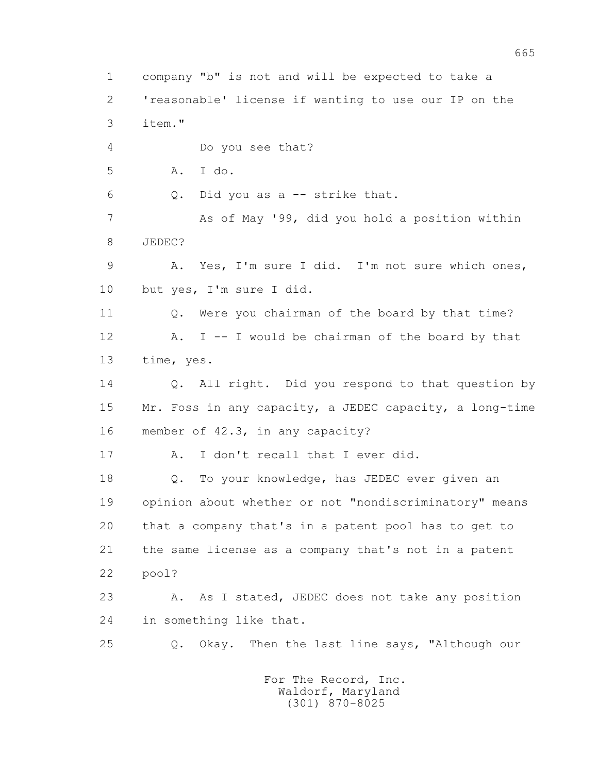1 company "b" is not and will be expected to take a 2 'reasonable' license if wanting to use our IP on the 3 item." 4 Do you see that? 5 A. I do. 6 Q. Did you as a -- strike that. 7 As of May '99, did you hold a position within 8 JEDEC? 9 A. Yes, I'm sure I did. I'm not sure which ones, 10 but yes, I'm sure I did. 11 Q. Were you chairman of the board by that time? 12 A. I -- I would be chairman of the board by that 13 time, yes. 14 Q. All right. Did you respond to that question by 15 Mr. Foss in any capacity, a JEDEC capacity, a long-time 16 member of 42.3, in any capacity? 17 A. I don't recall that I ever did. 18 Q. To your knowledge, has JEDEC ever given an 19 opinion about whether or not "nondiscriminatory" means 20 that a company that's in a patent pool has to get to 21 the same license as a company that's not in a patent 22 pool? 23 A. As I stated, JEDEC does not take any position 24 in something like that. 25 Q. Okay. Then the last line says, "Although our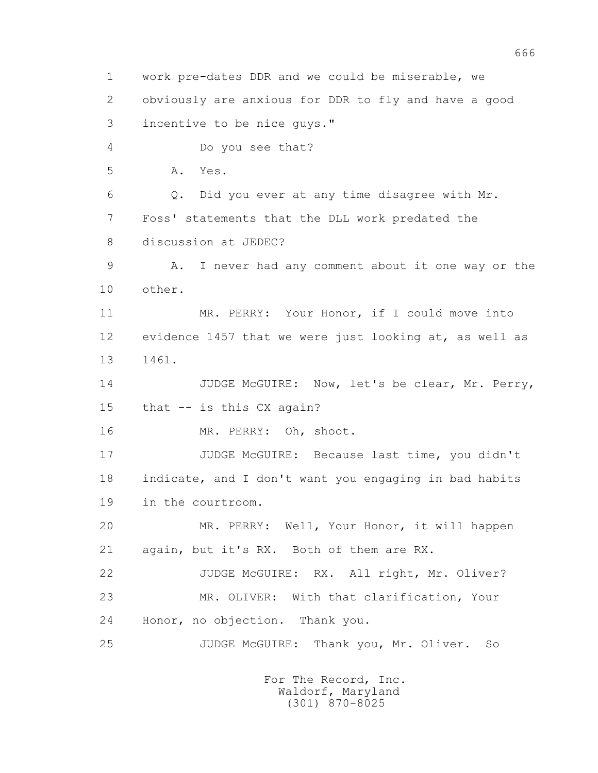1 work pre-dates DDR and we could be miserable, we 2 obviously are anxious for DDR to fly and have a good 3 incentive to be nice guys." 4 Do you see that? 5 A. Yes. 6 Q. Did you ever at any time disagree with Mr. 7 Foss' statements that the DLL work predated the 8 discussion at JEDEC? 9 A. I never had any comment about it one way or the 10 other. 11 MR. PERRY: Your Honor, if I could move into 12 evidence 1457 that we were just looking at, as well as 13 1461. 14 JUDGE McGUIRE: Now, let's be clear, Mr. Perry, 15 that -- is this CX again? 16 MR. PERRY: Oh, shoot. 17 JUDGE McGUIRE: Because last time, you didn't 18 indicate, and I don't want you engaging in bad habits 19 in the courtroom. 20 MR. PERRY: Well, Your Honor, it will happen 21 again, but it's RX. Both of them are RX. 22 JUDGE McGUIRE: RX. All right, Mr. Oliver? 23 MR. OLIVER: With that clarification, Your 24 Honor, no objection. Thank you. 25 JUDGE McGUIRE: Thank you, Mr. Oliver. So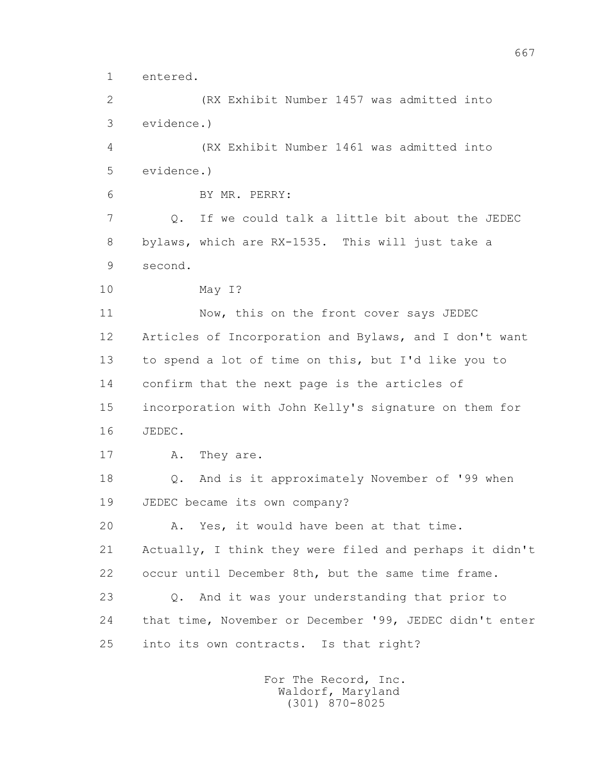1 entered.

 2 (RX Exhibit Number 1457 was admitted into 3 evidence.)

 4 (RX Exhibit Number 1461 was admitted into 5 evidence.)

6 BY MR. PERRY:

 7 Q. If we could talk a little bit about the JEDEC 8 bylaws, which are RX-1535. This will just take a 9 second.

```
 10 May I?
```
11 Now, this on the front cover says JEDEC 12 Articles of Incorporation and Bylaws, and I don't want 13 to spend a lot of time on this, but I'd like you to 14 confirm that the next page is the articles of 15 incorporation with John Kelly's signature on them for 16 JEDEC.

```
17 A. They are.
```
 18 Q. And is it approximately November of '99 when 19 JEDEC became its own company?

20 A. Yes, it would have been at that time.

 21 Actually, I think they were filed and perhaps it didn't 22 occur until December 8th, but the same time frame.

 23 Q. And it was your understanding that prior to 24 that time, November or December '99, JEDEC didn't enter 25 into its own contracts. Is that right?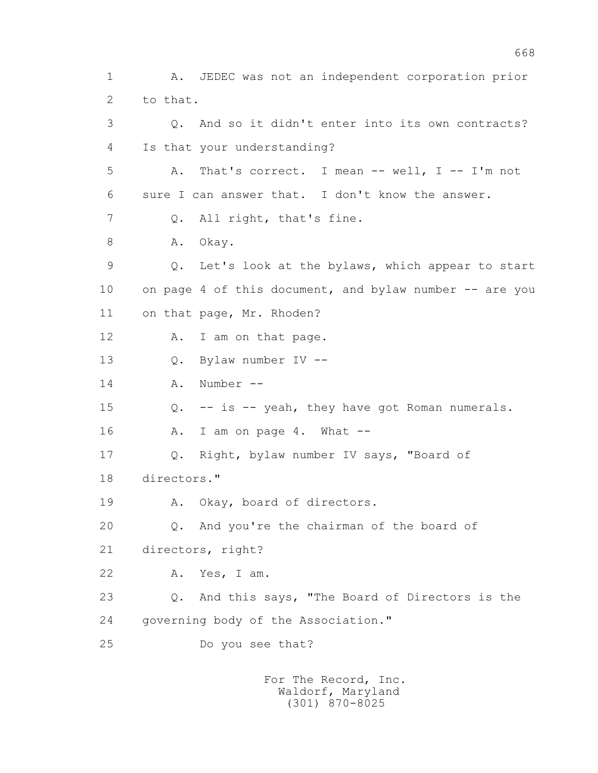1 A. JEDEC was not an independent corporation prior 2 to that. 3 Q. And so it didn't enter into its own contracts? 4 Is that your understanding? 5 A. That's correct. I mean -- well, I -- I'm not 6 sure I can answer that. I don't know the answer. 7 Q. All right, that's fine. 8 A. Okay. 9 Q. Let's look at the bylaws, which appear to start 10 on page 4 of this document, and bylaw number -- are you 11 on that page, Mr. Rhoden? 12 A. I am on that page. 13 Q. Bylaw number IV -- 14 A. Number -- 15 Q. -- is -- yeah, they have got Roman numerals. 16 A. I am on page 4. What -- 17 Q. Right, bylaw number IV says, "Board of 18 directors." 19 A. Okay, board of directors. 20 Q. And you're the chairman of the board of 21 directors, right? 22 A. Yes, I am. 23 Q. And this says, "The Board of Directors is the 24 governing body of the Association." 25 Do you see that?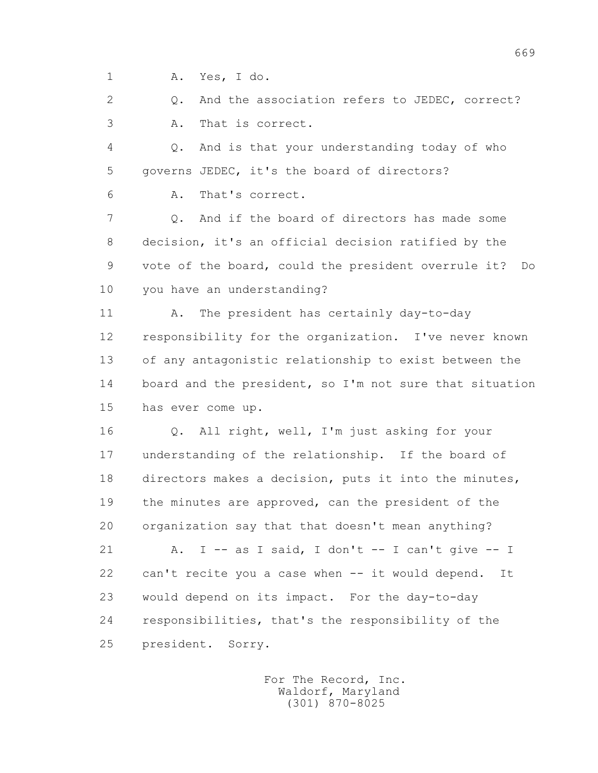1 A. Yes, I do.

2 0. And the association refers to JEDEC, correct? 3 A. That is correct.

 4 Q. And is that your understanding today of who 5 governs JEDEC, it's the board of directors?

6 A. That's correct.

 7 Q. And if the board of directors has made some 8 decision, it's an official decision ratified by the 9 vote of the board, could the president overrule it? Do 10 you have an understanding?

11 A. The president has certainly day-to-day 12 responsibility for the organization. I've never known 13 of any antagonistic relationship to exist between the 14 board and the president, so I'm not sure that situation 15 has ever come up.

 16 Q. All right, well, I'm just asking for your 17 understanding of the relationship. If the board of 18 directors makes a decision, puts it into the minutes, 19 the minutes are approved, can the president of the 20 organization say that that doesn't mean anything?

21 A. I -- as I said, I don't -- I can't give -- I 22 can't recite you a case when -- it would depend. It 23 would depend on its impact. For the day-to-day 24 responsibilities, that's the responsibility of the 25 president. Sorry.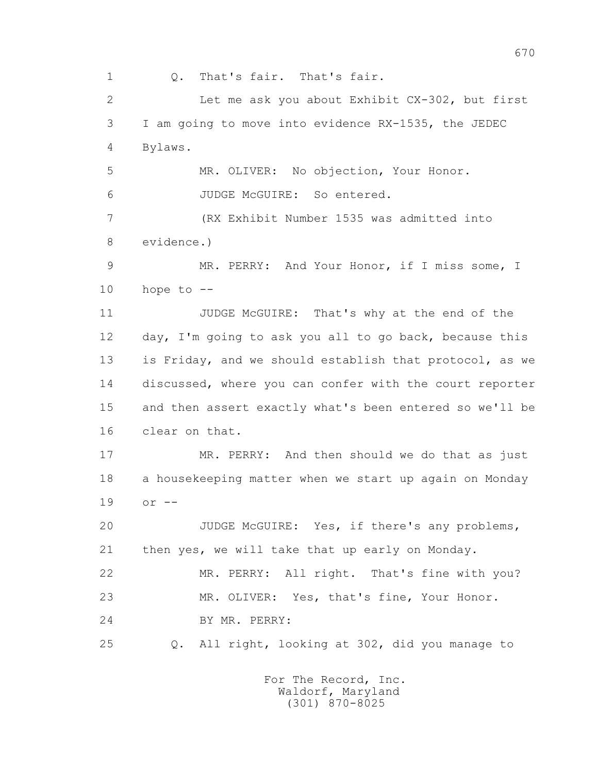1 Q. That's fair. That's fair. 2 Let me ask you about Exhibit CX-302, but first 3 I am going to move into evidence RX-1535, the JEDEC 4 Bylaws. 5 MR. OLIVER: No objection, Your Honor. 6 JUDGE McGUIRE: So entered. 7 (RX Exhibit Number 1535 was admitted into 8 evidence.) 9 MR. PERRY: And Your Honor, if I miss some, I  $10$  hope to  $-$  11 JUDGE McGUIRE: That's why at the end of the 12 day, I'm going to ask you all to go back, because this 13 is Friday, and we should establish that protocol, as we 14 discussed, where you can confer with the court reporter 15 and then assert exactly what's been entered so we'll be 16 clear on that. 17 MR. PERRY: And then should we do that as just 18 a housekeeping matter when we start up again on Monday 19 or -- 20 JUDGE McGUIRE: Yes, if there's any problems, 21 then yes, we will take that up early on Monday. 22 MR. PERRY: All right. That's fine with you? 23 MR. OLIVER: Yes, that's fine, Your Honor. 24 BY MR. PERRY: 25 Q. All right, looking at 302, did you manage to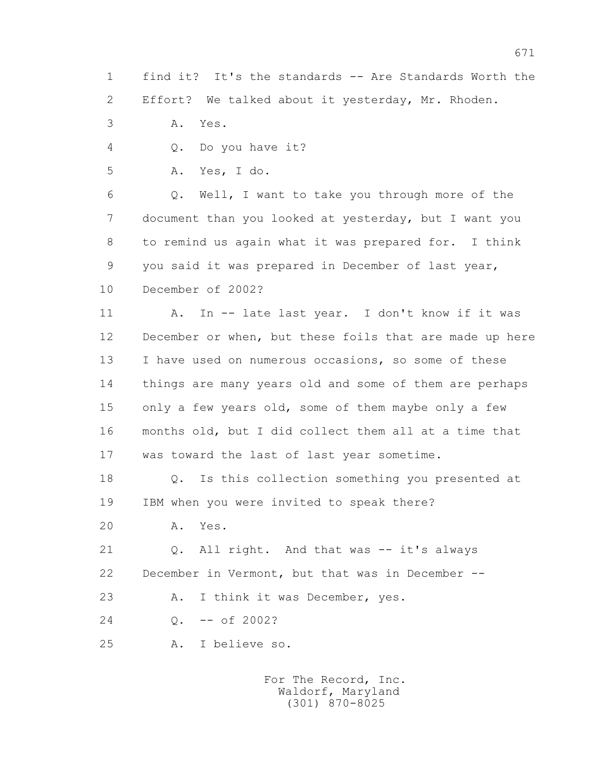1 find it? It's the standards -- Are Standards Worth the 2 Effort? We talked about it yesterday, Mr. Rhoden.

3 A. Yes.

4 Q. Do you have it?

5 A. Yes, I do.

 6 Q. Well, I want to take you through more of the 7 document than you looked at yesterday, but I want you 8 to remind us again what it was prepared for. I think 9 you said it was prepared in December of last year, 10 December of 2002?

 11 A. In -- late last year. I don't know if it was 12 December or when, but these foils that are made up here 13 I have used on numerous occasions, so some of these 14 things are many years old and some of them are perhaps 15 only a few years old, some of them maybe only a few 16 months old, but I did collect them all at a time that 17 was toward the last of last year sometime.

 18 Q. Is this collection something you presented at 19 IBM when you were invited to speak there?

20 A. Yes.

 21 Q. All right. And that was -- it's always 22 December in Vermont, but that was in December --

23 A. I think it was December, yes.

24 Q. -- of 2002?

25 A. I believe so.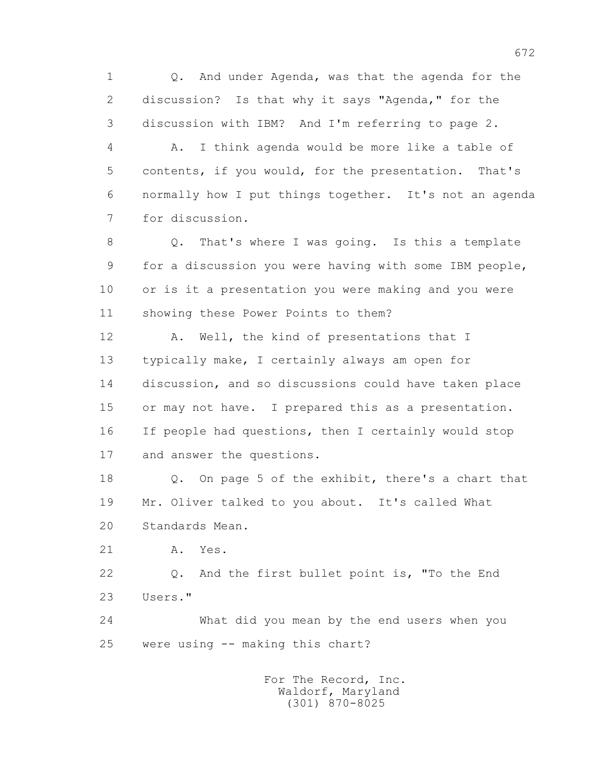1 Q. And under Agenda, was that the agenda for the 2 discussion? Is that why it says "Agenda," for the 3 discussion with IBM? And I'm referring to page 2.

 4 A. I think agenda would be more like a table of 5 contents, if you would, for the presentation. That's 6 normally how I put things together. It's not an agenda 7 for discussion.

 8 Q. That's where I was going. Is this a template 9 for a discussion you were having with some IBM people, 10 or is it a presentation you were making and you were 11 showing these Power Points to them?

12 A. Well, the kind of presentations that I 13 typically make, I certainly always am open for 14 discussion, and so discussions could have taken place 15 or may not have. I prepared this as a presentation. 16 If people had questions, then I certainly would stop 17 and answer the questions.

 18 Q. On page 5 of the exhibit, there's a chart that 19 Mr. Oliver talked to you about. It's called What 20 Standards Mean.

21 A. Yes.

 22 Q. And the first bullet point is, "To the End 23 Users."

 24 What did you mean by the end users when you 25 were using -- making this chart?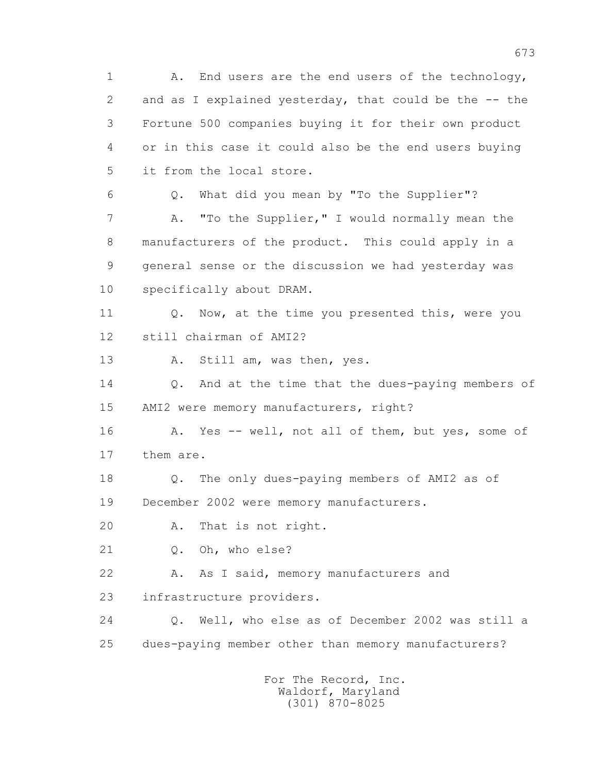1 A. End users are the end users of the technology, 2 and as I explained vesterday, that could be the -- the 3 Fortune 500 companies buying it for their own product 4 or in this case it could also be the end users buying 5 it from the local store. 6 Q. What did you mean by "To the Supplier"? 7 A. "To the Supplier," I would normally mean the 8 manufacturers of the product. This could apply in a 9 general sense or the discussion we had yesterday was 10 specifically about DRAM. 11 0. Now, at the time you presented this, were you 12 still chairman of AMI2? 13 A. Still am, was then, yes. 14 0. And at the time that the dues-paying members of 15 AMI2 were memory manufacturers, right? 16 A. Yes -- well, not all of them, but yes, some of 17 them are. 18 Q. The only dues-paying members of AMI2 as of 19 December 2002 were memory manufacturers. 20 A. That is not right. 21 Q. Oh, who else? 22 A. As I said, memory manufacturers and 23 infrastructure providers. 24 Q. Well, who else as of December 2002 was still a 25 dues-paying member other than memory manufacturers?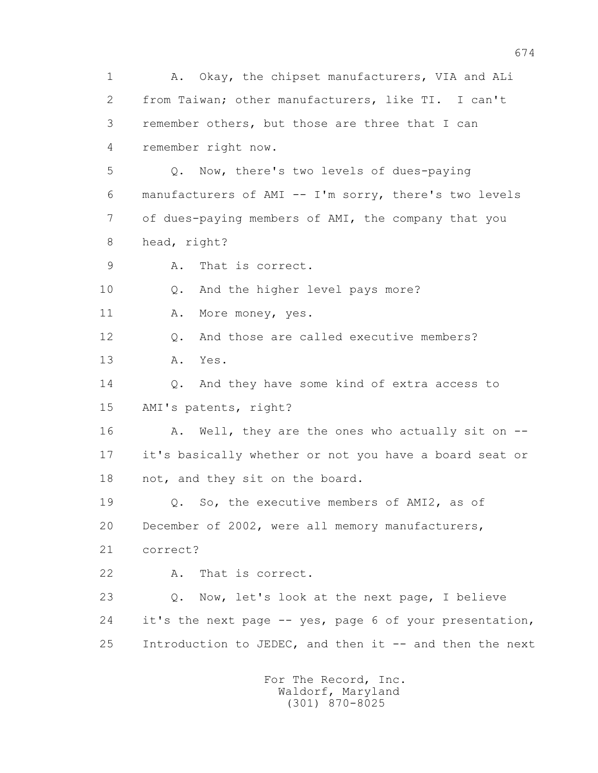1 A. Okay, the chipset manufacturers, VIA and ALi 2 from Taiwan; other manufacturers, like TI. I can't 3 remember others, but those are three that I can 4 remember right now. 5 Q. Now, there's two levels of dues-paying 6 manufacturers of AMI -- I'm sorry, there's two levels 7 of dues-paying members of AMI, the company that you 8 head, right? 9 A. That is correct. 10 Q. And the higher level pays more? 11 A. More money, yes. 12 Q. And those are called executive members? 13 A. Yes. 14 0. And they have some kind of extra access to 15 AMI's patents, right? 16 A. Well, they are the ones who actually sit on -- 17 it's basically whether or not you have a board seat or 18 not, and they sit on the board. 19 Q. So, the executive members of AMI2, as of 20 December of 2002, were all memory manufacturers, 21 correct? 22 A. That is correct. 23 Q. Now, let's look at the next page, I believe 24 it's the next page -- yes, page 6 of your presentation, 25 Introduction to JEDEC, and then it -- and then the next For The Record, Inc.

 Waldorf, Maryland (301) 870-8025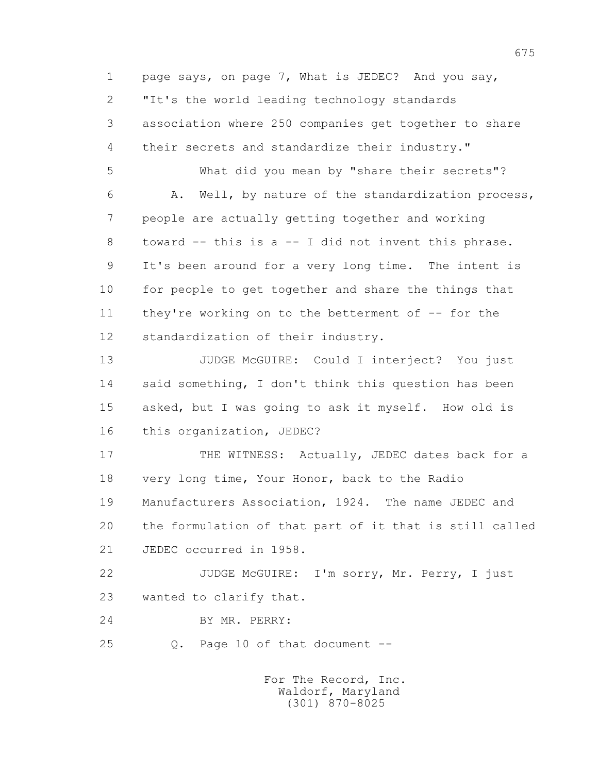1 page says, on page 7, What is JEDEC? And you say, 2 "It's the world leading technology standards 3 association where 250 companies get together to share 4 their secrets and standardize their industry."

 5 What did you mean by "share their secrets"? 6 A. Well, by nature of the standardization process, 7 people are actually getting together and working 8 toward -- this is a -- I did not invent this phrase. 9 It's been around for a very long time. The intent is 10 for people to get together and share the things that 11 they're working on to the betterment of -- for the 12 standardization of their industry.

 13 JUDGE McGUIRE: Could I interject? You just 14 said something, I don't think this question has been 15 asked, but I was going to ask it myself. How old is 16 this organization, JEDEC?

17 THE WITNESS: Actually, JEDEC dates back for a 18 very long time, Your Honor, back to the Radio 19 Manufacturers Association, 1924. The name JEDEC and 20 the formulation of that part of it that is still called 21 JEDEC occurred in 1958.

 22 JUDGE McGUIRE: I'm sorry, Mr. Perry, I just 23 wanted to clarify that.

24 BY MR. PERRY:

25 Q. Page 10 of that document --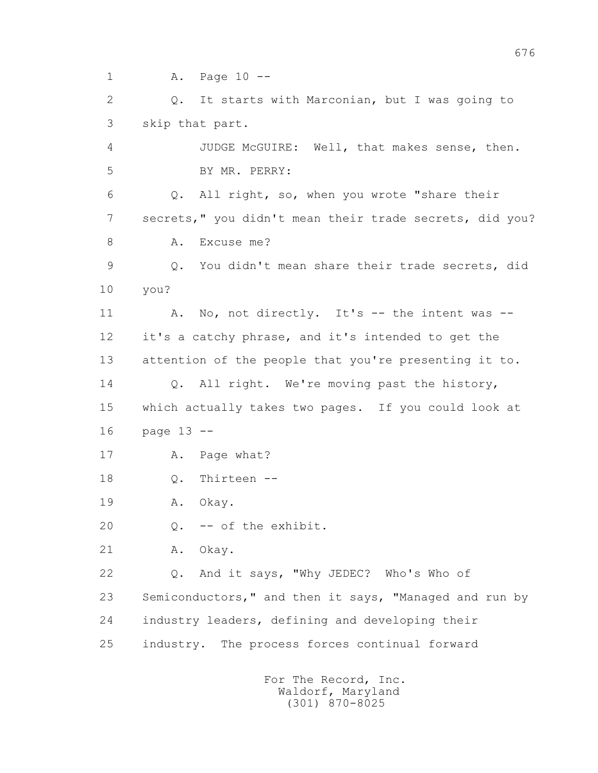1 A. Page 10 --

 2 Q. It starts with Marconian, but I was going to 3 skip that part. 4 JUDGE McGUIRE: Well, that makes sense, then. 5 BY MR. PERRY: 6 Q. All right, so, when you wrote "share their 7 secrets," you didn't mean their trade secrets, did you? 8 A. Excuse me? 9 Q. You didn't mean share their trade secrets, did 10 you? 11 A. No, not directly. It's -- the intent was -- 12 it's a catchy phrase, and it's intended to get the 13 attention of the people that you're presenting it to. 14 Q. All right. We're moving past the history, 15 which actually takes two pages. If you could look at 16 page 13 -- 17 A. Page what? 18 Q. Thirteen -- 19 A. Okay. 20 Q. -- of the exhibit. 21 A. Okay. 22 Q. And it says, "Why JEDEC? Who's Who of 23 Semiconductors," and then it says, "Managed and run by 24 industry leaders, defining and developing their 25 industry. The process forces continual forward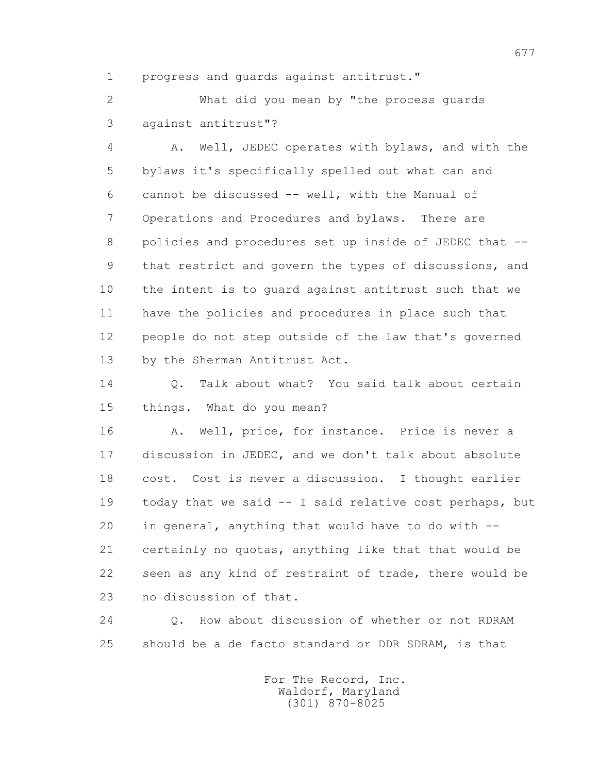1 progress and guards against antitrust."

 2 What did you mean by "the process guards 3 against antitrust"?

 4 A. Well, JEDEC operates with bylaws, and with the 5 bylaws it's specifically spelled out what can and 6 cannot be discussed -- well, with the Manual of 7 Operations and Procedures and bylaws. There are 8 policies and procedures set up inside of JEDEC that -- 9 that restrict and govern the types of discussions, and 10 the intent is to guard against antitrust such that we 11 have the policies and procedures in place such that 12 people do not step outside of the law that's governed 13 by the Sherman Antitrust Act.

 14 Q. Talk about what? You said talk about certain 15 things. What do you mean?

16 A. Well, price, for instance. Price is never a 17 discussion in JEDEC, and we don't talk about absolute 18 cost. Cost is never a discussion. I thought earlier 19 today that we said -- I said relative cost perhaps, but 20 in general, anything that would have to do with -- 21 certainly no quotas, anything like that that would be 22 seen as any kind of restraint of trade, there would be 23 no discussion of that.

 24 Q. How about discussion of whether or not RDRAM 25 should be a de facto standard or DDR SDRAM, is that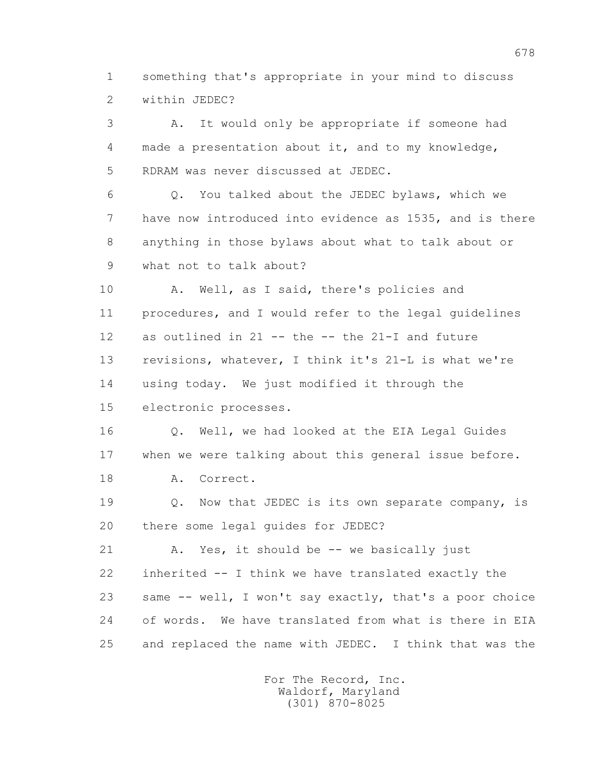1 something that's appropriate in your mind to discuss 2 within JEDEC?

 3 A. It would only be appropriate if someone had 4 made a presentation about it, and to my knowledge, 5 RDRAM was never discussed at JEDEC.

 6 Q. You talked about the JEDEC bylaws, which we 7 have now introduced into evidence as 1535, and is there 8 anything in those bylaws about what to talk about or 9 what not to talk about?

 10 A. Well, as I said, there's policies and 11 procedures, and I would refer to the legal guidelines 12 as outlined in 21 -- the -- the 21-I and future 13 revisions, whatever, I think it's 21-L is what we're 14 using today. We just modified it through the 15 electronic processes.

 16 Q. Well, we had looked at the EIA Legal Guides 17 when we were talking about this general issue before.

18 A. Correct.

19 **Q.** Now that JEDEC is its own separate company, is 20 there some legal guides for JEDEC?

21 A. Yes, it should be -- we basically just 22 inherited -- I think we have translated exactly the 23 same -- well, I won't say exactly, that's a poor choice 24 of words. We have translated from what is there in EIA 25 and replaced the name with JEDEC. I think that was the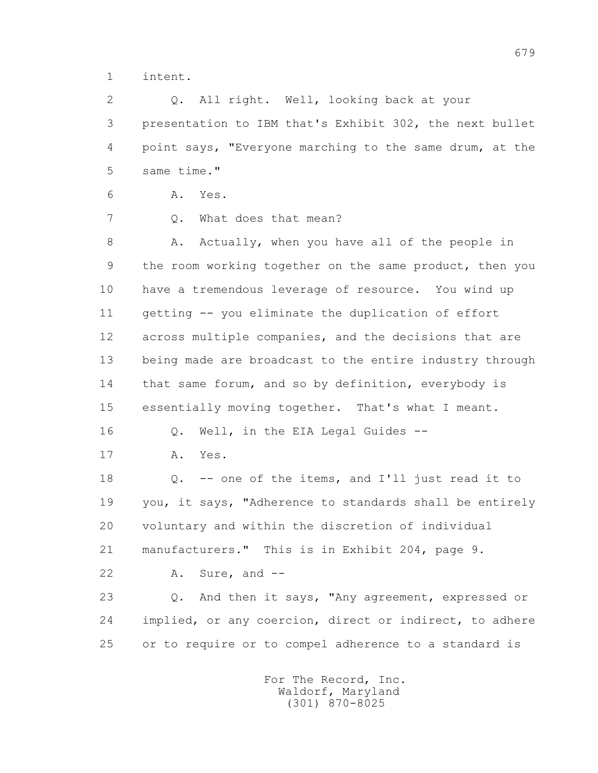1 intent.

 2 Q. All right. Well, looking back at your 3 presentation to IBM that's Exhibit 302, the next bullet 4 point says, "Everyone marching to the same drum, at the 5 same time."

6 A. Yes.

7 0. What does that mean?

8 A. Actually, when you have all of the people in 9 the room working together on the same product, then you 10 have a tremendous leverage of resource. You wind up 11 getting -- you eliminate the duplication of effort 12 across multiple companies, and the decisions that are 13 being made are broadcast to the entire industry through 14 that same forum, and so by definition, everybody is 15 essentially moving together. That's what I meant.

16 Q. Well, in the EIA Legal Guides --

17 A. Yes.

 18 Q. -- one of the items, and I'll just read it to 19 you, it says, "Adherence to standards shall be entirely 20 voluntary and within the discretion of individual 21 manufacturers." This is in Exhibit 204, page 9.

22 A. Sure, and --

 23 Q. And then it says, "Any agreement, expressed or 24 implied, or any coercion, direct or indirect, to adhere 25 or to require or to compel adherence to a standard is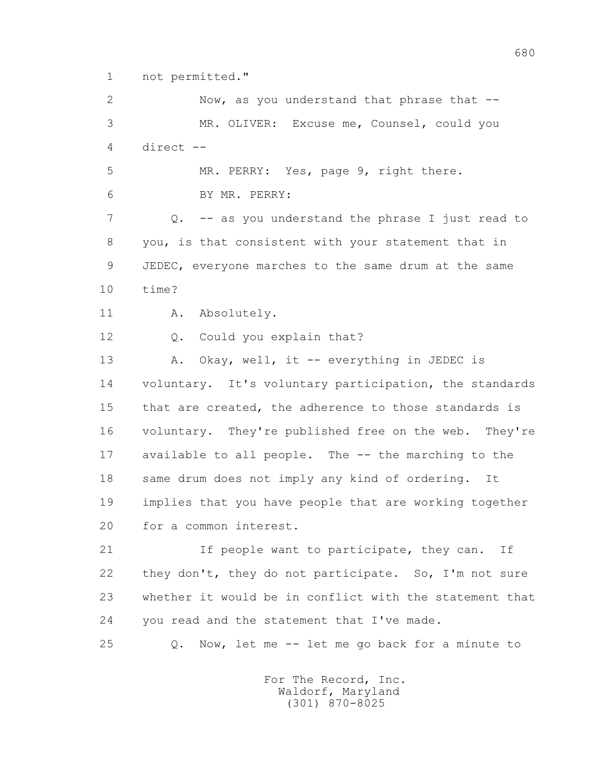1 not permitted."

 2 Now, as you understand that phrase that -- 3 MR. OLIVER: Excuse me, Counsel, could you 4 direct -- 5 MR. PERRY: Yes, page 9, right there. 6 BY MR. PERRY: 7 Q. -- as you understand the phrase I just read to 8 you, is that consistent with your statement that in 9 JEDEC, everyone marches to the same drum at the same 10 time? 11 A. Absolutely. 12 Q. Could you explain that? 13 A. Okay, well, it -- everything in JEDEC is 14 voluntary. It's voluntary participation, the standards 15 that are created, the adherence to those standards is 16 voluntary. They're published free on the web. They're 17 available to all people. The -- the marching to the 18 same drum does not imply any kind of ordering. It 19 implies that you have people that are working together 20 for a common interest. 21 1f people want to participate, they can. If 22 they don't, they do not participate. So, I'm not sure 23 whether it would be in conflict with the statement that 24 you read and the statement that I've made. 25 Q. Now, let me -- let me go back for a minute to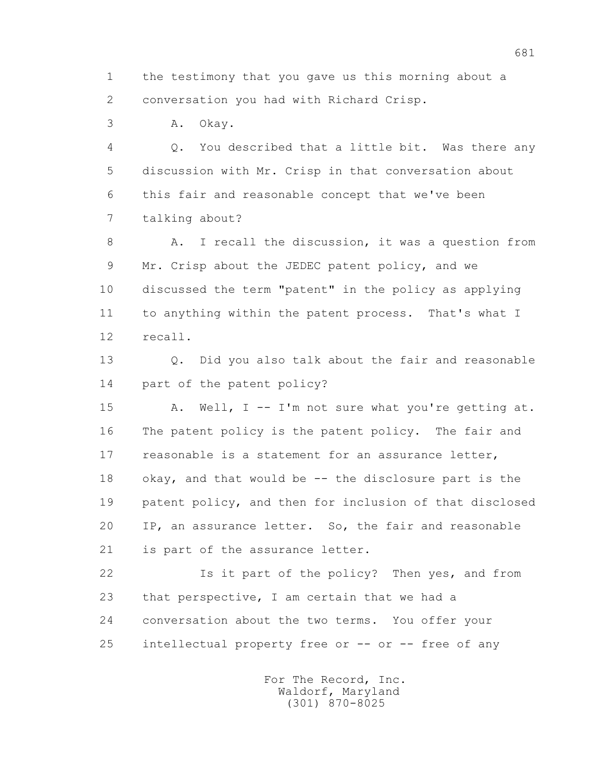1 the testimony that you gave us this morning about a 2 conversation you had with Richard Crisp.

3 A. Okay.

 4 Q. You described that a little bit. Was there any 5 discussion with Mr. Crisp in that conversation about 6 this fair and reasonable concept that we've been 7 talking about?

8 A. I recall the discussion, it was a question from 9 Mr. Crisp about the JEDEC patent policy, and we 10 discussed the term "patent" in the policy as applying 11 to anything within the patent process. That's what I 12 recall.

 13 Q. Did you also talk about the fair and reasonable 14 part of the patent policy?

 15 A. Well, I -- I'm not sure what you're getting at. 16 The patent policy is the patent policy. The fair and 17 reasonable is a statement for an assurance letter, 18 okay, and that would be -- the disclosure part is the 19 patent policy, and then for inclusion of that disclosed 20 IP, an assurance letter. So, the fair and reasonable 21 is part of the assurance letter.

 22 Is it part of the policy? Then yes, and from 23 that perspective, I am certain that we had a 24 conversation about the two terms. You offer your 25 intellectual property free or -- or -- free of any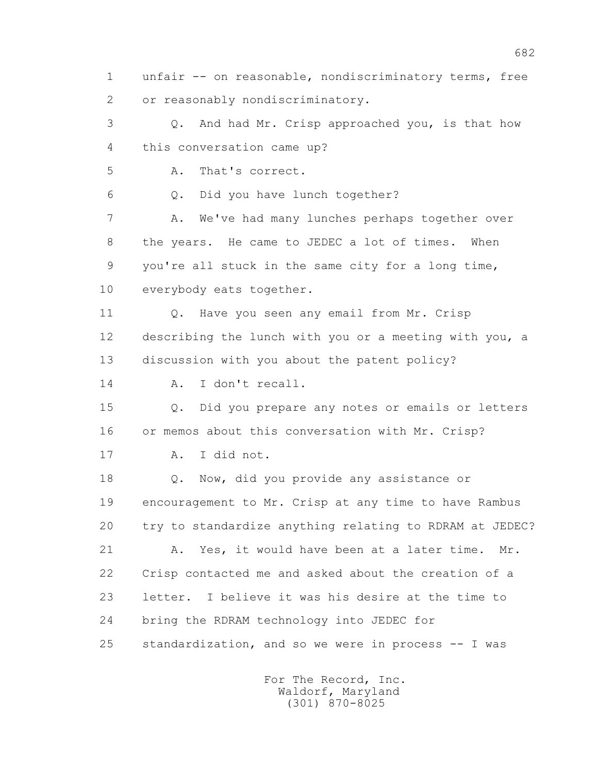1 unfair -- on reasonable, nondiscriminatory terms, free 2 or reasonably nondiscriminatory. 3 Q. And had Mr. Crisp approached you, is that how 4 this conversation came up? 5 A. That's correct. 6 Q. Did you have lunch together? 7 A. We've had many lunches perhaps together over 8 the years. He came to JEDEC a lot of times. When 9 you're all stuck in the same city for a long time, 10 everybody eats together. 11 Q. Have you seen any email from Mr. Crisp 12 describing the lunch with you or a meeting with you, a 13 discussion with you about the patent policy? 14 A. I don't recall. 15 Q. Did you prepare any notes or emails or letters 16 or memos about this conversation with Mr. Crisp? 17 A. I did not. 18 **Q.** Now, did you provide any assistance or 19 encouragement to Mr. Crisp at any time to have Rambus 20 try to standardize anything relating to RDRAM at JEDEC? 21 A. Yes, it would have been at a later time. Mr. 22 Crisp contacted me and asked about the creation of a 23 letter. I believe it was his desire at the time to 24 bring the RDRAM technology into JEDEC for 25 standardization, and so we were in process -- I was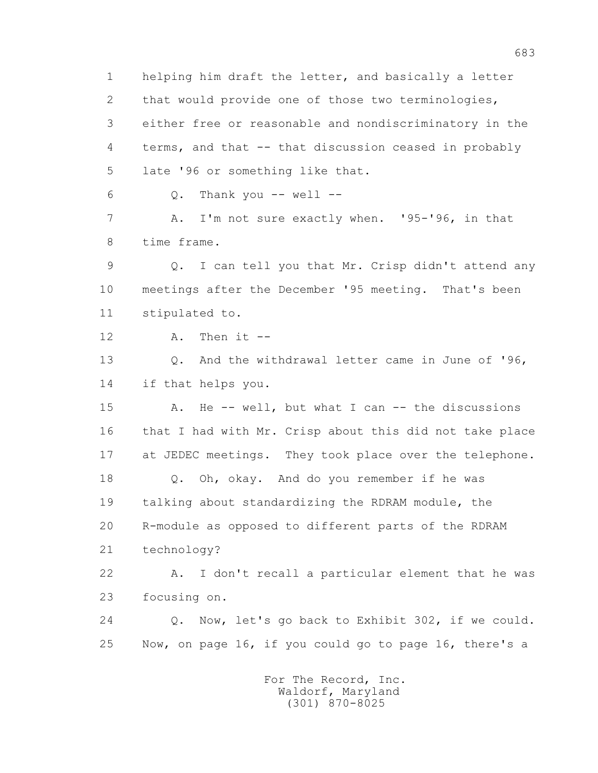1 helping him draft the letter, and basically a letter 2 that would provide one of those two terminologies, 3 either free or reasonable and nondiscriminatory in the 4 terms, and that -- that discussion ceased in probably 5 late '96 or something like that.

 $6$  Q. Thank you  $-$  well  $-$ 

 7 A. I'm not sure exactly when. '95-'96, in that 8 time frame.

 9 Q. I can tell you that Mr. Crisp didn't attend any 10 meetings after the December '95 meeting. That's been 11 stipulated to.

 $12$  A. Then it  $-$ 

 13 Q. And the withdrawal letter came in June of '96, 14 if that helps you.

 15 A. He -- well, but what I can -- the discussions 16 that I had with Mr. Crisp about this did not take place 17 at JEDEC meetings. They took place over the telephone. 18 Q. Oh, okay. And do you remember if he was 19 talking about standardizing the RDRAM module, the 20 R-module as opposed to different parts of the RDRAM 21 technology?

 22 A. I don't recall a particular element that he was 23 focusing on.

 24 Q. Now, let's go back to Exhibit 302, if we could. 25 Now, on page 16, if you could go to page 16, there's a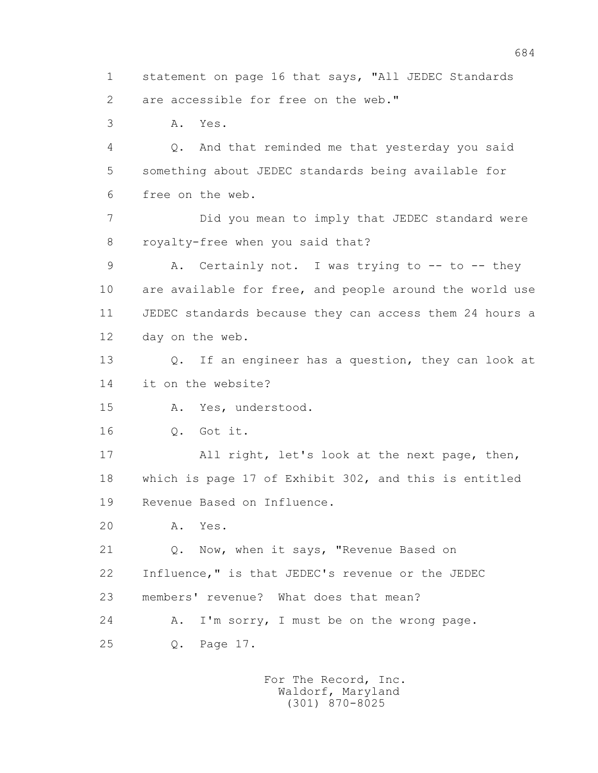1 statement on page 16 that says, "All JEDEC Standards 2 are accessible for free on the web." 3 A. Yes. 4 Q. And that reminded me that yesterday you said 5 something about JEDEC standards being available for

6 free on the web.

 7 Did you mean to imply that JEDEC standard were 8 royalty-free when you said that?

9 A. Certainly not. I was trying to -- to -- they 10 are available for free, and people around the world use 11 JEDEC standards because they can access them 24 hours a 12 day on the web.

 13 Q. If an engineer has a question, they can look at 14 it on the website?

15 A. Yes, understood.

16 Q. Got it.

 17 All right, let's look at the next page, then, 18 which is page 17 of Exhibit 302, and this is entitled 19 Revenue Based on Influence.

20 A. Yes.

 21 Q. Now, when it says, "Revenue Based on 22 Influence," is that JEDEC's revenue or the JEDEC 23 members' revenue? What does that mean? 24 A. I'm sorry, I must be on the wrong page. 25 Q. Page 17.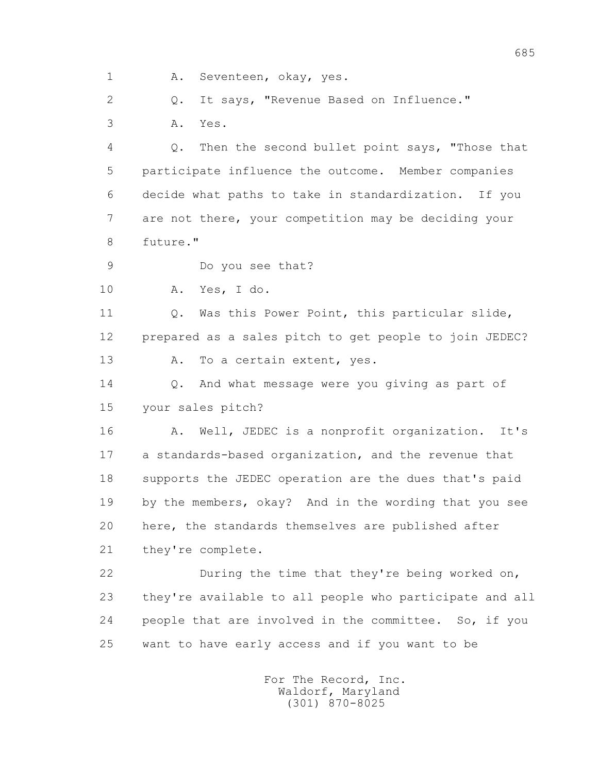1 A. Seventeen, okay, yes.

2 0. It says, "Revenue Based on Influence." 3 A. Yes.

 4 Q. Then the second bullet point says, "Those that 5 participate influence the outcome. Member companies 6 decide what paths to take in standardization. If you 7 are not there, your competition may be deciding your 8 future."

9 Do you see that?

10 A. Yes, I do.

11 O. Was this Power Point, this particular slide, 12 prepared as a sales pitch to get people to join JEDEC? 13 A. To a certain extent, yes.

14 0. And what message were you giving as part of 15 your sales pitch?

 16 A. Well, JEDEC is a nonprofit organization. It's 17 a standards-based organization, and the revenue that 18 supports the JEDEC operation are the dues that's paid 19 by the members, okay? And in the wording that you see 20 here, the standards themselves are published after 21 they're complete.

 22 During the time that they're being worked on, 23 they're available to all people who participate and all 24 people that are involved in the committee. So, if you 25 want to have early access and if you want to be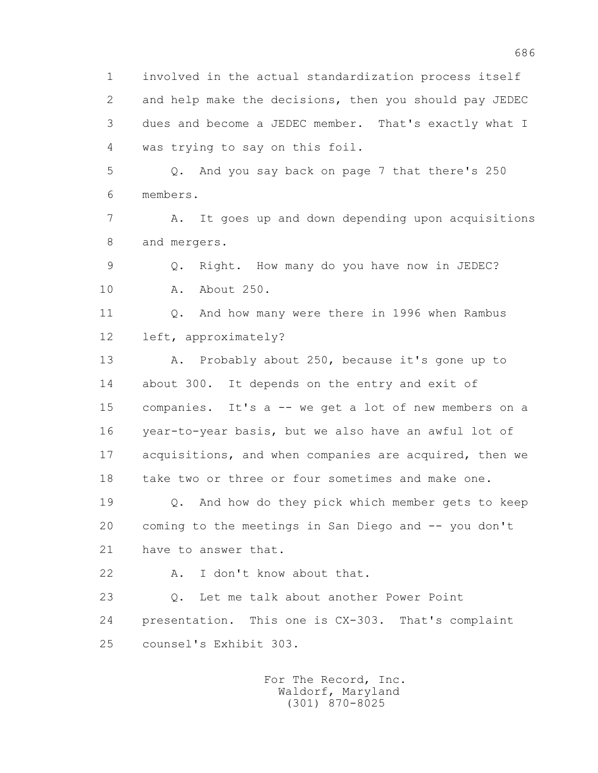1 involved in the actual standardization process itself 2 and help make the decisions, then you should pay JEDEC 3 dues and become a JEDEC member. That's exactly what I 4 was trying to say on this foil.

 5 Q. And you say back on page 7 that there's 250 6 members.

 7 A. It goes up and down depending upon acquisitions 8 and mergers.

 9 Q. Right. How many do you have now in JEDEC? 10 A. About 250.

 11 Q. And how many were there in 1996 when Rambus 12 left, approximately?

 13 A. Probably about 250, because it's gone up to 14 about 300. It depends on the entry and exit of 15 companies. It's a -- we get a lot of new members on a 16 year-to-year basis, but we also have an awful lot of 17 acquisitions, and when companies are acquired, then we 18 take two or three or four sometimes and make one.

 19 Q. And how do they pick which member gets to keep 20 coming to the meetings in San Diego and -- you don't 21 have to answer that.

22 A. I don't know about that.

 23 Q. Let me talk about another Power Point 24 presentation. This one is CX-303. That's complaint 25 counsel's Exhibit 303.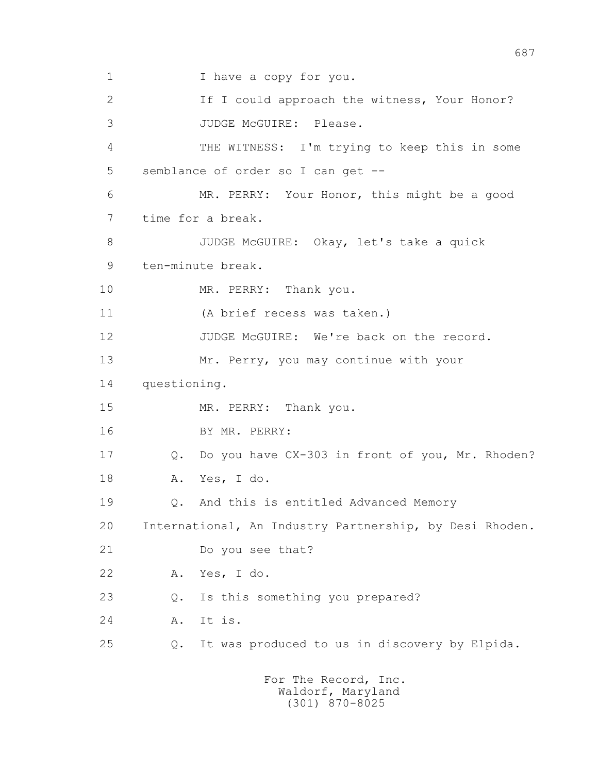1 I have a copy for you. 2 If I could approach the witness, Your Honor? 3 JUDGE McGUIRE: Please. 4 THE WITNESS: I'm trying to keep this in some 5 semblance of order so I can get -- 6 MR. PERRY: Your Honor, this might be a good 7 time for a break. 8 JUDGE McGUIRE: Okay, let's take a quick 9 ten-minute break. 10 MR. PERRY: Thank you. 11 (A brief recess was taken.) 12 JUDGE McGUIRE: We're back on the record. 13 Mr. Perry, you may continue with your 14 questioning. 15 MR. PERRY: Thank you. 16 BY MR. PERRY: 17 Q. Do you have CX-303 in front of you, Mr. Rhoden? 18 A. Yes, I do. 19 Q. And this is entitled Advanced Memory 20 International, An Industry Partnership, by Desi Rhoden. 21 Do you see that? 22 A. Yes, I do. 23 Q. Is this something you prepared? 24 A. It is. 25 Q. It was produced to us in discovery by Elpida. For The Record, Inc.

687

 Waldorf, Maryland (301) 870-8025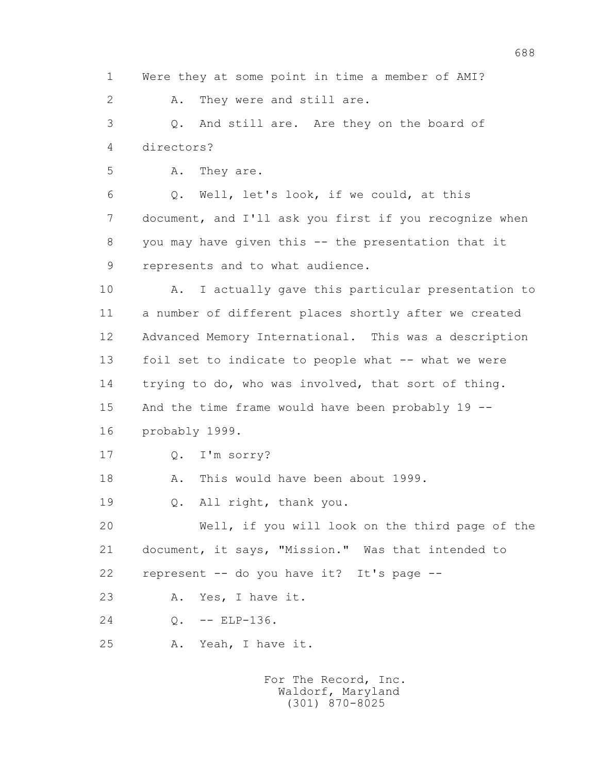688 1 Were they at some point in time a member of AMI? 2 A. They were and still are. 3 Q. And still are. Are they on the board of 4 directors? 5 A. They are. 6 Q. Well, let's look, if we could, at this 7 document, and I'll ask you first if you recognize when 8 you may have given this -- the presentation that it 9 represents and to what audience. 10 A. I actually gave this particular presentation to 11 a number of different places shortly after we created 12 Advanced Memory International. This was a description 13 foil set to indicate to people what -- what we were 14 trying to do, who was involved, that sort of thing. 15 And the time frame would have been probably 19 -- 16 probably 1999. 17 Q. I'm sorry? 18 A. This would have been about 1999. 19 Q. All right, thank you. 20 Well, if you will look on the third page of the 21 document, it says, "Mission." Was that intended to 22 represent -- do you have it? It's page -- 23 A. Yes, I have it. 24 0. -- ELP-136. 25 A. Yeah, I have it.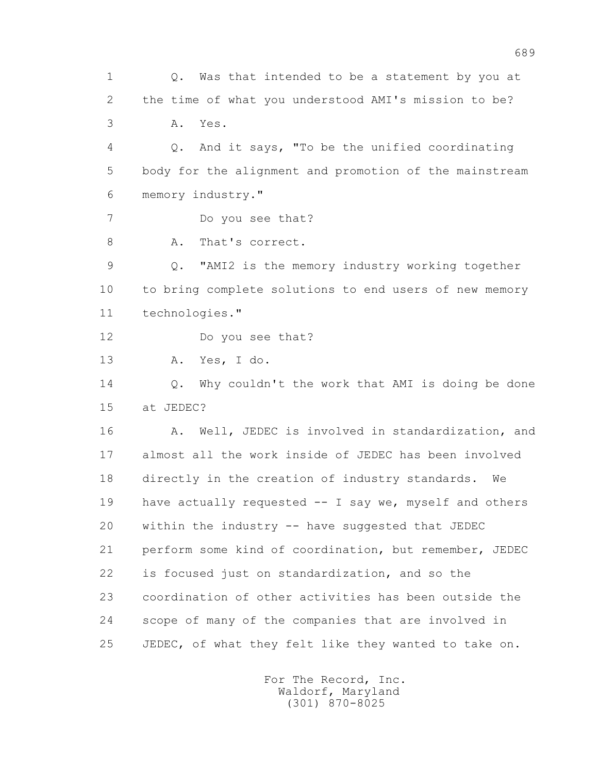1 Q. Was that intended to be a statement by you at 2 the time of what you understood AMI's mission to be? 3 A. Yes. 4 Q. And it says, "To be the unified coordinating 5 body for the alignment and promotion of the mainstream 6 memory industry." 7 Do you see that? 8 A. That's correct. 9 Q. "AMI2 is the memory industry working together 10 to bring complete solutions to end users of new memory 11 technologies." 12 Do you see that? 13 A. Yes, I do. 14 0. Why couldn't the work that AMI is doing be done 15 at JEDEC? 16 A. Well, JEDEC is involved in standardization, and 17 almost all the work inside of JEDEC has been involved 18 directly in the creation of industry standards. We 19 have actually requested -- I say we, myself and others 20 within the industry -- have suggested that JEDEC 21 perform some kind of coordination, but remember, JEDEC 22 is focused just on standardization, and so the 23 coordination of other activities has been outside the 24 scope of many of the companies that are involved in 25 JEDEC, of what they felt like they wanted to take on.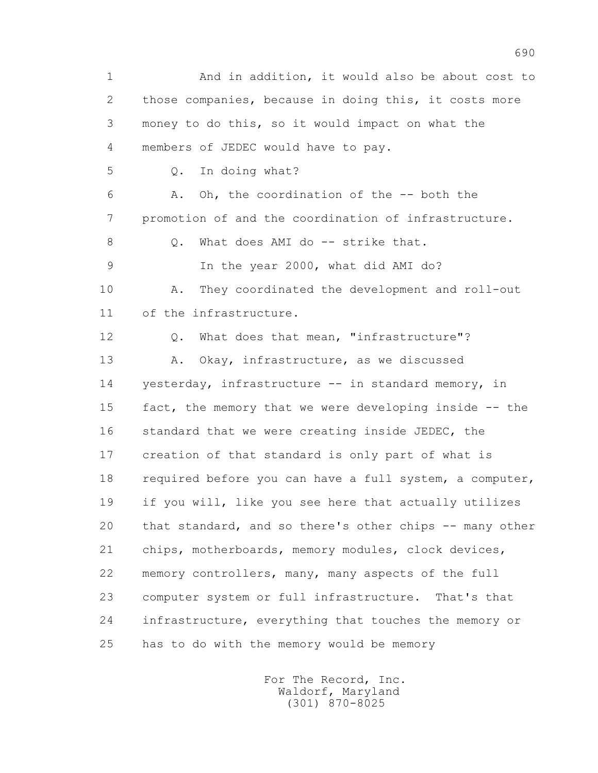1 And in addition, it would also be about cost to 2 those companies, because in doing this, it costs more 3 money to do this, so it would impact on what the 4 members of JEDEC would have to pay. 5 Q. In doing what? 6 A. Oh, the coordination of the -- both the 7 promotion of and the coordination of infrastructure. 8 0. What does AMI do -- strike that. 9 In the year 2000, what did AMI do? 10 A. They coordinated the development and roll-out 11 of the infrastructure. 12 Q. What does that mean, "infrastructure"? 13 A. Okay, infrastructure, as we discussed 14 yesterday, infrastructure -- in standard memory, in 15 fact, the memory that we were developing inside -- the 16 standard that we were creating inside JEDEC, the 17 creation of that standard is only part of what is 18 required before you can have a full system, a computer, 19 if you will, like you see here that actually utilizes 20 that standard, and so there's other chips -- many other 21 chips, motherboards, memory modules, clock devices, 22 memory controllers, many, many aspects of the full 23 computer system or full infrastructure. That's that 24 infrastructure, everything that touches the memory or 25 has to do with the memory would be memory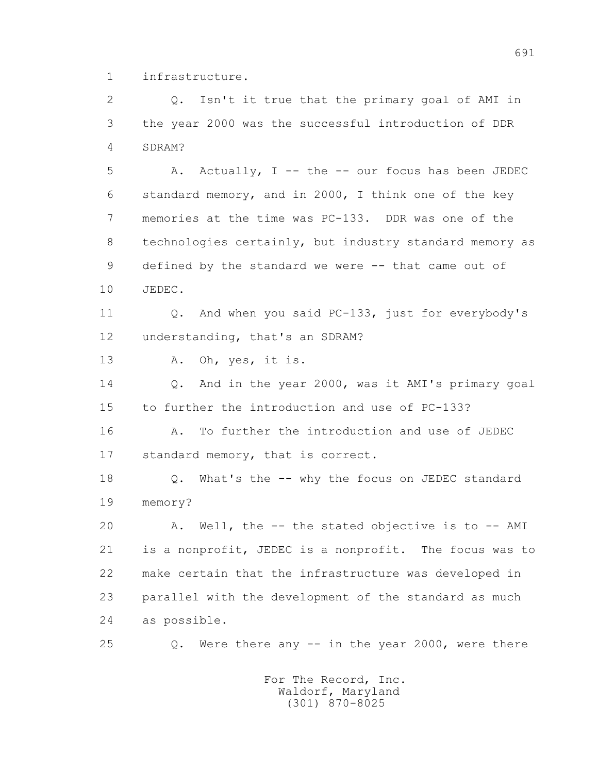1 infrastructure.

 2 Q. Isn't it true that the primary goal of AMI in 3 the year 2000 was the successful introduction of DDR 4 SDRAM?

 5 A. Actually, I -- the -- our focus has been JEDEC 6 standard memory, and in 2000, I think one of the key 7 memories at the time was PC-133. DDR was one of the 8 technologies certainly, but industry standard memory as 9 defined by the standard we were -- that came out of 10 JEDEC.

 11 Q. And when you said PC-133, just for everybody's 12 understanding, that's an SDRAM?

13 A. Oh, yes, it is.

 14 Q. And in the year 2000, was it AMI's primary goal 15 to further the introduction and use of PC-133?

 16 A. To further the introduction and use of JEDEC 17 standard memory, that is correct.

 18 Q. What's the -- why the focus on JEDEC standard 19 memory?

 20 A. Well, the -- the stated objective is to -- AMI 21 is a nonprofit, JEDEC is a nonprofit. The focus was to 22 make certain that the infrastructure was developed in 23 parallel with the development of the standard as much 24 as possible.

25 Q. Were there any -- in the year 2000, were there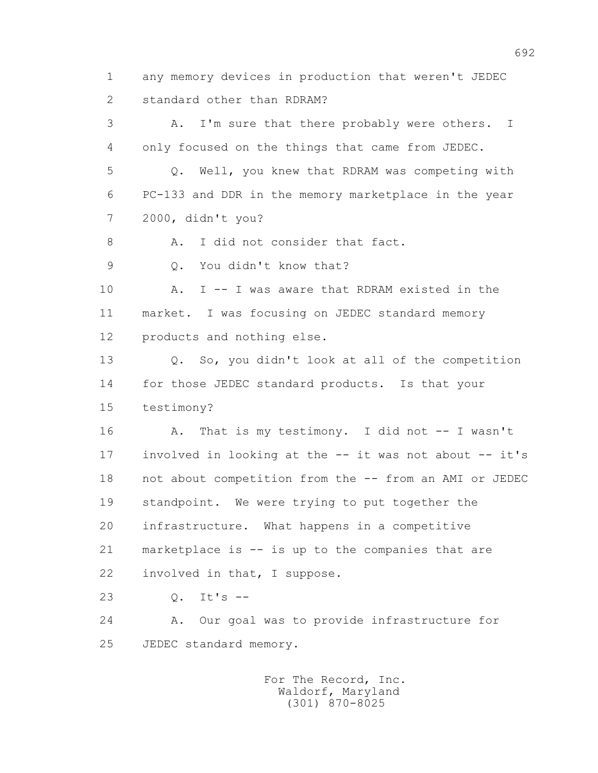1 any memory devices in production that weren't JEDEC 2 standard other than RDRAM? 3 A. I'm sure that there probably were others. I 4 only focused on the things that came from JEDEC. 5 Q. Well, you knew that RDRAM was competing with 6 PC-133 and DDR in the memory marketplace in the year 7 2000, didn't you? 8 A. I did not consider that fact. 9 0. You didn't know that? 10 A. I -- I was aware that RDRAM existed in the 11 market. I was focusing on JEDEC standard memory 12 products and nothing else. 13 Q. So, you didn't look at all of the competition 14 for those JEDEC standard products. Is that your 15 testimony? 16 A. That is my testimony. I did not -- I wasn't 17 involved in looking at the -- it was not about -- it's 18 not about competition from the -- from an AMI or JEDEC 19 standpoint. We were trying to put together the 20 infrastructure. What happens in a competitive 21 marketplace is -- is up to the companies that are 22 involved in that, I suppose. 23 Q. It's -- 24 A. Our goal was to provide infrastructure for 25 JEDEC standard memory. For The Record, Inc. Waldorf, Maryland

(301) 870-8025

692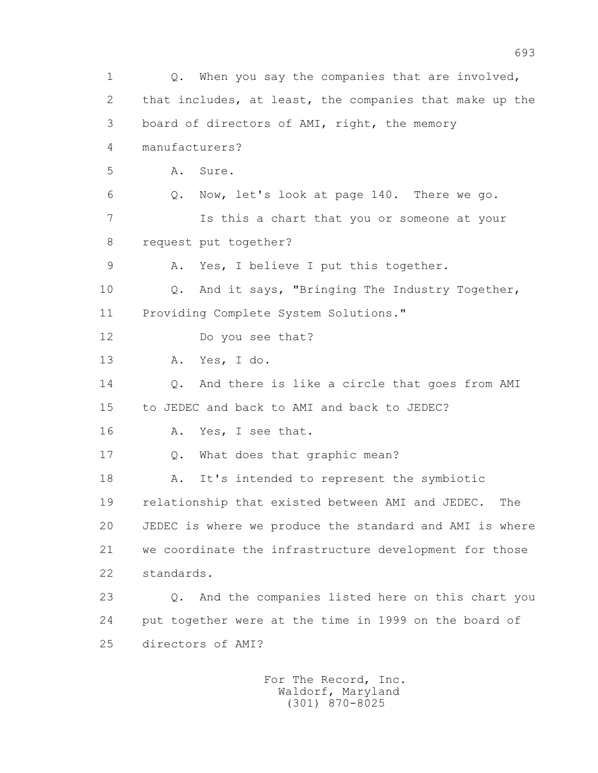1 Q. When you say the companies that are involved, 2 that includes, at least, the companies that make up the 3 board of directors of AMI, right, the memory 4 manufacturers?  $5$   $A$ ,  $S$ ure. 6 Q. Now, let's look at page 140. There we go. 7 Is this a chart that you or someone at your 8 request put together? 9 A. Yes, I believe I put this together. 10 Q. And it says, "Bringing The Industry Together, 11 Providing Complete System Solutions." 12 Do you see that? 13 A. Yes, I do. 14 Q. And there is like a circle that goes from AMI 15 to JEDEC and back to AMI and back to JEDEC? 16 A. Yes, I see that. 17 Q. What does that graphic mean? 18 A. It's intended to represent the symbiotic 19 relationship that existed between AMI and JEDEC. The 20 JEDEC is where we produce the standard and AMI is where 21 we coordinate the infrastructure development for those 22 standards. 23 Q. And the companies listed here on this chart you 24 put together were at the time in 1999 on the board of 25 directors of AMI?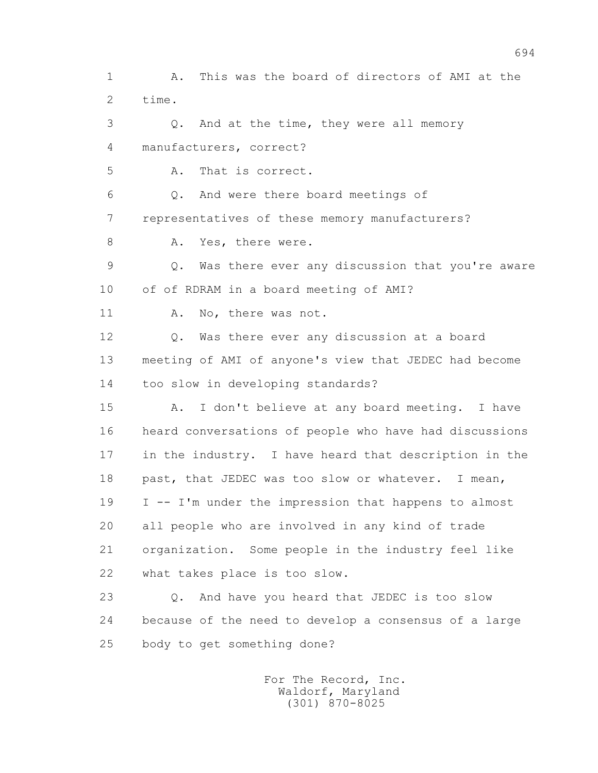1 A. This was the board of directors of AMI at the 2 time. 3 Q. And at the time, they were all memory 4 manufacturers, correct? 5 A. That is correct. 6 Q. And were there board meetings of 7 representatives of these memory manufacturers? 8 A. Yes, there were. 9 Q. Was there ever any discussion that you're aware 10 of of RDRAM in a board meeting of AMI? 11 A. No, there was not. 12 Q. Was there ever any discussion at a board 13 meeting of AMI of anyone's view that JEDEC had become 14 too slow in developing standards? 15 A. I don't believe at any board meeting. I have 16 heard conversations of people who have had discussions 17 in the industry. I have heard that description in the 18 past, that JEDEC was too slow or whatever. I mean, 19 I -- I'm under the impression that happens to almost 20 all people who are involved in any kind of trade 21 organization. Some people in the industry feel like 22 what takes place is too slow. 23 Q. And have you heard that JEDEC is too slow 24 because of the need to develop a consensus of a large 25 body to get something done?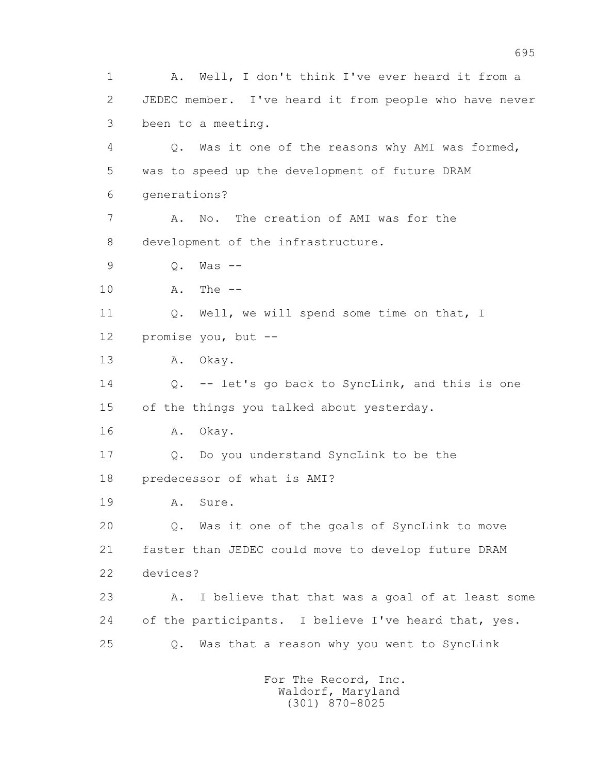1 A. Well, I don't think I've ever heard it from a 2 JEDEC member. I've heard it from people who have never 3 been to a meeting. 4 Q. Was it one of the reasons why AMI was formed, 5 was to speed up the development of future DRAM 6 generations? 7 A. No. The creation of AMI was for the 8 development of the infrastructure. 9 Q. Was -- 10 A. The -- 11 Q. Well, we will spend some time on that, I 12 promise you, but -- 13 A. Okay. 14 Q. -- let's go back to SyncLink, and this is one 15 of the things you talked about yesterday. 16 A. Okay. 17 Q. Do you understand SyncLink to be the 18 predecessor of what is AMI? 19 A. Sure. 20 Q. Was it one of the goals of SyncLink to move 21 faster than JEDEC could move to develop future DRAM 22 devices? 23 A. I believe that that was a goal of at least some 24 of the participants. I believe I've heard that, yes. 25 Q. Was that a reason why you went to SyncLink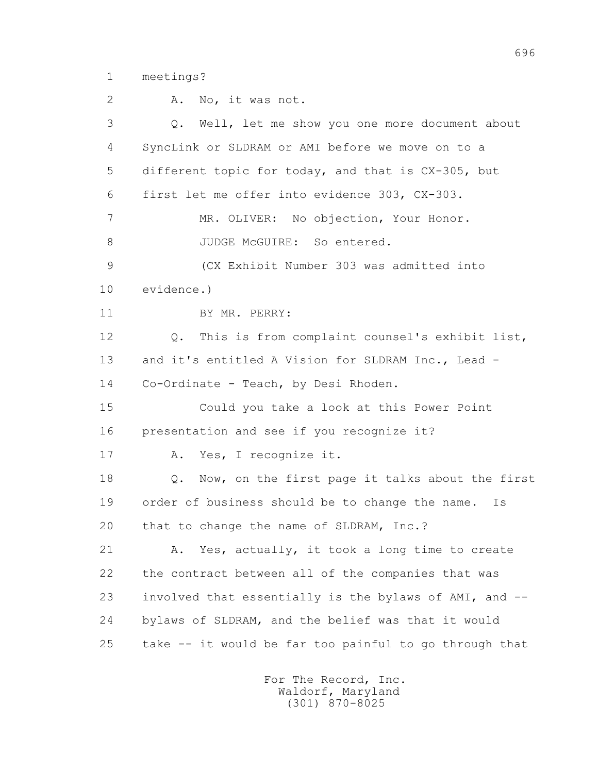1 meetings?

 2 A. No, it was not. 3 Q. Well, let me show you one more document about 4 SyncLink or SLDRAM or AMI before we move on to a 5 different topic for today, and that is CX-305, but 6 first let me offer into evidence 303, CX-303. 7 MR. OLIVER: No objection, Your Honor. 8 JUDGE McGUIRE: So entered. 9 (CX Exhibit Number 303 was admitted into 10 evidence.) 11 BY MR. PERRY: 12 Q. This is from complaint counsel's exhibit list, 13 and it's entitled A Vision for SLDRAM Inc., Lead - 14 Co-Ordinate - Teach, by Desi Rhoden. 15 Could you take a look at this Power Point 16 presentation and see if you recognize it? 17 A. Yes, I recognize it. 18 Q. Now, on the first page it talks about the first 19 order of business should be to change the name. Is 20 that to change the name of SLDRAM, Inc.? 21 A. Yes, actually, it took a long time to create 22 the contract between all of the companies that was 23 involved that essentially is the bylaws of AMI, and -- 24 bylaws of SLDRAM, and the belief was that it would 25 take -- it would be far too painful to go through that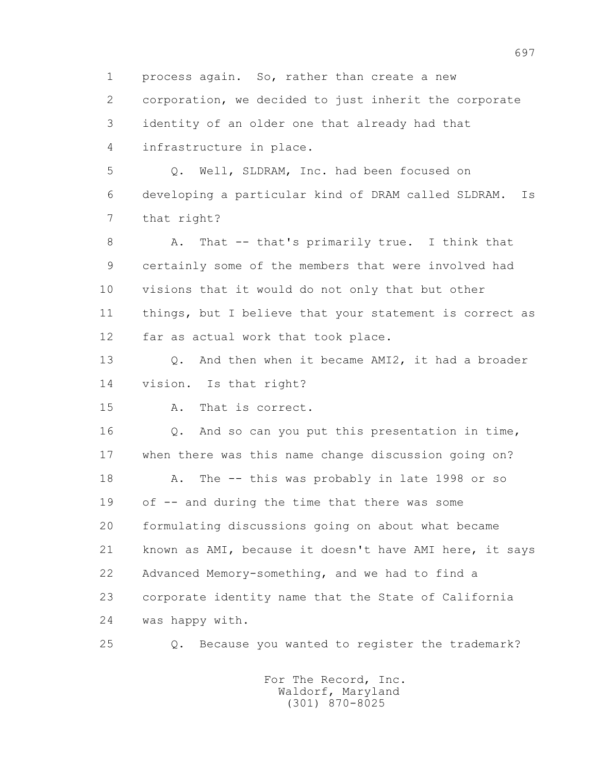1 process again. So, rather than create a new 2 corporation, we decided to just inherit the corporate 3 identity of an older one that already had that 4 infrastructure in place. 5 Q. Well, SLDRAM, Inc. had been focused on 6 developing a particular kind of DRAM called SLDRAM. Is 7 that right? 8 A. That -- that's primarily true. I think that 9 certainly some of the members that were involved had 10 visions that it would do not only that but other 11 things, but I believe that your statement is correct as 12 far as actual work that took place. 13 Q. And then when it became AMI2, it had a broader 14 vision. Is that right? 15 A. That is correct. 16 0. And so can you put this presentation in time, 17 when there was this name change discussion going on? 18 A. The -- this was probably in late 1998 or so 19 of -- and during the time that there was some 20 formulating discussions going on about what became 21 known as AMI, because it doesn't have AMI here, it says 22 Advanced Memory-something, and we had to find a 23 corporate identity name that the State of California 24 was happy with. 25 Q. Because you wanted to register the trademark?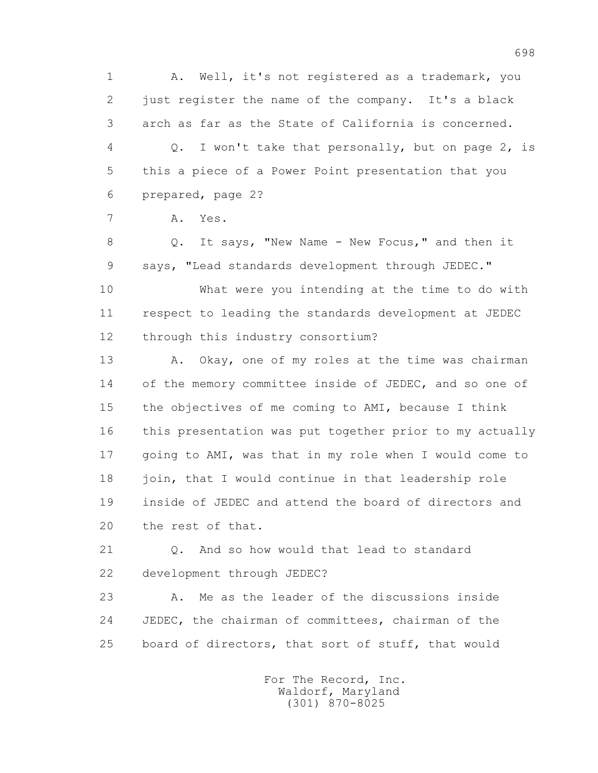1 A. Well, it's not registered as a trademark, you 2 just register the name of the company. It's a black 3 arch as far as the State of California is concerned. 4 Q. I won't take that personally, but on page 2, is 5 this a piece of a Power Point presentation that you 6 prepared, page 2?

7 A. Yes.

 8 Q. It says, "New Name - New Focus," and then it 9 says, "Lead standards development through JEDEC."

 10 What were you intending at the time to do with 11 respect to leading the standards development at JEDEC 12 through this industry consortium?

13 A. Okay, one of my roles at the time was chairman 14 of the memory committee inside of JEDEC, and so one of 15 the objectives of me coming to AMI, because I think 16 this presentation was put together prior to my actually 17 going to AMI, was that in my role when I would come to 18 join, that I would continue in that leadership role 19 inside of JEDEC and attend the board of directors and 20 the rest of that.

 21 Q. And so how would that lead to standard 22 development through JEDEC?

 23 A. Me as the leader of the discussions inside 24 JEDEC, the chairman of committees, chairman of the 25 board of directors, that sort of stuff, that would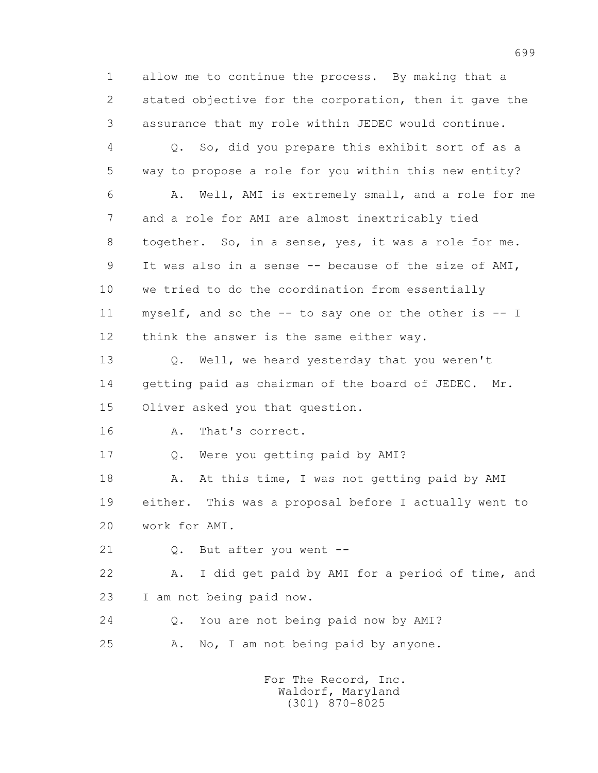1 allow me to continue the process. By making that a 2 stated objective for the corporation, then it gave the 3 assurance that my role within JEDEC would continue.

 4 Q. So, did you prepare this exhibit sort of as a 5 way to propose a role for you within this new entity? 6 A. Well, AMI is extremely small, and a role for me 7 and a role for AMI are almost inextricably tied 8 together. So, in a sense, yes, it was a role for me. 9 It was also in a sense -- because of the size of AMI, 10 we tried to do the coordination from essentially 11 myself, and so the -- to say one or the other is -- I 12 think the answer is the same either way.

 13 Q. Well, we heard yesterday that you weren't 14 getting paid as chairman of the board of JEDEC. Mr. 15 Oliver asked you that question.

16 A. That's correct.

17 Q. Were you getting paid by AMI?

18 A. At this time, I was not getting paid by AMI 19 either. This was a proposal before I actually went to 20 work for AMI.

21 Q. But after you went --

 22 A. I did get paid by AMI for a period of time, and 23 I am not being paid now.

 24 Q. You are not being paid now by AMI? 25 A. No, I am not being paid by anyone.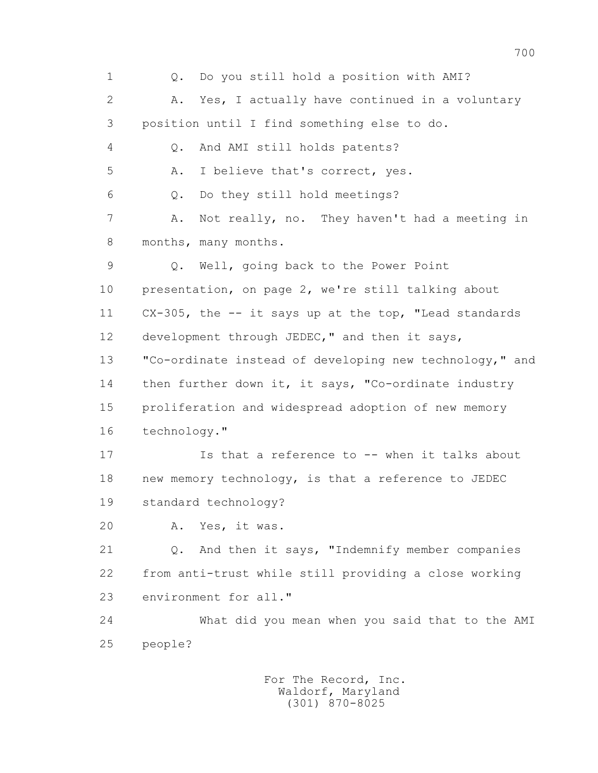1 Q. Do you still hold a position with AMI? 2 A. Yes, I actually have continued in a voluntary 3 position until I find something else to do. 4 Q. And AMI still holds patents? 5 A. I believe that's correct, yes. 6 Q. Do they still hold meetings? 7 A. Not really, no. They haven't had a meeting in 8 months, many months. 9 Q. Well, going back to the Power Point 10 presentation, on page 2, we're still talking about 11 CX-305, the -- it says up at the top, "Lead standards 12 development through JEDEC," and then it says, 13 "Co-ordinate instead of developing new technology," and 14 then further down it, it says, "Co-ordinate industry 15 proliferation and widespread adoption of new memory 16 technology." 17 Is that a reference to -- when it talks about 18 new memory technology, is that a reference to JEDEC 19 standard technology? 20 A. Yes, it was. 21 Q. And then it says, "Indemnify member companies 22 from anti-trust while still providing a close working 23 environment for all." 24 What did you mean when you said that to the AMI 25 people?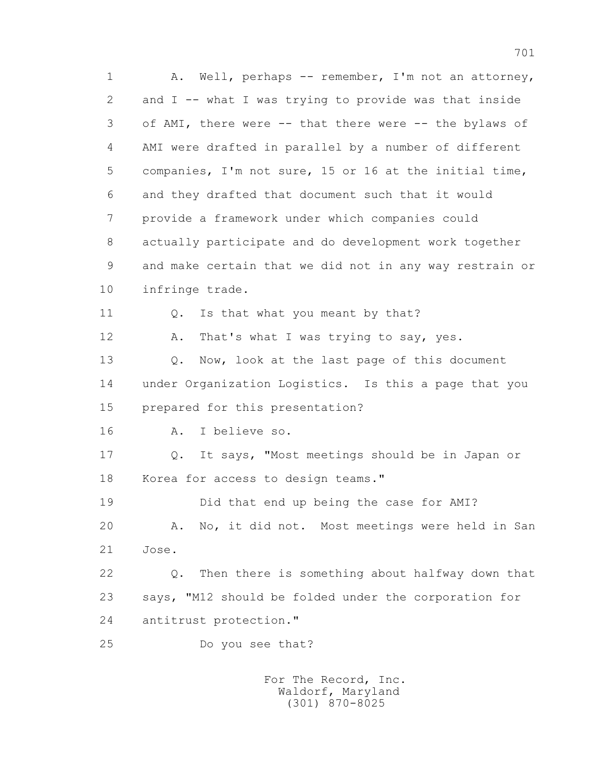1 A. Well, perhaps -- remember, I'm not an attorney, 2 and I -- what I was trying to provide was that inside 3 of AMI, there were -- that there were -- the bylaws of 4 AMI were drafted in parallel by a number of different 5 companies, I'm not sure, 15 or 16 at the initial time, 6 and they drafted that document such that it would 7 provide a framework under which companies could 8 actually participate and do development work together 9 and make certain that we did not in any way restrain or 10 infringe trade. 11 0. Is that what you meant by that? 12 A. That's what I was trying to say, yes. 13 0. Now, look at the last page of this document 14 under Organization Logistics. Is this a page that you 15 prepared for this presentation? 16 A. I believe so. 17 Q. It says, "Most meetings should be in Japan or 18 Korea for access to design teams." 19 Did that end up being the case for AMI? 20 A. No, it did not. Most meetings were held in San 21 Jose. 22 Q. Then there is something about halfway down that 23 says, "M12 should be folded under the corporation for 24 antitrust protection." 25 Do you see that?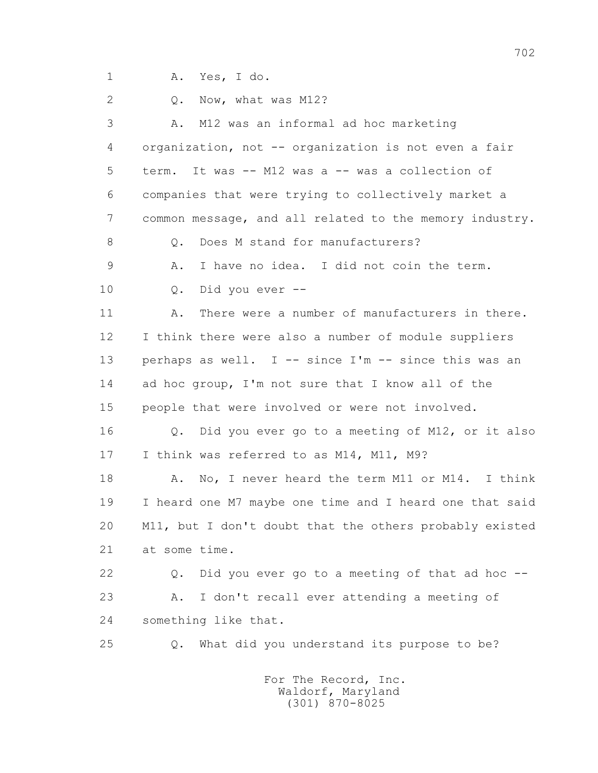1 A. Yes, I do.

2 0. Now, what was M12? 3 A. M12 was an informal ad hoc marketing 4 organization, not -- organization is not even a fair 5 term. It was -- M12 was a -- was a collection of 6 companies that were trying to collectively market a 7 common message, and all related to the memory industry. 8 0. Does M stand for manufacturers? 9 A. I have no idea. I did not coin the term. 10 Q. Did you ever -- 11 A. There were a number of manufacturers in there. 12 I think there were also a number of module suppliers 13 perhaps as well. I -- since I'm -- since this was an 14 ad hoc group, I'm not sure that I know all of the 15 people that were involved or were not involved. 16 Q. Did you ever go to a meeting of M12, or it also 17 I think was referred to as M14, M11, M9? 18 A. No, I never heard the term M11 or M14. I think 19 I heard one M7 maybe one time and I heard one that said 20 M11, but I don't doubt that the others probably existed 21 at some time. 22 Q. Did you ever go to a meeting of that ad hoc -- 23 A. I don't recall ever attending a meeting of 24 something like that. 25 Q. What did you understand its purpose to be?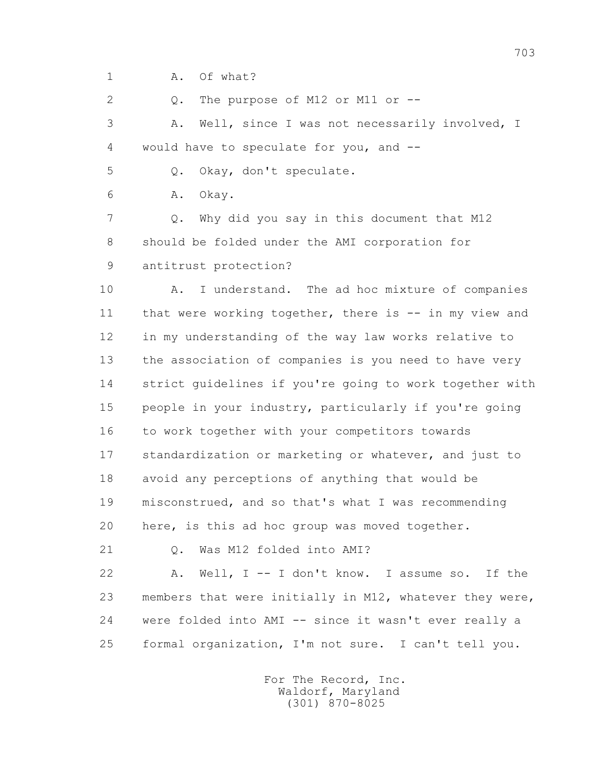1 A. Of what?

2 0. The purpose of M12 or M11 or --

 3 A. Well, since I was not necessarily involved, I 4 would have to speculate for you, and --

5 Q. Okay, don't speculate.

6 A. Okay.

 7 Q. Why did you say in this document that M12 8 should be folded under the AMI corporation for 9 antitrust protection?

10 A. I understand. The ad hoc mixture of companies 11 that were working together, there is -- in my view and 12 in my understanding of the way law works relative to 13 the association of companies is you need to have very 14 strict guidelines if you're going to work together with 15 people in your industry, particularly if you're going 16 to work together with your competitors towards 17 standardization or marketing or whatever, and just to 18 avoid any perceptions of anything that would be 19 misconstrued, and so that's what I was recommending 20 here, is this ad hoc group was moved together.

21 0. Was M12 folded into AMI?

 22 A. Well, I -- I don't know. I assume so. If the 23 members that were initially in M12, whatever they were, 24 were folded into AMI -- since it wasn't ever really a 25 formal organization, I'm not sure. I can't tell you.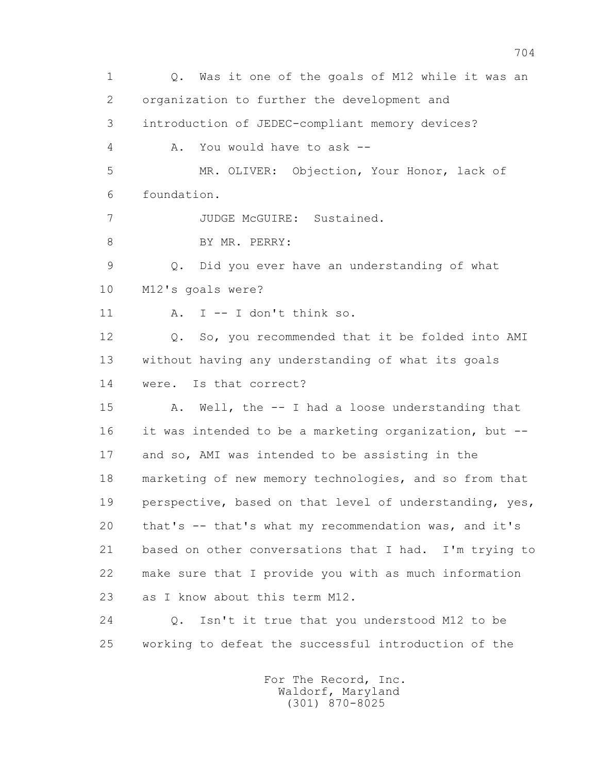1 Q. Was it one of the goals of M12 while it was an 2 organization to further the development and 3 introduction of JEDEC-compliant memory devices? 4 A. You would have to ask -- 5 MR. OLIVER: Objection, Your Honor, lack of 6 foundation. 7 JUDGE McGUIRE: Sustained. 8 BY MR. PERRY: 9 Q. Did you ever have an understanding of what 10 M12's goals were? 11  $A$ . I  $-$  I don't think so. 12 Q. So, you recommended that it be folded into AMI 13 without having any understanding of what its goals 14 were. Is that correct? 15 A. Well, the -- I had a loose understanding that 16 it was intended to be a marketing organization, but -- 17 and so, AMI was intended to be assisting in the 18 marketing of new memory technologies, and so from that 19 perspective, based on that level of understanding, yes, 20 that's -- that's what my recommendation was, and it's 21 based on other conversations that I had. I'm trying to 22 make sure that I provide you with as much information 23 as I know about this term M12. 24 Q. Isn't it true that you understood M12 to be 25 working to defeat the successful introduction of the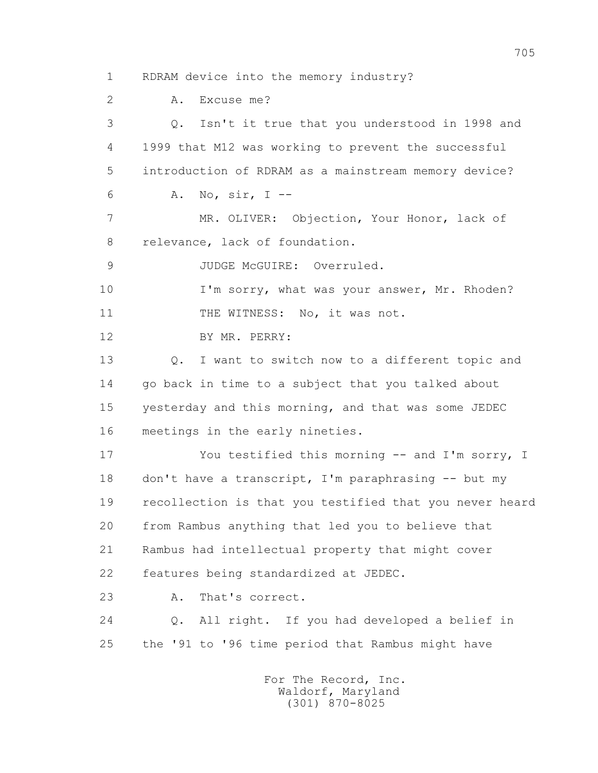1 RDRAM device into the memory industry?

2 A. Excuse me?

 3 Q. Isn't it true that you understood in 1998 and 4 1999 that M12 was working to prevent the successful 5 introduction of RDRAM as a mainstream memory device? 6 A. No, sir, I -- 7 MR. OLIVER: Objection, Your Honor, lack of 8 relevance, lack of foundation. 9 JUDGE McGUIRE: Overruled. 10 I'm sorry, what was your answer, Mr. Rhoden? 11 THE WITNESS: No, it was not. 12 BY MR. PERRY: 13 Q. I want to switch now to a different topic and 14 go back in time to a subject that you talked about 15 yesterday and this morning, and that was some JEDEC 16 meetings in the early nineties. 17 You testified this morning -- and I'm sorry, I 18 don't have a transcript, I'm paraphrasing -- but my 19 recollection is that you testified that you never heard 20 from Rambus anything that led you to believe that 21 Rambus had intellectual property that might cover 22 features being standardized at JEDEC. 23 A. That's correct.

 24 Q. All right. If you had developed a belief in 25 the '91 to '96 time period that Rambus might have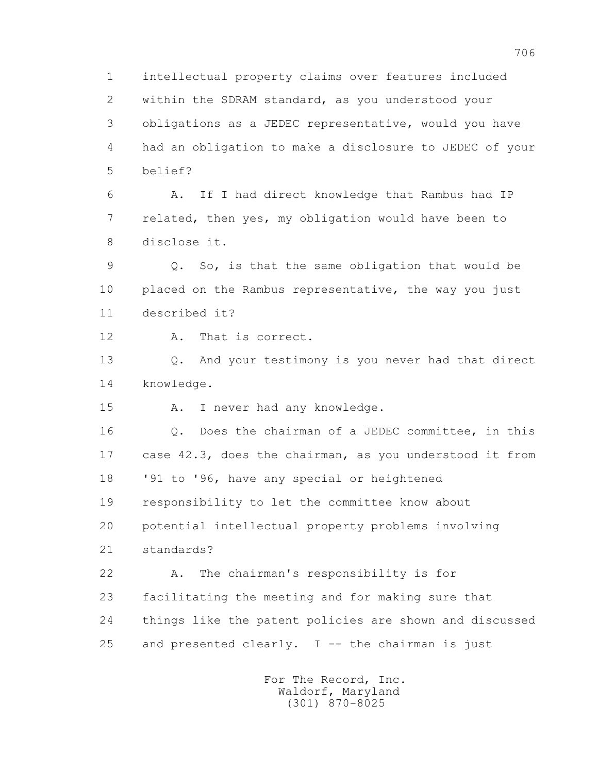1 intellectual property claims over features included 2 within the SDRAM standard, as you understood your 3 obligations as a JEDEC representative, would you have 4 had an obligation to make a disclosure to JEDEC of your 5 belief?

 6 A. If I had direct knowledge that Rambus had IP 7 related, then yes, my obligation would have been to 8 disclose it.

 9 Q. So, is that the same obligation that would be 10 placed on the Rambus representative, the way you just 11 described it?

12 A. That is correct.

 13 Q. And your testimony is you never had that direct 14 knowledge.

15 A. I never had any knowledge.

 16 Q. Does the chairman of a JEDEC committee, in this 17 case 42.3, does the chairman, as you understood it from 18 '91 to '96, have any special or heightened 19 responsibility to let the committee know about 20 potential intellectual property problems involving 21 standards?

 22 A. The chairman's responsibility is for 23 facilitating the meeting and for making sure that 24 things like the patent policies are shown and discussed 25 and presented clearly.  $I$  -- the chairman is just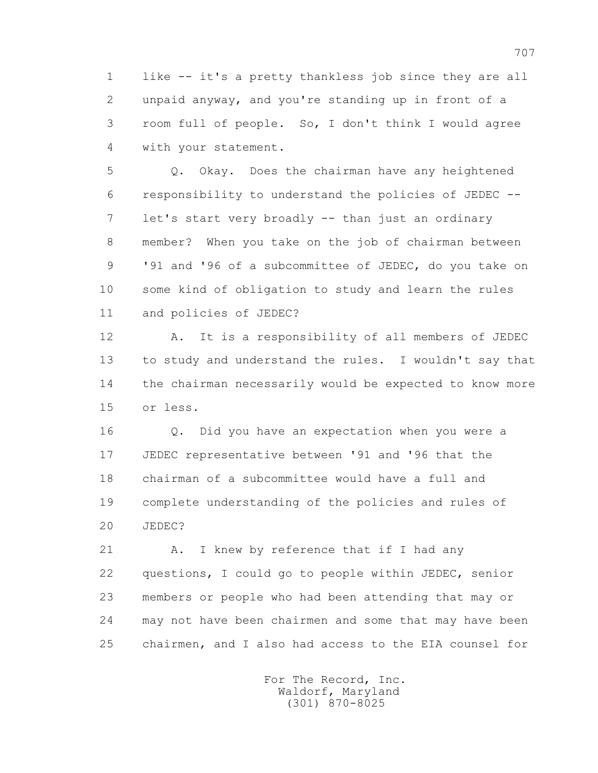1 like -- it's a pretty thankless job since they are all 2 unpaid anyway, and you're standing up in front of a 3 room full of people. So, I don't think I would agree 4 with your statement.

 5 Q. Okay. Does the chairman have any heightened 6 responsibility to understand the policies of JEDEC -- 7 let's start very broadly -- than just an ordinary 8 member? When you take on the job of chairman between 9 '91 and '96 of a subcommittee of JEDEC, do you take on 10 some kind of obligation to study and learn the rules 11 and policies of JEDEC?

 12 A. It is a responsibility of all members of JEDEC 13 to study and understand the rules. I wouldn't say that 14 the chairman necessarily would be expected to know more 15 or less.

 16 Q. Did you have an expectation when you were a 17 JEDEC representative between '91 and '96 that the 18 chairman of a subcommittee would have a full and 19 complete understanding of the policies and rules of 20 JEDEC?

21 A. I knew by reference that if I had any 22 questions, I could go to people within JEDEC, senior 23 members or people who had been attending that may or 24 may not have been chairmen and some that may have been 25 chairmen, and I also had access to the EIA counsel for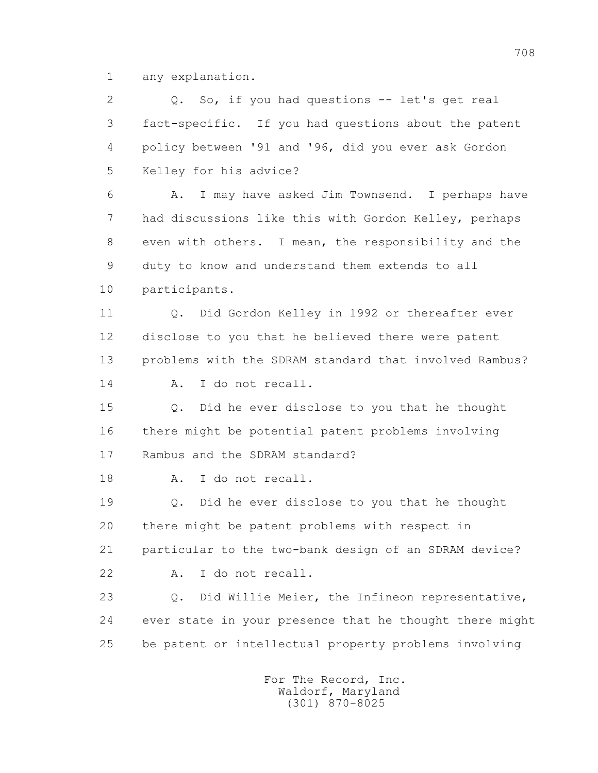1 any explanation.

 2 Q. So, if you had questions -- let's get real 3 fact-specific. If you had questions about the patent 4 policy between '91 and '96, did you ever ask Gordon 5 Kelley for his advice? 6 A. I may have asked Jim Townsend. I perhaps have 7 had discussions like this with Gordon Kelley, perhaps 8 even with others. I mean, the responsibility and the 9 duty to know and understand them extends to all 10 participants. 11 Q. Did Gordon Kelley in 1992 or thereafter ever 12 disclose to you that he believed there were patent 13 problems with the SDRAM standard that involved Rambus? 14 A. I do not recall. 15 Q. Did he ever disclose to you that he thought 16 there might be potential patent problems involving 17 Rambus and the SDRAM standard? 18 A. I do not recall. 19 Q. Did he ever disclose to you that he thought 20 there might be patent problems with respect in 21 particular to the two-bank design of an SDRAM device? 22 A. I do not recall. 23 Q. Did Willie Meier, the Infineon representative, 24 ever state in your presence that he thought there might 25 be patent or intellectual property problems involving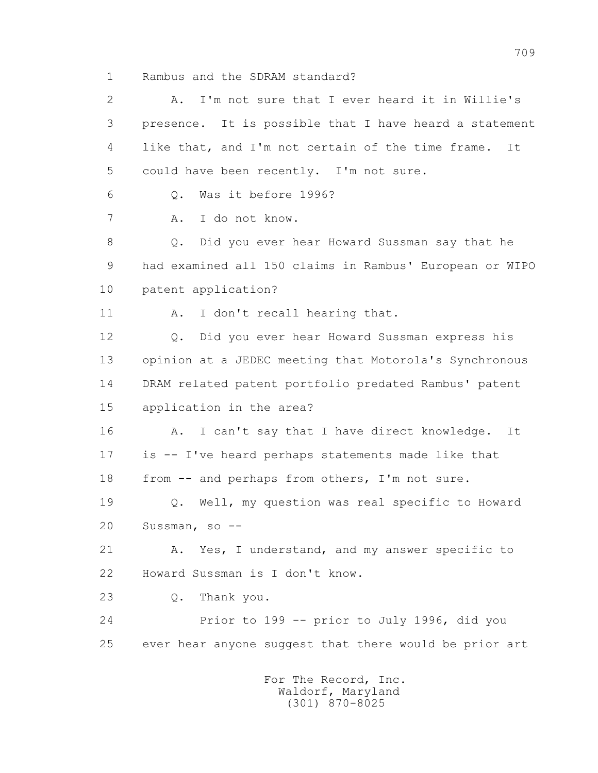1 Rambus and the SDRAM standard?

 2 A. I'm not sure that I ever heard it in Willie's 3 presence. It is possible that I have heard a statement 4 like that, and I'm not certain of the time frame. It 5 could have been recently. I'm not sure. 6 Q. Was it before 1996? 7 A. I do not know. 8 Q. Did you ever hear Howard Sussman say that he 9 had examined all 150 claims in Rambus' European or WIPO 10 patent application? 11 A. I don't recall hearing that. 12 Q. Did you ever hear Howard Sussman express his 13 opinion at a JEDEC meeting that Motorola's Synchronous 14 DRAM related patent portfolio predated Rambus' patent 15 application in the area? 16 A. I can't say that I have direct knowledge. It 17 is -- I've heard perhaps statements made like that 18 from -- and perhaps from others, I'm not sure. 19 Q. Well, my question was real specific to Howard 20 Sussman, so -- 21 A. Yes, I understand, and my answer specific to 22 Howard Sussman is I don't know. 23 Q. Thank you. 24 Prior to 199 -- prior to July 1996, did you 25 ever hear anyone suggest that there would be prior art For The Record, Inc.

 Waldorf, Maryland (301) 870-8025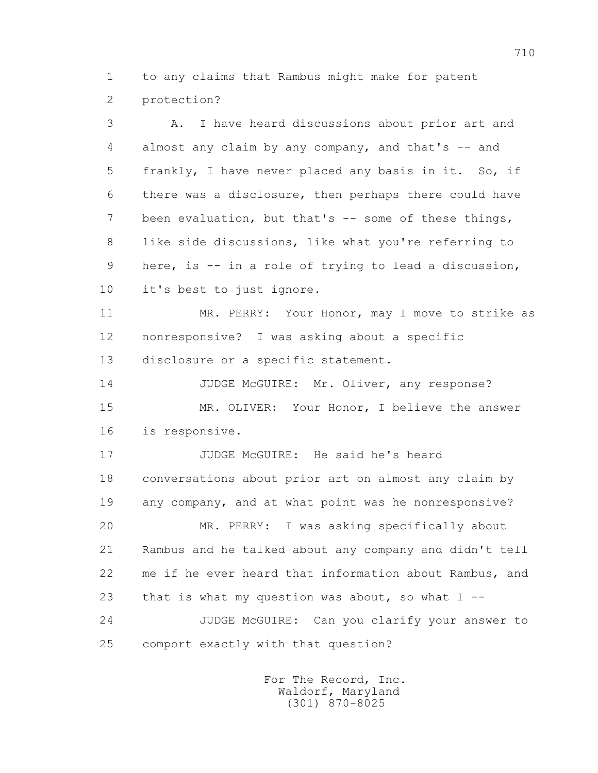1 to any claims that Rambus might make for patent 2 protection?

 3 A. I have heard discussions about prior art and 4 almost any claim by any company, and that's -- and 5 frankly, I have never placed any basis in it. So, if 6 there was a disclosure, then perhaps there could have 7 been evaluation, but that's -- some of these things, 8 like side discussions, like what you're referring to 9 here, is -- in a role of trying to lead a discussion, 10 it's best to just ignore.

 11 MR. PERRY: Your Honor, may I move to strike as 12 nonresponsive? I was asking about a specific 13 disclosure or a specific statement.

14 JUDGE McGUIRE: Mr. Oliver, any response? 15 MR. OLIVER: Your Honor, I believe the answer 16 is responsive.

 17 JUDGE McGUIRE: He said he's heard 18 conversations about prior art on almost any claim by 19 any company, and at what point was he nonresponsive? 20 MR. PERRY: I was asking specifically about 21 Rambus and he talked about any company and didn't tell 22 me if he ever heard that information about Rambus, and 23 that is what my question was about, so what I -- 24 JUDGE McGUIRE: Can you clarify your answer to 25 comport exactly with that question?

> For The Record, Inc. Waldorf, Maryland (301) 870-8025

710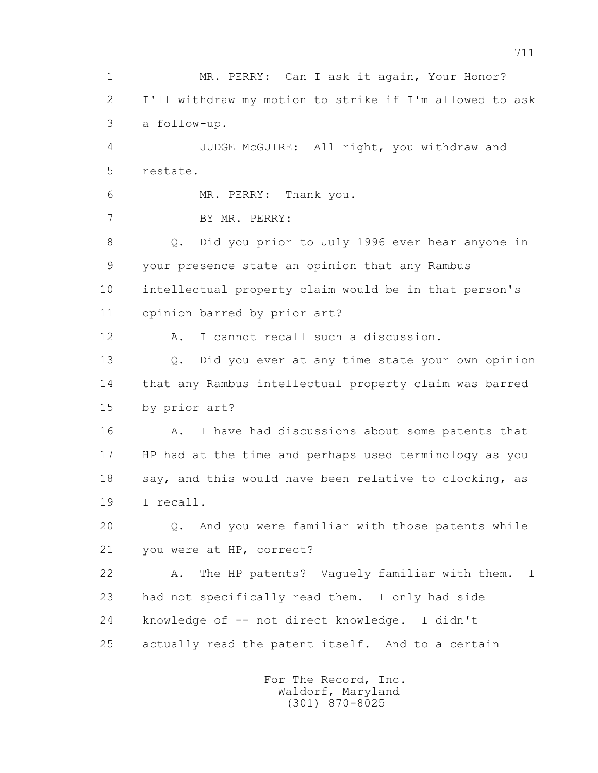1 MR. PERRY: Can I ask it again, Your Honor? 2 I'll withdraw my motion to strike if I'm allowed to ask 3 a follow-up. 4 JUDGE McGUIRE: All right, you withdraw and 5 restate. 6 MR. PERRY: Thank you. 7 BY MR. PERRY: 8 Q. Did you prior to July 1996 ever hear anyone in 9 your presence state an opinion that any Rambus 10 intellectual property claim would be in that person's 11 opinion barred by prior art? 12 A. I cannot recall such a discussion. 13 Q. Did you ever at any time state your own opinion 14 that any Rambus intellectual property claim was barred 15 by prior art? 16 A. I have had discussions about some patents that 17 HP had at the time and perhaps used terminology as you 18 say, and this would have been relative to clocking, as 19 I recall. 20 Q. And you were familiar with those patents while 21 you were at HP, correct? 22 A. The HP patents? Vaguely familiar with them. I 23 had not specifically read them. I only had side 24 knowledge of -- not direct knowledge. I didn't 25 actually read the patent itself. And to a certain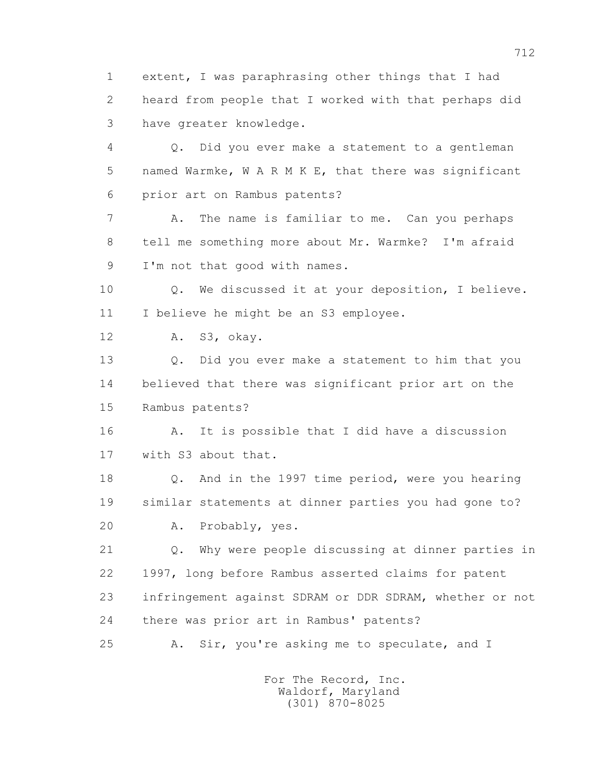1 extent, I was paraphrasing other things that I had 2 heard from people that I worked with that perhaps did 3 have greater knowledge.

 4 Q. Did you ever make a statement to a gentleman 5 named Warmke, W A R M K E, that there was significant 6 prior art on Rambus patents?

 7 A. The name is familiar to me. Can you perhaps 8 tell me something more about Mr. Warmke? I'm afraid 9 I'm not that good with names.

 10 Q. We discussed it at your deposition, I believe. 11 I believe he might be an S3 employee.

12 A. S3, okay.

 13 Q. Did you ever make a statement to him that you 14 believed that there was significant prior art on the 15 Rambus patents?

 16 A. It is possible that I did have a discussion 17 with S3 about that.

 18 Q. And in the 1997 time period, were you hearing 19 similar statements at dinner parties you had gone to? 20 A. Probably, yes.

 21 Q. Why were people discussing at dinner parties in 22 1997, long before Rambus asserted claims for patent 23 infringement against SDRAM or DDR SDRAM, whether or not 24 there was prior art in Rambus' patents?

25 A. Sir, you're asking me to speculate, and I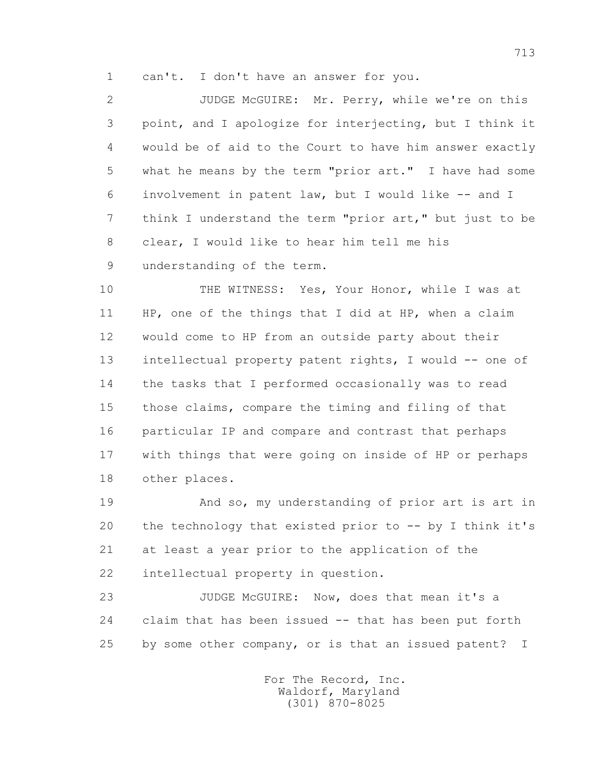1 can't. I don't have an answer for you.

 2 JUDGE McGUIRE: Mr. Perry, while we're on this 3 point, and I apologize for interjecting, but I think it 4 would be of aid to the Court to have him answer exactly 5 what he means by the term "prior art." I have had some 6 involvement in patent law, but I would like -- and I 7 think I understand the term "prior art," but just to be 8 clear, I would like to hear him tell me his 9 understanding of the term.

 10 THE WITNESS: Yes, Your Honor, while I was at 11 HP, one of the things that I did at HP, when a claim 12 would come to HP from an outside party about their 13 intellectual property patent rights, I would -- one of 14 the tasks that I performed occasionally was to read 15 those claims, compare the timing and filing of that 16 particular IP and compare and contrast that perhaps 17 with things that were going on inside of HP or perhaps 18 other places.

 19 And so, my understanding of prior art is art in 20 the technology that existed prior to -- by I think it's 21 at least a year prior to the application of the 22 intellectual property in question.

 23 JUDGE McGUIRE: Now, does that mean it's a 24 claim that has been issued -- that has been put forth 25 by some other company, or is that an issued patent? I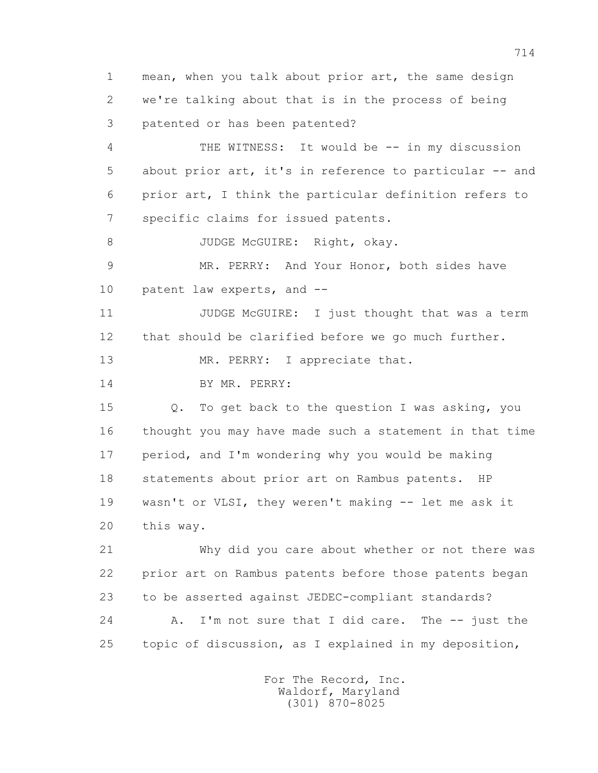1 mean, when you talk about prior art, the same design 2 we're talking about that is in the process of being 3 patented or has been patented? 4 THE WITNESS: It would be -- in my discussion 5 about prior art, it's in reference to particular -- and 6 prior art, I think the particular definition refers to 7 specific claims for issued patents. 8 JUDGE McGUIRE: Right, okay. 9 MR. PERRY: And Your Honor, both sides have 10 patent law experts, and -- 11 JUDGE McGUIRE: I just thought that was a term 12 that should be clarified before we go much further. 13 MR. PERRY: I appreciate that. 14 BY MR. PERRY: 15 Q. To get back to the question I was asking, you 16 thought you may have made such a statement in that time 17 period, and I'm wondering why you would be making 18 statements about prior art on Rambus patents. HP 19 wasn't or VLSI, they weren't making -- let me ask it 20 this way. 21 Why did you care about whether or not there was 22 prior art on Rambus patents before those patents began 23 to be asserted against JEDEC-compliant standards? 24 A. I'm not sure that I did care. The -- just the 25 topic of discussion, as I explained in my deposition,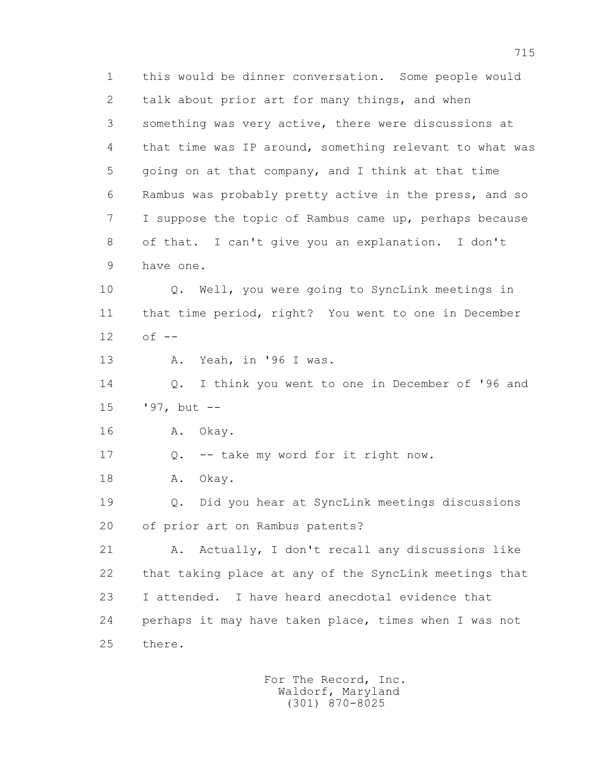1 this would be dinner conversation. Some people would 2 talk about prior art for many things, and when 3 something was very active, there were discussions at 4 that time was IP around, something relevant to what was 5 going on at that company, and I think at that time 6 Rambus was probably pretty active in the press, and so 7 I suppose the topic of Rambus came up, perhaps because 8 of that. I can't give you an explanation. I don't 9 have one.

 10 Q. Well, you were going to SyncLink meetings in 11 that time period, right? You went to one in December 12 of --

13 A. Yeah, in '96 I was.

 14 Q. I think you went to one in December of '96 and 15 '97, but --

16 A. Okay.

17 Q. -- take my word for it right now.

18 A. Okay.

 19 Q. Did you hear at SyncLink meetings discussions 20 of prior art on Rambus patents?

 21 A. Actually, I don't recall any discussions like 22 that taking place at any of the SyncLink meetings that 23 I attended. I have heard anecdotal evidence that 24 perhaps it may have taken place, times when I was not 25 there.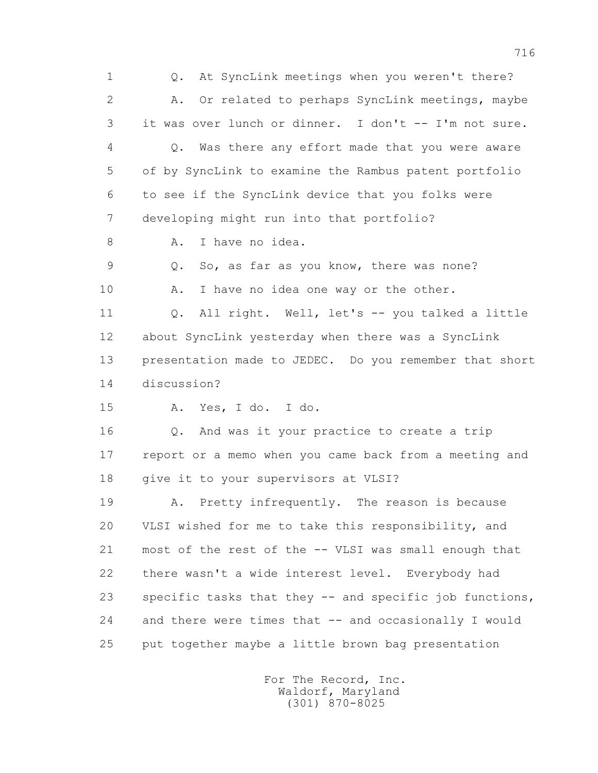1 Q. At SyncLink meetings when you weren't there? 2 A. Or related to perhaps SyncLink meetings, maybe 3 it was over lunch or dinner. I don't -- I'm not sure. 4 Q. Was there any effort made that you were aware 5 of by SyncLink to examine the Rambus patent portfolio 6 to see if the SyncLink device that you folks were 7 developing might run into that portfolio? 8 A. I have no idea. 9 Q. So, as far as you know, there was none? 10 A. I have no idea one way or the other. 11 Q. All right. Well, let's -- you talked a little 12 about SyncLink yesterday when there was a SyncLink 13 presentation made to JEDEC. Do you remember that short 14 discussion? 15 A. Yes, I do. I do. 16 Q. And was it your practice to create a trip 17 report or a memo when you came back from a meeting and 18 give it to your supervisors at VLSI? 19 A. Pretty infrequently. The reason is because 20 VLSI wished for me to take this responsibility, and 21 most of the rest of the -- VLSI was small enough that 22 there wasn't a wide interest level. Everybody had 23 specific tasks that they -- and specific job functions, 24 and there were times that -- and occasionally I would 25 put together maybe a little brown bag presentation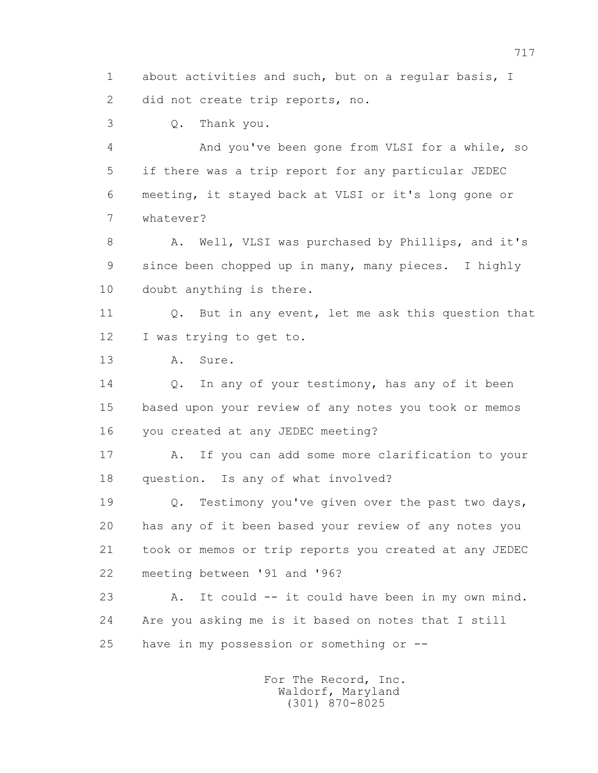1 about activities and such, but on a regular basis, I 2 did not create trip reports, no.

3 Q. Thank you.

 4 And you've been gone from VLSI for a while, so 5 if there was a trip report for any particular JEDEC 6 meeting, it stayed back at VLSI or it's long gone or 7 whatever?

8 A. Well, VLSI was purchased by Phillips, and it's 9 since been chopped up in many, many pieces. I highly 10 doubt anything is there.

 11 Q. But in any event, let me ask this question that 12 I was trying to get to.

13 A. Sure.

14 Q. In any of your testimony, has any of it been 15 based upon your review of any notes you took or memos 16 you created at any JEDEC meeting?

 17 A. If you can add some more clarification to your 18 question. Is any of what involved?

 19 Q. Testimony you've given over the past two days, 20 has any of it been based your review of any notes you 21 took or memos or trip reports you created at any JEDEC 22 meeting between '91 and '96?

 23 A. It could -- it could have been in my own mind. 24 Are you asking me is it based on notes that I still 25 have in my possession or something or --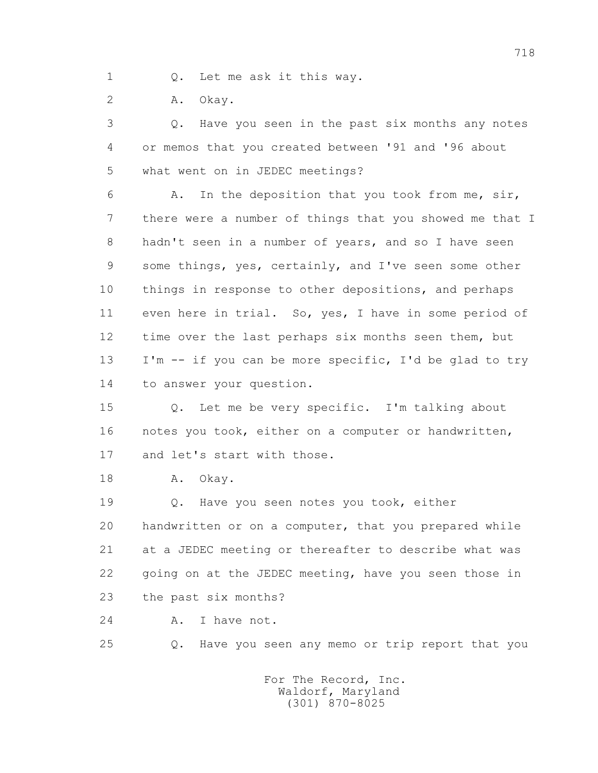1 Q. Let me ask it this way.

2 A. Okay.

 3 Q. Have you seen in the past six months any notes 4 or memos that you created between '91 and '96 about 5 what went on in JEDEC meetings?

 6 A. In the deposition that you took from me, sir, 7 there were a number of things that you showed me that I 8 hadn't seen in a number of years, and so I have seen 9 some things, yes, certainly, and I've seen some other 10 things in response to other depositions, and perhaps 11 even here in trial. So, yes, I have in some period of 12 time over the last perhaps six months seen them, but 13 I'm -- if you can be more specific, I'd be glad to try 14 to answer your question.

 15 Q. Let me be very specific. I'm talking about 16 notes you took, either on a computer or handwritten, 17 and let's start with those.

18 A. Okay.

19 0. Have you seen notes you took, either 20 handwritten or on a computer, that you prepared while 21 at a JEDEC meeting or thereafter to describe what was 22 going on at the JEDEC meeting, have you seen those in 23 the past six months?

24 A. I have not.

25 Q. Have you seen any memo or trip report that you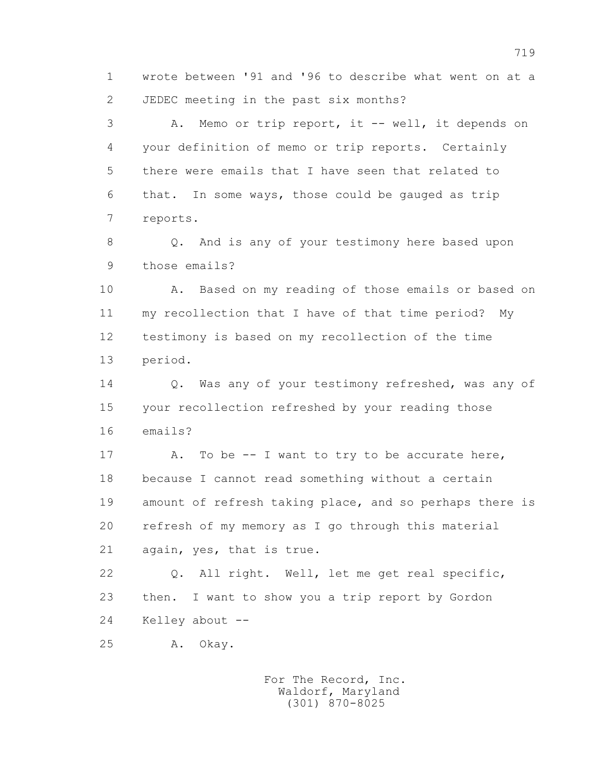1 wrote between '91 and '96 to describe what went on at a 2 JEDEC meeting in the past six months?

 3 A. Memo or trip report, it -- well, it depends on 4 your definition of memo or trip reports. Certainly 5 there were emails that I have seen that related to 6 that. In some ways, those could be gauged as trip 7 reports.

 8 Q. And is any of your testimony here based upon 9 those emails?

 10 A. Based on my reading of those emails or based on 11 my recollection that I have of that time period? My 12 testimony is based on my recollection of the time 13 period.

14 0. Was any of your testimony refreshed, was any of 15 your recollection refreshed by your reading those 16 emails?

17 A. To be -- I want to try to be accurate here, 18 because I cannot read something without a certain 19 amount of refresh taking place, and so perhaps there is 20 refresh of my memory as I go through this material 21 again, yes, that is true.

 22 Q. All right. Well, let me get real specific, 23 then. I want to show you a trip report by Gordon 24 Kelley about --

25 A. Okay.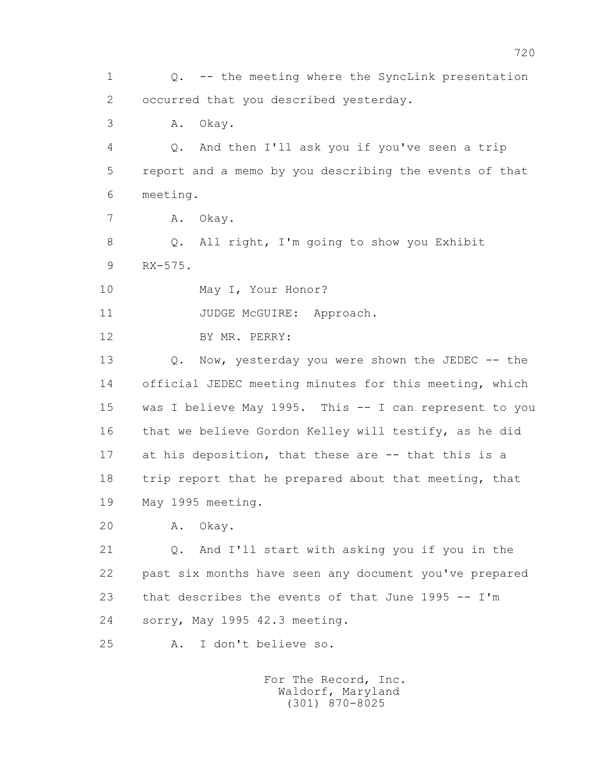1 Q. -- the meeting where the SyncLink presentation 2 occurred that you described yesterday. 3 A. Okay. 4 Q. And then I'll ask you if you've seen a trip 5 report and a memo by you describing the events of that 6 meeting. 7 A. Okay. 8 Q. All right, I'm going to show you Exhibit 9 RX-575. 10 May I, Your Honor? 11 JUDGE McGUIRE: Approach. 12 BY MR. PERRY: 13 Q. Now, yesterday you were shown the JEDEC -- the 14 official JEDEC meeting minutes for this meeting, which 15 was I believe May 1995. This -- I can represent to you 16 that we believe Gordon Kelley will testify, as he did 17 at his deposition, that these are -- that this is a 18 trip report that he prepared about that meeting, that 19 May 1995 meeting. 20 A. Okay. 21 Q. And I'll start with asking you if you in the 22 past six months have seen any document you've prepared 23 that describes the events of that June 1995 -- I'm 24 sorry, May 1995 42.3 meeting. 25 A. I don't believe so.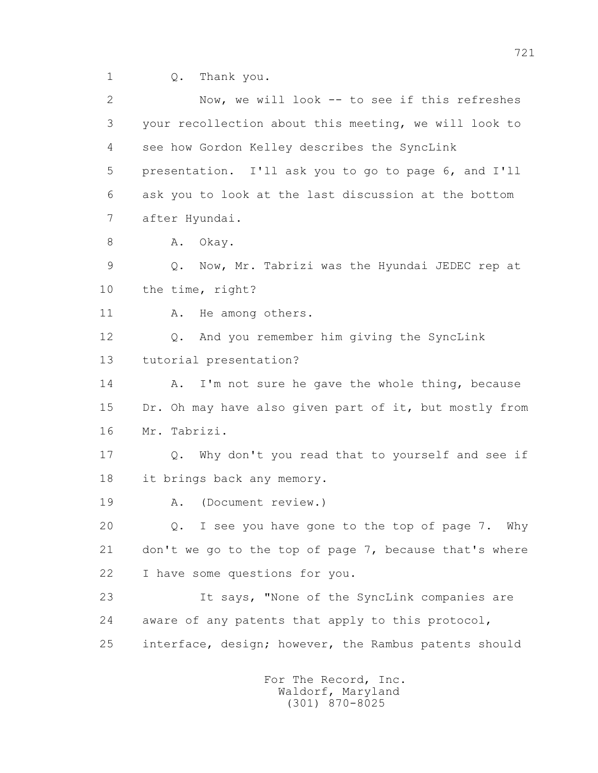1 Q. Thank you.

 2 Now, we will look -- to see if this refreshes 3 your recollection about this meeting, we will look to 4 see how Gordon Kelley describes the SyncLink 5 presentation. I'll ask you to go to page 6, and I'll 6 ask you to look at the last discussion at the bottom 7 after Hyundai. 8 A. Okay. 9 Q. Now, Mr. Tabrizi was the Hyundai JEDEC rep at 10 the time, right? 11 A. He among others. 12 Q. And you remember him giving the SyncLink 13 tutorial presentation? 14 A. I'm not sure he gave the whole thing, because 15 Dr. Oh may have also given part of it, but mostly from 16 Mr. Tabrizi. 17 Q. Why don't you read that to yourself and see if 18 it brings back any memory. 19 A. (Document review.) 20 Q. I see you have gone to the top of page 7. Why 21 don't we go to the top of page 7, because that's where 22 I have some questions for you. 23 It says, "None of the SyncLink companies are 24 aware of any patents that apply to this protocol, 25 interface, design; however, the Rambus patents should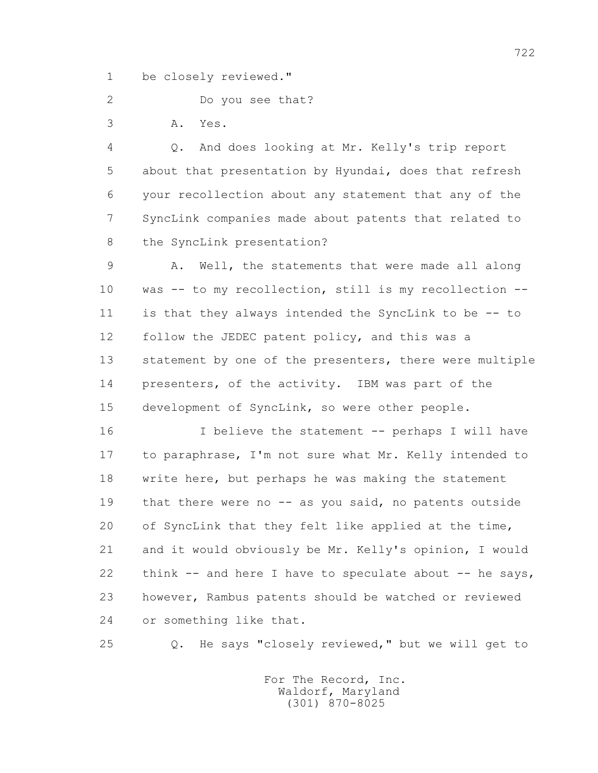1 be closely reviewed."

2 Do you see that?

3 A. Yes.

 4 Q. And does looking at Mr. Kelly's trip report 5 about that presentation by Hyundai, does that refresh 6 your recollection about any statement that any of the 7 SyncLink companies made about patents that related to 8 the SyncLink presentation?

 9 A. Well, the statements that were made all along 10 was -- to my recollection, still is my recollection -- 11 is that they always intended the SyncLink to be -- to 12 follow the JEDEC patent policy, and this was a 13 statement by one of the presenters, there were multiple 14 presenters, of the activity. IBM was part of the 15 development of SyncLink, so were other people.

 16 I believe the statement -- perhaps I will have 17 to paraphrase, I'm not sure what Mr. Kelly intended to 18 write here, but perhaps he was making the statement 19 that there were no -- as you said, no patents outside 20 of SyncLink that they felt like applied at the time, 21 and it would obviously be Mr. Kelly's opinion, I would 22 think -- and here I have to speculate about -- he says, 23 however, Rambus patents should be watched or reviewed 24 or something like that.

25 Q. He says "closely reviewed," but we will get to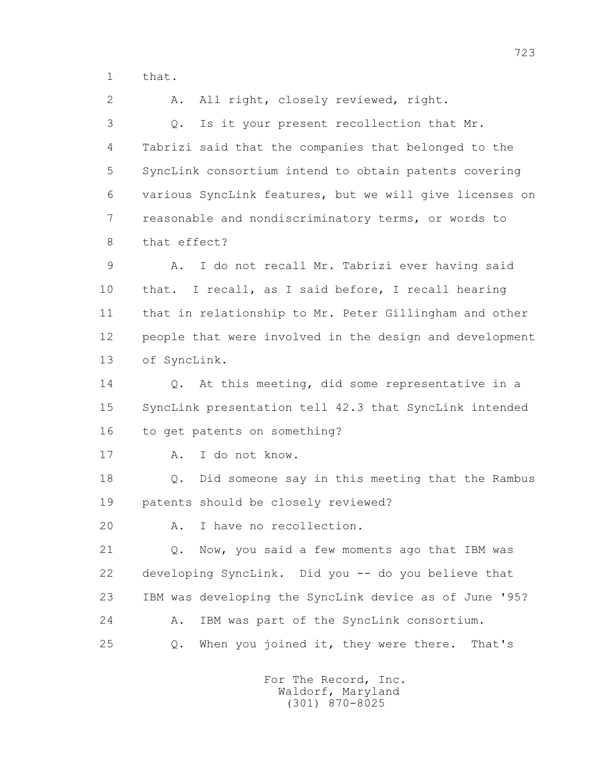1 that.

 2 A. All right, closely reviewed, right. 3 Q. Is it your present recollection that Mr. 4 Tabrizi said that the companies that belonged to the 5 SyncLink consortium intend to obtain patents covering 6 various SyncLink features, but we will give licenses on 7 reasonable and nondiscriminatory terms, or words to 8 that effect? 9 A. I do not recall Mr. Tabrizi ever having said 10 that. I recall, as I said before, I recall hearing 11 that in relationship to Mr. Peter Gillingham and other 12 people that were involved in the design and development 13 of SyncLink. 14 Q. At this meeting, did some representative in a 15 SyncLink presentation tell 42.3 that SyncLink intended 16 to get patents on something? 17 A. I do not know. 18 Q. Did someone say in this meeting that the Rambus 19 patents should be closely reviewed? 20 A. I have no recollection. 21 Q. Now, you said a few moments ago that IBM was 22 developing SyncLink. Did you -- do you believe that 23 IBM was developing the SyncLink device as of June '95? 24 A. IBM was part of the SyncLink consortium. 25 Q. When you joined it, they were there. That's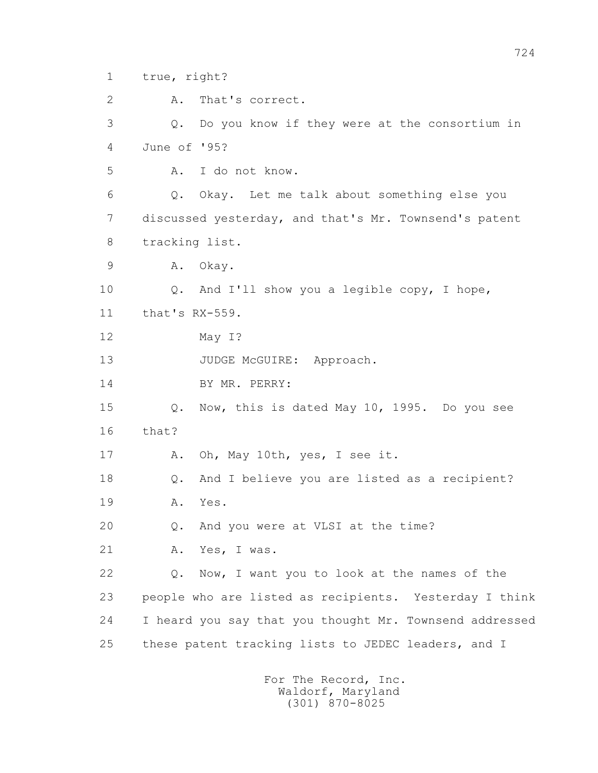1 true, right?

2 A. That's correct.

 3 Q. Do you know if they were at the consortium in 4 June of '95?

5 A. I do not know.

 6 Q. Okay. Let me talk about something else you 7 discussed yesterday, and that's Mr. Townsend's patent 8 tracking list.

9 A. Okay.

 10 Q. And I'll show you a legible copy, I hope, 11 that's RX-559.

12 May I?

13 JUDGE McGUIRE: Approach.

14 BY MR. PERRY:

 15 Q. Now, this is dated May 10, 1995. Do you see 16 that?

17 A. Oh, May 10th, yes, I see it.

18 Q. And I believe you are listed as a recipient?

19 A. Yes.

20 Q. And you were at VLSI at the time?

21 A. Yes, I was.

 22 Q. Now, I want you to look at the names of the 23 people who are listed as recipients. Yesterday I think 24 I heard you say that you thought Mr. Townsend addressed 25 these patent tracking lists to JEDEC leaders, and I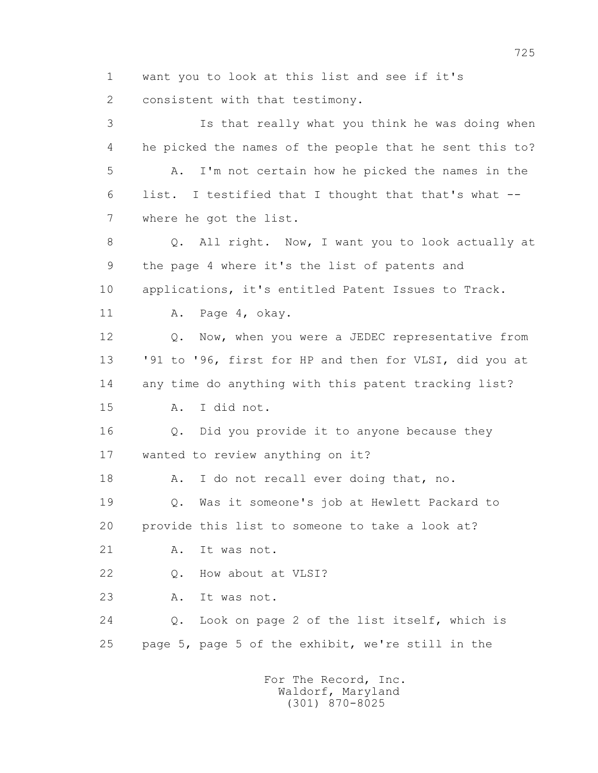1 want you to look at this list and see if it's

2 consistent with that testimony.

 3 Is that really what you think he was doing when 4 he picked the names of the people that he sent this to? 5 A. I'm not certain how he picked the names in the 6 list. I testified that I thought that that's what -- 7 where he got the list. 8 Q. All right. Now, I want you to look actually at 9 the page 4 where it's the list of patents and 10 applications, it's entitled Patent Issues to Track. 11 A. Page 4, okay. 12 **Q.** Now, when you were a JEDEC representative from 13 '91 to '96, first for HP and then for VLSI, did you at 14 any time do anything with this patent tracking list? 15 A. I did not. 16 Q. Did you provide it to anyone because they 17 wanted to review anything on it? 18 A. I do not recall ever doing that, no. 19 Q. Was it someone's job at Hewlett Packard to 20 provide this list to someone to take a look at? 21 A. It was not. 22 Q. How about at VLSI? 23 A. It was not. 24 Q. Look on page 2 of the list itself, which is 25 page 5, page 5 of the exhibit, we're still in the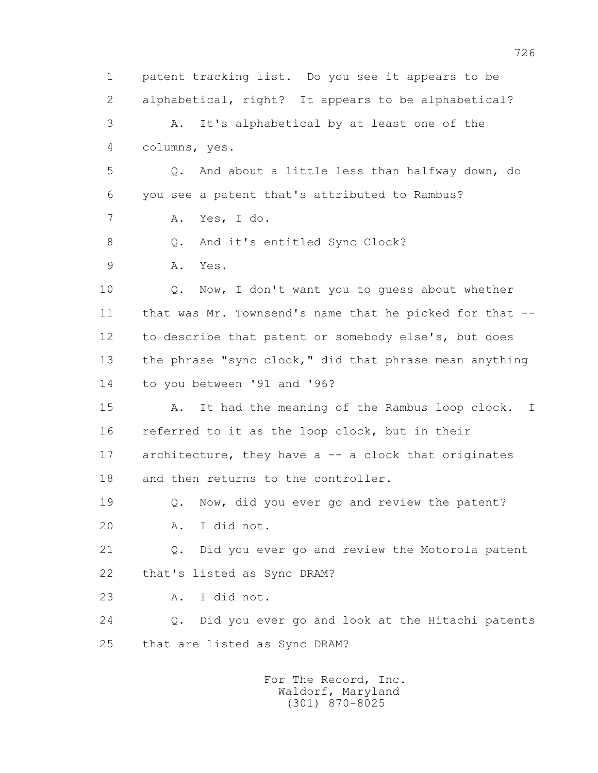1 patent tracking list. Do you see it appears to be 2 alphabetical, right? It appears to be alphabetical? 3 A. It's alphabetical by at least one of the 4 columns, yes. 5 Q. And about a little less than halfway down, do 6 you see a patent that's attributed to Rambus? 7 A. Yes, I do. 8 0. And it's entitled Sync Clock? 9 A. Yes. 10 Q. Now, I don't want you to guess about whether 11 that was Mr. Townsend's name that he picked for that -- 12 to describe that patent or somebody else's, but does 13 the phrase "sync clock," did that phrase mean anything 14 to you between '91 and '96? 15 A. It had the meaning of the Rambus loop clock. I 16 referred to it as the loop clock, but in their 17 architecture, they have a -- a clock that originates 18 and then returns to the controller. 19 Q. Now, did you ever go and review the patent? 20 A. I did not. 21 Q. Did you ever go and review the Motorola patent 22 that's listed as Sync DRAM? 23 A. I did not. 24 Q. Did you ever go and look at the Hitachi patents 25 that are listed as Sync DRAM? For The Record, Inc. Waldorf, Maryland

(301) 870-8025

726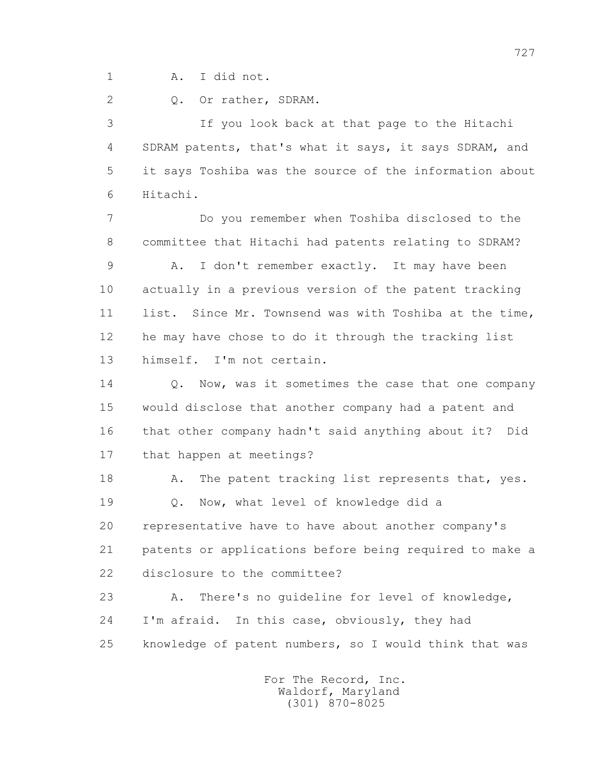1 A. I did not.

2 Q. Or rather, SDRAM.

 3 If you look back at that page to the Hitachi 4 SDRAM patents, that's what it says, it says SDRAM, and 5 it says Toshiba was the source of the information about 6 Hitachi.

 7 Do you remember when Toshiba disclosed to the 8 committee that Hitachi had patents relating to SDRAM? 9 A. I don't remember exactly. It may have been 10 actually in a previous version of the patent tracking 11 list. Since Mr. Townsend was with Toshiba at the time, 12 he may have chose to do it through the tracking list 13 himself. I'm not certain.

14 0. Now, was it sometimes the case that one company 15 would disclose that another company had a patent and 16 that other company hadn't said anything about it? Did 17 that happen at meetings?

18 A. The patent tracking list represents that, yes. 19 Q. Now, what level of knowledge did a 20 representative have to have about another company's 21 patents or applications before being required to make a 22 disclosure to the committee?

 23 A. There's no guideline for level of knowledge, 24 I'm afraid. In this case, obviously, they had 25 knowledge of patent numbers, so I would think that was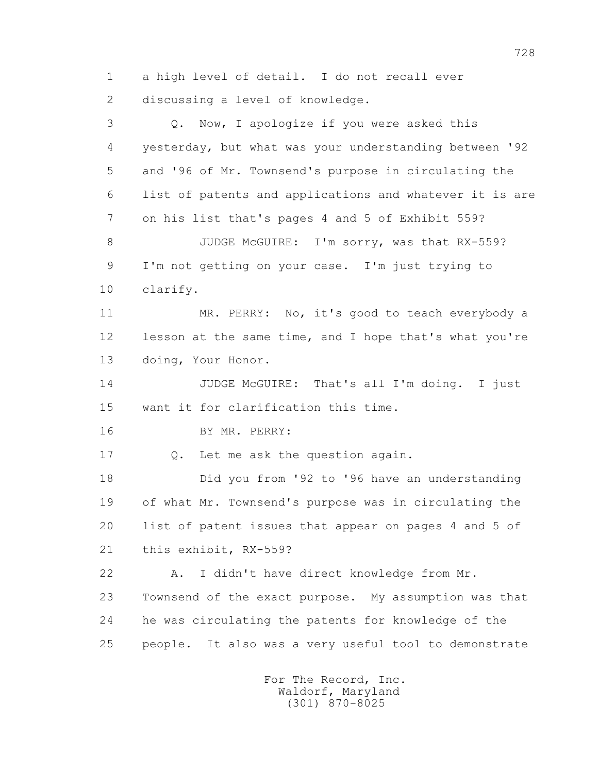1 a high level of detail. I do not recall ever 2 discussing a level of knowledge. 3 Q. Now, I apologize if you were asked this 4 yesterday, but what was your understanding between '92 5 and '96 of Mr. Townsend's purpose in circulating the 6 list of patents and applications and whatever it is are 7 on his list that's pages 4 and 5 of Exhibit 559? 8 JUDGE McGUIRE: I'm sorry, was that RX-559? 9 I'm not getting on your case. I'm just trying to 10 clarify. 11 MR. PERRY: No, it's good to teach everybody a 12 lesson at the same time, and I hope that's what you're 13 doing, Your Honor. 14 JUDGE McGUIRE: That's all I'm doing. I just 15 want it for clarification this time. 16 BY MR. PERRY: 17 Q. Let me ask the question again. 18 Did you from '92 to '96 have an understanding 19 of what Mr. Townsend's purpose was in circulating the 20 list of patent issues that appear on pages 4 and 5 of 21 this exhibit, RX-559? 22 A. I didn't have direct knowledge from Mr. 23 Townsend of the exact purpose. My assumption was that 24 he was circulating the patents for knowledge of the 25 people. It also was a very useful tool to demonstrate For The Record, Inc.

 Waldorf, Maryland (301) 870-8025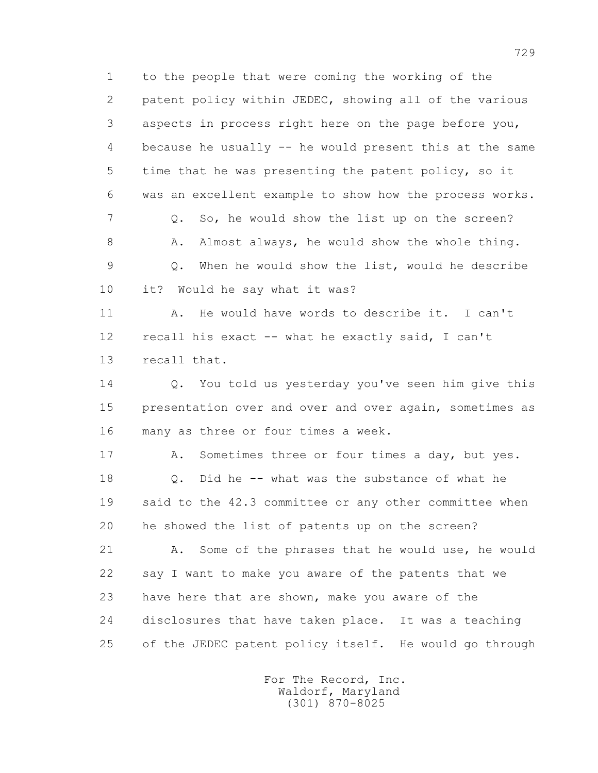1 to the people that were coming the working of the 2 patent policy within JEDEC, showing all of the various 3 aspects in process right here on the page before you, 4 because he usually -- he would present this at the same 5 time that he was presenting the patent policy, so it 6 was an excellent example to show how the process works. 7 Q. So, he would show the list up on the screen? 8 A. Almost always, he would show the whole thing. 9 Q. When he would show the list, would he describe 10 it? Would he say what it was? 11 A. He would have words to describe it. I can't 12 recall his exact -- what he exactly said, I can't 13 recall that. 14 Q. You told us yesterday you've seen him give this 15 presentation over and over and over again, sometimes as 16 many as three or four times a week. 17 A. Sometimes three or four times a day, but yes. 18 Q. Did he -- what was the substance of what he 19 said to the 42.3 committee or any other committee when 20 he showed the list of patents up on the screen? 21 A. Some of the phrases that he would use, he would

 22 say I want to make you aware of the patents that we 23 have here that are shown, make you aware of the 24 disclosures that have taken place. It was a teaching 25 of the JEDEC patent policy itself. He would go through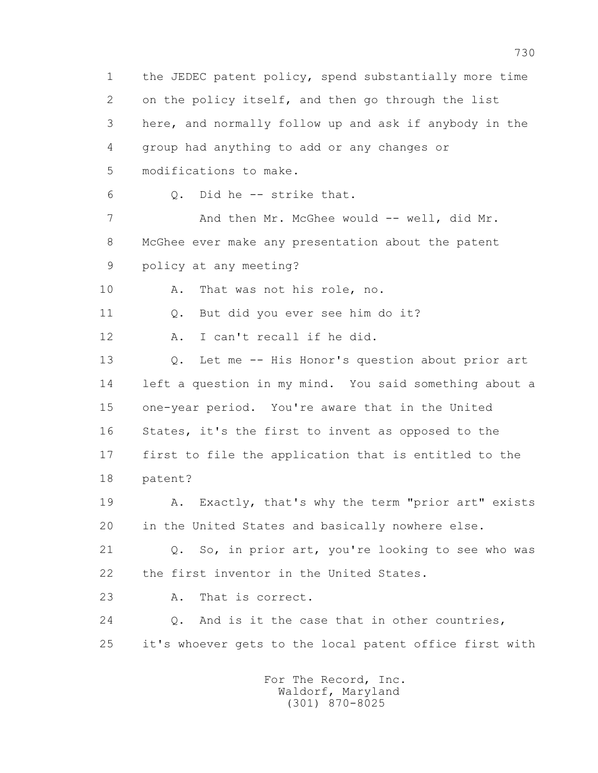1 the JEDEC patent policy, spend substantially more time 2 on the policy itself, and then go through the list 3 here, and normally follow up and ask if anybody in the 4 group had anything to add or any changes or 5 modifications to make. 6 Q. Did he -- strike that. 7 And then Mr. McGhee would -- well, did Mr. 8 McGhee ever make any presentation about the patent 9 policy at any meeting? 10 A. That was not his role, no. 11 0. But did you ever see him do it? 12 A. I can't recall if he did. 13 Q. Let me -- His Honor's question about prior art 14 left a question in my mind. You said something about a 15 one-year period. You're aware that in the United 16 States, it's the first to invent as opposed to the 17 first to file the application that is entitled to the 18 patent? 19 A. Exactly, that's why the term "prior art" exists 20 in the United States and basically nowhere else. 21 Q. So, in prior art, you're looking to see who was 22 the first inventor in the United States. 23 A. That is correct. 24 Q. And is it the case that in other countries, 25 it's whoever gets to the local patent office first with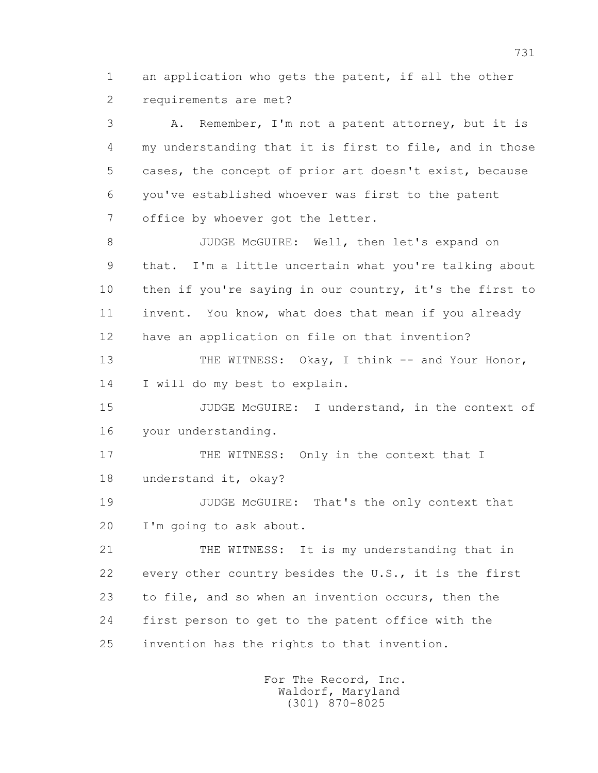1 an application who gets the patent, if all the other 2 requirements are met?

 3 A. Remember, I'm not a patent attorney, but it is 4 my understanding that it is first to file, and in those 5 cases, the concept of prior art doesn't exist, because 6 you've established whoever was first to the patent 7 office by whoever got the letter.

 8 JUDGE McGUIRE: Well, then let's expand on 9 that. I'm a little uncertain what you're talking about 10 then if you're saying in our country, it's the first to 11 invent. You know, what does that mean if you already 12 have an application on file on that invention?

13 THE WITNESS: Okay, I think -- and Your Honor, 14 I will do my best to explain.

 15 JUDGE McGUIRE: I understand, in the context of 16 your understanding.

17 THE WITNESS: Only in the context that I 18 understand it, okay?

 19 JUDGE McGUIRE: That's the only context that 20 I'm going to ask about.

 21 THE WITNESS: It is my understanding that in 22 every other country besides the U.S., it is the first 23 to file, and so when an invention occurs, then the 24 first person to get to the patent office with the 25 invention has the rights to that invention.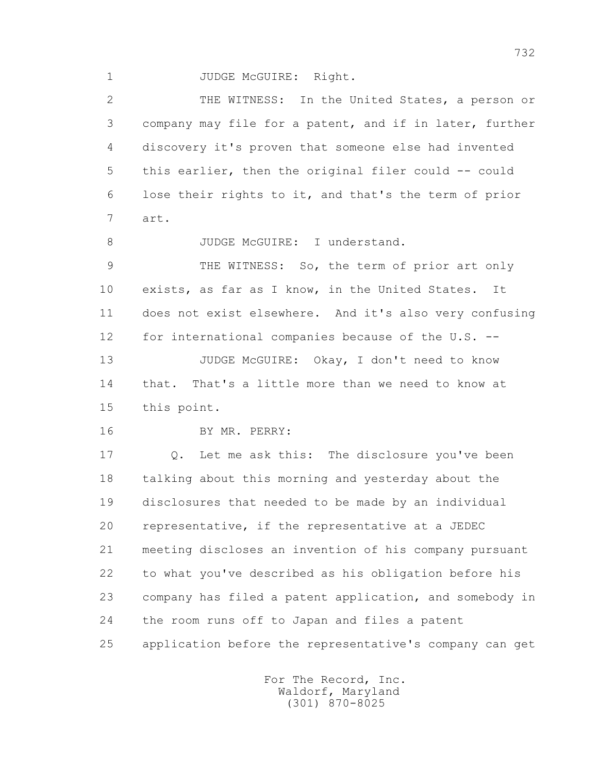1 JUDGE McGUIRE: Right.

 2 THE WITNESS: In the United States, a person or 3 company may file for a patent, and if in later, further 4 discovery it's proven that someone else had invented 5 this earlier, then the original filer could -- could 6 lose their rights to it, and that's the term of prior 7 art. 8 JUDGE McGUIRE: I understand. 9 THE WITNESS: So, the term of prior art only 10 exists, as far as I know, in the United States. It 11 does not exist elsewhere. And it's also very confusing 12 for international companies because of the U.S. -- 13 JUDGE McGUIRE: Okay, I don't need to know 14 that. That's a little more than we need to know at 15 this point. 16 BY MR. PERRY: 17 Q. Let me ask this: The disclosure you've been 18 talking about this morning and yesterday about the 19 disclosures that needed to be made by an individual 20 representative, if the representative at a JEDEC 21 meeting discloses an invention of his company pursuant 22 to what you've described as his obligation before his 23 company has filed a patent application, and somebody in 24 the room runs off to Japan and files a patent 25 application before the representative's company can get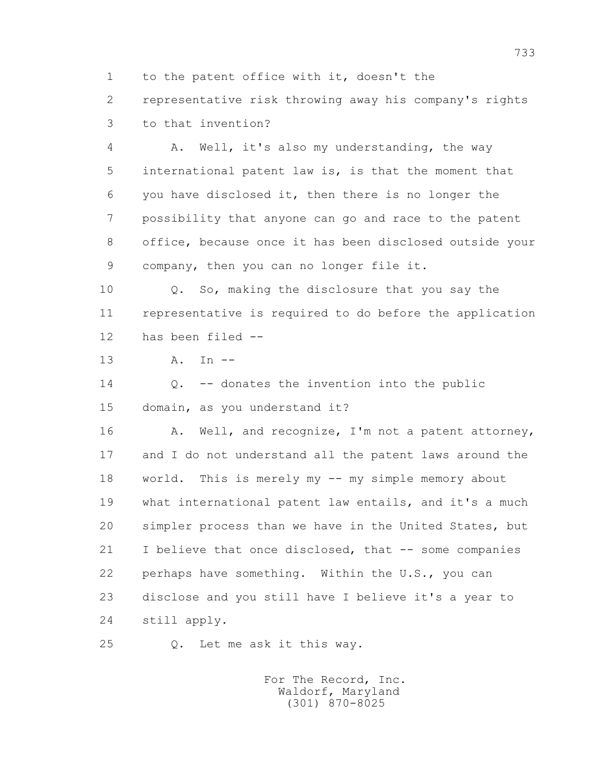1 to the patent office with it, doesn't the

 2 representative risk throwing away his company's rights 3 to that invention?

 4 A. Well, it's also my understanding, the way 5 international patent law is, is that the moment that 6 you have disclosed it, then there is no longer the 7 possibility that anyone can go and race to the patent 8 office, because once it has been disclosed outside your 9 company, then you can no longer file it.

 10 Q. So, making the disclosure that you say the 11 representative is required to do before the application 12 has been filed --

13 A. In --

 14 Q. -- donates the invention into the public 15 domain, as you understand it?

16 A. Well, and recognize, I'm not a patent attorney, 17 and I do not understand all the patent laws around the 18 world. This is merely my -- my simple memory about 19 what international patent law entails, and it's a much 20 simpler process than we have in the United States, but 21 I believe that once disclosed, that -- some companies 22 perhaps have something. Within the U.S., you can 23 disclose and you still have I believe it's a year to 24 still apply.

25 Q. Let me ask it this way.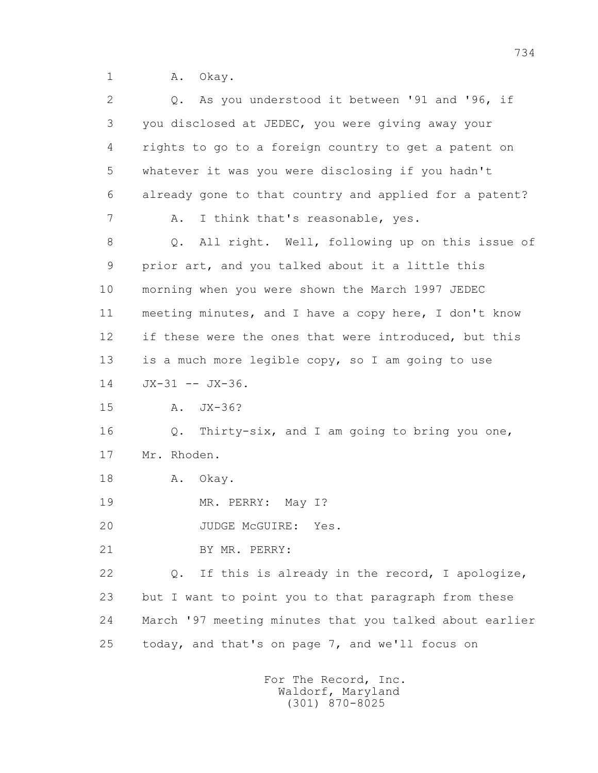1 A. Okay.

| 2  | Q. As you understood it between '91 and '96, if         |
|----|---------------------------------------------------------|
| 3  | you disclosed at JEDEC, you were giving away your       |
| 4  | rights to go to a foreign country to get a patent on    |
| 5  | whatever it was you were disclosing if you hadn't       |
| 6  | already gone to that country and applied for a patent?  |
| 7  | I think that's reasonable, yes.<br>Α.                   |
| 8  | All right. Well, following up on this issue of<br>$Q$ . |
| 9  | prior art, and you talked about it a little this        |
| 10 | morning when you were shown the March 1997 JEDEC        |
| 11 | meeting minutes, and I have a copy here, I don't know   |
| 12 | if these were the ones that were introduced, but this   |
| 13 | is a much more legible copy, so I am going to use       |
| 14 | $JX-31$ -- $JX-36$ .                                    |
| 15 | $JX-36?$<br>Α.                                          |
| 16 | Q. Thirty-six, and I am going to bring you one,         |
| 17 | Mr. Rhoden.                                             |
| 18 | Α.<br>Okay.                                             |
| 19 | MR. PERRY: May I?                                       |
| 20 | JUDGE MCGUIRE:<br>Yes.                                  |
| 21 | BY MR. PERRY:                                           |
| 22 | If this is already in the record, I apologize,<br>Q.    |
| 23 | but I want to point you to that paragraph from these    |
| 24 | March '97 meeting minutes that you talked about earlier |
| 25 | today, and that's on page 7, and we'll focus on         |
|    |                                                         |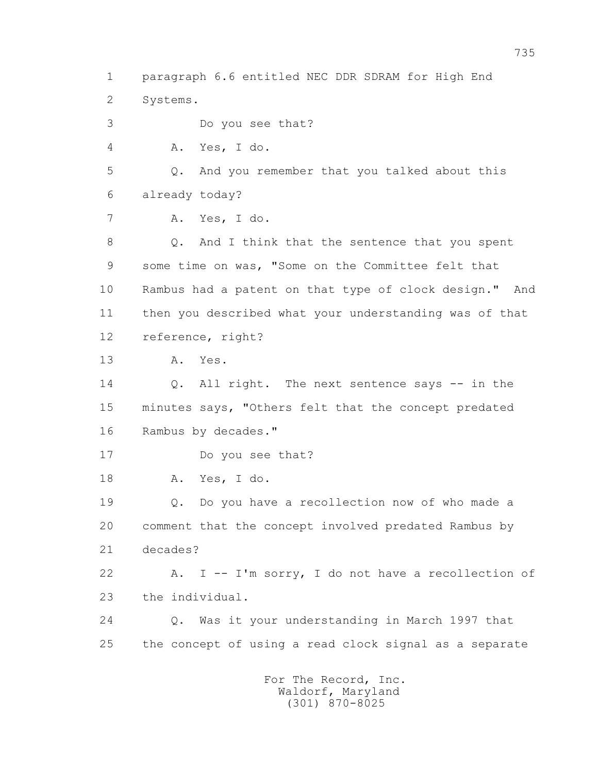1 paragraph 6.6 entitled NEC DDR SDRAM for High End 2 Systems. 3 Do you see that? 4 A. Yes, I do. 5 Q. And you remember that you talked about this 6 already today? 7 A. Yes, I do. 8 Q. And I think that the sentence that you spent 9 some time on was, "Some on the Committee felt that 10 Rambus had a patent on that type of clock design." And 11 then you described what your understanding was of that 12 reference, right? 13 A. Yes. 14 0. All right. The next sentence says -- in the 15 minutes says, "Others felt that the concept predated 16 Rambus by decades." 17 Do you see that? 18 A. Yes, I do. 19 Q. Do you have a recollection now of who made a 20 comment that the concept involved predated Rambus by 21 decades? 22 A. I -- I'm sorry, I do not have a recollection of 23 the individual. 24 Q. Was it your understanding in March 1997 that 25 the concept of using a read clock signal as a separate

 For The Record, Inc. Waldorf, Maryland (301) 870-8025

735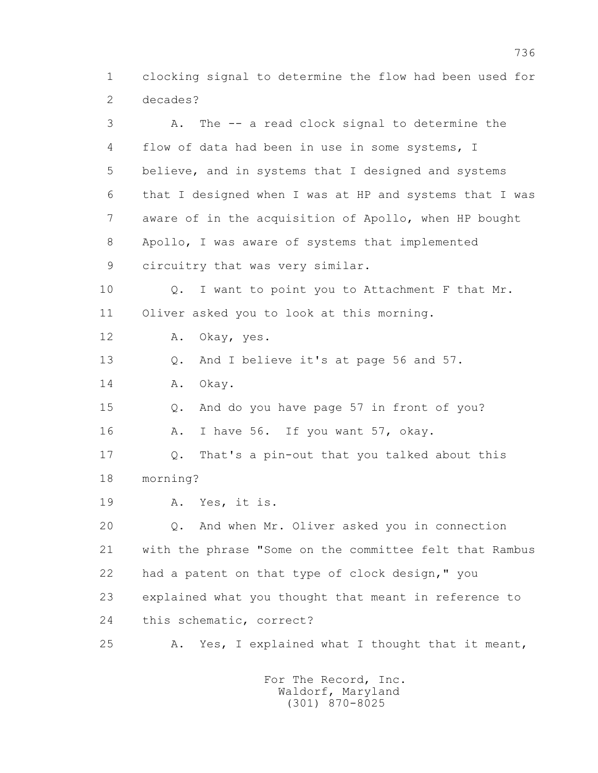1 clocking signal to determine the flow had been used for 2 decades?

 3 A. The -- a read clock signal to determine the 4 flow of data had been in use in some systems, I 5 believe, and in systems that I designed and systems 6 that I designed when I was at HP and systems that I was 7 aware of in the acquisition of Apollo, when HP bought 8 Apollo, I was aware of systems that implemented 9 circuitry that was very similar. 10 Q. I want to point you to Attachment F that Mr. 11 Oliver asked you to look at this morning. 12 A. Okay, yes. 13 Q. And I believe it's at page 56 and 57. 14 A. Okay. 15 Q. And do you have page 57 in front of you? 16 A. I have 56. If you want 57, okay. 17 Q. That's a pin-out that you talked about this 18 morning? 19 A. Yes, it is. 20 Q. And when Mr. Oliver asked you in connection 21 with the phrase "Some on the committee felt that Rambus 22 had a patent on that type of clock design," you 23 explained what you thought that meant in reference to 24 this schematic, correct? 25 A. Yes, I explained what I thought that it meant,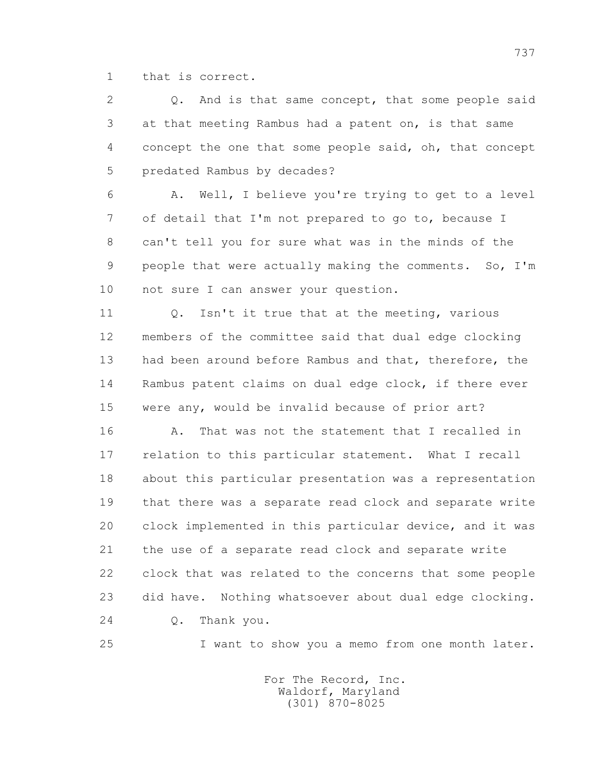1 that is correct.

 2 Q. And is that same concept, that some people said 3 at that meeting Rambus had a patent on, is that same 4 concept the one that some people said, oh, that concept 5 predated Rambus by decades?

 6 A. Well, I believe you're trying to get to a level 7 of detail that I'm not prepared to go to, because I 8 can't tell you for sure what was in the minds of the 9 people that were actually making the comments. So, I'm 10 not sure I can answer your question.

11 0. Isn't it true that at the meeting, various 12 members of the committee said that dual edge clocking 13 had been around before Rambus and that, therefore, the 14 Rambus patent claims on dual edge clock, if there ever 15 were any, would be invalid because of prior art?

 16 A. That was not the statement that I recalled in 17 relation to this particular statement. What I recall 18 about this particular presentation was a representation 19 that there was a separate read clock and separate write 20 clock implemented in this particular device, and it was 21 the use of a separate read clock and separate write 22 clock that was related to the concerns that some people 23 did have. Nothing whatsoever about dual edge clocking. 24 Q. Thank you.

25 I want to show you a memo from one month later.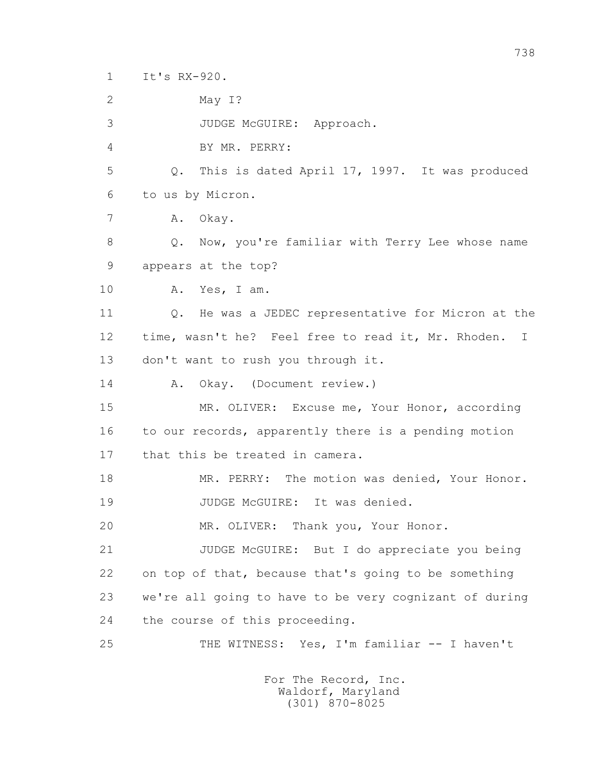1 It's RX-920.

 2 May I? 3 JUDGE McGUIRE: Approach. 4 BY MR. PERRY: 5 Q. This is dated April 17, 1997. It was produced 6 to us by Micron. 7 A. Okay. 8 Q. Now, you're familiar with Terry Lee whose name 9 appears at the top? 10 A. Yes, I am. 11 0. He was a JEDEC representative for Micron at the 12 time, wasn't he? Feel free to read it, Mr. Rhoden. I 13 don't want to rush you through it. 14 A. Okay. (Document review.) 15 MR. OLIVER: Excuse me, Your Honor, according 16 to our records, apparently there is a pending motion 17 that this be treated in camera. 18 MR. PERRY: The motion was denied, Your Honor. 19 JUDGE McGUIRE: It was denied. 20 MR. OLIVER: Thank you, Your Honor. 21 JUDGE McGUIRE: But I do appreciate you being 22 on top of that, because that's going to be something 23 we're all going to have to be very cognizant of during 24 the course of this proceeding. 25 THE WITNESS: Yes, I'm familiar -- I haven't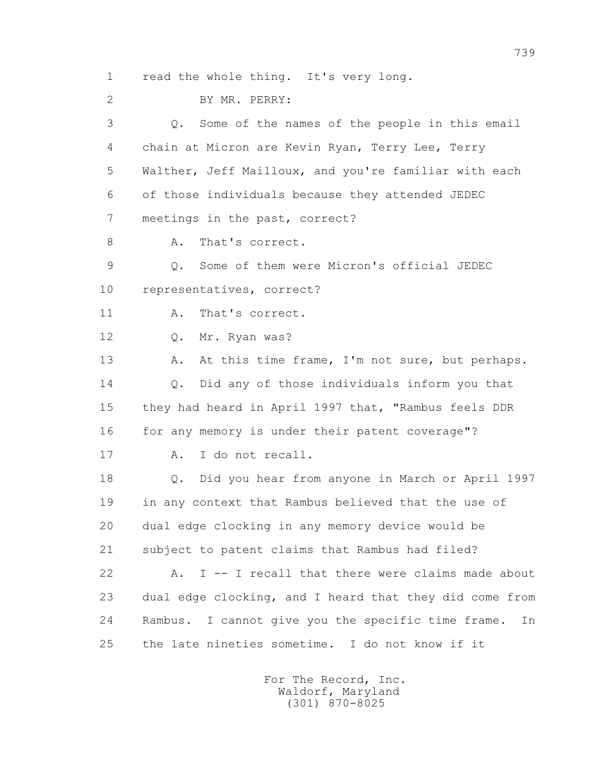1 read the whole thing. It's very long.

 2 BY MR. PERRY: 3 Q. Some of the names of the people in this email 4 chain at Micron are Kevin Ryan, Terry Lee, Terry 5 Walther, Jeff Mailloux, and you're familiar with each 6 of those individuals because they attended JEDEC 7 meetings in the past, correct? 8 A. That's correct. 9 Q. Some of them were Micron's official JEDEC 10 representatives, correct? 11 A. That's correct. 12 Q. Mr. Ryan was? 13 A. At this time frame, I'm not sure, but perhaps. 14 Q. Did any of those individuals inform you that 15 they had heard in April 1997 that, "Rambus feels DDR 16 for any memory is under their patent coverage"? 17 A. I do not recall. 18 Q. Did you hear from anyone in March or April 1997 19 in any context that Rambus believed that the use of 20 dual edge clocking in any memory device would be 21 subject to patent claims that Rambus had filed? 22 A. I -- I recall that there were claims made about 23 dual edge clocking, and I heard that they did come from 24 Rambus. I cannot give you the specific time frame. In 25 the late nineties sometime. I do not know if it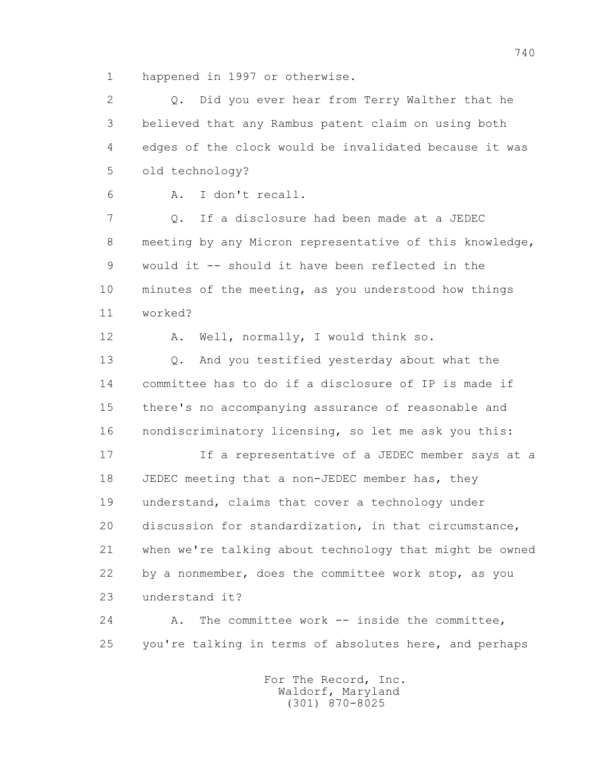1 happened in 1997 or otherwise.

 2 Q. Did you ever hear from Terry Walther that he 3 believed that any Rambus patent claim on using both 4 edges of the clock would be invalidated because it was 5 old technology?

6 A. I don't recall.

 7 Q. If a disclosure had been made at a JEDEC 8 meeting by any Micron representative of this knowledge, 9 would it -- should it have been reflected in the 10 minutes of the meeting, as you understood how things 11 worked?

12 A. Well, normally, I would think so.

 13 Q. And you testified yesterday about what the 14 committee has to do if a disclosure of IP is made if 15 there's no accompanying assurance of reasonable and 16 nondiscriminatory licensing, so let me ask you this:

 17 If a representative of a JEDEC member says at a 18 JEDEC meeting that a non-JEDEC member has, they 19 understand, claims that cover a technology under 20 discussion for standardization, in that circumstance, 21 when we're talking about technology that might be owned 22 by a nonmember, does the committee work stop, as you 23 understand it?

24 A. The committee work -- inside the committee, 25 you're talking in terms of absolutes here, and perhaps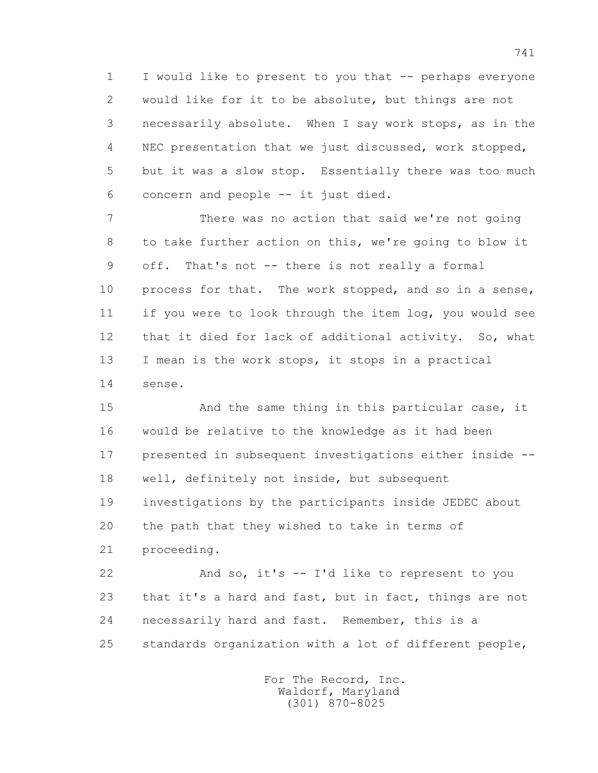1 I would like to present to you that -- perhaps everyone 2 would like for it to be absolute, but things are not 3 necessarily absolute. When I say work stops, as in the 4 NEC presentation that we just discussed, work stopped, 5 but it was a slow stop. Essentially there was too much 6 concern and people -- it just died.

 7 There was no action that said we're not going 8 to take further action on this, we're going to blow it 9 off. That's not -- there is not really a formal 10 process for that. The work stopped, and so in a sense, 11 if you were to look through the item log, you would see 12 that it died for lack of additional activity. So, what 13 I mean is the work stops, it stops in a practical 14 sense.

 15 And the same thing in this particular case, it 16 would be relative to the knowledge as it had been 17 presented in subsequent investigations either inside -- 18 well, definitely not inside, but subsequent 19 investigations by the participants inside JEDEC about 20 the path that they wished to take in terms of 21 proceeding.

 22 And so, it's -- I'd like to represent to you 23 that it's a hard and fast, but in fact, things are not 24 necessarily hard and fast. Remember, this is a 25 standards organization with a lot of different people,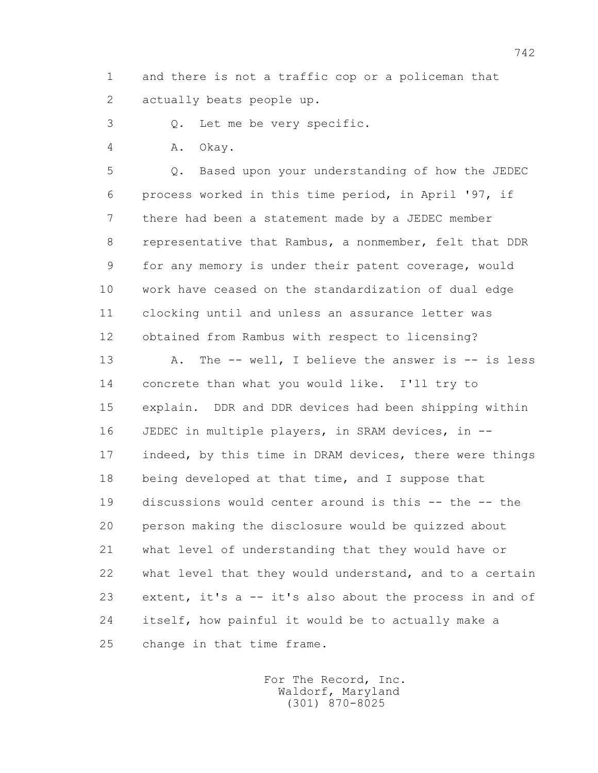1 and there is not a traffic cop or a policeman that 2 actually beats people up.

3 Q. Let me be very specific.

4 A. Okay.

 5 Q. Based upon your understanding of how the JEDEC 6 process worked in this time period, in April '97, if 7 there had been a statement made by a JEDEC member 8 representative that Rambus, a nonmember, felt that DDR 9 for any memory is under their patent coverage, would 10 work have ceased on the standardization of dual edge 11 clocking until and unless an assurance letter was 12 obtained from Rambus with respect to licensing?

13 A. The -- well, I believe the answer is -- is less 14 concrete than what you would like. I'll try to 15 explain. DDR and DDR devices had been shipping within 16 JEDEC in multiple players, in SRAM devices, in -- 17 indeed, by this time in DRAM devices, there were things 18 being developed at that time, and I suppose that 19 discussions would center around is this -- the -- the 20 person making the disclosure would be quizzed about 21 what level of understanding that they would have or 22 what level that they would understand, and to a certain 23 extent, it's a -- it's also about the process in and of 24 itself, how painful it would be to actually make a 25 change in that time frame.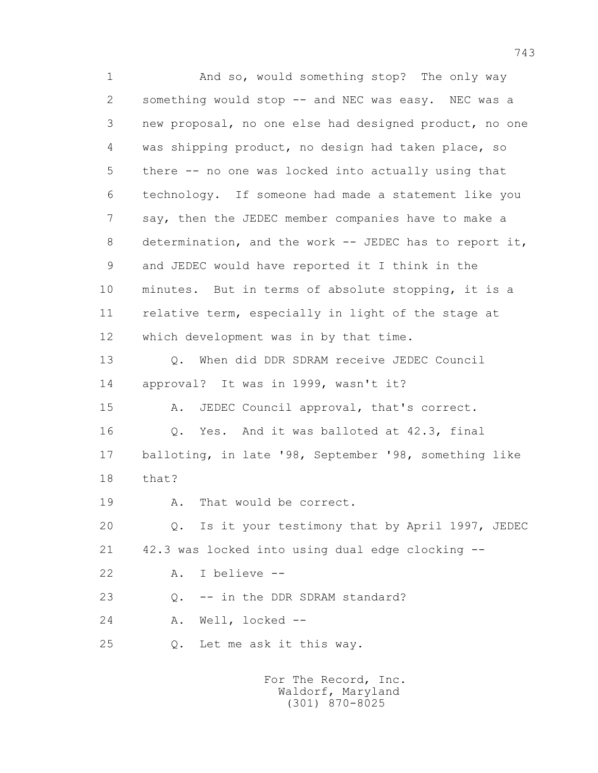1 And so, would something stop? The only way 2 something would stop -- and NEC was easy. NEC was a 3 new proposal, no one else had designed product, no one 4 was shipping product, no design had taken place, so 5 there -- no one was locked into actually using that 6 technology. If someone had made a statement like you 7 say, then the JEDEC member companies have to make a 8 determination, and the work -- JEDEC has to report it, 9 and JEDEC would have reported it I think in the 10 minutes. But in terms of absolute stopping, it is a 11 relative term, especially in light of the stage at 12 which development was in by that time. 13 Q. When did DDR SDRAM receive JEDEC Council 14 approval? It was in 1999, wasn't it? 15 A. JEDEC Council approval, that's correct. 16 Q. Yes. And it was balloted at 42.3, final 17 balloting, in late '98, September '98, something like 18 that? 19 A. That would be correct. 20 Q. Is it your testimony that by April 1997, JEDEC 21 42.3 was locked into using dual edge clocking -- 22 A. I believe -- 23 Q. -- in the DDR SDRAM standard? 24 A. Well, locked -- 25 Q. Let me ask it this way.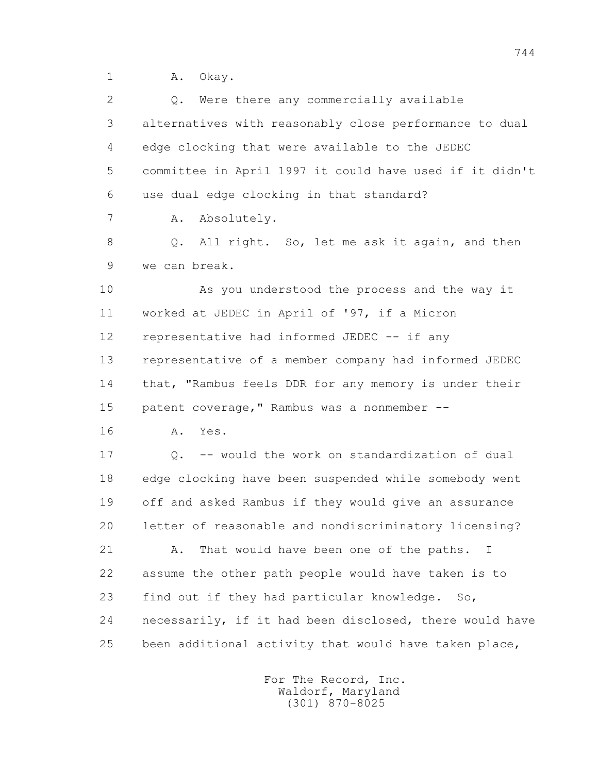1 A. Okay.

2 0. Were there any commercially available 3 alternatives with reasonably close performance to dual 4 edge clocking that were available to the JEDEC 5 committee in April 1997 it could have used if it didn't 6 use dual edge clocking in that standard? 7 A. Absolutely. 8 Q. All right. So, let me ask it again, and then 9 we can break. 10 As you understood the process and the way it 11 worked at JEDEC in April of '97, if a Micron 12 representative had informed JEDEC -- if any 13 representative of a member company had informed JEDEC 14 that, "Rambus feels DDR for any memory is under their 15 patent coverage, "Rambus was a nonmember -- 16 A. Yes. 17 Q. -- would the work on standardization of dual 18 edge clocking have been suspended while somebody went 19 off and asked Rambus if they would give an assurance 20 letter of reasonable and nondiscriminatory licensing? 21 A. That would have been one of the paths. I 22 assume the other path people would have taken is to 23 find out if they had particular knowledge. So, 24 necessarily, if it had been disclosed, there would have 25 been additional activity that would have taken place,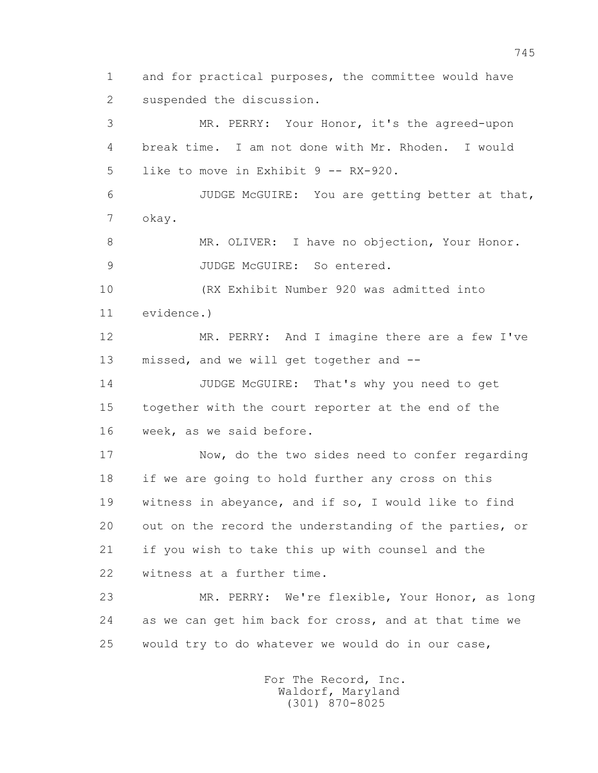1 and for practical purposes, the committee would have 2 suspended the discussion. 3 MR. PERRY: Your Honor, it's the agreed-upon 4 break time. I am not done with Mr. Rhoden. I would 5 like to move in Exhibit 9 -- RX-920. 6 JUDGE McGUIRE: You are getting better at that, 7 okay. 8 MR. OLIVER: I have no objection, Your Honor. 9 JUDGE McGUIRE: So entered. 10 (RX Exhibit Number 920 was admitted into 11 evidence.) 12 MR. PERRY: And I imagine there are a few I've 13 missed, and we will get together and -- 14 JUDGE McGUIRE: That's why you need to get 15 together with the court reporter at the end of the 16 week, as we said before. 17 Now, do the two sides need to confer regarding 18 if we are going to hold further any cross on this 19 witness in abeyance, and if so, I would like to find 20 out on the record the understanding of the parties, or 21 if you wish to take this up with counsel and the 22 witness at a further time. 23 MR. PERRY: We're flexible, Your Honor, as long 24 as we can get him back for cross, and at that time we 25 would try to do whatever we would do in our case,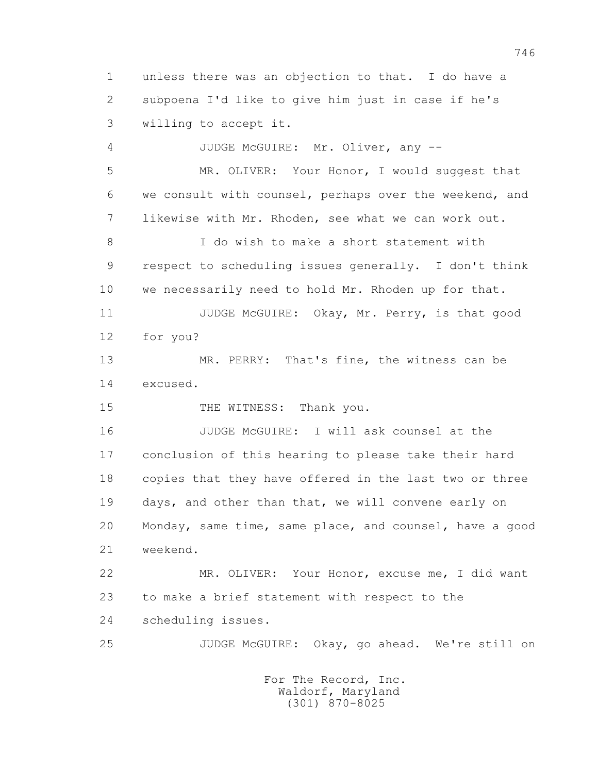1 unless there was an objection to that. I do have a 2 subpoena I'd like to give him just in case if he's 3 willing to accept it.

 4 JUDGE McGUIRE: Mr. Oliver, any -- 5 MR. OLIVER: Your Honor, I would suggest that 6 we consult with counsel, perhaps over the weekend, and 7 likewise with Mr. Rhoden, see what we can work out. 8 I do wish to make a short statement with 9 respect to scheduling issues generally. I don't think 10 we necessarily need to hold Mr. Rhoden up for that. 11 JUDGE McGUIRE: Okay, Mr. Perry, is that good 12 for you? 13 MR. PERRY: That's fine, the witness can be 14 excused. 15 THE WITNESS: Thank you. 16 JUDGE McGUIRE: I will ask counsel at the 17 conclusion of this hearing to please take their hard 18 copies that they have offered in the last two or three 19 days, and other than that, we will convene early on 20 Monday, same time, same place, and counsel, have a good 21 weekend. 22 MR. OLIVER: Your Honor, excuse me, I did want

 23 to make a brief statement with respect to the 24 scheduling issues.

25 JUDGE McGUIRE: Okay, go ahead. We're still on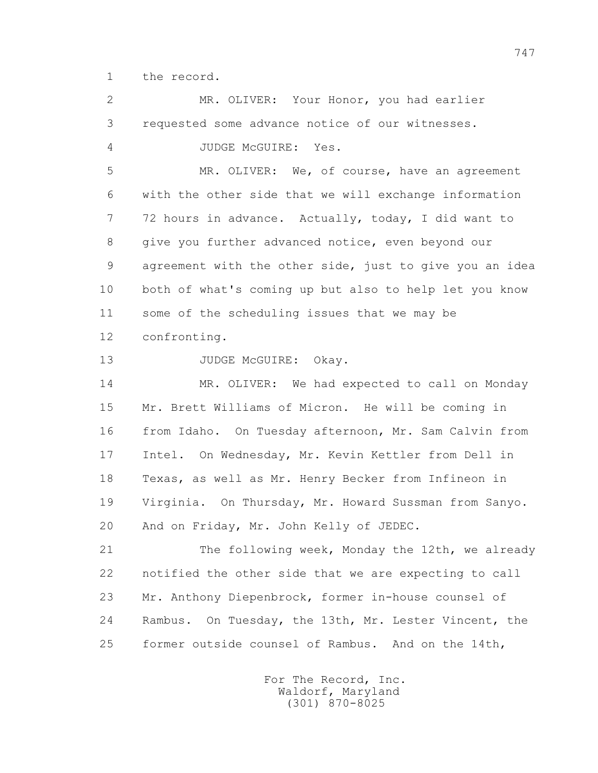1 the record.

 2 MR. OLIVER: Your Honor, you had earlier 3 requested some advance notice of our witnesses. 4 JUDGE McGUIRE: Yes. 5 MR. OLIVER: We, of course, have an agreement 6 with the other side that we will exchange information 7 72 hours in advance. Actually, today, I did want to 8 give you further advanced notice, even beyond our 9 agreement with the other side, just to give you an idea 10 both of what's coming up but also to help let you know 11 some of the scheduling issues that we may be 12 confronting. 13 JUDGE McGUIRE: Okay. 14 MR. OLIVER: We had expected to call on Monday 15 Mr. Brett Williams of Micron. He will be coming in 16 from Idaho. On Tuesday afternoon, Mr. Sam Calvin from 17 Intel. On Wednesday, Mr. Kevin Kettler from Dell in 18 Texas, as well as Mr. Henry Becker from Infineon in 19 Virginia. On Thursday, Mr. Howard Sussman from Sanyo. 20 And on Friday, Mr. John Kelly of JEDEC. 21 The following week, Monday the 12th, we already 22 notified the other side that we are expecting to call 23 Mr. Anthony Diepenbrock, former in-house counsel of 24 Rambus. On Tuesday, the 13th, Mr. Lester Vincent, the 25 former outside counsel of Rambus. And on the 14th,

> For The Record, Inc. Waldorf, Maryland (301) 870-8025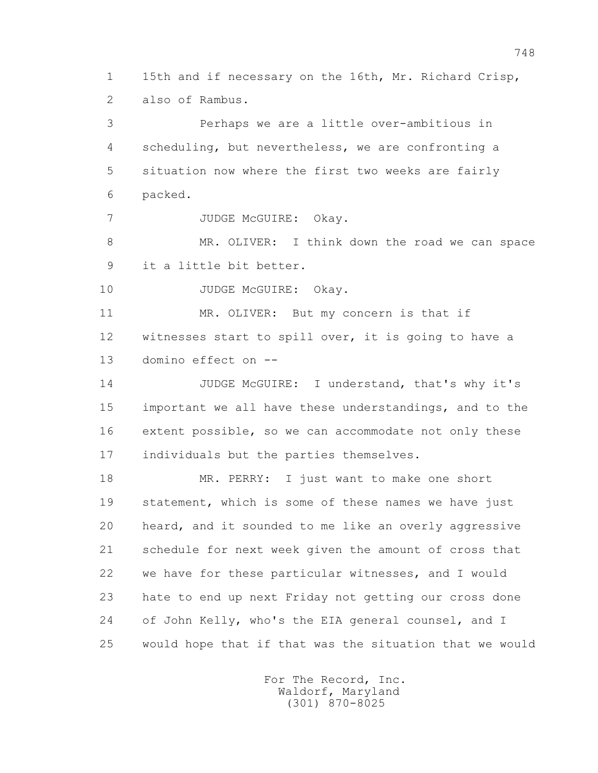1 15th and if necessary on the 16th, Mr. Richard Crisp, 2 also of Rambus.

 3 Perhaps we are a little over-ambitious in 4 scheduling, but nevertheless, we are confronting a 5 situation now where the first two weeks are fairly 6 packed. 7 JUDGE McGUIRE: Okay. 8 MR. OLIVER: I think down the road we can space 9 it a little bit better. 10 JUDGE McGUIRE: Okay. 11 MR. OLIVER: But my concern is that if 12 witnesses start to spill over, it is going to have a 13 domino effect on -- 14 JUDGE McGUIRE: I understand, that's why it's 15 important we all have these understandings, and to the 16 extent possible, so we can accommodate not only these 17 individuals but the parties themselves. 18 MR. PERRY: I just want to make one short 19 statement, which is some of these names we have just 20 heard, and it sounded to me like an overly aggressive 21 schedule for next week given the amount of cross that 22 we have for these particular witnesses, and I would 23 hate to end up next Friday not getting our cross done 24 of John Kelly, who's the EIA general counsel, and I 25 would hope that if that was the situation that we would

> For The Record, Inc. Waldorf, Maryland (301) 870-8025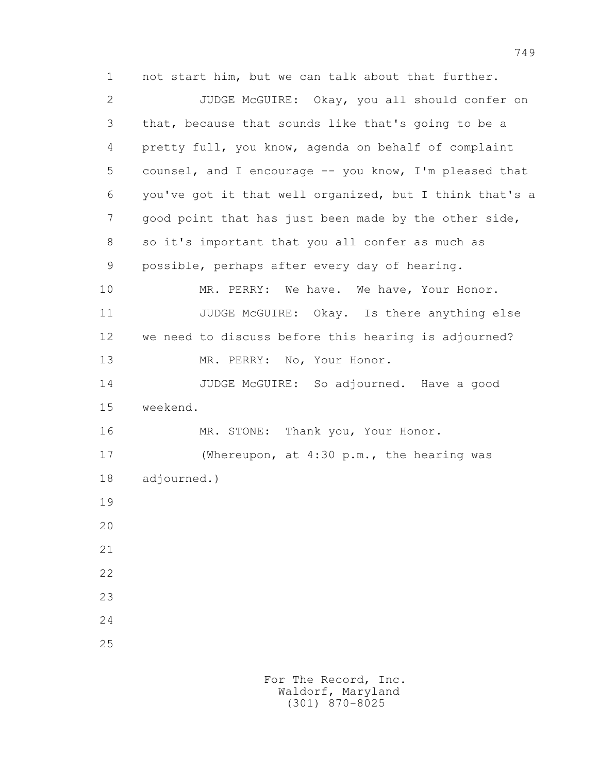1 not start him, but we can talk about that further. 2 JUDGE McGUIRE: Okay, you all should confer on 3 that, because that sounds like that's going to be a 4 pretty full, you know, agenda on behalf of complaint 5 counsel, and I encourage -- you know, I'm pleased that 6 you've got it that well organized, but I think that's a 7 good point that has just been made by the other side, 8 so it's important that you all confer as much as 9 possible, perhaps after every day of hearing. 10 MR. PERRY: We have. We have, Your Honor. 11 JUDGE McGUIRE: Okay. Is there anything else 12 we need to discuss before this hearing is adjourned? 13 MR. PERRY: No, Your Honor. 14 JUDGE McGUIRE: So adjourned. Have a good 15 weekend. 16 MR. STONE: Thank you, Your Honor. 17 (Whereupon, at 4:30 p.m., the hearing was 18 adjourned.) 19 20 21 22 23 24 25

> For The Record, Inc. Waldorf, Maryland (301) 870-8025